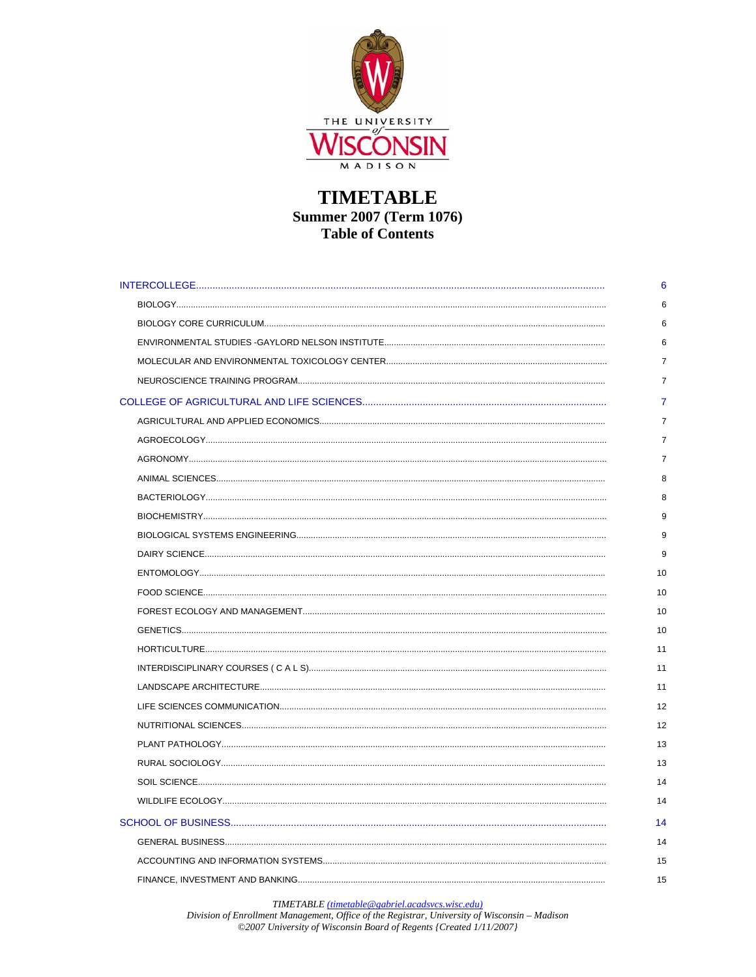

| 6              |
|----------------|
| 6              |
| 6              |
| 6              |
| 7              |
| $\overline{7}$ |
| 7              |
| $\overline{7}$ |
| $\overline{7}$ |
| 7              |
| 8              |
| 8              |
| 9              |
| 9              |
| 9              |
| 10             |
| 10             |
| 10             |
| 10             |
| 11             |
| 11             |
| 11             |
| 12             |
| 12             |
| 13             |
| 13             |
| 14             |
| 14             |
| 14             |
| 14             |
| 15             |
| 15             |

TIMETABLE (timetable@gabriel.acadsvcs.wisc.edu)<br>Division of Enrollment Management, Office of the Registrar, University of Wisconsin – Madison<br>©2007 University of Wisconsin Board of Regents (Created 1/11/2007)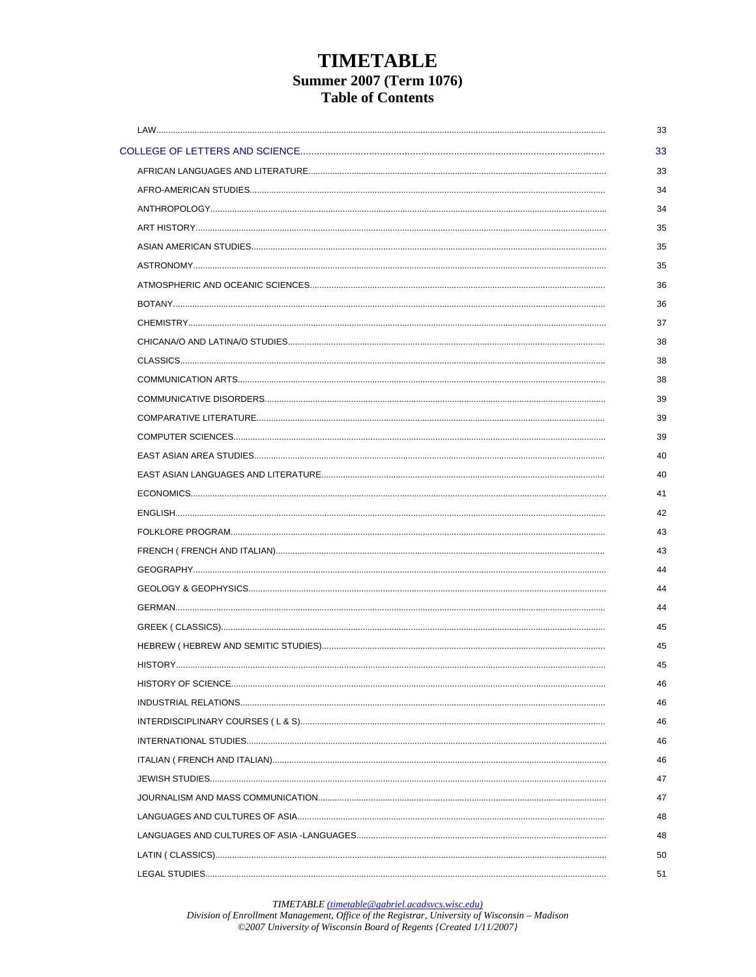TIMETABLE (timetable@gabriel.acadsvcs.wisc.edu)<br>Division of Enrollment Management, Office of the Registrar, University of Wisconsin – Madison<br>©2007 University of Wisconsin Board of Regents (Created 1/11/2007)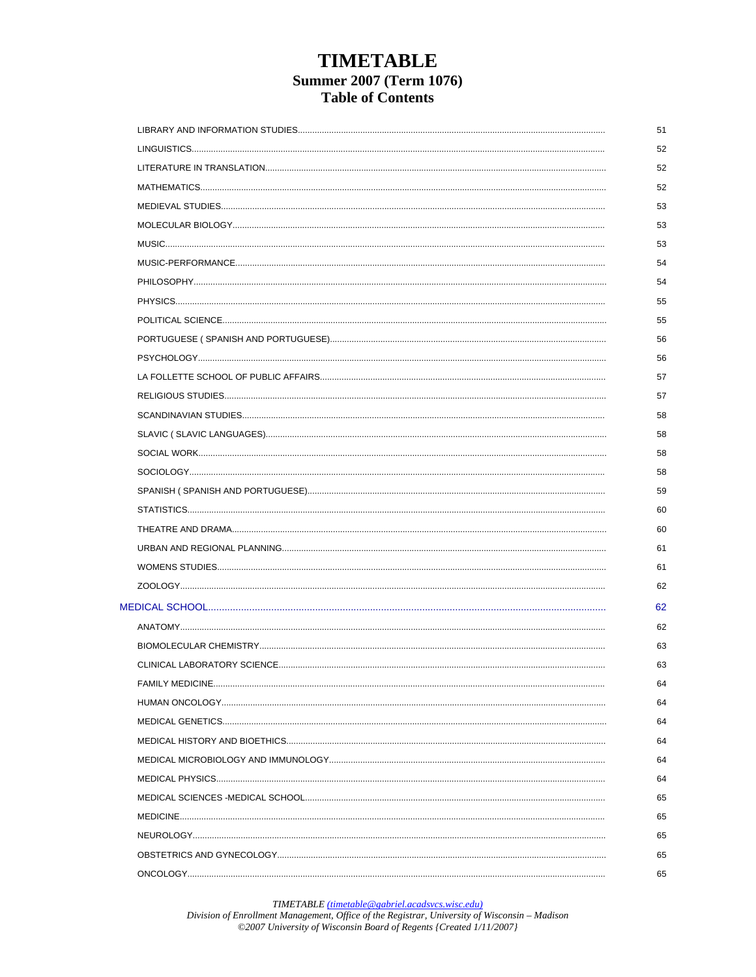TIMETABLE (timetable@gabriel.acadsvcs.wisc.edu)<br>Division of Enrollment Management, Office of the Registrar, University of Wisconsin – Madison<br>©2007 University of Wisconsin Board of Regents (Created 1/11/2007)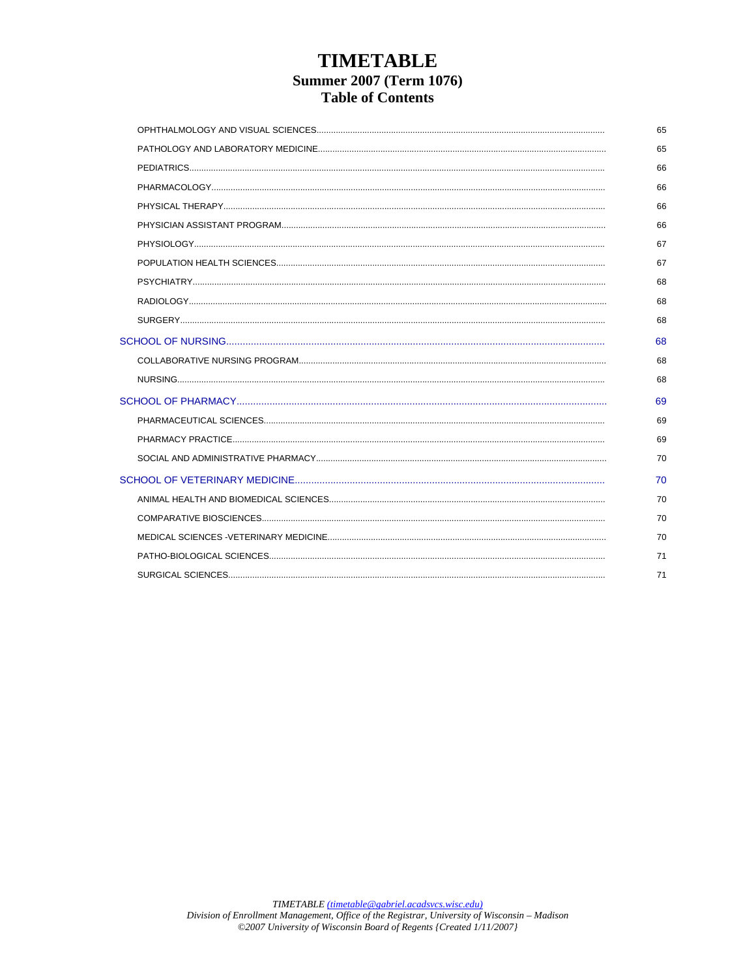| 65 |
|----|
| 65 |
| 66 |
| 66 |
| 66 |
| 66 |
| 67 |
| 67 |
| 68 |
| 68 |
| 68 |
| 68 |
| 68 |
| 68 |
| 69 |
| 69 |
| 69 |
| 70 |
| 70 |
| 70 |
| 70 |
| 70 |
| 71 |
| 71 |
|    |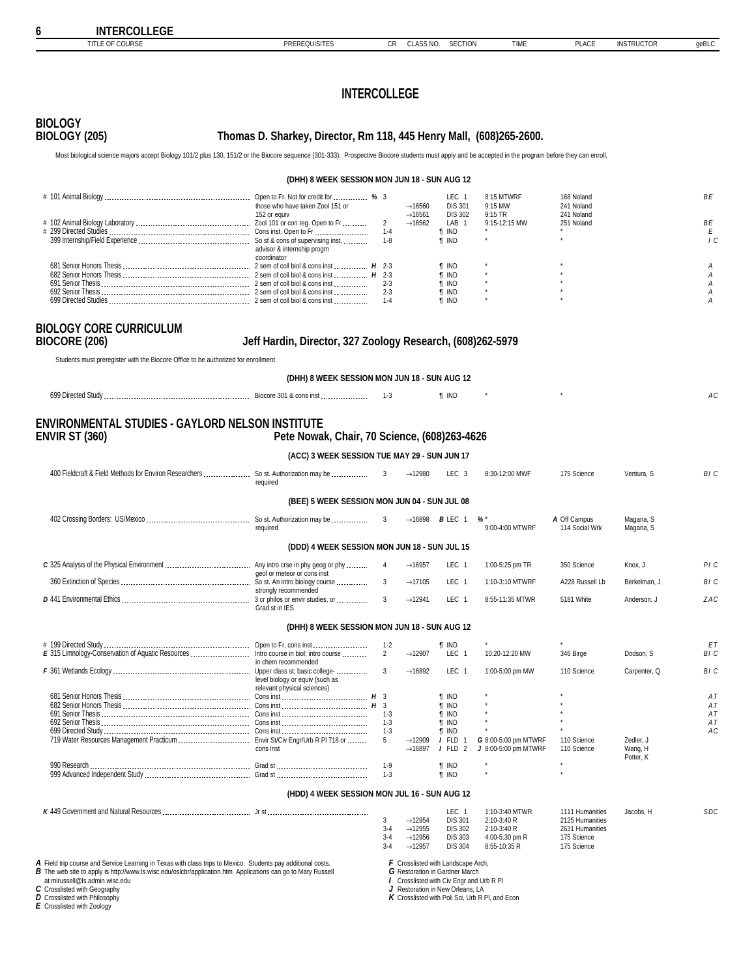| <b>IIILE OF COURSE</b>                                                             | <b>PREREQUISITES</b>                                                                                                                                                                                  | CК                        | CLASS NO.                                                                    | <b>SECTION</b>                     | <b>IIMF</b>                                     | <b>PLACE</b>                       | <b>INSTRUCTOR</b>    | geBLC      |
|------------------------------------------------------------------------------------|-------------------------------------------------------------------------------------------------------------------------------------------------------------------------------------------------------|---------------------------|------------------------------------------------------------------------------|------------------------------------|-------------------------------------------------|------------------------------------|----------------------|------------|
|                                                                                    |                                                                                                                                                                                                       |                           |                                                                              |                                    |                                                 |                                    |                      |            |
|                                                                                    | <b>INTERCOLLEGE</b>                                                                                                                                                                                   |                           |                                                                              |                                    |                                                 |                                    |                      |            |
| <b>BIOLOGY</b><br><b>BIOLOGY (205)</b>                                             | Thomas D. Sharkey, Director, Rm 118, 445 Henry Mall, (608)265-2600.                                                                                                                                   |                           |                                                                              |                                    |                                                 |                                    |                      |            |
|                                                                                    | Most biological science majors accept Biology 101/2 plus 130, 151/2 or the Biocore sequence (301-333). Prospective Biocore students must apply and be accepted in the program before they can enroll. |                           |                                                                              |                                    |                                                 |                                    |                      |            |
|                                                                                    | (DHH) 8 WEEK SESSION MON JUN 18 - SUN AUG 12                                                                                                                                                          |                           |                                                                              |                                    |                                                 |                                    |                      |            |
|                                                                                    | those who have taken Zool 151 or                                                                                                                                                                      |                           | $\rightarrow$ 16560                                                          | LEC 1<br><b>DIS 301</b>            | 8:15 MTWRF<br>9:15 MW                           | 168 Noland<br>241 Noland           |                      | ВE         |
|                                                                                    | 152 or equiv                                                                                                                                                                                          |                           | $\rightarrow$ 16561<br>$\rightarrow$ 16562                                   | <b>DIS 302</b><br>LAB 1            | 9:15 TR<br>9:15-12:15 MW                        | 241 Noland<br>251 Noland           |                      | ΒE         |
|                                                                                    |                                                                                                                                                                                                       | $1 - 4$                   |                                                                              | <b>T</b> IND                       |                                                 |                                    |                      | Ε          |
|                                                                                    | advisor & internship progm                                                                                                                                                                            | $1 - 8$                   |                                                                              | <b>T</b> IND                       |                                                 |                                    |                      | $\sqrt{c}$ |
|                                                                                    | coordinator                                                                                                                                                                                           |                           |                                                                              | <b>T</b> IND                       |                                                 |                                    |                      | А          |
|                                                                                    |                                                                                                                                                                                                       | $2 - 3$                   |                                                                              | <b>T</b> IND<br><b>T IND</b>       |                                                 |                                    |                      | Α<br>Α     |
|                                                                                    |                                                                                                                                                                                                       |                           |                                                                              | <b>T</b> IND                       |                                                 |                                    |                      | А          |
|                                                                                    |                                                                                                                                                                                                       | $1 - 4$                   |                                                                              | <b>T</b> IND                       |                                                 |                                    |                      | Α          |
| <b>BIOLOGY CORE CURRICULUM</b><br><b>BIOCORE (206)</b>                             | Jeff Hardin, Director, 327 Zoology Research, (608)262-5979                                                                                                                                            |                           |                                                                              |                                    |                                                 |                                    |                      |            |
| Students must preregister with the Biocore Office to be authorized for enrollment. |                                                                                                                                                                                                       |                           |                                                                              |                                    |                                                 |                                    |                      |            |
|                                                                                    | (DHH) 8 WEEK SESSION MON JUN 18 - SUN AUG 12                                                                                                                                                          |                           |                                                                              |                                    |                                                 |                                    |                      |            |
|                                                                                    |                                                                                                                                                                                                       |                           |                                                                              | <b>T</b> IND                       |                                                 |                                    |                      | AC         |
|                                                                                    |                                                                                                                                                                                                       |                           |                                                                              |                                    |                                                 |                                    |                      |            |
| <b>ENVIR ST (360)</b>                                                              | <b>ENVIRONMENTAL STUDIES - GAYLORD NELSON INSTITUTE</b><br>Pete Nowak, Chair, 70 Science, (608)263-4626                                                                                               |                           |                                                                              |                                    |                                                 |                                    |                      |            |
|                                                                                    | (ACC) 3 WEEK SESSION TUE MAY 29 - SUN JUN 17                                                                                                                                                          |                           |                                                                              |                                    |                                                 |                                    |                      |            |
|                                                                                    | required                                                                                                                                                                                              |                           | $\rightarrow$ 12980                                                          | LEC <sub>3</sub>                   | 8:30-12:00 MWF                                  | 175 Science                        | Ventura, S           | BI C       |
|                                                                                    | (BEE) 5 WEEK SESSION MON JUN 04 - SUN JUL 08                                                                                                                                                          |                           |                                                                              |                                    |                                                 |                                    |                      |            |
|                                                                                    |                                                                                                                                                                                                       |                           |                                                                              | $\rightarrow$ 16898 <b>B</b> LEC 1 | %'                                              | A Off Campus                       | Magana, S            |            |
|                                                                                    | required                                                                                                                                                                                              |                           |                                                                              |                                    | 9:00-4:00 MTWRF                                 | 114 Social Wrk                     | Magana, S            |            |
|                                                                                    | (DDD) 4 WEEK SESSION MON JUN 18 - SUN JUL 15                                                                                                                                                          |                           |                                                                              |                                    |                                                 |                                    |                      |            |
|                                                                                    | geol or meteor or cons inst                                                                                                                                                                           | -4                        | $\rightarrow$ 16957                                                          | LEC 1                              | 1:00-5:25 pm TR                                 | 350 Science                        | Knox, J              | PI C       |
|                                                                                    |                                                                                                                                                                                                       |                           | $\rightarrow$ 17105                                                          | LEC 1                              | 1:10-3:10 MTWRF                                 | A228 Russell Lb                    | Berkelman, J         | BI C       |
|                                                                                    | strongly recommended<br>3 cr philos or envir studies, or                                                                                                                                              | 3                         | →12941                                                                       | LEC.                               | 8:55-11:35 MTWR                                 | 5181 White                         | Anderson, J          | ZAC        |
|                                                                                    | Grad st in IES                                                                                                                                                                                        |                           |                                                                              |                                    |                                                 |                                    |                      |            |
|                                                                                    | (DHH) 8 WEEK SESSION MON JUN 18 - SUN AUG 12                                                                                                                                                          |                           |                                                                              |                                    |                                                 |                                    |                      |            |
|                                                                                    |                                                                                                                                                                                                       | $1 - 2$<br>$\overline{2}$ | $\rightarrow$ 12907                                                          | <b>T</b> IND<br>LEC 1              | 10:20-12:20 MW                                  | 346 Birge                          | Dodson, S            | ET<br>BI C |
|                                                                                    | in chem recommended                                                                                                                                                                                   | 3                         | $\rightarrow$ 16892                                                          | LEC <sub>1</sub>                   | 1:00-5:00 pm MW                                 | 110 Science                        | Carpenter, Q         | BI C       |
|                                                                                    | level biology or equiv (such as<br>relevant physical sciences)                                                                                                                                        |                           |                                                                              |                                    |                                                 |                                    |                      |            |
|                                                                                    |                                                                                                                                                                                                       |                           |                                                                              | <b>T</b> IND                       |                                                 |                                    |                      | AT         |
|                                                                                    |                                                                                                                                                                                                       | $1 - 3$                   |                                                                              | <b>T IND</b><br><b>T</b> IND       |                                                 |                                    |                      | ΑT<br>AT   |
|                                                                                    |                                                                                                                                                                                                       | $1 - 3$                   |                                                                              | <b>T IND</b>                       |                                                 |                                    |                      | ΑT         |
|                                                                                    |                                                                                                                                                                                                       | $1 - 3$<br>5              | $\rightarrow$ 12909                                                          | <b>T IND</b><br>I FLD<br>-1        | G 8:00-5:00 pm MTWRF                            | 110 Science                        | Zedler, J            | AC         |
|                                                                                    | cons inst                                                                                                                                                                                             |                           | $\rightarrow$ 16897                                                          | $I$ FLD<br>$\overline{2}$          | J 8:00-5:00 pm MTWRF                            | 110 Science                        | Wang, H<br>Potter, K |            |
|                                                                                    |                                                                                                                                                                                                       | $1-9$<br>$1 - 3$          |                                                                              | <b>T</b> IND<br><b>T IND</b>       |                                                 |                                    |                      |            |
|                                                                                    |                                                                                                                                                                                                       |                           |                                                                              |                                    |                                                 |                                    |                      |            |
|                                                                                    | (HDD) 4 WEEK SESSION MON JUL 16 - SUN AUG 12                                                                                                                                                          |                           |                                                                              |                                    |                                                 |                                    |                      |            |
|                                                                                    |                                                                                                                                                                                                       | 3                         | $\rightarrow$ 12954                                                          | LEC 1<br><b>DIS 301</b>            | 1:10-3:40 MTWR<br>2:10-3:40 R                   | 1111 Humanities<br>2125 Humanities | Jacobs, H            | SDC        |
|                                                                                    |                                                                                                                                                                                                       | $3 - 4$                   | $\rightarrow$ 12955                                                          | <b>DIS 302</b>                     | 2:10-3:40 R                                     | 2631 Humanities                    |                      |            |
|                                                                                    |                                                                                                                                                                                                       | $3 - 4$<br>$3 - 4$        | $\rightarrow$ 12956<br>$\rightarrow$ 12957                                   | <b>DIS 303</b><br><b>DIS 304</b>   | 4:00-5:30 pm R<br>8:55-10:35 R                  | 175 Science<br>175 Science         |                      |            |
|                                                                                    | A Field trip course and Service Learning in Texas with class trips to Mexico. Students pay additional costs.                                                                                          |                           | F Crosslisted with Landscape Arch,                                           |                                    |                                                 |                                    |                      |            |
|                                                                                    | <b>B</b> The web site to apply is http://www.ls.wisc.edu/oslcbr/application.htm Applications can go to Mary Russell                                                                                   |                           | G Restoration in Gardner March                                               |                                    |                                                 |                                    |                      |            |
| at mlrussell@ls.admin.wisc.edu<br>C Crosslisted with Geography                     |                                                                                                                                                                                                       |                           | I Crosslisted with Civ Engr and Urb R PI<br>J Restoration in New Orleans, LA |                                    |                                                 |                                    |                      |            |
| D Crosslisted with Philosophy<br>E Crosslisted with Zoology                        |                                                                                                                                                                                                       |                           |                                                                              |                                    | K Crosslisted with Poli Sci, Urb R PI, and Econ |                                    |                      |            |
|                                                                                    |                                                                                                                                                                                                       |                           |                                                                              |                                    |                                                 |                                    |                      |            |

<span id="page-5-0"></span>**6 INTERCOLLEGE**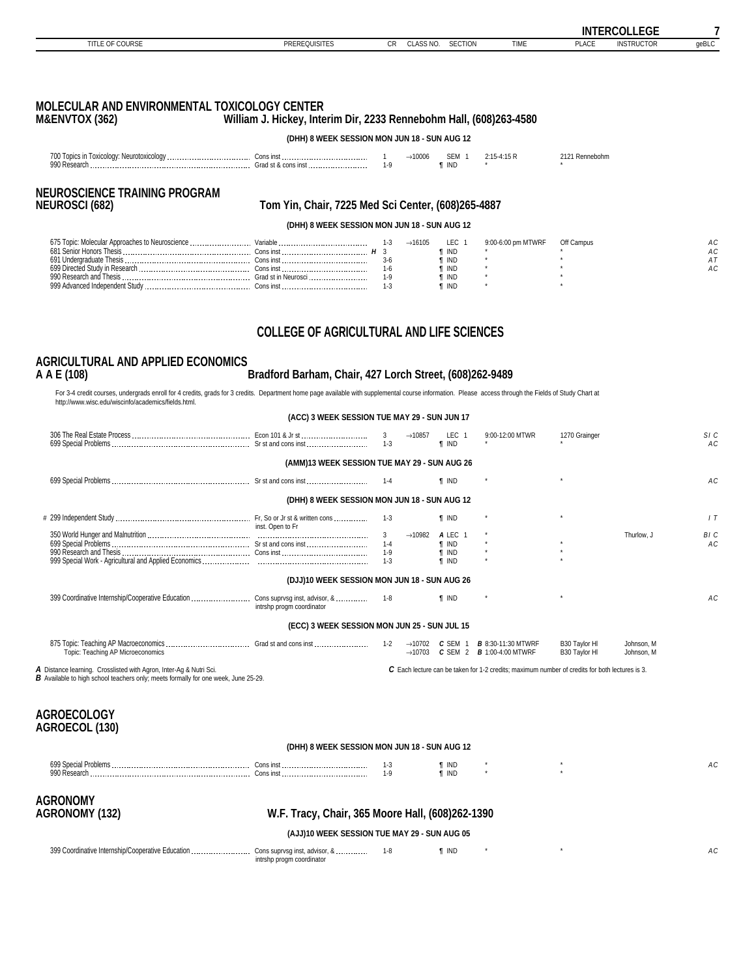<span id="page-6-0"></span>

|                             |                      |     |                            |                |      | IN.                         | 0.011000<br>LEGE.            |       |
|-----------------------------|----------------------|-----|----------------------------|----------------|------|-----------------------------|------------------------------|-------|
| COLIDOE<br>TITLE O<br>uundi | <b>PREREQUISITES</b> | v۱۱ | 5.10<br>0.00<br>ULAƏƏ IYU. | <b>SECTION</b> | TIME | DLA OF<br><sup>∽</sup> LA∪E | $-107$<br>ווס־<br>INSIRUCIOR | qeBLC |
|                             |                      |     |                            |                |      |                             |                              |       |

### **MOLECULAR AND ENVIRONMENTAL TOXICOLOGY CENTER M&ENVTOX (362) William J. Hickey, Interim Dir, 2233 Rennebohm Hall, (608)263-4580**

**(DHH) 8 WEEK SESSION MON JUN 18 - SUN AUG 12**

| 700<br>Inn!<br>. |  | 000<br>. |             |  |
|------------------|--|----------|-------------|--|
|                  |  |          | <b>IINL</b> |  |

# **NEUROSCIENCE TRAINING PROGRAM**

#### **NEUROSCI (682) Tom Yin, Chair, 7225 Med Sci Center, (608)265-4887**

**(DHH) 8 WEEK SESSION MON JUN 18 - SUN AUG 12**

| 675 Topic:<br>. Molecular Approaches to Neuroscience | Variable            |     | $\rightarrow$ 16105 | _EC   | 9:00-6:00 pm MTWRF | Off Campus |   |
|------------------------------------------------------|---------------------|-----|---------------------|-------|--------------------|------------|---|
| 681 Senior<br>' Honore Thaeie                        | cons inst           |     |                     | ' IND |                    |            | A |
| 691 Undergraduate Thesis                             | `one inet           |     |                     | . Ind |                    |            |   |
| 699 Directed Study in Research                       | Conc inct           |     |                     | . Ind |                    |            |   |
| 990 Research and Thesis                              | Grad st in Neurosci | 1.L |                     | . Ind |                    |            |   |
| 999 Advanced Independent Study                       | `one inel           |     |                     | . Ind |                    |            |   |

### **COLLEGE OF AGRICULTURAL AND LIFE SCIENCES**

### **AGRICULTURAL AND APPLIED ECONOMICS**

#### **A A E (108) Bradford Barham, Chair, 427 Lorch Street, (608)262-9489**

For 3-4 credit courses, undergrads enroll for 4 credits, grads for 3 credits. Department home page available with supplemental course information. Please access through the Fields of Study Chart at<br>http://www.wisc.edu/wis

|                                                                                                                                                          | (ACC) 3 WEEK SESSION TUE MAY 29 - SUN JUN 17 |                                    |                                            |                                                     |                                                                                                |                                |                          |            |
|----------------------------------------------------------------------------------------------------------------------------------------------------------|----------------------------------------------|------------------------------------|--------------------------------------------|-----------------------------------------------------|------------------------------------------------------------------------------------------------|--------------------------------|--------------------------|------------|
|                                                                                                                                                          |                                              | $1 - 3$                            | $\rightarrow$ 10857                        | LEC <sub>1</sub><br><b>f</b> IND                    | 9:00-12:00 MTWR                                                                                | 1270 Grainger                  |                          | SIC<br>AC  |
|                                                                                                                                                          | (AMM)13 WEEK SESSION TUE MAY 29 - SUN AUG 26 |                                    |                                            |                                                     |                                                                                                |                                |                          |            |
|                                                                                                                                                          |                                              | $1 - 4$                            |                                            | <b>T</b> IND                                        |                                                                                                |                                |                          | AC.        |
|                                                                                                                                                          | (DHH) 8 WEEK SESSION MON JUN 18 - SUN AUG 12 |                                    |                                            |                                                     |                                                                                                |                                |                          |            |
|                                                                                                                                                          | inst. Open to Fr                             | $1 - 3$                            |                                            | <b>T</b> IND                                        |                                                                                                |                                |                          | 1T         |
|                                                                                                                                                          |                                              | 3<br>$1 - 4$<br>$1 - 9$<br>$1 - 3$ | $\rightarrow$ 10982                        | A LEC 1<br><b>T</b> IND<br>$\P$ IND<br><b>f</b> IND |                                                                                                |                                | Thurlow. J               | BI C<br>AC |
|                                                                                                                                                          | (DJJ)10 WEEK SESSION MON JUN 18 - SUN AUG 26 |                                    |                                            |                                                     |                                                                                                |                                |                          |            |
|                                                                                                                                                          | intrshp progm coordinator                    |                                    |                                            | <b>T</b> IND                                        |                                                                                                |                                |                          | AC.        |
|                                                                                                                                                          | (ECC) 3 WEEK SESSION MON JUN 25 - SUN JUL 15 |                                    |                                            |                                                     |                                                                                                |                                |                          |            |
| Topic: Teaching AP Microeconomics                                                                                                                        |                                              | $1 - 2$                            | $\rightarrow$ 10702<br>$\rightarrow$ 10703 | $C$ SEM 1                                           | <b>B</b> 8:30-11:30 MTWRF<br><b>C</b> SEM 2 <b>B</b> 1:00-4:00 MTWRF                           | B30 Taylor HI<br>B30 Taylor HI | Johnson, M<br>Johnson, M |            |
| A Distance learning. Crosslisted with Agron, Inter-Ag & Nutri Sci.<br>B Available to high school teachers only; meets formally for one week, June 25-29. |                                              |                                    |                                            |                                                     | C Each lecture can be taken for 1-2 credits; maximum number of credits for both lectures is 3. |                                |                          |            |
| AGROFCOI OGY                                                                                                                                             |                                              |                                    |                                            |                                                     |                                                                                                |                                |                          |            |

#### **AGROECOLOGY AGROECOL (130)**

| <b>IN THE READ WAS TO ME TO BE SUITED TO A THE READ OF THE UPPER TO A THE UPPER</b> |  |              |  |  |    |  |
|-------------------------------------------------------------------------------------|--|--------------|--|--|----|--|
| 699 Specia<br>Cons ins'<br>990 Research<br>Cons ins'                                |  | INL<br>¶ INL |  |  | יי |  |
|                                                                                     |  |              |  |  |    |  |

**(DHH) 8 WEEK SESSION MON JUN 18 - SUN AUG 12**

# **AGRONOMY**

**AGRONOMY (132) W.F. Tracy, Chair, 365 Moore Hall, (608)262-1390**

**(AJJ)10 WEEK SESSION TUE MAY 29 - SUN AUG 05**

| 399 Coordinative Internship/Cooperative Education<br>Cons suprvsg inst, advisor, & | T IND |  |  |
|------------------------------------------------------------------------------------|-------|--|--|
| intrshp progm coordinator                                                          |       |  |  |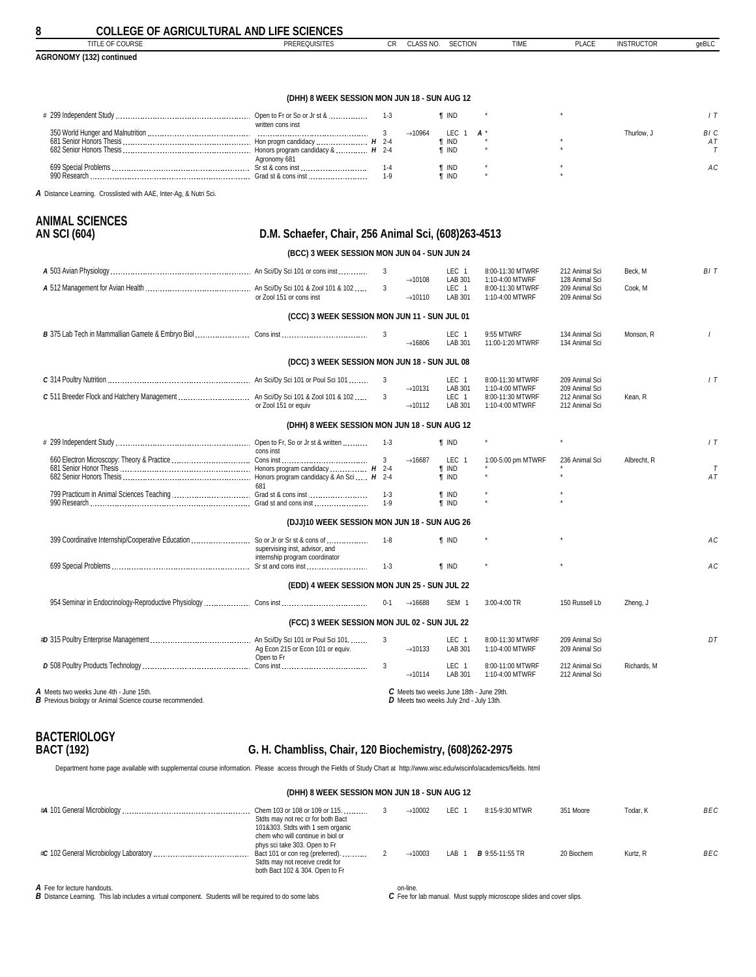<span id="page-7-0"></span>

**8 COLLEGE OF AGRICULTURAL AND LIFE SCIENCES**

| 001000<br>titl<br>UUUNUL                | PREREQUISITES<br>the contract of the contract of the contract of the contract of the contract of the contract of the contract of | $\sim$<br>◡ | <b>ULAUD INU</b> | -----<br>١M<br>יוטו ו טבו | <b>TIME</b> | DLA OF<br><b>PLACL</b> | COLICTO"<br>INSIKUUTU. | aeBLC |
|-----------------------------------------|----------------------------------------------------------------------------------------------------------------------------------|-------------|------------------|---------------------------|-------------|------------------------|------------------------|-------|
| <b>AGRONON</b><br>$-14.9o$<br>continuec |                                                                                                                                  |             |                  |                           |             |                        |                        |       |

#### **(DHH) 8 WEEK SESSION MON JUN 18 - SUN AUG 12**

|              | Open to Fr or So or Jr st & |  | ind   |  |            |                 |
|--------------|-----------------------------|--|-------|--|------------|-----------------|
|              | written cons inst           |  |       |  | Thurlow. 、 | BI <sub>c</sub> |
|              | Hon progm candidacy $H$ 2-4 |  | IND   |  |            |                 |
|              |                             |  | ' IND |  |            |                 |
|              | Agronomy 681                |  |       |  |            |                 |
|              | Sr st & cons inst           |  | ind   |  |            |                 |
| 990 Research | Grad st & cons inst         |  | ind   |  |            |                 |

*A* Distance Learning. Crosslisted with AAE, Inter-Ag, & Nutri Sci.

**ANIMAL SCIENCES**

| AN SCI (604)                                                   | D.M. Schaefer, Chair, 256 Animal Sci, (608)263-4513              |                  |                                            |                                                  |                                                        |                                                    |             |              |  |  |
|----------------------------------------------------------------|------------------------------------------------------------------|------------------|--------------------------------------------|--------------------------------------------------|--------------------------------------------------------|----------------------------------------------------|-------------|--------------|--|--|
|                                                                | (BCC) 3 WEEK SESSION MON JUN 04 - SUN JUN 24                     |                  |                                            |                                                  |                                                        |                                                    |             |              |  |  |
|                                                                |                                                                  | 3                |                                            | LEC 1                                            | 8:00-11:30 MTWRF                                       | 212 Animal Sci                                     | Beck. M     | BIT          |  |  |
|                                                                | or Zool 151 or cons inst                                         | 3                | $\rightarrow$ 10108<br>$\rightarrow$ 10110 | LAB 301<br>LEC <sub>1</sub><br>LAB 301           | 1:10-4:00 MTWRF<br>8:00-11:30 MTWRF<br>1:10-4:00 MTWRF | 128 Animal Sci<br>209 Animal Sci<br>209 Animal Sci | Cook, M     |              |  |  |
|                                                                | (CCC) 3 WEEK SESSION MON JUN 11 - SUN JUL 01                     |                  |                                            |                                                  |                                                        |                                                    |             |              |  |  |
|                                                                |                                                                  |                  | $\rightarrow$ 16806                        | LEC 1<br>LAB 301                                 | 9:55 MTWRF<br>11:00-1:20 MTWRF                         | 134 Animal Sci<br>134 Animal Sci                   | Monson, R   | $\prime$     |  |  |
|                                                                | (DCC) 3 WEEK SESSION MON JUN 18 - SUN JUL 08                     |                  |                                            |                                                  |                                                        |                                                    |             |              |  |  |
|                                                                |                                                                  |                  |                                            | LEC 1                                            | 8:00-11:30 MTWRF                                       | 209 Animal Sci                                     |             | 1T           |  |  |
|                                                                | or Zool 151 or equiv                                             |                  | $\rightarrow$ 10131<br>$\rightarrow$ 10112 | LAB 301<br>LEC 1<br>LAB 301                      | 1:10-4:00 MTWRF<br>8:00-11:30 MTWRF<br>1:10-4:00 MTWRF | 209 Animal Sci<br>212 Animal Sci<br>212 Animal Sci | Kean, R     |              |  |  |
|                                                                | (DHH) 8 WEEK SESSION MON JUN 18 - SUN AUG 12                     |                  |                                            |                                                  |                                                        |                                                    |             |              |  |  |
|                                                                | cons inst                                                        |                  |                                            | <b>f</b> IND                                     |                                                        |                                                    |             | 1T           |  |  |
|                                                                | 681                                                              | $\mathbf{3}$     | $\rightarrow$ 16687                        | LEC <sub>1</sub><br><b>T</b> IND<br><b>T</b> IND | 1:00-5:00 pm MTWRF                                     | 236 Animal Sci                                     | Albrecht, R | $\tau$<br>AT |  |  |
| 799 Practicum in Animal Sciences Teaching  Grad st & cons inst |                                                                  | $1 - 3$<br>$1-9$ |                                            | <b>T</b> IND<br><b>f</b> IND                     |                                                        |                                                    |             |              |  |  |
|                                                                | (DJJ)10 WEEK SESSION MON JUN 18 - SUN AUG 26                     |                  |                                            |                                                  |                                                        |                                                    |             |              |  |  |
|                                                                | supervising inst, advisor, and<br>internship program coordinator | $1-8$            |                                            | <b>T</b> IND                                     |                                                        |                                                    |             | АC           |  |  |
|                                                                |                                                                  | $1 - 3$          |                                            | <b>T</b> IND                                     |                                                        |                                                    |             | AC           |  |  |
|                                                                | (EDD) 4 WEEK SESSION MON JUN 25 - SUN JUL 22                     |                  |                                            |                                                  |                                                        |                                                    |             |              |  |  |
|                                                                |                                                                  | $0 - 1$          | $\rightarrow$ 16688                        | SEM <sub>1</sub>                                 | 3:00-4:00 TR                                           | 150 Russell Lb                                     | Zheng, J    |              |  |  |
|                                                                | (FCC) 3 WEEK SESSION MON JUL 02 - SUN JUL 22                     |                  |                                            |                                                  |                                                        |                                                    |             |              |  |  |
|                                                                | Ag Econ 215 or Econ 101 or equiv.<br>Open to Fr                  | 3                | $\rightarrow$ 10133                        | LEC 1<br>LAB 301                                 | 8:00-11:30 MTWRF<br>1:10-4:00 MTWRF                    | 209 Animal Sci<br>209 Animal Sci                   |             | DT           |  |  |
|                                                                |                                                                  | 3                | $\rightarrow$ 10114                        | LEC <sub>1</sub><br>LAB 301                      | 8:00-11:00 MTWRF<br>1:10-4:00 MTWRF                    | 212 Animal Sci<br>212 Animal Sci                   | Richards, M |              |  |  |
| A Meets two weeks June 4th - June 15th.                        |                                                                  |                  |                                            | C Meets two weeks June 18th - June 29th.         |                                                        |                                                    |             |              |  |  |

*A* Meets two weeks June 4th - June 15th. *B* Previous biology or Animal Science course recommended.

*C* Meets two weeks June 18th - June 29th. *D* Meets two weeks July 2nd - July 13th.

# **BACTERIOLOGY**

### **BACT (192) G. H. Chambliss, Chair, 120 Biochemistry, (608)262-2975**

Department home page available with supplemental course information. Please access through the Fields of Study Chart at http://www.wisc.edu/wiscinfo/academics/fields. html

#### **(DHH) 8 WEEK SESSION MON JUN 18 - SUN AUG 12**

| Chem 103 or 108 or 109 or 115.<br>Stdts may not rec cr for both Bact<br>101&303. Stdts with 1 sem organic<br>chem who will continue in biol or | $\rightarrow$ 10002 | LEC 1            | 8:15-9:30 MTWR         | 351 Moore  | Todar, K | <b>BEC</b> |
|------------------------------------------------------------------------------------------------------------------------------------------------|---------------------|------------------|------------------------|------------|----------|------------|
| phys sci take 303. Open to Fr<br>Bact 101 or con reg (preferred).<br>Stdts may not receive credit for<br>both Bact 102 & 304. Open to Fr       | $\rightarrow$ 10003 | LAB <sub>1</sub> | <b>B</b> 9:55-11:55 TR | 20 Biochem | Kurtz, R | <b>BEC</b> |

*A* Fee for lecture handouts. *B* Distance Learning. This lab includes a virtual component. Students will be required to do some labs

on-line. *C* Fee for lab manual. Must supply microscope slides and cover slips.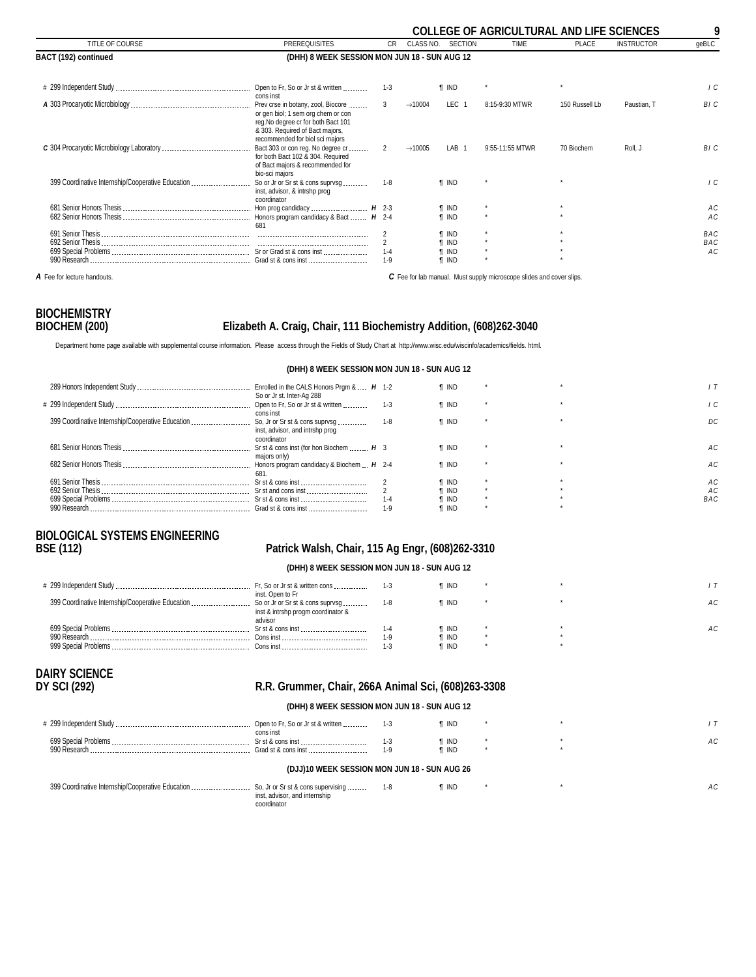<span id="page-8-0"></span>

|                                                   |                                                                                                                                                                                       |                |                     |                  | <b>COLLEGE OF AGRICULTURAL AND LIFE SCIENCES</b> |                |                   | 9              |
|---------------------------------------------------|---------------------------------------------------------------------------------------------------------------------------------------------------------------------------------------|----------------|---------------------|------------------|--------------------------------------------------|----------------|-------------------|----------------|
| TITLE OF COURSE                                   | <b>PREREQUISITES</b>                                                                                                                                                                  | <b>CR</b>      | CLASS NO.           | <b>SECTION</b>   | TIME                                             | <b>PLACE</b>   | <b>INSTRUCTOR</b> | geBLC          |
| BACT (192) continued                              | (DHH) 8 WEEK SESSION MON JUN 18 - SUN AUG 12                                                                                                                                          |                |                     |                  |                                                  |                |                   |                |
|                                                   | cons inst                                                                                                                                                                             | $1 - 3$        |                     | <b>T</b> IND     |                                                  |                |                   | $\overline{C}$ |
|                                                   | Prev crse in botany, zool, Biocore<br>or gen biol; 1 sem org chem or con<br>reg. No degree cr for both Bact 101<br>& 303. Required of Bact majors,<br>recommended for biol sci majors | 3              | $\rightarrow$ 10004 | LEC <sub>1</sub> | 8:15-9:30 MTWR                                   | 150 Russell Lb | Paustian, T       | BI C           |
|                                                   | Bact 303 or con reg. No degree cr<br>for both Bact 102 & 304. Required<br>of Bact majors & recommended for<br>bio-sci majors                                                          | $\overline{2}$ | $\rightarrow$ 10005 | LAB <sub>1</sub> | 9:55-11:55 MTWR                                  | 70 Biochem     | Roll. J           | BI C           |
| 399 Coordinative Internship/Cooperative Education | So or Jr or Sr st & cons suprysq<br>inst, advisor, & intrshp prog<br>coordinator                                                                                                      | $1 - 8$        |                     | <b>f</b> IND     |                                                  |                |                   | ΙC             |
|                                                   | Hon prog candidacy  H 2-3                                                                                                                                                             |                |                     | <b>T</b> IND     |                                                  |                |                   | АC             |
|                                                   | 681                                                                                                                                                                                   |                |                     | <b>T IND</b>     |                                                  |                |                   | AC             |
|                                                   |                                                                                                                                                                                       |                |                     | <b>T</b> IND     |                                                  |                |                   | BAC            |
|                                                   |                                                                                                                                                                                       |                |                     | <b>TIND</b>      |                                                  |                |                   | BAC            |
|                                                   |                                                                                                                                                                                       | $1 - 4$        |                     | T IND            |                                                  |                |                   | AC             |
|                                                   |                                                                                                                                                                                       | $1 - 9$        |                     | <b>T IND</b>     |                                                  |                |                   |                |

**A** Fee for lecture handouts. **C** Fee for lab manual. Must supply microscope slides and cover slips.

# **BIOCHEMISTRY**

### **BIOCHEM (200) Elizabeth A. Craig, Chair, 111 Biochemistry Addition, (608)262-3040**

Department home page available with supplemental course information. Please access through the Fields of Study Chart at http://www.wisc.edu/wiscinfo/academics/fields. html.

|                                                   | Enrolled in the CALS Honors Pram $\&$ $H$ 1-2     |       | <b>T</b> IND |  |            |
|---------------------------------------------------|---------------------------------------------------|-------|--------------|--|------------|
|                                                   | So or Jr st. Inter-Ag 288                         |       |              |  |            |
|                                                   | Open to Fr, So or Jr st & written                 | $1-3$ | <b>T</b> IND |  | -C         |
|                                                   | cons inst                                         |       |              |  |            |
| 399 Coordinative Internship/Cooperative Education | So, Jr or Sr st & cons suprysg                    | 1-8   | <b>T</b> IND |  | DC.        |
|                                                   | inst, advisor, and intrshp prog                   |       |              |  |            |
|                                                   | coordinator                                       |       |              |  |            |
|                                                   | Sr st & cons inst (for hon Biochem  H 3           |       | <b>T</b> IND |  | AC.        |
|                                                   | maiors only)                                      |       |              |  |            |
|                                                   | Honors program candidacy & Biochem $\ldots$ H 2-4 |       | <b>T</b> IND |  | AC.        |
|                                                   | 681.                                              |       |              |  |            |
|                                                   | Sr st & cons inst                                 |       | <b>T</b> IND |  | АC         |
|                                                   | Sr st and cons inst                               |       | ¶ IND        |  | A C        |
|                                                   |                                                   | 1-4   | ¶ IND        |  | <b>BAC</b> |
|                                                   |                                                   | $1-9$ | <b>T</b> IND |  |            |
|                                                   |                                                   |       |              |  |            |

**(DHH) 8 WEEK SESSION MON JUN 18 - SUN AUG 12**

# **BIOLOGICAL SYSTEMS ENGINEERING**

### **BSE (112) Patrick Walsh, Chair, 115 Ag Engr, (608)262-3310**

**(DHH) 8 WEEK SESSION MON JUN 18 - SUN AUG 12**

|                       | Fr, So or Jr st & written cons<br>inst. Open to Fr |       | ¶ IND          |  |    |
|-----------------------|----------------------------------------------------|-------|----------------|--|----|
|                       | inst & intrshp progm coordinator &                 | 1-8   | ¶ IND          |  | АC |
| 699 Special Problems  | advisor                                            |       |                |  | АC |
| 990 Research          | Sr st & cons inst<br>Cons inst                     | $1-9$ | ¶ IND<br>¶ IND |  |    |
| 999 Special Problems. |                                                    |       | ¶ IND          |  |    |
|                       |                                                    |       |                |  |    |

# DAIRY SCIENCE<br>DY SCI (292)

### **DY SCI (292) R.R. Grummer, Chair, 266A Animal Sci, (608)263-3308**

#### **(DHH) 8 WEEK SESSION MON JUN 18 - SUN AUG 12**

|                      | Open to Fr, So or Jr st & written | i ind  |  |    |
|----------------------|-----------------------------------|--------|--|----|
| 699 Special Problems | cons inst<br>. Sr st & cons inst  | i ind  |  | АC |
| 990 Research         | Grad st & cons inst               | ת ד' T |  |    |
|                      |                                   |        |  |    |

#### **(DJJ)10 WEEK SESSION MON JUN 18 - SUN AUG 26**

| 399 Coordinative Internship/Cooperative Education  So, Jr or Sr st & cons supervising  1-8 |                               |  |  |  |
|--------------------------------------------------------------------------------------------|-------------------------------|--|--|--|
|                                                                                            | inst, advisor, and internship |  |  |  |
|                                                                                            | coordinator                   |  |  |  |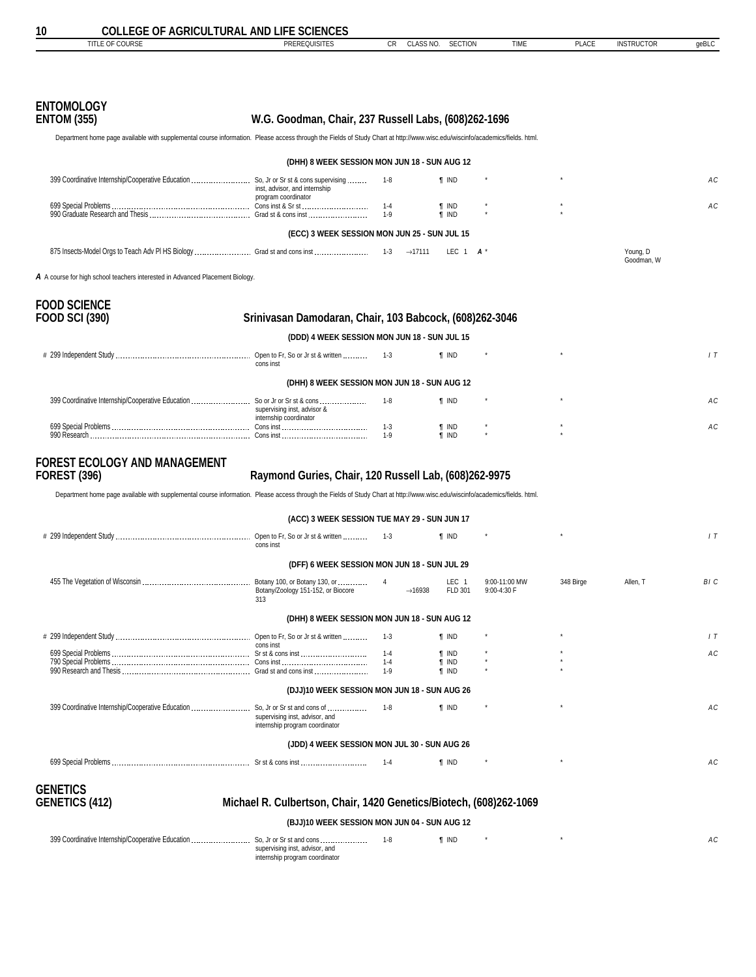<span id="page-9-0"></span>

| 10                                                                                                                                                                           | <b>COLLEGE OF AGRICULTURAL AND LIFE SCIENCES</b>        |              |                              |             |              |                        |       |
|------------------------------------------------------------------------------------------------------------------------------------------------------------------------------|---------------------------------------------------------|--------------|------------------------------|-------------|--------------|------------------------|-------|
| TITLE OF COURSE                                                                                                                                                              | <b>PREREQUISITES</b>                                    | <b>CR</b>    | CLASS NO.<br><b>SECTION</b>  | <b>TIME</b> | <b>PLACE</b> | <b>INSTRUCTOR</b>      | qeBLC |
| <b>ENTOMOLOGY</b><br><b>ENTOM (355)</b>                                                                                                                                      | W.G. Goodman, Chair, 237 Russell Labs, (608)262-1696    |              |                              |             |              |                        |       |
| Department home page available with supplemental course information. Please access through the Fields of Study Chart at http://www.wisc.edu/wiscinfo/academics/fields. html. |                                                         |              |                              |             |              |                        |       |
|                                                                                                                                                                              | (DHH) 8 WEEK SESSION MON JUN 18 - SUN AUG 12            |              |                              |             |              |                        |       |
| 399 Coordinative Internship/Cooperative Education  So, Jr or Sr st & cons supervising                                                                                        | inst, advisor, and internship<br>program coordinator    | $1-8$        | <b>T</b> IND                 |             |              |                        | AC    |
|                                                                                                                                                                              |                                                         |              | <b>T</b> IND<br><b>T</b> IND |             |              |                        | AC    |
|                                                                                                                                                                              | (ECC) 3 WEEK SESSION MON JUN 25 - SUN JUL 15            |              |                              |             |              |                        |       |
|                                                                                                                                                                              |                                                         |              | LEC $1$ $A^*$                |             |              | Young, D<br>Goodman, W |       |
| A A course for high school teachers interested in Advanced Placement Biology.                                                                                                |                                                         |              |                              |             |              |                        |       |
| <b>FOOD SCIENCE</b><br>FOOD SCI (390)                                                                                                                                        | Srinivasan Damodaran, Chair, 103 Babcock, (608)262-3046 |              |                              |             |              |                        |       |
|                                                                                                                                                                              | (DDD) 4 WEEK SESSION MON JUN 18 - SUN JUL 15            |              |                              |             |              |                        |       |
|                                                                                                                                                                              | cons inst                                               |              | <b>f</b> IND                 |             | $^\star$     |                        | 1T    |
|                                                                                                                                                                              | (DHH) 8 WEEK SESSION MON JUN 18 - SUN AUG 12            |              |                              |             |              |                        |       |
|                                                                                                                                                                              | supervising inst, advisor &<br>internship coordinator   | 1-8          | <b>T</b> IND                 |             |              |                        | AC    |
|                                                                                                                                                                              |                                                         | 1-3<br>$1-9$ | <b>T</b> IND<br>$\P$ IND     |             |              |                        | AC    |

# **FOREST ECOLOGY AND MANAGEMENT**

### **FOREST (396) Raymond Guries, Chair, 120 Russell Lab, (608)262-9975**

Department home page available with supplemental course information. Please access through the Fields of Study Chart at http://www.wisc.edu/wiscinfo/academics/fields. html.

|                                                                                | (ACC) 3 WEEK SESSION TUE MAY 29 - SUN JUN 17                                                 |         |                     |                             |                              |           |          |                |
|--------------------------------------------------------------------------------|----------------------------------------------------------------------------------------------|---------|---------------------|-----------------------------|------------------------------|-----------|----------|----------------|
|                                                                                | cons inst                                                                                    | $1 - 3$ |                     | <b>T</b> IND                |                              |           |          | 1T             |
|                                                                                | (DFF) 6 WEEK SESSION MON JUN 18 - SUN JUL 29                                                 |         |                     |                             |                              |           |          |                |
|                                                                                | Botany 100, or Botany 130, or<br>Botany/Zoology 151-152, or Biocore<br>313                   | 4       | $\rightarrow$ 16938 | LEC <sub>1</sub><br>FLD 301 | 9:00-11:00 MW<br>9:00-4:30 F | 348 Birge | Allen. T | BI C           |
|                                                                                | (DHH) 8 WEEK SESSION MON JUN 18 - SUN AUG 12                                                 |         |                     |                             |                              |           |          |                |
|                                                                                | cons inst                                                                                    | $1 - 3$ |                     | <b>f</b> IND                |                              | $\star$   |          | 1T             |
|                                                                                |                                                                                              | $1 - 4$ |                     | <b>f</b> IND                |                              |           |          | A <sub>C</sub> |
|                                                                                |                                                                                              | $1 - 4$ |                     | <b>f</b> IND                |                              |           |          |                |
|                                                                                |                                                                                              | $1 - 9$ |                     | <b>f</b> IND                |                              |           |          |                |
|                                                                                | (DJJ)10 WEEK SESSION MON JUN 18 - SUN AUG 26                                                 |         |                     |                             |                              |           |          |                |
| 399 Coordinative Internship/Cooperative Education  So, Jr or Sr st and cons of | supervising inst, advisor, and<br>internship program coordinator                             | $1 - 8$ |                     | <b>T</b> IND                |                              |           |          | AC             |
|                                                                                | (JDD) 4 WEEK SESSION MON JUL 30 - SUN AUG 26                                                 |         |                     |                             |                              |           |          |                |
|                                                                                |                                                                                              | $1 - 4$ |                     | <b>T</b> IND                |                              |           |          | A C            |
| GENETICS                                                                       |                                                                                              |         |                     |                             |                              |           |          |                |
| <b>GENETICS (412)</b>                                                          | Michael R. Culbertson, Chair, 1420 Genetics/Biotech, (608)262-1069                           |         |                     |                             |                              |           |          |                |
|                                                                                | (BJJ)10 WEEK SESSION MON JUN 04 - SUN AUG 12                                                 |         |                     |                             |                              |           |          |                |
| 399 Coordinative Internship/Cooperative Education                              | So, Jr or Sr st and cons<br>supervising inst, advisor, and<br>internship program coordinator | $1 - 8$ |                     | <b>f</b> IND                |                              |           |          | A C            |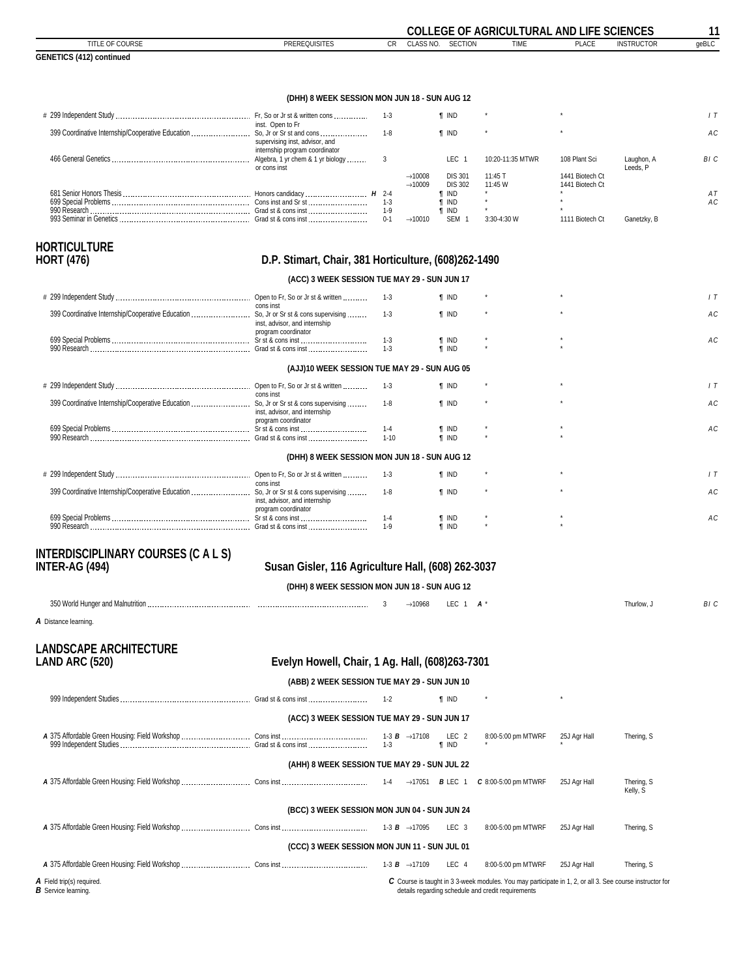<span id="page-10-0"></span>

|                                                                          |                                                                  |                  |                                            |                                  | <b>COLLEGE OF AGRICULTURAL AND LIFE SCIENCES</b> |                                    |                        | 11    |
|--------------------------------------------------------------------------|------------------------------------------------------------------|------------------|--------------------------------------------|----------------------------------|--------------------------------------------------|------------------------------------|------------------------|-------|
| TITLE OF COURSE                                                          | <b>PREREQUISITES</b>                                             | <b>CR</b>        | CLASS NO.                                  | <b>SECTION</b>                   | <b>TIME</b>                                      | <b>PLACE</b>                       | <b>INSTRUCTOR</b>      | qeBLC |
| <b>GENETICS (412) continued</b>                                          |                                                                  |                  |                                            |                                  |                                                  |                                    |                        |       |
|                                                                          |                                                                  |                  |                                            |                                  |                                                  |                                    |                        |       |
|                                                                          | (DHH) 8 WEEK SESSION MON JUN 18 - SUN AUG 12                     |                  |                                            |                                  |                                                  |                                    |                        |       |
|                                                                          | inst. Open to Fr                                                 | $1 - 3$          |                                            | <b>T</b> IND                     |                                                  |                                    |                        | 1T    |
|                                                                          | supervising inst, advisor, and<br>internship program coordinator | $1 - 8$          |                                            | <b>T</b> IND                     |                                                  |                                    |                        | AC    |
| memsing program containator<br>------- Algebra, 1 yr chem & 1 yr biology | or cons inst                                                     | 3                |                                            | LEC <sub>1</sub>                 | 10:20-11:35 MTWR                                 | 108 Plant Sci                      | Laughon, A<br>Leeds. P | BI C  |
|                                                                          |                                                                  |                  | $\rightarrow$ 10008<br>$\rightarrow$ 10009 | <b>DIS 301</b><br><b>DIS 302</b> | 11:45 T<br>11:45 W                               | 1441 Biotech Ct<br>1441 Biotech Ct |                        |       |
|                                                                          |                                                                  |                  |                                            | <b>T</b> IND                     |                                                  |                                    |                        | AT    |
|                                                                          |                                                                  | $1 - 3$<br>$1-9$ |                                            | <b>T</b> IND<br><b>T</b> IND     |                                                  |                                    |                        | AC    |
|                                                                          |                                                                  | $0 - 1$          | $\rightarrow$ 10010                        | SEM <sub>1</sub>                 | 3:30-4:30 W                                      | 1111 Biotech Ct                    | Ganetzky, B            |       |
|                                                                          |                                                                  |                  |                                            |                                  |                                                  |                                    |                        |       |
| <b>HORTICULTURE</b>                                                      |                                                                  |                  |                                            |                                  |                                                  |                                    |                        |       |
| <b>HORT (476)</b>                                                        | D.P. Stimart, Chair, 381 Horticulture, (608)262-1490             |                  |                                            |                                  |                                                  |                                    |                        |       |
|                                                                          | (ACC) 3 WEEK SESSION TUE MAY 29 - SUN JUN 17                     |                  |                                            |                                  |                                                  |                                    |                        |       |
|                                                                          | cons inst                                                        | $1-3$            |                                            | <b>T</b> IND                     |                                                  |                                    |                        | 1T    |
|                                                                          | inst, advisor, and internship<br>program coordinator             | $1 - 3$          |                                            | <b>f</b> IND                     |                                                  |                                    |                        | AC    |
|                                                                          |                                                                  | $1-3$            |                                            | <b>T</b> IND                     |                                                  |                                    |                        | AC    |
|                                                                          |                                                                  | $1 - 3$          |                                            | $\P$ IND                         |                                                  |                                    |                        |       |
|                                                                          | (AJJ)10 WEEK SESSION TUE MAY 29 - SUN AUG 05                     |                  |                                            |                                  |                                                  |                                    |                        |       |
|                                                                          |                                                                  |                  |                                            |                                  |                                                  |                                    |                        |       |
|                                                                          | cons inst                                                        | $1 - 3$          |                                            | <b>T IND</b>                     |                                                  |                                    |                        | 1T    |
|                                                                          | inst, advisor, and internship                                    | $1 - 8$          |                                            | <b>T IND</b>                     |                                                  |                                    |                        | AC    |
|                                                                          | program coordinator                                              | $1 - 4$          |                                            | <b>T</b> IND                     |                                                  |                                    |                        | AC    |
|                                                                          |                                                                  | $1 - 10$         |                                            | <b>T</b> IND                     |                                                  |                                    |                        |       |
|                                                                          |                                                                  |                  |                                            |                                  |                                                  |                                    |                        |       |
|                                                                          | (DHH) 8 WEEK SESSION MON JUN 18 - SUN AUG 12                     |                  |                                            |                                  |                                                  |                                    |                        |       |
|                                                                          | cons inst                                                        | $1 - 3$          |                                            | <b>T</b> IND                     |                                                  |                                    |                        | 1T    |
|                                                                          | inst, advisor, and internship<br>program coordinator             | $1 - 8$          |                                            | <b>T</b> IND                     |                                                  |                                    |                        | AC    |
|                                                                          |                                                                  | $1 - 4$          |                                            | <b>T</b> IND                     |                                                  |                                    |                        | AC    |
|                                                                          |                                                                  | $1-9$            |                                            | <b>T</b> IND                     |                                                  |                                    |                        |       |

# **INTERDISCIPLINARY COURSES (C A L S)**

### **INTER-AG (494) Susan Gisler, 116 Agriculture Hall, (608) 262-3037**

#### **(DHH) 8 WEEK SESSION MON JUN 18 - SUN AUG 12**

| <b>000111</b><br>anii OP.<br>ano main<br><b>nunger</b><br>VVOI |  | 10900<br>. |  |  |  |  |
|----------------------------------------------------------------|--|------------|--|--|--|--|
|----------------------------------------------------------------|--|------------|--|--|--|--|

*A* Distance learning.

# **LANDSCAPE ARCHITECTURE**

### **LAND ARC (520) Evelyn Howell, Chair, 1 Ag. Hall, (608)263-7301**

#### **(ABB) 2 WEEK SESSION TUE MAY 29 - SUN JUN 10**

|                                                         |                                              | $1 - 2$                                     | <b>T</b> IND          | $\star$                                                                                                                                                        |              |                        |  |  |
|---------------------------------------------------------|----------------------------------------------|---------------------------------------------|-----------------------|----------------------------------------------------------------------------------------------------------------------------------------------------------------|--------------|------------------------|--|--|
|                                                         | (ACC) 3 WEEK SESSION TUE MAY 29 - SUN JUN 17 |                                             |                       |                                                                                                                                                                |              |                        |  |  |
|                                                         |                                              | 1-3 <b>B</b> $\rightarrow$ 17108<br>$1 - 3$ | LEC 2<br><b>T</b> IND | 8:00-5:00 pm MTWRF                                                                                                                                             | 25J Agr Hall | Thering, S             |  |  |
| (AHH) 8 WEEK SESSION TUE MAY 29 - SUN JUL 22            |                                              |                                             |                       |                                                                                                                                                                |              |                        |  |  |
|                                                         |                                              |                                             |                       | $C$ 8:00-5:00 pm MTWRF                                                                                                                                         | 25J Agr Hall | Thering, S<br>Kelly, S |  |  |
|                                                         | (BCC) 3 WEEK SESSION MON JUN 04 - SUN JUN 24 |                                             |                       |                                                                                                                                                                |              |                        |  |  |
|                                                         |                                              |                                             | LEC 3                 | 8:00-5:00 pm MTWRF                                                                                                                                             | 25J Agr Hall | Thering, S             |  |  |
|                                                         | (CCC) 3 WEEK SESSION MON JUN 11 - SUN JUL 01 |                                             |                       |                                                                                                                                                                |              |                        |  |  |
|                                                         |                                              |                                             | LEC 4                 | 8:00-5:00 pm MTWRF                                                                                                                                             | 25J Agr Hall | Thering, S             |  |  |
| A Field trip(s) required.<br><b>B</b> Service learning. |                                              |                                             |                       | C Course is taught in 3 3-week modules. You may participate in 1, 2, or all 3. See course instructor for<br>details regarding schedule and credit requirements |              |                        |  |  |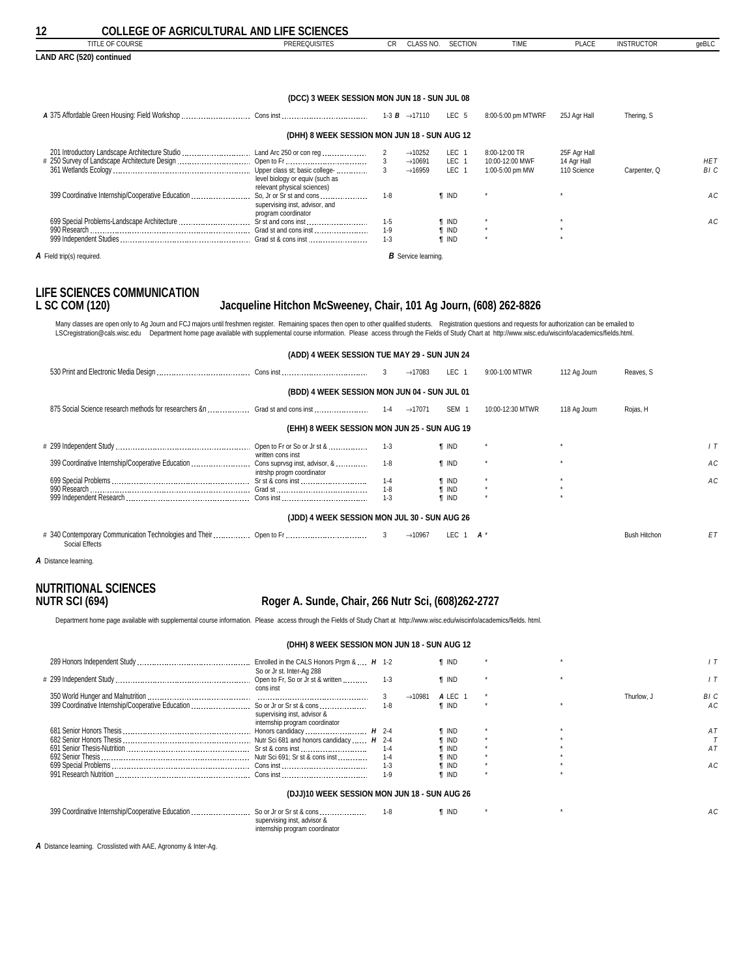<span id="page-11-0"></span>

| <b>COLLEGE OF AGRICULTURAL AND LIFE SCIENCES</b><br>12 |  |
|--------------------------------------------------------|--|
|--------------------------------------------------------|--|

| <u>COLLEGE OF AGRICULTURAL AND LIFE SCIENCES</u><br>12 |                                                                                   |                               |                                                                   |                                              |                                                     |                                            |                   |                    |
|--------------------------------------------------------|-----------------------------------------------------------------------------------|-------------------------------|-------------------------------------------------------------------|----------------------------------------------|-----------------------------------------------------|--------------------------------------------|-------------------|--------------------|
| TITLE OF COURSE                                        | <b>PREREQUISITES</b>                                                              | CR.                           | CLASS NO.                                                         | <b>SECTION</b>                               | <b>TIME</b>                                         | <b>PLACE</b>                               | <b>INSTRUCTOR</b> | geBLC              |
| LAND ARC (520) continued                               |                                                                                   |                               |                                                                   |                                              |                                                     |                                            |                   |                    |
|                                                        | (DCC) 3 WEEK SESSION MON JUN 18 - SUN JUL 08                                      |                               |                                                                   |                                              |                                                     |                                            |                   |                    |
|                                                        |                                                                                   |                               | 1-3 <b>B</b> $\rightarrow$ 17110                                  | LEC 5                                        | 8:00-5:00 pm MTWRF                                  | 25J Agr Hall                               | Thering, S        |                    |
|                                                        | (DHH) 8 WEEK SESSION MON JUN 18 - SUN AUG 12                                      |                               |                                                                   |                                              |                                                     |                                            |                   |                    |
|                                                        | level biology or equiv (such as<br>relevant physical sciences)                    |                               | $\rightarrow$ 10252<br>$\rightarrow$ 10691<br>$\rightarrow$ 16959 | LEC 1<br>LEC 1<br>LEC 1                      | 8:00-12:00 TR<br>10:00-12:00 MWF<br>1:00-5:00 pm MW | 25F Agr Hall<br>14 Agr Hall<br>110 Science | Carpenter, Q      | <b>HET</b><br>BI C |
| 399 Coordinative Internship/Cooperative Education      | So, Jr or Sr st and cons<br>supervising inst, advisor, and<br>program coordinator | $1 - 8$                       |                                                                   | <b>T IND</b>                                 |                                                     |                                            |                   | AC                 |
|                                                        |                                                                                   | $1 - 5$<br>$1 - 9$<br>$1 - 3$ |                                                                   | <b>T</b> IND<br><b>f</b> IND<br><b>T</b> IND |                                                     | $\star$                                    |                   | AC                 |
| A Field trip(s) required.                              |                                                                                   |                               | <b>B</b> Service learning.                                        |                                              |                                                     |                                            |                   |                    |

# **LIFE SCIENCES COMMUNICATION**

### **L SC COM (120) Jacqueline Hitchon McSweeney, Chair, 101 Ag Journ, (608) 262-8826**

Many classes are open only to Ag Journ and FCJ majors until freshmen register. Remaining spaces then open to other qualified students. Registration questions and requests for authorization can be emailed to<br>LSCregistration

|                                              | (ADD) 4 WEEK SESSION TUE MAY 29 - SUN JUN 24 |         |                     |                  |                  |              |                     |    |  |
|----------------------------------------------|----------------------------------------------|---------|---------------------|------------------|------------------|--------------|---------------------|----|--|
|                                              |                                              | 3       | $\rightarrow$ 17083 | LEC <sub>1</sub> | 9:00-1:00 MTWR   | 112 Ag Journ | Reaves, S           |    |  |
| (BDD) 4 WEEK SESSION MON JUN 04 - SUN JUL 01 |                                              |         |                     |                  |                  |              |                     |    |  |
|                                              |                                              |         | $\rightarrow$ 17071 | SEM 1            | 10:00-12:30 MTWR | 118 Ag Journ | Rojas, H            |    |  |
|                                              | (EHH) 8 WEEK SESSION MON JUN 25 - SUN AUG 19 |         |                     |                  |                  |              |                     |    |  |
|                                              | written cons inst                            | $1-3$   |                     | <b>T</b> IND     |                  |              |                     |    |  |
|                                              | intrshp progm coordinator                    | $1 - 8$ |                     | <b>T</b> IND     |                  |              |                     | АC |  |
|                                              |                                              | 1-4     |                     | <b>T</b> IND     |                  |              |                     | АC |  |
|                                              |                                              | $1-8$   |                     | <b>T</b> IND     |                  |              |                     |    |  |
|                                              |                                              | $1-3$   |                     | <b>T</b> IND     |                  |              |                     |    |  |
|                                              | (JDD) 4 WEEK SESSION MON JUL 30 - SUN AUG 26 |         |                     |                  |                  |              |                     |    |  |
| Social Effects                               |                                              |         | $\rightarrow$ 10967 | LEC.             | 1 $A^*$          |              | <b>Bush Hitchon</b> | ET |  |

*A* Distance learning.

# **NUTRITIONAL SCIENCES**

### **NUTR SCI (694) Roger A. Sunde, Chair, 266 Nutr Sci, (608)262-2727**

Department home page available with supplemental course information. Please access through the Fields of Study Chart at http://www.wisc.edu/wiscinfo/academics/fields. html.

|                                              |         |                     | <b>T</b> IND |  |            |      |
|----------------------------------------------|---------|---------------------|--------------|--|------------|------|
| So or Jr st. Inter-Ag 288                    |         |                     |              |  |            |      |
|                                              | $1 - 3$ |                     | <b>T</b> IND |  |            |      |
| cons inst                                    |         |                     |              |  |            |      |
|                                              |         | $\rightarrow$ 10981 | A LEC        |  | Thurlow. J | BI C |
|                                              | $1 - 8$ |                     | <b>T</b> IND |  |            | АC   |
| supervising inst, advisor &                  |         |                     |              |  |            |      |
| internship program coordinator               |         |                     |              |  |            |      |
|                                              |         |                     | t ind        |  |            |      |
|                                              |         |                     | <b>T</b> IND |  |            |      |
|                                              | $1 - 4$ |                     | <b>T</b> IND |  |            | A T  |
|                                              | $1 - 4$ |                     | ¶ IND        |  |            |      |
|                                              | $1 - 3$ |                     | IND          |  |            | A C  |
| Cons inst                                    | $1 - 9$ |                     | <b>T</b> IND |  |            |      |
|                                              |         |                     |              |  |            |      |
| (DJJ)10 WEEK SESSION MON JUN 18 - SUN AUG 26 |         |                     |              |  |            |      |
|                                              | $1-8$   |                     | <b>T</b> IND |  |            | A C  |
| supervising inst, advisor &                  |         |                     |              |  |            |      |
| internship program coordinator               |         |                     |              |  |            |      |
|                                              |         |                     |              |  |            |      |

*A* Distance learning. Crosslisted with AAE, Agronomy & Inter-Ag.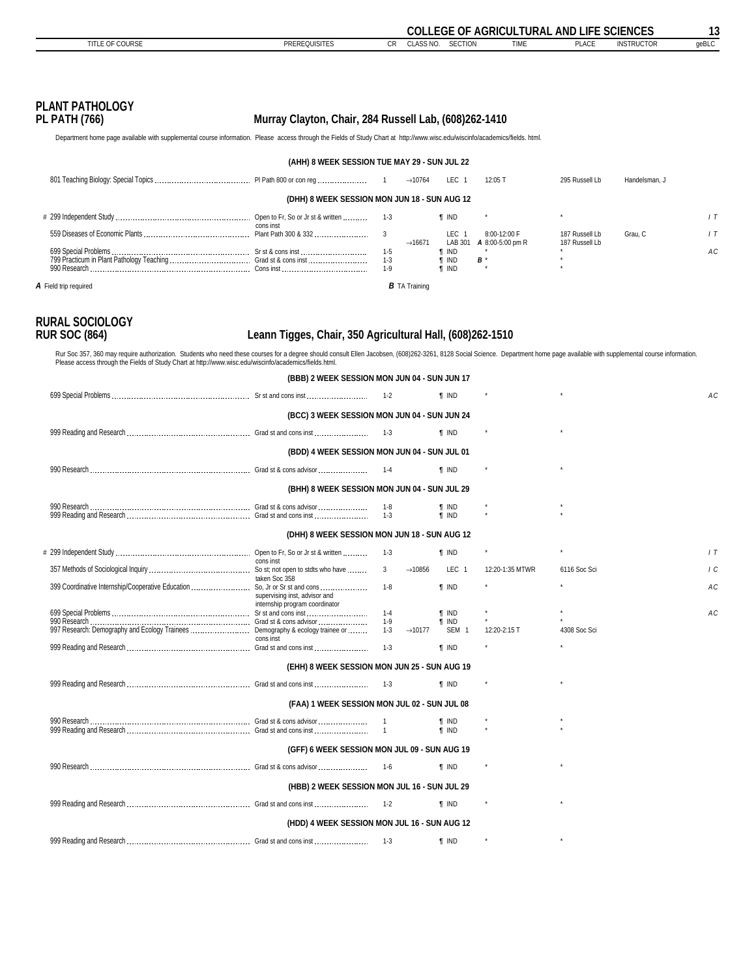<span id="page-12-0"></span>

| <b>PLANT PATHOLOGY</b><br><b>PL PATH (766)</b>                                                                                                                                                                                                                                                                                                                                             | Murray Clayton, Chair, 284 Russell Lab, (608)262-1410           |                                       |                                              |                                          |                                  |               |            |
|--------------------------------------------------------------------------------------------------------------------------------------------------------------------------------------------------------------------------------------------------------------------------------------------------------------------------------------------------------------------------------------------|-----------------------------------------------------------------|---------------------------------------|----------------------------------------------|------------------------------------------|----------------------------------|---------------|------------|
| Department home page available with supplemental course information. Please access through the Fields of Study Chart at http://www.wisc.edu/wiscinfo/academics/fields. html.                                                                                                                                                                                                               |                                                                 |                                       |                                              |                                          |                                  |               |            |
|                                                                                                                                                                                                                                                                                                                                                                                            | (AHH) 8 WEEK SESSION TUE MAY 29 - SUN JUL 22                    |                                       |                                              |                                          |                                  |               |            |
|                                                                                                                                                                                                                                                                                                                                                                                            |                                                                 |                                       | LEC 1                                        |                                          |                                  |               |            |
|                                                                                                                                                                                                                                                                                                                                                                                            |                                                                 | $\rightarrow$ 10764                   |                                              | 12:05 T                                  | 295 Russell Lb                   | Handelsman, J |            |
|                                                                                                                                                                                                                                                                                                                                                                                            | (DHH) 8 WEEK SESSION MON JUN 18 - SUN AUG 12                    |                                       |                                              |                                          |                                  |               |            |
|                                                                                                                                                                                                                                                                                                                                                                                            | cons inst                                                       | $1-3$                                 | <b>T</b> IND                                 |                                          |                                  |               | 1T         |
|                                                                                                                                                                                                                                                                                                                                                                                            |                                                                 | 3<br>$\rightarrow$ 16671              | LEC 1                                        | 8:00-12:00 F<br>LAB 301 A 8:00-5:00 pm R | 187 Russell Lb<br>187 Russell Lb | Grau, C       | 1T         |
|                                                                                                                                                                                                                                                                                                                                                                                            |                                                                 | $1-5$<br>1-3<br>$1 - 9$               | <b>T</b> IND<br><b>f</b> IND<br><b>T</b> IND | <b>B</b> *                               |                                  |               | AC         |
| A Field trip required                                                                                                                                                                                                                                                                                                                                                                      |                                                                 | <b>B</b> TA Training                  |                                              |                                          |                                  |               |            |
| <b>RURAL SOCIOLOGY</b><br><b>RUR SOC (864)</b><br>Rur Soc 357, 360 may require authorization. Students who need these courses for a degree should consult Ellen Jacobsen, (608)262-3261, 8128 Social Science. Department home page available with supplemental course informatio<br>Please access through the Fields of Study Chart at http://www.wisc.edu/wiscinfo/academics/fields.html. | Leann Tigges, Chair, 350 Agricultural Hall, (608)262-1510       |                                       |                                              |                                          |                                  |               |            |
|                                                                                                                                                                                                                                                                                                                                                                                            | (BBB) 2 WEEK SESSION MON JUN 04 - SUN JUN 17                    |                                       |                                              |                                          |                                  |               |            |
|                                                                                                                                                                                                                                                                                                                                                                                            |                                                                 | $1 - 2$                               | <b>T</b> IND                                 |                                          |                                  |               | AC         |
|                                                                                                                                                                                                                                                                                                                                                                                            | (BCC) 3 WEEK SESSION MON JUN 04 - SUN JUN 24                    |                                       |                                              |                                          |                                  |               |            |
|                                                                                                                                                                                                                                                                                                                                                                                            |                                                                 | $1 - 3$                               | <b>T</b> IND                                 |                                          |                                  |               |            |
|                                                                                                                                                                                                                                                                                                                                                                                            | (BDD) 4 WEEK SESSION MON JUN 04 - SUN JUL 01                    |                                       |                                              |                                          |                                  |               |            |
|                                                                                                                                                                                                                                                                                                                                                                                            |                                                                 |                                       | <b>T</b> IND                                 |                                          |                                  |               |            |
|                                                                                                                                                                                                                                                                                                                                                                                            | (BHH) 8 WEEK SESSION MON JUN 04 - SUN JUL 29                    |                                       |                                              |                                          |                                  |               |            |
|                                                                                                                                                                                                                                                                                                                                                                                            |                                                                 | 1-8<br>$1-3$                          | <b>T</b> IND<br><b>T</b> IND                 |                                          |                                  |               |            |
|                                                                                                                                                                                                                                                                                                                                                                                            |                                                                 |                                       |                                              |                                          |                                  |               |            |
|                                                                                                                                                                                                                                                                                                                                                                                            | (DHH) 8 WEEK SESSION MON JUN 18 - SUN AUG 12                    |                                       |                                              |                                          |                                  |               |            |
|                                                                                                                                                                                                                                                                                                                                                                                            | cons inst                                                       | 1-3                                   | <b>T</b> IND                                 |                                          |                                  |               | 1T         |
|                                                                                                                                                                                                                                                                                                                                                                                            | taken Soc 358                                                   | 3<br>$\rightarrow$ 10856              | LEC 1                                        | 12:20-1:35 MTWR                          | 6116 Soc Sci                     |               | $\sqrt{c}$ |
|                                                                                                                                                                                                                                                                                                                                                                                            | supervising inst, advisor and<br>internship program coordinator | $1 - 8$                               | <b>T</b> IND                                 |                                          |                                  |               | AC         |
| 699 Special Problems                                                                                                                                                                                                                                                                                                                                                                       |                                                                 | 1-4                                   | <b>T</b> IND                                 |                                          |                                  |               | AC         |
|                                                                                                                                                                                                                                                                                                                                                                                            |                                                                 | $1-9$<br>$1-3$<br>$\rightarrow$ 10177 | <b>T</b> IND<br>SEM <sub>1</sub>             | 12:20-2:15 T                             | 4308 Soc Sci                     |               |            |
|                                                                                                                                                                                                                                                                                                                                                                                            | cons inst                                                       | $1-3$                                 | $\P$ IND                                     |                                          |                                  |               |            |
|                                                                                                                                                                                                                                                                                                                                                                                            | (EHH) 8 WEEK SESSION MON JUN 25 - SUN AUG 19                    |                                       |                                              |                                          |                                  |               |            |
|                                                                                                                                                                                                                                                                                                                                                                                            |                                                                 | 1-3                                   | <b>T</b> IND                                 |                                          |                                  |               |            |
|                                                                                                                                                                                                                                                                                                                                                                                            | (FAA) 1 WEEK SESSION MON JUL 02 - SUN JUL 08                    |                                       |                                              |                                          |                                  |               |            |
|                                                                                                                                                                                                                                                                                                                                                                                            |                                                                 | $\overline{1}$                        | ¶ IND                                        |                                          |                                  |               |            |
|                                                                                                                                                                                                                                                                                                                                                                                            |                                                                 | $\overline{1}$                        | <b>T</b> IND                                 |                                          |                                  |               |            |
|                                                                                                                                                                                                                                                                                                                                                                                            | (GFF) 6 WEEK SESSION MON JUL 09 - SUN AUG 19                    |                                       |                                              |                                          |                                  |               |            |
|                                                                                                                                                                                                                                                                                                                                                                                            |                                                                 | 1-6                                   | <b>T</b> IND                                 |                                          |                                  |               |            |
|                                                                                                                                                                                                                                                                                                                                                                                            | (HBB) 2 WEEK SESSION MON JUL 16 - SUN JUL 29                    |                                       |                                              |                                          |                                  |               |            |

 999 Reading and Research Grad st and cons inst 1-2 *¶* IND \* \* **(HDD) 4 WEEK SESSION MON JUL 16 - SUN AUG 12** 999 Reading and Research Grad st and cons inst 1-3 *¶* IND \* \*

**COLLEGE OF AGRICULTURAL AND LIFE SCIENCES 13** TITLE OF COURSE **PREREQUISITES** CR CLASS NO. SECTION TIME PLACE INSTRUCTOR geBLC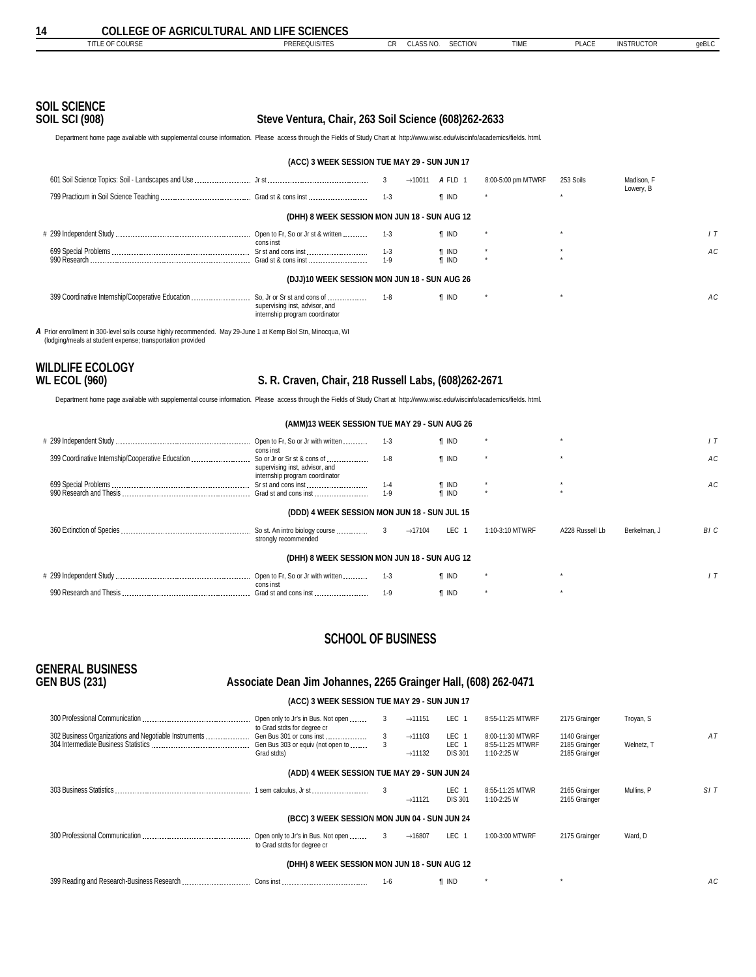```
SOIL SCIENCE
```
### **Steve Ventura, Chair, 263 Soil Science (608)262-2633**

Department home page available with supplemental course information. Please access through the Fields of Study Chart at http://www.wisc.edu/wiscinfo/academics/fields. html.

| (ACC) 3 WEEK SESSION TUE MAY 29 - SUN JUN 17 |                                                                  |         |                     |              |                    |           |            |    |  |  |
|----------------------------------------------|------------------------------------------------------------------|---------|---------------------|--------------|--------------------|-----------|------------|----|--|--|
|                                              |                                                                  | 3       | $\rightarrow$ 10011 | A FLD 1      | 8:00-5:00 pm MTWRF | 253 Soils | Madison, F |    |  |  |
|                                              |                                                                  | $1 - 3$ |                     | <b>T</b> IND |                    |           | Lowery, B  |    |  |  |
| (DHH) 8 WEEK SESSION MON JUN 18 - SUN AUG 12 |                                                                  |         |                     |              |                    |           |            |    |  |  |
|                                              | cons inst                                                        | $1 - 3$ |                     | <b>T</b> IND |                    |           |            |    |  |  |
|                                              |                                                                  | $1 - 3$ |                     | <b>T</b> IND | $\star$            | $\star$   |            | АC |  |  |
|                                              |                                                                  | $1 - 9$ |                     | <b>f</b> IND | $\star$            |           |            |    |  |  |
| (DJJ)10 WEEK SESSION MON JUN 18 - SUN AUG 26 |                                                                  |         |                     |              |                    |           |            |    |  |  |
|                                              | supervising inst, advisor, and<br>internship program coordinator | $1 - 8$ |                     | <b>T</b> IND |                    |           |            | АC |  |  |

*A* Prior enrollment in 300-level soils course highly recommended. May 29-June 1 at Kemp Biol Stn, Minocqua, WI (lodging/meals at student expense; transportation provided

# **WILDLIFE ECOLOGY**

### **WL ECOL (960) S. R. Craven, Chair, 218 Russell Labs, (608)262-2671**

Department home page available with supplemental course information. Please access through the Fields of Study Chart at http://www.wisc.edu/wiscinfo/academics/fields. html.

|  | (AMM)13 WEEK SESSION TUE MAY 29 - SUN AUG 26 |  |  |
|--|----------------------------------------------|--|--|
|--|----------------------------------------------|--|--|

|                                                   | Open to Fr, So or Jr with written                     | 1-3                 | <b>T</b> IND |                 |                 |              |      |  |  |
|---------------------------------------------------|-------------------------------------------------------|---------------------|--------------|-----------------|-----------------|--------------|------|--|--|
|                                                   | cons inst                                             |                     |              |                 |                 |              |      |  |  |
| 399 Coordinative Internship/Cooperative Education | So or Jr or Sr st & cons of                           | $1 - 8$             | <b>T</b> IND |                 |                 |              | АC   |  |  |
|                                                   | supervising inst, advisor, and                        |                     |              |                 |                 |              |      |  |  |
|                                                   | internship program coordinator<br>Sr st and cons inst | $1 - 4$             | ¶ IND        |                 |                 |              | AC.  |  |  |
|                                                   | Grad st and cons inst                                 | $1 - 9$             | <b>f</b> IND |                 |                 |              |      |  |  |
|                                                   |                                                       |                     |              |                 |                 |              |      |  |  |
| (DDD) 4 WEEK SESSION MON JUN 18 - SUN JUL 15      |                                                       |                     |              |                 |                 |              |      |  |  |
|                                                   | strongly recommended                                  | $\rightarrow$ 17104 | LEC 1        | 1:10-3:10 MTWRF | A228 Russell Lb | Berkelman, J | BI C |  |  |
| (DHH) 8 WEEK SESSION MON JUN 18 - SUN AUG 12      |                                                       |                     |              |                 |                 |              |      |  |  |
|                                                   | Open to Fr, So or Jr with written<br>cons inst        | $1 - 3$             | <b>T</b> IND |                 |                 |              |      |  |  |
|                                                   | Grad st and cons inst                                 | $1 - 9$             | <b>T</b> IND |                 |                 |              |      |  |  |

### **SCHOOL OF BUSINESS**

# **GENERAL BUSINESS**

#### **GEN BUS (231) Associate Dean Jim Johannes, 2265 Grainger Hall, (608) 262-0471**

#### **(ACC) 3 WEEK SESSION TUE MAY 29 - SUN JUN 17**

|                                                       | Open only to Jr's in Bus. Not open                                                                          | 3       | $\rightarrow$ 11151                        | LEC 1                            | 8:55-11:25 MTWRF                                    | 2175 Grainger                                   | Troyan, S  |     |  |  |  |
|-------------------------------------------------------|-------------------------------------------------------------------------------------------------------------|---------|--------------------------------------------|----------------------------------|-----------------------------------------------------|-------------------------------------------------|------------|-----|--|--|--|
| 302 Business Organizations and Negotiable Instruments | to Grad stdts for degree cr<br>Gen Bus 301 or cons inst<br>Gen Bus 303 or equiv (not open to<br>Grad stdts) | 3       | $\rightarrow$ 11103<br>$\rightarrow$ 11132 | LEC 1<br>LEC 1<br><b>DIS 301</b> | 8:00-11:30 MTWRF<br>8:55-11:25 MTWRF<br>1:10-2:25 W | 1140 Grainger<br>2185 Grainger<br>2185 Grainger | Welnetz, T | AT  |  |  |  |
| (ADD) 4 WEEK SESSION TUE MAY 29 - SUN JUN 24          |                                                                                                             |         |                                            |                                  |                                                     |                                                 |            |     |  |  |  |
|                                                       | 1 sem calculus, Jr st                                                                                       | 3       | $\rightarrow$ 11121                        | LEC 1<br><b>DIS 301</b>          | 8:55-11:25 MTWR<br>1:10-2:25 W                      | 2165 Grainger<br>2165 Grainger                  | Mullins, P | S1T |  |  |  |
| (BCC) 3 WEEK SESSION MON JUN 04 - SUN JUN 24          |                                                                                                             |         |                                            |                                  |                                                     |                                                 |            |     |  |  |  |
|                                                       | Open only to Jr's in Bus. Not open<br>to Grad stdts for degree cr                                           | 3       | $\rightarrow$ 16807                        | LEC 1                            | 1:00-3:00 MTWRF                                     | 2175 Grainger                                   | Ward, D    |     |  |  |  |
|                                                       | (DHH) 8 WEEK SESSION MON JUN 18 - SUN AUG 12                                                                |         |                                            |                                  |                                                     |                                                 |            |     |  |  |  |
|                                                       |                                                                                                             | $1 - 6$ |                                            | <b>T</b> IND                     |                                                     | $\star$                                         |            | АC  |  |  |  |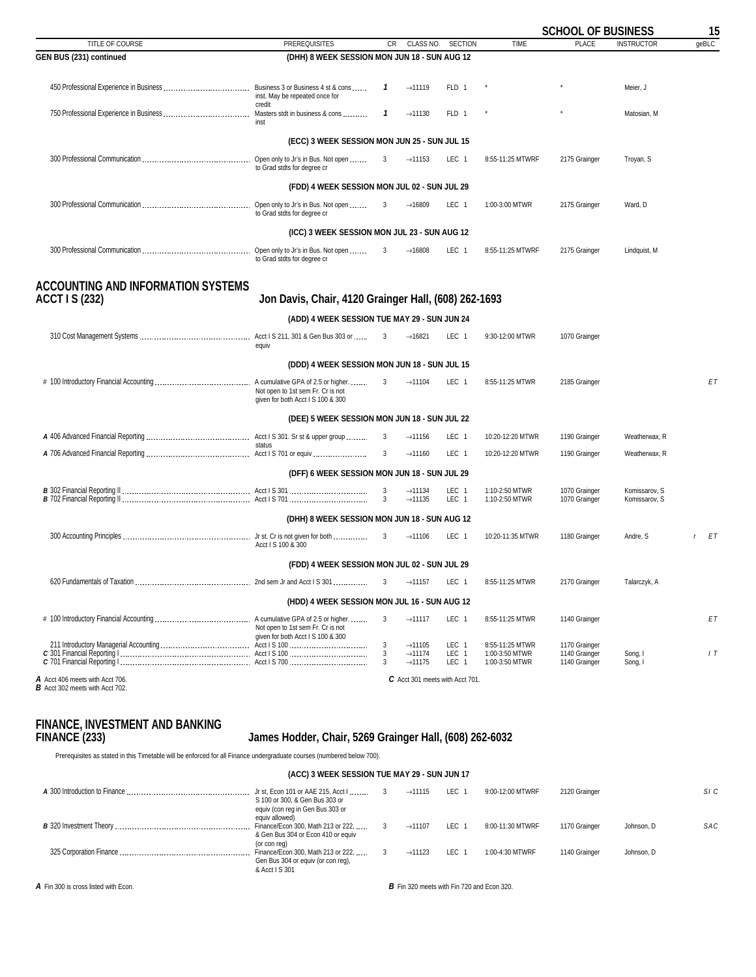<span id="page-14-0"></span>

|                                                                           |                                                                        |              |                                                                   |                           |                                                     | <b>SCHOOL OF BUSINESS</b>                       |                                | 15    |
|---------------------------------------------------------------------------|------------------------------------------------------------------------|--------------|-------------------------------------------------------------------|---------------------------|-----------------------------------------------------|-------------------------------------------------|--------------------------------|-------|
| TITLE OF COURSE                                                           | <b>PREREQUISITES</b>                                                   | CR           | CLASS NO.                                                         | <b>SECTION</b>            | <b>TIME</b>                                         | <b>PLACE</b>                                    | <b>INSTRUCTOR</b>              | qeBLC |
| GEN BUS (231) continued                                                   | (DHH) 8 WEEK SESSION MON JUN 18 - SUN AUG 12                           |              |                                                                   |                           |                                                     |                                                 |                                |       |
|                                                                           | inst. May be repeated once for                                         | 1            | $\rightarrow$ 11119                                               | FLD 1                     |                                                     |                                                 | Meier, J                       |       |
|                                                                           | credit<br>inst                                                         | $\mathbf{1}$ | $\rightarrow$ 11130                                               | FLD 1                     |                                                     |                                                 | Matosian, M                    |       |
|                                                                           | (ECC) 3 WEEK SESSION MON JUN 25 - SUN JUL 15                           |              |                                                                   |                           |                                                     |                                                 |                                |       |
|                                                                           | Open only to Jr's in Bus. Not open<br>to Grad stdts for degree cr      | 3            | $\rightarrow$ 11153                                               | LEC 1                     | 8:55-11:25 MTWRF                                    | 2175 Grainger                                   | Troyan, S                      |       |
|                                                                           | (FDD) 4 WEEK SESSION MON JUL 02 - SUN JUL 29                           |              |                                                                   |                           |                                                     |                                                 |                                |       |
|                                                                           | to Grad stdts for degree cr                                            | 3            | $\rightarrow$ 16809                                               | LEC 1                     | 1:00-3:00 MTWR                                      | 2175 Grainger                                   | Ward, D                        |       |
|                                                                           | (ICC) 3 WEEK SESSION MON JUL 23 - SUN AUG 12                           |              |                                                                   |                           |                                                     |                                                 |                                |       |
|                                                                           | to Grad stdts for degree cr                                            | 3            | $\rightarrow$ 16808                                               | LEC 1                     | 8:55-11:25 MTWRF                                    | 2175 Grainger                                   | Lindquist, M                   |       |
| <b>ACCOUNTING AND INFORMATION SYSTEMS</b><br><b>ACCT I S (232)</b>        | Jon Davis, Chair, 4120 Grainger Hall, (608) 262-1693                   |              |                                                                   |                           |                                                     |                                                 |                                |       |
|                                                                           | (ADD) 4 WEEK SESSION TUE MAY 29 - SUN JUN 24                           |              |                                                                   |                           |                                                     |                                                 |                                |       |
|                                                                           | equiv                                                                  | 3            | $\rightarrow$ 16821                                               | LEC 1                     | 9:30-12:00 MTWR                                     | 1070 Grainger                                   |                                |       |
|                                                                           | (DDD) 4 WEEK SESSION MON JUN 18 - SUN JUL 15                           |              |                                                                   |                           |                                                     |                                                 |                                |       |
|                                                                           | Not open to 1st sem Fr. Cr is not<br>given for both Acct I S 100 & 300 | $\mathbf{3}$ | $\rightarrow$ 11104                                               | LEC 1                     | 8:55-11:25 MTWR                                     | 2185 Grainger                                   |                                | EΤ    |
|                                                                           | (DEE) 5 WEEK SESSION MON JUN 18 - SUN JUL 22                           |              |                                                                   |                           |                                                     |                                                 |                                |       |
|                                                                           | status                                                                 | 3            | $\rightarrow$ 11156                                               | LEC 1                     | 10:20-12:20 MTWR                                    | 1190 Grainger                                   | Weatherwax, R                  |       |
|                                                                           |                                                                        | 3            | $\rightarrow$ 11160                                               | LEC 1                     | 10:20-12:20 MTWR                                    | 1190 Grainger                                   | Weatherwax, R                  |       |
|                                                                           | (DFF) 6 WEEK SESSION MON JUN 18 - SUN JUL 29                           |              |                                                                   |                           |                                                     |                                                 |                                |       |
|                                                                           |                                                                        | 3<br>3       | $\rightarrow$ 11134<br>$\rightarrow$ 11135                        | LEC 1<br>LEC <sub>1</sub> | 1:10-2:50 MTWR<br>1:10-2:50 MTWR                    | 1070 Grainger<br>1070 Grainger                  | Komissarov, S<br>Komissarov, S |       |
|                                                                           | (DHH) 8 WEEK SESSION MON JUN 18 - SUN AUG 12                           |              |                                                                   |                           |                                                     |                                                 |                                |       |
|                                                                           | Acct I S 100 & 300                                                     | 3            | $\rightarrow$ 11106                                               | LEC 1                     | 10:20-11:35 MTWR                                    | 1180 Grainger                                   | Andre, S                       | r ET  |
|                                                                           | (FDD) 4 WEEK SESSION MON JUL 02 - SUN JUL 29                           |              |                                                                   |                           |                                                     |                                                 |                                |       |
|                                                                           |                                                                        | 3            | $\rightarrow$ 11157                                               | LEC 1                     | 8:55-11:25 MTWR                                     | 2170 Grainger                                   | Talarczyk, A                   |       |
|                                                                           | (HDD) 4 WEEK SESSION MON JUL 16 - SUN AUG 12                           |              |                                                                   |                           |                                                     |                                                 |                                |       |
|                                                                           | Not open to 1st sem Fr. Cr is not<br>given for both Acct I S 100 & 300 | 3            | $\rightarrow$ 11117                                               | LEC 1                     | 8:55-11:25 MTWR                                     | 1140 Grainger                                   |                                | EΤ    |
|                                                                           |                                                                        | 3<br>3<br>3  | $\rightarrow$ 11105<br>$\rightarrow$ 11174<br>$\rightarrow$ 11175 | LEC 1<br>LEC 1<br>LEC 1   | 8:55-11:25 MTWR<br>1:00-3:50 MTWR<br>1:00-3:50 MTWR | 1170 Grainger<br>1140 Grainger<br>1140 Grainger | Song, I<br>Song, I             | 1T    |
| A Acct 406 meets with Acct 706.<br><b>B</b> Acct 302 meets with Acct 702. |                                                                        |              | C Acct 301 meets with Acct 701.                                   |                           |                                                     |                                                 |                                |       |

# **FINANCE, INVESTMENT AND BANKING**

### **FINANCE (233) James Hodder, Chair, 5269 Grainger Hall, (608) 262-6032**

Prerequisites as stated in this Timetable will be enforced for all Finance undergraduate courses (numbered below 700).

### **(ACC) 3 WEEK SESSION TUE MAY 29 - SUN JUN 17**

| A 300 Introduction to Finance | Jr st, Econ 101 or AAE 215, Acct I<br>S 100 or 300, & Gen Bus 303 or<br>equiv (con reg in Gen Bus 303 or<br>equiv allowed) | $\rightarrow$ 11115 | LEC   | 9:00-12:00 MTWRF | 2120 Grainger |            | SIC |
|-------------------------------|----------------------------------------------------------------------------------------------------------------------------|---------------------|-------|------------------|---------------|------------|-----|
|                               | Finance/Econ 300, Math 213 or 222,<br>& Gen Bus 304 or Econ 410 or equiv<br>(or con reg)                                   | $\rightarrow$ 11107 | LEC 1 | 8:00-11:30 MTWRF | 1170 Grainger | Johnson, D | SAC |
|                               | Finance/Econ 300, Math 213 or 222,<br>Gen Bus 304 or equiv (or con req),<br>& Acct I S 301                                 | $\rightarrow$ 11123 | LEC 1 | 1:00-4:30 MTWRF  | 1140 Grainger | Johnson, D |     |

*A* Fin 300 is cross listed with Econ. *B* Fin 320 meets with Fin 720 and Econ 320.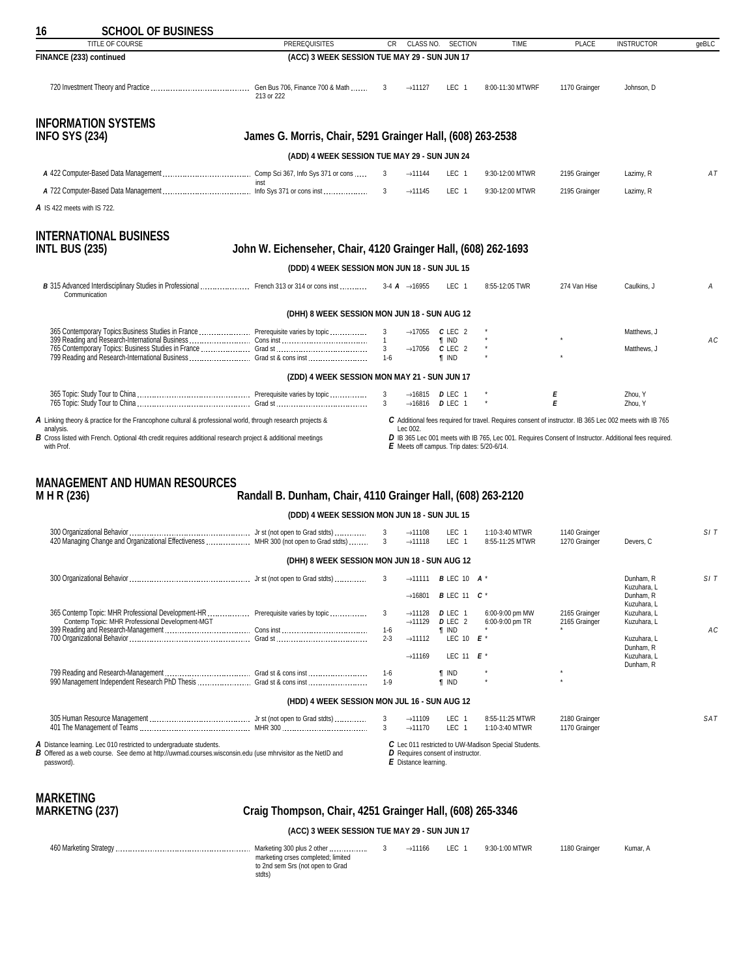<span id="page-15-0"></span>

| 16                            | <b>SCHOOL OF BUSINESS</b>                                                                                                                                                               |                                                                |                  |                                                                          |                                                             |                                                      |                                |                                                                                                         |       |
|-------------------------------|-----------------------------------------------------------------------------------------------------------------------------------------------------------------------------------------|----------------------------------------------------------------|------------------|--------------------------------------------------------------------------|-------------------------------------------------------------|------------------------------------------------------|--------------------------------|---------------------------------------------------------------------------------------------------------|-------|
|                               | TITLE OF COURSE                                                                                                                                                                         | <b>PREREQUISITES</b>                                           | CR               | CLASS NO.                                                                | <b>SECTION</b>                                              | TIME                                                 | <b>PLACE</b>                   | <b>INSTRUCTOR</b>                                                                                       | geBLC |
| FINANCE (233) continued       |                                                                                                                                                                                         | (ACC) 3 WEEK SESSION TUE MAY 29 - SUN JUN 17                   |                  |                                                                          |                                                             |                                                      |                                |                                                                                                         |       |
|                               |                                                                                                                                                                                         | 213 or 222                                                     | -3               | $\rightarrow$ 11127                                                      | LEC 1                                                       | 8:00-11:30 MTWRF                                     | 1170 Grainger                  | Johnson, D                                                                                              |       |
| <b>INFO SYS (234)</b>         | <b>INFORMATION SYSTEMS</b>                                                                                                                                                              | James G. Morris, Chair, 5291 Grainger Hall, (608) 263-2538     |                  |                                                                          |                                                             |                                                      |                                |                                                                                                         |       |
|                               |                                                                                                                                                                                         | (ADD) 4 WEEK SESSION TUE MAY 29 - SUN JUN 24                   |                  |                                                                          |                                                             |                                                      |                                |                                                                                                         |       |
|                               |                                                                                                                                                                                         |                                                                |                  | $\rightarrow$ 11144                                                      | LEC 1                                                       | 9:30-12:00 MTWR                                      | 2195 Grainger                  | Lazimy, R                                                                                               | AT    |
|                               |                                                                                                                                                                                         | inst                                                           |                  | $\rightarrow$ 11145                                                      | LEC 1                                                       | 9:30-12:00 MTWR                                      | 2195 Grainger                  | Lazimy, R                                                                                               |       |
| A IS 422 meets with IS 722.   |                                                                                                                                                                                         |                                                                |                  |                                                                          |                                                             |                                                      |                                |                                                                                                         |       |
|                               |                                                                                                                                                                                         |                                                                |                  |                                                                          |                                                             |                                                      |                                |                                                                                                         |       |
|                               | <b>INTERNATIONAL BUSINESS</b>                                                                                                                                                           |                                                                |                  |                                                                          |                                                             |                                                      |                                |                                                                                                         |       |
| <b>INTL BUS (235)</b>         |                                                                                                                                                                                         | John W. Eichenseher, Chair, 4120 Grainger Hall, (608) 262-1693 |                  |                                                                          |                                                             |                                                      |                                |                                                                                                         |       |
|                               |                                                                                                                                                                                         | (DDD) 4 WEEK SESSION MON JUN 18 - SUN JUL 15                   |                  |                                                                          |                                                             |                                                      |                                |                                                                                                         |       |
|                               | B 315 Advanced Interdisciplinary Studies in Professional  French 313 or 314 or cons inst<br>Communication                                                                               |                                                                |                  | 3-4 $\bf{A}$ $\rightarrow$ 16955                                         | LEC 1                                                       | 8:55-12:05 TWR                                       | 274 Van Hise                   | Caulkins, J                                                                                             | A     |
|                               |                                                                                                                                                                                         | (DHH) 8 WEEK SESSION MON JUN 18 - SUN AUG 12                   |                  |                                                                          |                                                             |                                                      |                                |                                                                                                         |       |
|                               |                                                                                                                                                                                         |                                                                | 3                | $\rightarrow$ 17055 <b>C</b> LEC 2                                       |                                                             |                                                      |                                | Matthews. J                                                                                             |       |
|                               | 365 Contemporary Topics:Business Studies in France  Prerequisite varies by topic                                                                                                        |                                                                |                  |                                                                          | $\P$ IND                                                    |                                                      |                                |                                                                                                         | AC    |
|                               | 799 Reading and Research-International Business  Grad st & cons inst                                                                                                                    |                                                                | 1-6              | $\rightarrow$ 17056                                                      | $C$ LEC 2<br><b>T</b> IND                                   |                                                      |                                | Matthews, J                                                                                             |       |
|                               |                                                                                                                                                                                         | (ZDD) 4 WEEK SESSION MON MAY 21 - SUN JUN 17                   |                  |                                                                          |                                                             |                                                      |                                |                                                                                                         |       |
|                               |                                                                                                                                                                                         |                                                                | 3                | $\rightarrow$ 16815 <b>D</b> LEC 1<br>$\rightarrow$ 16816 <b>D</b> LEC 1 |                                                             |                                                      | Е<br>Е                         | Zhou, Y<br>Zhou, Y                                                                                      |       |
|                               | A Linking theory & practice for the Francophone cultural & professional world, through research projects &                                                                              |                                                                |                  |                                                                          |                                                             |                                                      |                                | C Additional fees required for travel. Requires consent of instructor. IB 365 Lec 002 meets with IB 765 |       |
| analysis.                     | B Cross listed with French. Optional 4th credit requires additional research project & additional meetings                                                                              |                                                                |                  | Lec 002.                                                                 |                                                             |                                                      |                                | D IB 365 Lec 001 meets with IB 765, Lec 001. Requires Consent of Instructor. Additional fees required.  |       |
| with Prof.                    |                                                                                                                                                                                         |                                                                |                  |                                                                          | E Meets off campus. Trip dates: 5/20-6/14.                  |                                                      |                                |                                                                                                         |       |
|                               |                                                                                                                                                                                         |                                                                |                  |                                                                          |                                                             |                                                      |                                |                                                                                                         |       |
|                               | <b>MANAGEMENT AND HUMAN RESOURCES</b>                                                                                                                                                   |                                                                |                  |                                                                          |                                                             |                                                      |                                |                                                                                                         |       |
| M H R (236)                   |                                                                                                                                                                                         | Randall B. Dunham, Chair, 4110 Grainger Hall, (608) 263-2120   |                  |                                                                          |                                                             |                                                      |                                |                                                                                                         |       |
|                               |                                                                                                                                                                                         | (DDD) 4 WEEK SESSION MON JUN 18 - SUN JUL 15                   |                  |                                                                          |                                                             |                                                      |                                |                                                                                                         |       |
|                               | 420 Managing Change and Organizational Effectiveness  MHR 300 (not open to Grad stdts)                                                                                                  |                                                                | 3<br>3           | $\rightarrow$ 11108<br>$\rightarrow$ 11118                               | LEC 1<br>LEC 1                                              | 1:10-3:40 MTWR<br>8:55-11:25 MTWR                    | 1140 Grainger<br>1270 Grainger | Devers, C                                                                                               | SIT   |
|                               |                                                                                                                                                                                         | (DHH) 8 WEEK SESSION MON JUN 18 - SUN AUG 12                   |                  |                                                                          |                                                             |                                                      |                                |                                                                                                         |       |
|                               |                                                                                                                                                                                         | Jr st (not open to Grad stdts)                                 |                  |                                                                          | 3 $\rightarrow$ 11111 <b>B</b> LEC 10 <b>A</b> <sup>*</sup> |                                                      |                                | Dunham, R                                                                                               | SI T  |
|                               |                                                                                                                                                                                         |                                                                |                  | $\rightarrow$ 16801                                                      | <b>B</b> LEC 11 <b>C</b> <sup>*</sup>                       |                                                      |                                | Kuzuhara, L<br>Dunham, R                                                                                |       |
|                               |                                                                                                                                                                                         |                                                                | 3                |                                                                          |                                                             |                                                      | 2165 Grainger                  | Kuzuhara, L<br>Kuzuhara, L                                                                              |       |
|                               | 365 Contemp Topic: MHR Professional Development-HR  Prerequisite varies by topic<br>Contemp Topic: MHR Professional Development-MGT                                                     |                                                                |                  | $\rightarrow$ 11128<br>$\rightarrow$ 11129                               | D LEC 1<br>D LEC 2                                          | 6:00-9:00 pm MW<br>6:00-9:00 pm TR                   | 2165 Grainger                  | Kuzuhara, L                                                                                             |       |
|                               |                                                                                                                                                                                         |                                                                | $1-6$<br>$2 - 3$ | $\rightarrow$ 11112                                                      | <b>T</b> IND<br>LEC 10 $E'$                                 |                                                      |                                | Kuzuhara, L                                                                                             | АC    |
|                               |                                                                                                                                                                                         |                                                                |                  | $\rightarrow$ 11169                                                      | LEC 11 $E'$                                                 |                                                      |                                | Dunham, R<br>Kuzuhara, L                                                                                |       |
|                               |                                                                                                                                                                                         |                                                                | $1-6$            |                                                                          | <b>T</b> IND                                                |                                                      |                                | Dunham, R                                                                                               |       |
|                               | 990 Management Independent Research PhD Thesis  Grad st & cons inst                                                                                                                     |                                                                | $1-9$            |                                                                          | <b>f</b> IND                                                |                                                      |                                |                                                                                                         |       |
|                               |                                                                                                                                                                                         | (HDD) 4 WEEK SESSION MON JUL 16 - SUN AUG 12                   |                  |                                                                          |                                                             |                                                      |                                |                                                                                                         |       |
|                               |                                                                                                                                                                                         |                                                                | 3<br>3           | $\rightarrow$ 11109<br>$\rightarrow$ 11170                               | LEC 1<br>LEC <sub>1</sub>                                   | 8:55-11:25 MTWR<br>1:10-3:40 MTWR                    | 2180 Grainger<br>1170 Grainger |                                                                                                         | SAT   |
| password).                    | A Distance learning. Lec 010 restricted to undergraduate students.<br><b>B</b> Offered as a web course. See demo at http://uwmad.courses.wisconsin.edu (use mhrvisitor as the NetID and |                                                                |                  | $E$ Distance learning.                                                   | D Requires consent of instructor.                           | C Lec 011 restricted to UW-Madison Special Students. |                                |                                                                                                         |       |
|                               |                                                                                                                                                                                         |                                                                |                  |                                                                          |                                                             |                                                      |                                |                                                                                                         |       |
| <b>MARKETING</b>              |                                                                                                                                                                                         |                                                                |                  |                                                                          |                                                             |                                                      |                                |                                                                                                         |       |
| <b>MARKETNG (237)</b>         |                                                                                                                                                                                         | Craig Thompson, Chair, 4251 Grainger Hall, (608) 265-3346      |                  |                                                                          |                                                             |                                                      |                                |                                                                                                         |       |
|                               |                                                                                                                                                                                         | (ACC) 3 WEEK SESSION TUE MAY 29 - SUN JUN 17                   |                  |                                                                          |                                                             |                                                      |                                |                                                                                                         |       |
| <b>ACO Morkoting Circtogr</b> |                                                                                                                                                                                         |                                                                |                  |                                                                          |                                                             |                                                      |                                |                                                                                                         |       |

460 Marketing Strategy Marketing 300 plus 2 other 3 →11166 LEC 1 9:30-1:00 MTWR 1180 Grainger Kumar, A marketing crses completed; limited to 2nd sem Srs (not open to Grad stdts)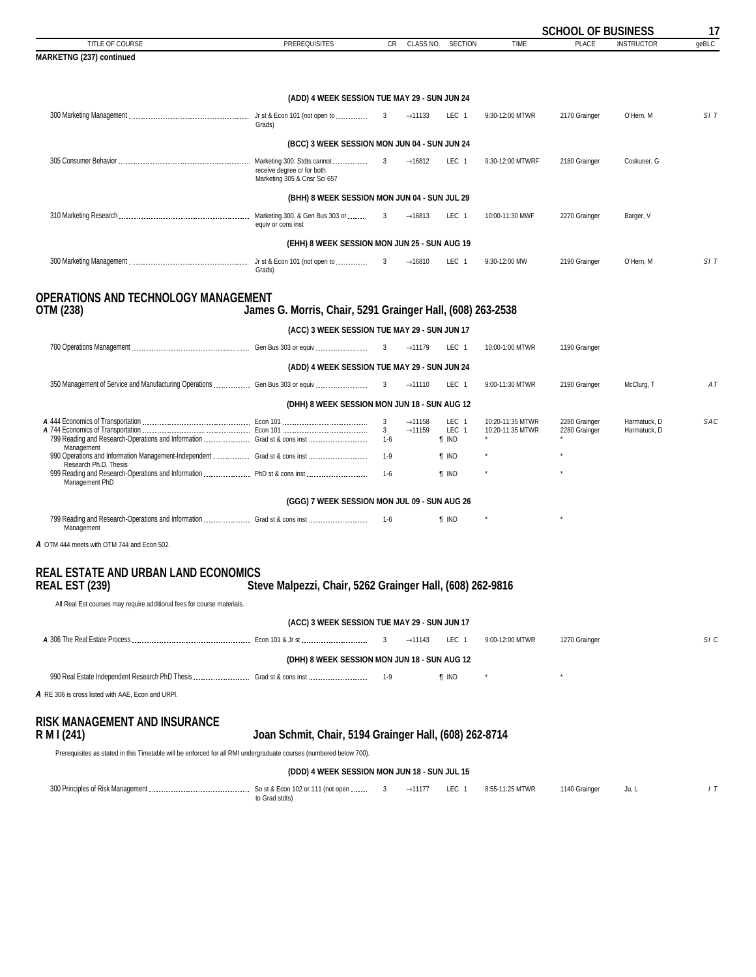<span id="page-16-0"></span>

|                                                                                                                    |                                                            |                     |                     |                       |                  | <b>SCHOOL OF BUSINESS</b> |                   | 17    |
|--------------------------------------------------------------------------------------------------------------------|------------------------------------------------------------|---------------------|---------------------|-----------------------|------------------|---------------------------|-------------------|-------|
| TITLE OF COURSE                                                                                                    | <b>PREREQUISITES</b>                                       | CR.                 | CLASS NO.           | <b>SECTION</b>        | <b>TIME</b>      | <b>PLACE</b>              | <b>INSTRUCTOR</b> | qeBLC |
| <b>MARKETNG (237) continued</b>                                                                                    |                                                            |                     |                     |                       |                  |                           |                   |       |
|                                                                                                                    |                                                            |                     |                     |                       |                  |                           |                   |       |
|                                                                                                                    | (ADD) 4 WEEK SESSION TUE MAY 29 - SUN JUN 24               |                     |                     |                       |                  |                           |                   |       |
|                                                                                                                    | Grads)                                                     |                     | $\rightarrow$ 11133 | LEC 1                 | 9:30-12:00 MTWR  | 2170 Grainger             | O'Hern, M         | SIT   |
|                                                                                                                    | (BCC) 3 WEEK SESSION MON JUN 04 - SUN JUN 24               |                     |                     |                       |                  |                           |                   |       |
|                                                                                                                    |                                                            | 3                   | $\rightarrow$ 16812 | LEC 1                 | 9:30-12:00 MTWRF |                           |                   |       |
|                                                                                                                    | receive degree cr for both<br>Marketing 305 & Cnsr Sci 657 |                     |                     |                       |                  | 2180 Grainger             | Coskuner, G       |       |
|                                                                                                                    | (BHH) 8 WEEK SESSION MON JUN 04 - SUN JUL 29               |                     |                     |                       |                  |                           |                   |       |
|                                                                                                                    | equiv or cons inst                                         | 3                   | $\rightarrow$ 16813 | LEC 1                 | 10:00-11:30 MWF  | 2270 Grainger             | Barger, V         |       |
|                                                                                                                    | (EHH) 8 WEEK SESSION MON JUN 25 - SUN AUG 19               |                     |                     |                       |                  |                           |                   |       |
|                                                                                                                    |                                                            |                     | $\rightarrow$ 16810 | LEC 1                 | 9:30-12:00 MW    | 2190 Grainger             | O'Hern, M         | SIT   |
|                                                                                                                    | Grads)                                                     |                     |                     |                       |                  |                           |                   |       |
|                                                                                                                    |                                                            |                     |                     |                       |                  |                           |                   |       |
| <b>OPERATIONS AND TECHNOLOGY MANAGEMENT</b><br>OTM (238)                                                           | James G. Morris, Chair, 5291 Grainger Hall, (608) 263-2538 |                     |                     |                       |                  |                           |                   |       |
|                                                                                                                    | (ACC) 3 WEEK SESSION TUE MAY 29 - SUN JUN 17               |                     |                     |                       |                  |                           |                   |       |
|                                                                                                                    |                                                            |                     | $\rightarrow$ 11179 | LEC 1                 | 10:00-1:00 MTWR  | 1190 Grainger             |                   |       |
|                                                                                                                    | (ADD) 4 WEEK SESSION TUE MAY 29 - SUN JUN 24               |                     |                     |                       |                  |                           |                   |       |
|                                                                                                                    |                                                            |                     |                     |                       |                  |                           |                   |       |
|                                                                                                                    |                                                            |                     | $\rightarrow$ 11110 | LEC 1                 | 9:00-11:30 MTWR  | 2190 Grainger             | McClurg, T        | AT    |
|                                                                                                                    | (DHH) 8 WEEK SESSION MON JUN 18 - SUN AUG 12               |                     |                     |                       |                  |                           |                   |       |
|                                                                                                                    |                                                            | 3                   | $\rightarrow$ 11158 | LEC 1                 | 10:20-11:35 MTWR | 2280 Grainger             | Harmatuck, D      | SAC   |
| 799 Reading and Research-Operations and Information  Grad st & cons inst                                           |                                                            | $\mathbf{3}$<br>1-6 | $\rightarrow$ 11159 | LEC 1<br><b>T</b> IND | 10:20-11:35 MTWR | 2280 Grainger             | Harmatuck, D      |       |
| Management<br>990 Operations and Information Management-Independent  Grad st & cons inst                           |                                                            | 1-9                 |                     | <b>T</b> IND          |                  |                           |                   |       |
| Research Ph.D. Thesis                                                                                              |                                                            |                     |                     |                       |                  |                           |                   |       |
| Management PhD                                                                                                     |                                                            | $1 - 6$             |                     | <b>T</b> IND          |                  |                           |                   |       |
|                                                                                                                    | (GGG) 7 WEEK SESSION MON JUL 09 - SUN AUG 26               |                     |                     |                       |                  |                           |                   |       |
| 799 Reading and Research-Operations and Information  Grad st & cons inst                                           |                                                            | 1-6                 |                     | $\P$ IND              |                  |                           |                   |       |
| Management                                                                                                         |                                                            |                     |                     |                       |                  |                           |                   |       |
| A OTM 444 meets with OTM 744 and Econ 502.                                                                         |                                                            |                     |                     |                       |                  |                           |                   |       |
|                                                                                                                    |                                                            |                     |                     |                       |                  |                           |                   |       |
| <b>REAL ESTATE AND URBAN LAND ECONOMICS</b>                                                                        |                                                            |                     |                     |                       |                  |                           |                   |       |
| <b>REAL EST (239)</b>                                                                                              | Steve Malpezzi, Chair, 5262 Grainger Hall, (608) 262-9816  |                     |                     |                       |                  |                           |                   |       |
| All Real Est courses may require additional fees for course materials.                                             |                                                            |                     |                     |                       |                  |                           |                   |       |
|                                                                                                                    | (ACC) 3 WEEK SESSION TUE MAY 29 - SUN JUN 17               |                     |                     |                       |                  |                           |                   |       |
|                                                                                                                    |                                                            |                     | $\rightarrow$ 11143 | LEC 1                 | 9:00-12:00 MTWR  | 1270 Grainger             |                   | SI C  |
|                                                                                                                    |                                                            |                     |                     |                       |                  |                           |                   |       |
|                                                                                                                    | (DHH) 8 WEEK SESSION MON JUN 18 - SUN AUG 12               |                     |                     |                       |                  |                           |                   |       |
| 990 Real Estate Independent Research PhD Thesis  Grad st & cons inst                                               |                                                            | 1-9                 |                     | <b>T</b> IND          |                  |                           |                   |       |
| A RE 306 is cross listed with AAE, Econ and URPI.                                                                  |                                                            |                     |                     |                       |                  |                           |                   |       |
| <b>RISK MANAGEMENT AND INSURANCE</b><br>R M I (241)                                                                | Joan Schmit, Chair, 5194 Grainger Hall, (608) 262-8714     |                     |                     |                       |                  |                           |                   |       |
| Prerequisites as stated in this Timetable will be enforced for all RMI undergraduate courses (numbered below 700). |                                                            |                     |                     |                       |                  |                           |                   |       |
|                                                                                                                    | (DDD) 4 WEEK SESSION MON JUN 18 - SUN JUL 15               |                     |                     |                       |                  |                           |                   |       |
|                                                                                                                    |                                                            |                     |                     |                       |                  |                           |                   |       |
|                                                                                                                    | to Grad stdts)                                             | 3                   | $\rightarrow$ 11177 | LEC 1                 | 8:55-11:25 MTWR  | 1140 Grainger             | Ju, L             | 1T    |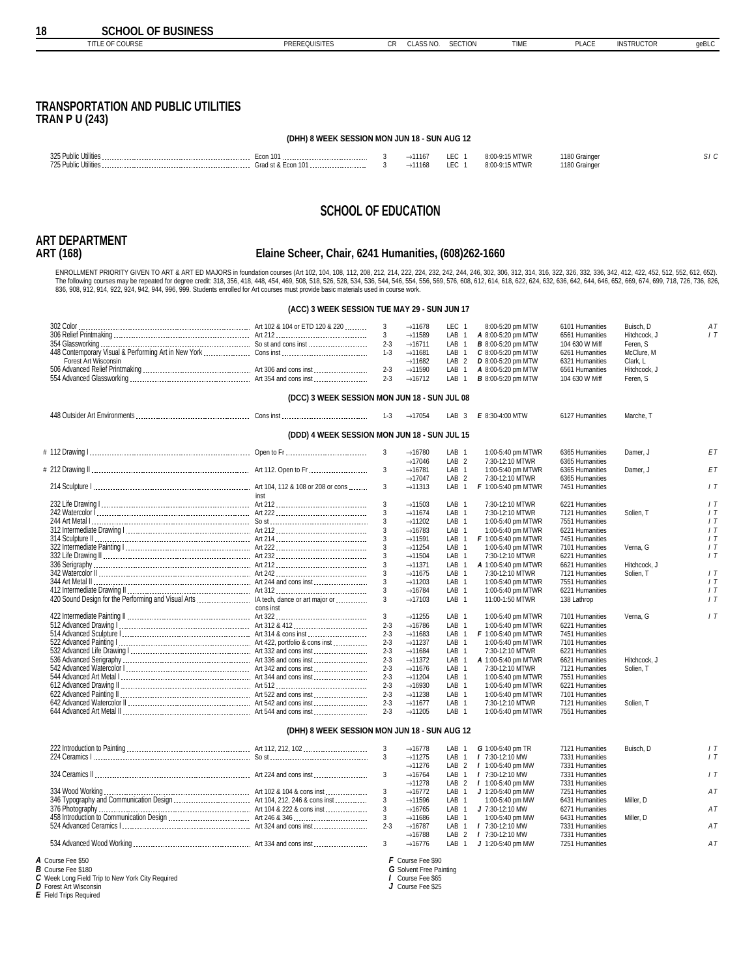<span id="page-17-0"></span>

| TITLE OF COURSE                                                                                                                                                                                                                                                                                                                                                                                                                                                                                                                                                                                          | <b>PREREQUISITES</b>                                 | CR                 | CLASS NO.                                                  | <b>SECTION</b>                            | TIME                                            | <b>PLACE</b>                       | <b>INSTRUCTOR</b>        | geBLC    |
|----------------------------------------------------------------------------------------------------------------------------------------------------------------------------------------------------------------------------------------------------------------------------------------------------------------------------------------------------------------------------------------------------------------------------------------------------------------------------------------------------------------------------------------------------------------------------------------------------------|------------------------------------------------------|--------------------|------------------------------------------------------------|-------------------------------------------|-------------------------------------------------|------------------------------------|--------------------------|----------|
|                                                                                                                                                                                                                                                                                                                                                                                                                                                                                                                                                                                                          |                                                      |                    |                                                            |                                           |                                                 |                                    |                          |          |
|                                                                                                                                                                                                                                                                                                                                                                                                                                                                                                                                                                                                          |                                                      |                    |                                                            |                                           |                                                 |                                    |                          |          |
| <b>TRANSPORTATION AND PUBLIC UTILITIES</b><br><b>TRAN P U (243)</b>                                                                                                                                                                                                                                                                                                                                                                                                                                                                                                                                      |                                                      |                    |                                                            |                                           |                                                 |                                    |                          |          |
|                                                                                                                                                                                                                                                                                                                                                                                                                                                                                                                                                                                                          |                                                      |                    |                                                            |                                           |                                                 |                                    |                          |          |
|                                                                                                                                                                                                                                                                                                                                                                                                                                                                                                                                                                                                          | (DHH) 8 WEEK SESSION MON JUN 18 - SUN AUG 12         |                    |                                                            |                                           |                                                 |                                    |                          |          |
|                                                                                                                                                                                                                                                                                                                                                                                                                                                                                                                                                                                                          |                                                      | 3<br>3             | $\rightarrow$ 11167<br>$\rightarrow$ 11168                 | LEC 1<br>LEC 1                            | 8:00-9:15 MTWR<br>8:00-9:15 MTWR                | 1180 Grainger<br>1180 Grainger     |                          | SI C     |
|                                                                                                                                                                                                                                                                                                                                                                                                                                                                                                                                                                                                          | <b>SCHOOL OF EDUCATION</b>                           |                    |                                                            |                                           |                                                 |                                    |                          |          |
|                                                                                                                                                                                                                                                                                                                                                                                                                                                                                                                                                                                                          |                                                      |                    |                                                            |                                           |                                                 |                                    |                          |          |
| <b>ART DEPARTMENT</b><br>ART (168)                                                                                                                                                                                                                                                                                                                                                                                                                                                                                                                                                                       | Elaine Scheer, Chair, 6241 Humanities, (608)262-1660 |                    |                                                            |                                           |                                                 |                                    |                          |          |
| ENROLLMENT PRIORITY GIVEN TO ART & ART ED MAJORS in foundation courses (Art 102, 104, 108, 112, 208, 212, 214, 222, 224, 232, 242, 244, 246, 302, 306, 312, 314, 316, 322, 326, 332, 326, 332, 336, 342, 412, 422, 452, 512, 5<br>The following courses may be repeated for degree credit: 318, 356, 418, 448, 454, 459, 508, 518, 526, 528, 534, 536, 544, 546, 556, 569, 576, 608, 612, 614, 618, 622, 624, 632, 636, 642, 644, 652, 669, 674, 695, 766, 682,<br>836, 908, 912, 914, 922, 924, 942, 944, 996, 999. Students enrolled for Art courses must provide basic materials used in course work. |                                                      |                    |                                                            |                                           |                                                 |                                    |                          |          |
|                                                                                                                                                                                                                                                                                                                                                                                                                                                                                                                                                                                                          | (ACC) 3 WEEK SESSION TUE MAY 29 - SUN JUN 17         |                    |                                                            |                                           |                                                 |                                    |                          |          |
|                                                                                                                                                                                                                                                                                                                                                                                                                                                                                                                                                                                                          |                                                      | 3                  | $\rightarrow$ 11678                                        | LEC 1                                     | 8:00-5:20 pm MTW                                | 6101 Humanities                    | Buisch, D                | ΑT       |
|                                                                                                                                                                                                                                                                                                                                                                                                                                                                                                                                                                                                          |                                                      | 3                  | $\rightarrow$ 11589                                        | LAB <sub>1</sub>                          | A 8:00-5:20 pm MTW                              | 6561 Humanities                    | Hitchcock, J             | 1T       |
|                                                                                                                                                                                                                                                                                                                                                                                                                                                                                                                                                                                                          |                                                      | $2 - 3$<br>$1 - 3$ | $\rightarrow$ 16711<br>$\rightarrow$ 11681                 | LAB <sub>1</sub><br>LAB <sub>1</sub>      | <b>B</b> 8:00-5:20 pm MTW<br>C 8:00-5:20 pm MTW | 104 630 W Miff<br>6261 Humanities  | Feren, S<br>McClure, M   |          |
| Forest Art Wisconsin                                                                                                                                                                                                                                                                                                                                                                                                                                                                                                                                                                                     |                                                      |                    | $\rightarrow$ 11682                                        | LAB <sub>2</sub>                          | D 8:00-5:20 pm MTW                              | 6321 Humanities                    | Clark, L                 |          |
|                                                                                                                                                                                                                                                                                                                                                                                                                                                                                                                                                                                                          |                                                      | $2 - 3$<br>$2 - 3$ | $\rightarrow$ 11590<br>$\rightarrow$ 16712                 | LAB<br>$\overline{1}$<br>LAB <sub>1</sub> | A 8:00-5:20 pm MTW<br><b>B</b> 8:00-5:20 pm MTW | 6561 Humanities<br>104 630 W Miff  | Hitchcock, J<br>Feren, S |          |
|                                                                                                                                                                                                                                                                                                                                                                                                                                                                                                                                                                                                          | (DCC) 3 WEEK SESSION MON JUN 18 - SUN JUL 08         |                    |                                                            |                                           |                                                 |                                    |                          |          |
|                                                                                                                                                                                                                                                                                                                                                                                                                                                                                                                                                                                                          |                                                      | $1 - 3$            | $\rightarrow$ 17054                                        | LAB <sub>3</sub>                          | E 8:30-4:00 MTW                                 | 6127 Humanities                    | Marche, T                |          |
|                                                                                                                                                                                                                                                                                                                                                                                                                                                                                                                                                                                                          | (DDD) 4 WEEK SESSION MON JUN 18 - SUN JUL 15         |                    |                                                            |                                           |                                                 |                                    |                          |          |
|                                                                                                                                                                                                                                                                                                                                                                                                                                                                                                                                                                                                          |                                                      | 3                  | $\rightarrow$ 16780                                        | LAB <sub>1</sub>                          | 1:00-5:40 pm MTWR                               | 6365 Humanities                    | Damer, J                 | EΤ       |
|                                                                                                                                                                                                                                                                                                                                                                                                                                                                                                                                                                                                          |                                                      | 3                  | $\rightarrow$ 17046<br>$\rightarrow$ 16781                 | LAB <sub>2</sub><br>LAB <sub>1</sub>      | 7:30-12:10 MTWR<br>1:00-5:40 pm MTWR            | 6365 Humanities<br>6365 Humanities | Damer, J                 | EΤ       |
|                                                                                                                                                                                                                                                                                                                                                                                                                                                                                                                                                                                                          |                                                      |                    | $\rightarrow$ 17047                                        | LAB <sub>2</sub>                          | 7:30-12:10 MTWR                                 | 6365 Humanities                    |                          |          |
|                                                                                                                                                                                                                                                                                                                                                                                                                                                                                                                                                                                                          | inst                                                 | 3                  | $\rightarrow$ 11313                                        | LAB <sub>1</sub>                          | F 1:00-5:40 pm MTWR                             | 7451 Humanities                    |                          | 1T       |
|                                                                                                                                                                                                                                                                                                                                                                                                                                                                                                                                                                                                          |                                                      | 3                  | $\rightarrow$ 11503                                        | LAB <sub>1</sub>                          | 7:30-12:10 MTWR                                 | 6221 Humanities                    |                          | 1T       |
|                                                                                                                                                                                                                                                                                                                                                                                                                                                                                                                                                                                                          |                                                      |                    | $\rightarrow$ 11674                                        | LAB <sub>1</sub>                          | 7:30-12:10 MTWR                                 | 7121 Humanities                    | Solien, T                | 1T       |
|                                                                                                                                                                                                                                                                                                                                                                                                                                                                                                                                                                                                          |                                                      | 3<br>3             | $\rightarrow$ 11202<br>$\rightarrow$ 16783                 | LAB <sub>1</sub><br>LAB <sub>1</sub>      | 1:00-5:40 pm MTWR<br>1:00-5:40 pm MTWR          | 7551 Humanities<br>6221 Humanities |                          | 1T<br>1T |
|                                                                                                                                                                                                                                                                                                                                                                                                                                                                                                                                                                                                          |                                                      |                    | $\rightarrow$ 11591                                        | LAB <sub>1</sub>                          | F 1:00-5:40 pm MTWR                             | 7451 Humanities                    |                          | 1T       |
|                                                                                                                                                                                                                                                                                                                                                                                                                                                                                                                                                                                                          |                                                      | 3                  | $\rightarrow$ 11254                                        | LAB <sub>1</sub>                          | 1:00-5:40 pm MTWR                               | 7101 Humanities                    | Verna, G                 | 1T       |
|                                                                                                                                                                                                                                                                                                                                                                                                                                                                                                                                                                                                          |                                                      | 3                  | $\rightarrow$ 11504<br>$\rightarrow$ 11371                 | LAB <sub>1</sub><br>LAB <sub>1</sub>      | 7:30-12:10 MTWR<br>A 1:00-5:40 pm MTWR          | 6221 Humanities<br>6621 Humanities | Hitchcock, J             | 1T       |
|                                                                                                                                                                                                                                                                                                                                                                                                                                                                                                                                                                                                          |                                                      | 3                  | $\rightarrow$ 11675                                        | LAB <sub>1</sub>                          | 7:30-12:10 MTWR                                 | 7121 Humanities                    | Solien, T                | 1T       |
|                                                                                                                                                                                                                                                                                                                                                                                                                                                                                                                                                                                                          |                                                      | 3<br>3             | $\rightarrow$ 11203<br>$\rightarrow$ 16784                 | LAB <sub>1</sub><br>LAB <sub>1</sub>      | 1:00-5:40 pm MTWR                               | 7551 Humanities<br>6221 Humanities |                          | 1T<br>1T |
| 420 Sound Design for the Performing and Visual Arts  IA tech, dance or art major or                                                                                                                                                                                                                                                                                                                                                                                                                                                                                                                      |                                                      | 3                  | $\rightarrow$ 17103                                        | LAB <sub>1</sub>                          | 1:00-5:40 pm MTWR<br>11:00-1:50 MTWR            | 138 Lathrop                        |                          | 1T       |
|                                                                                                                                                                                                                                                                                                                                                                                                                                                                                                                                                                                                          | cons inst                                            |                    |                                                            |                                           |                                                 |                                    |                          |          |
|                                                                                                                                                                                                                                                                                                                                                                                                                                                                                                                                                                                                          |                                                      | 3<br>$2 - 3$       | $\rightarrow$ 11255<br>$\rightarrow$ 16786                 | LAB <sub>1</sub><br>LAB <sub>1</sub>      | 1:00-5:40 pm MTWR<br>1:00-5:40 pm MTWR          | 7101 Humanities<br>6221 Humanities | Verna, G                 | 1T       |
|                                                                                                                                                                                                                                                                                                                                                                                                                                                                                                                                                                                                          |                                                      | $2 - 3$            | $\rightarrow$ 11683                                        | LAB <sub>1</sub>                          | F 1:00-5:40 pm MTWR                             | 7451 Humanities                    |                          |          |
|                                                                                                                                                                                                                                                                                                                                                                                                                                                                                                                                                                                                          |                                                      | $2 - 3$            | $\rightarrow$ 11237                                        | LAB <sub>1</sub>                          | 1:00-5:40 pm MTWR                               | 7101 Humanities                    |                          |          |
|                                                                                                                                                                                                                                                                                                                                                                                                                                                                                                                                                                                                          |                                                      | $2 - 3$<br>$2 - 3$ | $\rightarrow$ 11684<br>$\rightarrow$ 11372                 | LAB <sub>1</sub><br>LAB <sub>1</sub>      | 7:30-12:10 MTWR<br>A 1:00-5:40 pm MTWR          | 6221 Humanities<br>6621 Humanities | Hitchcock, J             |          |
|                                                                                                                                                                                                                                                                                                                                                                                                                                                                                                                                                                                                          |                                                      | $2 - 3$            | $\rightarrow$ 11676                                        | LAB <sub>1</sub>                          | 7:30-12:10 MTWR                                 | 7121 Humanities                    | Solien. T                |          |
|                                                                                                                                                                                                                                                                                                                                                                                                                                                                                                                                                                                                          |                                                      | $2 - 3$            | $\rightarrow$ 11204                                        | LAB <sub>1</sub>                          | 1:00-5:40 pm MTWR                               | 7551 Humanities                    |                          |          |
|                                                                                                                                                                                                                                                                                                                                                                                                                                                                                                                                                                                                          |                                                      | $2 - 3$<br>$2 - 3$ | $\rightarrow$ 16930<br>$\rightarrow$ 11238                 | LAB <sub>1</sub><br>LAB <sub>1</sub>      | 1:00-5:40 pm MTWR<br>1:00-5:40 pm MTWR          | 6221 Humanities<br>7101 Humanities |                          |          |
|                                                                                                                                                                                                                                                                                                                                                                                                                                                                                                                                                                                                          |                                                      | $2 - 3$            | $\rightarrow$ 11677                                        | LAB <sub>1</sub>                          | 7:30-12:10 MTWR                                 | 7121 Humanities                    | Solien, T                |          |
|                                                                                                                                                                                                                                                                                                                                                                                                                                                                                                                                                                                                          |                                                      | $2 - 3$            | $\rightarrow$ 11205                                        | LAB <sub>1</sub>                          | 1:00-5:40 pm MTWR                               | 7551 Humanities                    |                          |          |
|                                                                                                                                                                                                                                                                                                                                                                                                                                                                                                                                                                                                          | (DHH) 8 WEEK SESSION MON JUN 18 - SUN AUG 12         |                    |                                                            |                                           |                                                 |                                    |                          |          |
|                                                                                                                                                                                                                                                                                                                                                                                                                                                                                                                                                                                                          |                                                      | 3<br>3             | $\rightarrow$ 16778<br>$\rightarrow$ 11275                 | LAB <sub>1</sub><br>LAB <sub>1</sub>      | G 1:00-5:40 pm TR<br>/ 7:30-12:10 MW            | 7121 Humanities<br>7331 Humanities | Buisch, D                | 1T<br>1T |
|                                                                                                                                                                                                                                                                                                                                                                                                                                                                                                                                                                                                          |                                                      |                    | $\rightarrow$ 11276                                        | LAB <sub>2</sub>                          | 1 1:00-5:40 pm MW                               | 7331 Humanities                    |                          |          |
|                                                                                                                                                                                                                                                                                                                                                                                                                                                                                                                                                                                                          |                                                      | 3                  | $\rightarrow$ 16764<br>$\rightarrow$ 11278                 | LAB <sub>1</sub><br>LAB <sub>2</sub>      | / 7:30-12:10 MW<br>/ 1:00-5:40 pm MW            | 7331 Humanities<br>7331 Humanities |                          | 1T       |
|                                                                                                                                                                                                                                                                                                                                                                                                                                                                                                                                                                                                          |                                                      | 3                  | $\rightarrow$ 16772                                        | LAB<br>$\overline{1}$                     | J 1:20-5:40 pm MW                               | 7251 Humanities                    |                          | AT       |
|                                                                                                                                                                                                                                                                                                                                                                                                                                                                                                                                                                                                          |                                                      | 3                  | $\rightarrow$ 11596                                        | LAB <sub>1</sub>                          | 1:00-5:40 pm MW                                 | 6431 Humanities                    | Miller, D                |          |
|                                                                                                                                                                                                                                                                                                                                                                                                                                                                                                                                                                                                          |                                                      | 3<br>3             | $\rightarrow$ 16765<br>$\rightarrow$ 11686                 | LAB <sub>1</sub><br>LAB <sub>1</sub>      | J 7:30-12:10 MW<br>1:00-5:40 pm MW              | 6271 Humanities<br>6431 Humanities | Miller, D                | ΑT       |
|                                                                                                                                                                                                                                                                                                                                                                                                                                                                                                                                                                                                          |                                                      | $2 - 3$            | $\rightarrow$ 16787                                        | LAB <sub>1</sub>                          | $I$ 7:30-12:10 MW                               | 7331 Humanities                    |                          | AT       |
|                                                                                                                                                                                                                                                                                                                                                                                                                                                                                                                                                                                                          |                                                      | 3                  | $\rightarrow$ 16788<br>$\rightarrow$ 16776                 | LAB <sub>2</sub><br>LAB <sub>1</sub>      | / 7:30-12:10 MW<br>$J$ 1:20-5:40 pm MW          | 7331 Humanities<br>7251 Humanities |                          | AT       |
| A Course Fee \$50                                                                                                                                                                                                                                                                                                                                                                                                                                                                                                                                                                                        |                                                      |                    | F Course Fee \$90                                          |                                           |                                                 |                                    |                          |          |
| <b>B</b> Course Fee \$180<br>C Week Long Field Trip to New York City Required                                                                                                                                                                                                                                                                                                                                                                                                                                                                                                                            |                                                      |                    | <b>G</b> Solvent Free Painting<br><b>I</b> Course Fee \$65 |                                           |                                                 |                                    |                          |          |
| D Forest Art Wisconsin                                                                                                                                                                                                                                                                                                                                                                                                                                                                                                                                                                                   |                                                      |                    | J Course Fee \$25                                          |                                           |                                                 |                                    |                          |          |

*C* Week Long Field Trip to New York City Required *D* Forest Art Wisconsin *E* Field Trips Required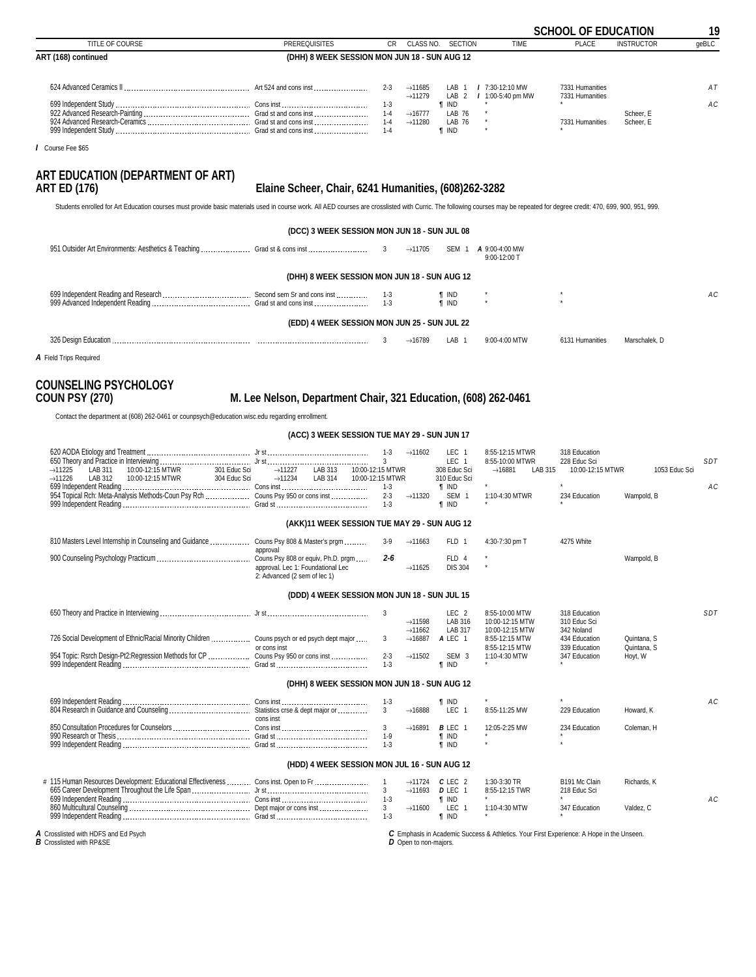<span id="page-18-0"></span>

|                                                                                                                                                                                                                                                                                          |                                                      |                                          |                                            |                                                  |                                       | <b>SCHOOL OF EDUCATION</b>         |                        | 19    |
|------------------------------------------------------------------------------------------------------------------------------------------------------------------------------------------------------------------------------------------------------------------------------------------|------------------------------------------------------|------------------------------------------|--------------------------------------------|--------------------------------------------------|---------------------------------------|------------------------------------|------------------------|-------|
| TITLE OF COURSE                                                                                                                                                                                                                                                                          | <b>PREREQUISITES</b>                                 | <b>CR</b>                                |                                            | CLASS NO. SECTION                                | <b>TIME</b>                           | <b>PLACE</b>                       | <b>INSTRUCTOR</b>      | qeBLC |
| ART (168) continued                                                                                                                                                                                                                                                                      | (DHH) 8 WEEK SESSION MON JUN 18 - SUN AUG 12         |                                          |                                            |                                                  |                                       |                                    |                        |       |
|                                                                                                                                                                                                                                                                                          |                                                      | $2 - 3$                                  | $\rightarrow$ 11685<br>$\rightarrow$ 11279 | LAB<br>LAB <sub>2</sub>                          | $17:30-12:10$ MW<br>/ 1:00-5:40 pm MW | 7331 Humanities<br>7331 Humanities |                        | AT    |
| er and consistent the contract of the construction of the construction of the construction of the construction of the construction of the construction of the construction of the construction of the construction of the cons                                                           |                                                      | $1 - 3$<br>$1 - 4$<br>$1 - 4$<br>$1 - 4$ | $\rightarrow$ 16777<br>$\rightarrow$ 11280 | <b>T</b> IND<br>LAB 76<br>LAB 76<br><b>f</b> IND |                                       | 7331 Humanities                    | Scheer, E<br>Scheer, E | AC    |
| / Course Fee \$65                                                                                                                                                                                                                                                                        |                                                      |                                          |                                            |                                                  |                                       |                                    |                        |       |
| ART EDUCATION (DEPARTMENT OF ART)<br><b>ART ED (176)</b><br>Students enrolled for Art Education courses must provide basic materials used in course work. All AED courses are crosslisted with Curric. The following courses may be repeated for degree credit: 470, 699, 900, 951, 999. | Elaine Scheer, Chair, 6241 Humanities, (608)262-3282 |                                          |                                            |                                                  |                                       |                                    |                        |       |
|                                                                                                                                                                                                                                                                                          |                                                      |                                          |                                            |                                                  |                                       |                                    |                        |       |
|                                                                                                                                                                                                                                                                                          | (DCC) 3 WEEK SESSION MON JUN 18 - SUN JUL 08         |                                          |                                            |                                                  |                                       |                                    |                        |       |
|                                                                                                                                                                                                                                                                                          |                                                      |                                          | $\rightarrow$ 11705                        | SEM 1                                            | A 9:00-4:00 MW<br>9:00-12:00 T        |                                    |                        |       |
|                                                                                                                                                                                                                                                                                          | (DHH) 8 WEEK SESSION MON JUN 18 - SUN AUG 12         |                                          |                                            |                                                  |                                       |                                    |                        |       |
|                                                                                                                                                                                                                                                                                          |                                                      | 1-3<br>$1 - 3$                           |                                            | $\P$ IND<br><b>f</b> IND                         |                                       |                                    |                        | AC    |
|                                                                                                                                                                                                                                                                                          |                                                      |                                          |                                            |                                                  |                                       |                                    |                        |       |

**(EDD) 4 WEEK SESSION MON JUN 25 - SUN JUL 22**

| 326 Desi<br>,,,,,,,,,,,<br>.<br>$\sim$ $\sim$ |  | 1678 | $\wedge$<br>мo |  |  |
|-----------------------------------------------|--|------|----------------|--|--|
|                                               |  |      |                |  |  |

*A* Field Trips Required

# **COUNSELING PSYCHOLOGY**

### **COUN PSY (270) M. Lee Nelson, Department Chair, 321 Education, (608) 262-0461**

Contact the department at (608) 262-0461 or counpsych@education.wisc.edu regarding enrollment.

**(ACC) 3 WEEK SESSION TUE MAY 29 - SUN JUN 17**

|                     |         |                                                                                 |              |                     |         |                  |                     | LEC          | 8:55-12:15 MTWR     |         | 318 Education    |               |                 |
|---------------------|---------|---------------------------------------------------------------------------------|--------------|---------------------|---------|------------------|---------------------|--------------|---------------------|---------|------------------|---------------|-----------------|
|                     |         |                                                                                 |              |                     |         |                  |                     | ∟EC          | 8:55-10:00 MTWR     |         | 228 Educ Sci     |               | SD <sub>7</sub> |
| $\rightarrow$ 11225 | LAB 311 | 10:00-12:15 MTWR                                                                | 301 Educ Sci | $\rightarrow$ 11227 | LAB 313 | 10:00-12:15 MTWR |                     | 308 Educ Sci | $\rightarrow$ 16881 | LAB 315 | 10:00-12:15 MTWR | 1053 Educ Sci |                 |
| $\rightarrow$ 11226 | LAB 312 | 10:00-12:15 MTWR                                                                | 304 Educ Sci | $\rightarrow$ 11234 | LAB 314 | 10:00-12:15 MTWR |                     | 310 Educ Sci |                     |         |                  |               |                 |
|                     |         |                                                                                 |              |                     |         |                  |                     | T IND        |                     |         |                  |               | АC              |
|                     |         | 954 Topical Rch: Meta-Analysis Methods-Coun Psy Rch  Couns Psy 950 or cons inst |              |                     |         | $2 - 3$          | $\rightarrow$ 11320 | <b>SEM</b>   | 1:10-4:30 MTWR      |         | 234 Education    | Wampold, B    |                 |
|                     |         |                                                                                 |              |                     |         |                  |                     | i ind        |                     |         |                  |               |                 |

**(AKK)11 WEEK SESSION TUE MAY 29 - SUN AUG 12**

| 810 Masters Level Internship in Counseling and Guidance  Couns Psy 808 & Master's prgm |                                                                                                                     | $3-9$ | $\rightarrow$ 11663 | FLD 1                   | 4:30-7:30 pm T | 4275 White |            |
|----------------------------------------------------------------------------------------|---------------------------------------------------------------------------------------------------------------------|-------|---------------------|-------------------------|----------------|------------|------------|
|                                                                                        | approval<br>Couns Psy 808 or equiv, Ph.D. prgm<br>approval. Lec 1: Foundational Lec<br>2: Advanced (2 sem of lec 1) | 2-6   | $\rightarrow$ 11625 | FLD 4<br><b>DIS 304</b> |                |            | Wampold, B |

#### **(DDD) 4 WEEK SESSION MON JUN 18 - SUN JUL 15**

|                                                                                               |              |     |                     | LEC <sub>2</sub> | 8:55-10:00 MTW  | 318 Education |             | S <sub>D</sub> |
|-----------------------------------------------------------------------------------------------|--------------|-----|---------------------|------------------|-----------------|---------------|-------------|----------------|
|                                                                                               |              |     | $\rightarrow$ 11598 | LAB 316          | 10:00-12:15 MTW | 310 Educ Sci  |             |                |
|                                                                                               |              |     | $\rightarrow$ 11662 | LAB 317          | 10:00-12:15 MTW | 342 Noland    |             |                |
| 726 Social Development of Ethnic/Racial Minority Children  Couns psych or ed psych dept major |              |     | $\rightarrow$ 16887 | A LEC            | 8:55-12:15 MTW  | 434 Education | Quintana, S |                |
|                                                                                               | or cons inst |     |                     |                  | 8:55-12:15 MTW  | 339 Education | Quintana, S |                |
| 954 Topic: Rsrch Design-Pt2:Regression Methods for CP  Couns Psy 950 or cons inst             |              | 2-3 | $\rightarrow$ 11502 | SEM 3            | $1:10-4:30$ MTW | 347 Education | Hovt. W     |                |
|                                                                                               | Grad st      |     |                     | ¶ IND            |                 |               |             |                |

#### **(DHH) 8 WEEK SESSION MON JUN 18 - SUN AUG 12**

| 699 Independent Reading.                   | Cons inst                       |     |                     | IND          |               |               |            |  |
|--------------------------------------------|---------------------------------|-----|---------------------|--------------|---------------|---------------|------------|--|
| 804 Research in Guidance and Counseling    | Statistics crse & dept major or |     | $\rightarrow$ 16888 | LEC          | 8:55-11:25 MW | 229 Education | Howard, K  |  |
|                                            | cons inst                       |     |                     |              |               |               |            |  |
| 850 Consultation Procedures for Counselors | Cons inst                       |     |                     | <b>B</b> LEC | 12:05-2:25 MW | 234 Education | Coleman. H |  |
| 990 Research or Thesis                     |                                 | ۱.o |                     | i IND        |               |               |            |  |
| 999 Independent Reading.                   |                                 |     |                     | i IND        |               |               |            |  |

#### **(HDD) 4 WEEK SESSION MON JUL 16 - SUN AUG 12**

| # 115 Human Resources Development: Educational Effectiveness<br>Cons inst. Open to Fr. | 11724 | $C$ LEC $\colon$ | $1:30-3:30$ TR | B191 Mc Clair | Richards. K |  |
|----------------------------------------------------------------------------------------|-------|------------------|----------------|---------------|-------------|--|
| 665 Career Development Throughout the Life Span                                        | 11693 | D LEC            | 8:55-12:15 TWR | 218 Educ Sci  |             |  |
| 699 Independent Reading<br>Cons ins                                                    |       | 'IND             |                |               |             |  |
| 860 Multicultural Counseling.<br>Dept major or cons inst                               | 11600 | LEC              | 1:10-4:30 MTW  | 347 Education | Valdez. C   |  |
| 999 Independent Reading<br>$\cdot$ -rad et                                             |       | IND              |                |               |             |  |

*A* Crosslisted with HDFS and Ed Psych *B* Crosslisted with RP&SE

*C* Emphasis in Academic Success & Athletics. Your First Experience: A Hope in the Unseen. *D* Open to non-majors.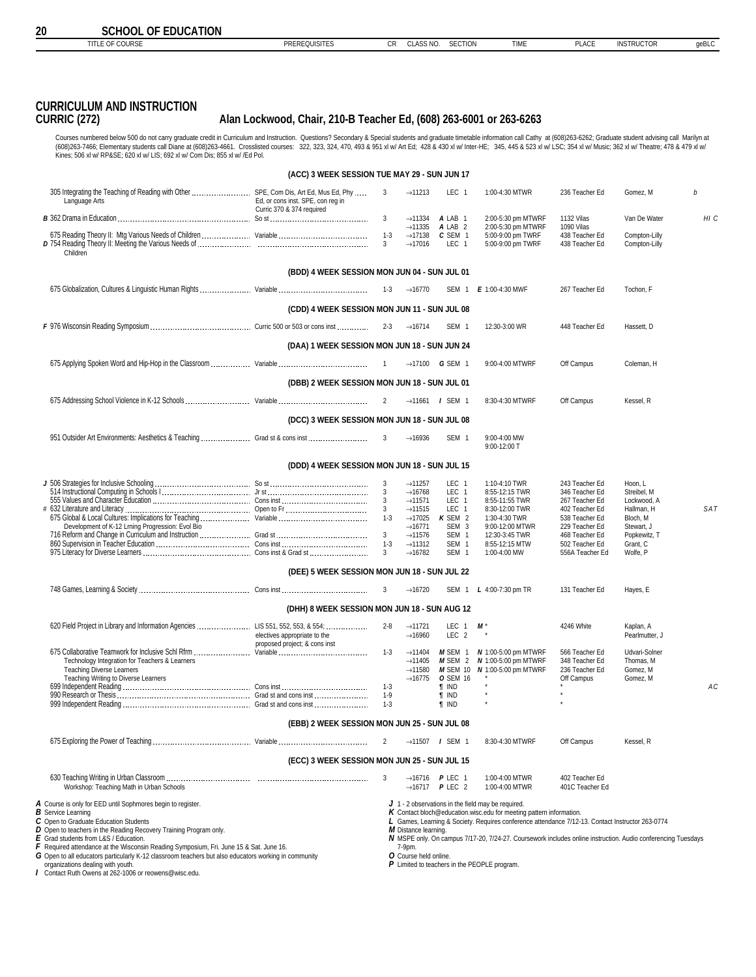| <b>CURRICULUM AND INSTRUCTION</b><br><b>CURRIC (272)</b>                                                                                                                                                                                                                                                      | Alan Lockwood, Chair, 210-B Teacher Ed, (608) 263-6001 or 263-6263 |                         |                                            |                                      |                                                                   |                                  |                                |      |
|---------------------------------------------------------------------------------------------------------------------------------------------------------------------------------------------------------------------------------------------------------------------------------------------------------------|--------------------------------------------------------------------|-------------------------|--------------------------------------------|--------------------------------------|-------------------------------------------------------------------|----------------------------------|--------------------------------|------|
| Courses numbered below 500 do not carry graduate credit in Curriculum and Instruction. Questions? Secondary & Special students and graduate timetable information call Cathy at (608)263-6262; Graduate student advising call                                                                                 |                                                                    |                         |                                            |                                      |                                                                   |                                  |                                |      |
| (608)263-7466; Elementary students call Diane at (608)263-4661. Crosslisted courses: 322, 323, 324, 470, 493 & 951 xl w/ Art Ed; 428 & 430 xl w/ Inter-HE; 345, 445 & 523 xl w/ LSC; 354 xl w/ Music; 362 xl w/ Theatre; 478 &<br>Kines; 506 xl w/ RP&SE 620 xl w/ LIS; 692 xl w/ Com Dis; 855 xl w/ /Ed Pol. |                                                                    |                         |                                            |                                      |                                                                   |                                  |                                |      |
|                                                                                                                                                                                                                                                                                                               | (ACC) 3 WEEK SESSION TUE MAY 29 - SUN JUN 17                       |                         |                                            |                                      |                                                                   |                                  |                                |      |
| 305 Integrating the Teaching of Reading with Other  SPE, Com Dis, Art Ed, Mus Ed, Phy<br>Language Arts                                                                                                                                                                                                        | Ed, or cons inst. SPE, con reg in<br>Curric 370 & 374 required     | 3                       | $\rightarrow$ 11213                        | LEC <sub>1</sub>                     | 1:00-4:30 MTWR                                                    | 236 Teacher Ed                   | Gomez. M                       | h    |
|                                                                                                                                                                                                                                                                                                               |                                                                    | $\overline{3}$          | $\rightarrow$ 11334<br>$\rightarrow$ 11335 | A LAB 1<br>A LAB <sub>2</sub>        | 2:00-5:30 pm MTWRF<br>2:00-5:30 pm MTWRF                          | 1132 Vilas<br>1090 Vilas         | Van De Water                   | HI C |
| Children                                                                                                                                                                                                                                                                                                      |                                                                    | $1 - 3$<br>$\mathbf{3}$ | $\rightarrow$ 17138<br>$\rightarrow$ 17016 | C SEM 1<br>LEC <sub>1</sub>          | 5:00-9:00 pm TWRF<br>5:00-9:00 pm TWRF                            | 438 Teacher Ed<br>438 Teacher Ed | Compton-Lilly<br>Compton-Lilly |      |
|                                                                                                                                                                                                                                                                                                               | (BDD) 4 WEEK SESSION MON JUN 04 - SUN JUL 01                       |                         |                                            |                                      |                                                                   |                                  |                                |      |
|                                                                                                                                                                                                                                                                                                               |                                                                    | $1 - 3$                 | $\rightarrow$ 16770                        | SEM 1                                | E 1:00-4:30 MWF                                                   | 267 Teacher Ed                   | Tochon. F                      |      |
|                                                                                                                                                                                                                                                                                                               | (CDD) 4 WEEK SESSION MON JUN 11 - SUN JUL 08                       |                         |                                            |                                      |                                                                   |                                  |                                |      |
|                                                                                                                                                                                                                                                                                                               |                                                                    | $2 - 3$                 | $\rightarrow$ 16714                        | SEM <sub>1</sub>                     | 12:30-3:00 WR                                                     | 448 Teacher Ed                   | Hassett, D                     |      |
|                                                                                                                                                                                                                                                                                                               | (DAA) 1 WEEK SESSION MON JUN 18 - SUN JUN 24                       |                         |                                            |                                      |                                                                   |                                  |                                |      |
|                                                                                                                                                                                                                                                                                                               |                                                                    |                         |                                            | $\rightarrow$ 17100 G SEM 1          | 9:00-4:00 MTWRF                                                   | Off Campus                       | Coleman, H                     |      |
|                                                                                                                                                                                                                                                                                                               | (DBB) 2 WEEK SESSION MON JUN 18 - SUN JUL 01                       |                         |                                            |                                      |                                                                   |                                  |                                |      |
|                                                                                                                                                                                                                                                                                                               |                                                                    |                         |                                            | $\rightarrow$ 11661 <i>I</i> SEM 1   | 8:30-4:30 MTWRF                                                   | Off Campus                       | Kessel, R                      |      |
|                                                                                                                                                                                                                                                                                                               | (DCC) 3 WEEK SESSION MON JUN 18 - SUN JUL 08                       |                         |                                            |                                      |                                                                   |                                  |                                |      |
|                                                                                                                                                                                                                                                                                                               |                                                                    | 3                       | $\rightarrow$ 16936                        | SEM <sub>1</sub>                     | 9:00-4:00 MW<br>9:00-12:00 T                                      |                                  |                                |      |
|                                                                                                                                                                                                                                                                                                               | (DDD) 4 WEEK SESSION MON JUN 18 - SUN JUL 15                       |                         |                                            |                                      |                                                                   |                                  |                                |      |
|                                                                                                                                                                                                                                                                                                               |                                                                    | 3                       | $\rightarrow$ 11257                        | LEC <sub>1</sub>                     | 1:10-4:10 TWR                                                     | 243 Teacher Ed                   | Hoon. L                        |      |
|                                                                                                                                                                                                                                                                                                               |                                                                    | 3<br>$\mathbf{3}$       | $\rightarrow$ 16768<br>$\rightarrow$ 11571 | LEC <sub>1</sub><br>LEC <sub>1</sub> | 8:55-12:15 TWR<br>8:55-11:55 TWR                                  | 346 Teacher Ed<br>267 Teacher Ed | Streibel, M<br>Lockwood, A     |      |
|                                                                                                                                                                                                                                                                                                               |                                                                    | 3 <sup>1</sup>          | $\rightarrow$ 11515                        | LEC <sub>1</sub>                     | 8:30-12:00 TWR                                                    | 402 Teacher Ed                   | Hallman, H                     | SAT  |
|                                                                                                                                                                                                                                                                                                               |                                                                    | $1 - 3$                 | $\rightarrow$ 17025                        | K SEM 2                              | 1:30-4:30 TWR                                                     | 538 Teacher Ed                   | Bloch, M                       |      |
| Development of K-12 Lrning Progression: Evol Bio                                                                                                                                                                                                                                                              |                                                                    |                         | $\rightarrow$ 16771                        | SEM <sub>3</sub>                     | 9:00-12:00 MTWR                                                   | 229 Teacher Ed                   | Stewart, J                     |      |
|                                                                                                                                                                                                                                                                                                               |                                                                    | $\mathbf{3}$<br>$1 - 3$ | $\rightarrow$ 11576<br>$\rightarrow$ 11312 | SEM <sub>1</sub><br>SEM <sub>1</sub> | 12:30-3:45 TWR<br>8:55-12:15 MTW                                  | 468 Teacher Ed<br>502 Teacher Ed | Popkewitz, T<br>Grant, C       |      |
|                                                                                                                                                                                                                                                                                                               |                                                                    | 3                       | $\rightarrow$ 16782                        | SEM <sub>1</sub>                     | 1:00-4:00 MW                                                      | 556A Teacher Ed                  | Wolfe, P                       |      |
|                                                                                                                                                                                                                                                                                                               | (DEE) 5 WEEK SESSION MON JUN 18 - SUN JUL 22                       |                         |                                            |                                      |                                                                   |                                  |                                |      |
|                                                                                                                                                                                                                                                                                                               |                                                                    | 3                       | $\rightarrow$ 16720                        | SEM 1                                | L 4:00-7:30 pm TR                                                 | 131 Teacher Ed                   | Hayes, E                       |      |
|                                                                                                                                                                                                                                                                                                               | (DHH) 8 WEEK SESSION MON JUN 18 - SUN AUG 12                       |                         |                                            |                                      |                                                                   |                                  |                                |      |
|                                                                                                                                                                                                                                                                                                               | electives appropriate to the                                       | $2 - 8$                 | $\rightarrow$ 11721<br>$\rightarrow$ 16960 | LEC 1<br>LEC <sub>2</sub>            | M                                                                 | 4246 White                       | Kaplan, A<br>Pearlmutter, J    |      |
|                                                                                                                                                                                                                                                                                                               | proposed project; & cons inst                                      | $1 - 3$                 | $\rightarrow$ 11404                        |                                      | $M$ SEM 1 $N$ 1:00-5:00 pm MTWRF                                  | 566 Teacher Ed                   | Udvari-Solner                  |      |
| Technology Integration for Teachers & Learners<br><b>Teaching Diverse Learners</b>                                                                                                                                                                                                                            |                                                                    |                         | $\rightarrow$ 11405<br>$\rightarrow$ 11580 |                                      | $M$ SEM 2 $N$ 1:00-5:00 pm MTWRF<br>M SEM 10 N 1:00-5:00 pm MTWRF | 348 Teacher Ed<br>236 Teacher Ed | Thomas, M<br>Gomez, M          |      |

TITLE OF COURSE **EXECUTES** PREREQUISITES CR CLASS NO. SECTION TIME PLACE INSTRUCTOR GeBLC

Teaching Diverse Learners (With Gomez, M = 11580 M SEM 10 M 1:00-5:00 pm MTWRF 236 Teacher Ed Gomez, M<br>Teaching Writing to Diverse Learners (2011 - 16775 OSEM 16 \* 236 Teacher Gomez, M<br>1-1575 OS9 Independent Reading …………… 990 Research or Thesis Grad st and cons inst 1-9 *¶* IND \* \* 999 Independent Reading Grad st and cons inst 1-3 *¶* IND \* \* **(EBB) 2 WEEK SESSION MON JUN 25 - SUN JUL 08** 675 Exploring the Power of Teaching Variable 2 →11507 *I* SEM 1 8:30-4:30 MTWRF Off Campus Kessel, R **(ECC) 3 WEEK SESSION MON JUN 25 - SUN JUL 15**

 630 Teaching Writing in Urban Classroom 3 →16716 *P* LEC 1 1:00-4:00 MTWR 402 Teacher Ed Workshop: Teaching Math in Urban Schools *A* Course is only for EED until Sophmores begin to register. *B* Service Learning **C** Open to Graduate Education Students *D* Open to teachers in the Reading Recovery Training Program only. *E* Grad students from L&S / Education. **F** Required attendance at the Wisconsin Reading Symposium, Fri. June 15 & Sat. June 16. *G* Open to all educators particularly K-12 classroom teachers but also educators working in community organizations dealing with youth. *J* 1 - 2 observations in the field may be required. *K* Contact bloch@education.wisc.edu for meeting pattern information. *L* Games, Learning & Society. Requires conference attendance 7/12-13. Contact Instructor 263-0774 *M* Distance learning. *N* MSPE only. On campus 7/17-20, 7/24-27. Coursework includes online instruction. Audio conferencing Tuesdays 7-9pm. *O* Course held online.

*I* Contact Ruth Owens at 262-1006 or reowens@wisc.edu.

*P* Limited to teachers in the PEOPLE program.

<span id="page-19-0"></span>**20 SCHOOL OF EDUCATION**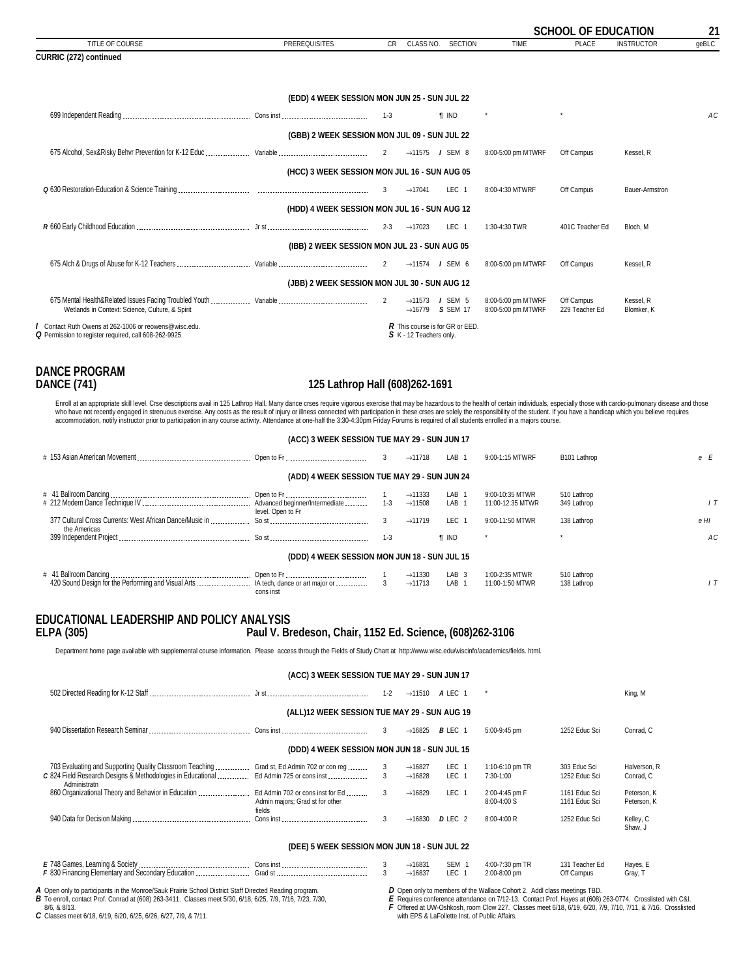<span id="page-20-0"></span>

|                                                                                                               |                                              |           |                                                                   |                  |                                          | <b>SCHOOL OF EDUCATION</b>   |                         | 21             |
|---------------------------------------------------------------------------------------------------------------|----------------------------------------------|-----------|-------------------------------------------------------------------|------------------|------------------------------------------|------------------------------|-------------------------|----------------|
| TITLE OF COURSE                                                                                               | <b>PREREQUISITES</b>                         | <b>CR</b> | CLASS NO.                                                         | <b>SECTION</b>   | <b>TIME</b>                              | PLACE                        | <b>INSTRUCTOR</b>       | qeBLC          |
| CURRIC (272) continued                                                                                        |                                              |           |                                                                   |                  |                                          |                              |                         |                |
|                                                                                                               |                                              |           |                                                                   |                  |                                          |                              |                         |                |
|                                                                                                               | (EDD) 4 WEEK SESSION MON JUN 25 - SUN JUL 22 |           |                                                                   |                  |                                          |                              |                         |                |
|                                                                                                               |                                              |           |                                                                   | <b>f</b> IND     | $^\star$                                 | $\star$                      |                         | A <sub>C</sub> |
|                                                                                                               | (GBB) 2 WEEK SESSION MON JUL 09 - SUN JUL 22 |           |                                                                   |                  |                                          |                              |                         |                |
|                                                                                                               |                                              | 2         | $\rightarrow$ 11575 / SEM 8                                       |                  | 8:00-5:00 pm MTWRF                       | Off Campus                   | Kessel, R               |                |
|                                                                                                               | (HCC) 3 WEEK SESSION MON JUL 16 - SUN AUG 05 |           |                                                                   |                  |                                          |                              |                         |                |
|                                                                                                               |                                              | 3         | $\rightarrow$ 17041                                               | LEC <sub>1</sub> | 8:00-4:30 MTWRF                          | Off Campus                   | Bauer-Armstron          |                |
|                                                                                                               | (HDD) 4 WEEK SESSION MON JUL 16 - SUN AUG 12 |           |                                                                   |                  |                                          |                              |                         |                |
|                                                                                                               |                                              |           | $\rightarrow$ 17023                                               | LEC <sub>1</sub> | 1:30-4:30 TWR                            | 401C Teacher Ed              | Bloch, M                |                |
|                                                                                                               | (IBB) 2 WEEK SESSION MON JUL 23 - SUN AUG 05 |           |                                                                   |                  |                                          |                              |                         |                |
|                                                                                                               |                                              |           | $\rightarrow$ 11574 <i>I</i> SEM 6                                |                  | 8:00-5:00 pm MTWRF                       | Off Campus                   | Kessel, R               |                |
|                                                                                                               | (JBB) 2 WEEK SESSION MON JUL 30 - SUN AUG 12 |           |                                                                   |                  |                                          |                              |                         |                |
| Wetlands in Context: Science, Culture, & Spirit                                                               |                                              | 2         | $\rightarrow$ 11573 <i>I</i> SEM 5<br>$\rightarrow$ 16779 SSEM 17 |                  | 8:00-5:00 pm MTWRF<br>8:00-5:00 pm MTWRF | Off Campus<br>229 Teacher Ed | Kessel, R<br>Blomker, K |                |
| / Contact Ruth Owens at 262-1006 or reowens@wisc.edu.<br>Q Permission to register required, call 608-262-9925 |                                              |           | R This course is for GR or EED.<br>S K - 12 Teachers only.        |                  |                                          |                              |                         |                |
|                                                                                                               |                                              |           |                                                                   |                  |                                          |                              |                         |                |
|                                                                                                               |                                              |           |                                                                   |                  |                                          |                              |                         |                |

**DANCE PROGRAM**

#### **DANCE (741) 125 Lathrop Hall (608)262-1691**

Enroll at an appropriate skill level. Crse descriptions avail in 125 Lathrop Hall. Many dance crses require vigorous exercise that may be hazardous to the health of certain individuals, especially those with cardio-pulmona who have not recently engaged in strenuous exercise. Any costs as the result of injury or illness connected with participation in these crses are solely the responsibility of the student. If you have a handicap which you b

| (ACC) 3 WEEK SESSION TUE MAY 29 - SUN JUN 17 |                                              |                                            |                                                                           |                            |      |  |  |  |  |  |
|----------------------------------------------|----------------------------------------------|--------------------------------------------|---------------------------------------------------------------------------|----------------------------|------|--|--|--|--|--|
|                                              | 3                                            | $\rightarrow$ 11718                        | LAB 1<br>9:00-1:15 MTWRF                                                  | B101 Lathrop               | e E  |  |  |  |  |  |
|                                              | (ADD) 4 WEEK SESSION TUE MAY 29 - SUN JUN 24 |                                            |                                                                           |                            |      |  |  |  |  |  |
| level. Open to Fr                            | $1 - 3$                                      | $\rightarrow$ 11333<br>$\rightarrow$ 11508 | 9:00-10:35 MTWR<br>LAB 1<br>LAB <sub>1</sub><br>11:00-12:35 MTWR          | 510 Lathrop<br>349 Lathrop |      |  |  |  |  |  |
| the Americas                                 |                                              | $\rightarrow$ 11719                        | LEC <sub>1</sub><br>9:00-11:50 MTWR                                       | 138 Lathrop                | e HI |  |  |  |  |  |
|                                              | $1 - 3$                                      | <b>T</b> IND                               |                                                                           |                            | A C  |  |  |  |  |  |
|                                              | (DDD) 4 WEEK SESSION MON JUN 18 - SUN JUL 15 |                                            |                                                                           |                            |      |  |  |  |  |  |
| cons inst                                    |                                              | $\rightarrow$ 11330<br>$\rightarrow$ 11713 | LAB <sub>3</sub><br>1:00-2:35 MTWR<br>LAB <sub>1</sub><br>11:00-1:50 MTWR | 510 Lathrop<br>138 Lathrop |      |  |  |  |  |  |

### **EDUCATIONAL LEADERSHIP AND POLICY ANALYSIS ELPA (305) Paul V. Bredeson, Chair, 1152 Ed. Science, (608)262-3106**

Department home page available with supplemental course information. Please access through the Fields of Study Chart at http://www.wisc.edu/wiscinfo/academics/fields. html.

|                                                                                                                                                                                                      | (ACC) 3 WEEK SESSION TUE MAY 29 - SUN JUN 17 |                                            |                             |                                 |                                |                            |
|------------------------------------------------------------------------------------------------------------------------------------------------------------------------------------------------------|----------------------------------------------|--------------------------------------------|-----------------------------|---------------------------------|--------------------------------|----------------------------|
|                                                                                                                                                                                                      | $1 - 2$                                      |                                            | $\rightarrow$ 11510 A LEC 1 |                                 |                                | King, M                    |
|                                                                                                                                                                                                      | (ALL)12 WEEK SESSION TUE MAY 29 - SUN AUG 19 |                                            |                             |                                 |                                |                            |
|                                                                                                                                                                                                      | 3                                            | $\rightarrow$ 16825                        | <b>B</b> LEC 1              | 5:00-9:45 pm                    | 1252 Educ Sci                  | Conrad, C                  |
|                                                                                                                                                                                                      | (DDD) 4 WEEK SESSION MON JUN 18 - SUN JUL 15 |                                            |                             |                                 |                                |                            |
| 703 Evaluating and Supporting Quality Classroom Teaching  Grad st, Ed Admin 702 or con reg<br>C 824 Field Research Designs & Methodologies in Educational  Ed Admin 725 or cons inst<br>Administratn | $\mathbf{3}$                                 | $\rightarrow$ 16827<br>$\rightarrow$ 16828 | LEC 1<br>LEC 1              | 1:10-6:10 pm TR<br>7:30-1:00    | 303 Educ Sci<br>1252 Educ Sci  | Halverson, R<br>Conrad, C  |
| Admin majors; Grad st for other<br>fields                                                                                                                                                            | 3                                            | $\rightarrow$ 16829                        | LEC 1                       | 2:00-4:45 pm F<br>8:00-4:00 S   | 1161 Educ Sci<br>1161 Educ Sci | Peterson, K<br>Peterson, K |
|                                                                                                                                                                                                      | 3                                            | $\rightarrow$ 16830                        | D LEC 2                     | 8:00-4:00 R                     | 1252 Educ Sci                  | Kelley, C<br>Shaw, J       |
|                                                                                                                                                                                                      | (DEE) 5 WEEK SESSION MON JUN 18 - SUN JUL 22 |                                            |                             |                                 |                                |                            |
|                                                                                                                                                                                                      |                                              | $\rightarrow$ 16831<br>$\rightarrow$ 16837 | SEM <sub>1</sub><br>LEC 1   | 4:00-7:30 pm TR<br>2:00-8:00 pm | 131 Teacher Ed<br>Off Campus   | Hayes, E<br>Gray, T        |

*A* Open only to participants in the Monroe/Sauk Prairie School District Staff Directed Reading program. **B** To enroll, contact Prof. Conrad at (608) 263-3411. Classes meet 5/30, 6/18, 6/25, 7/9, 7/16, 7/23, 7/30,

8/6, & 8/13. *C* Classes meet 6/18, 6/19, 6/20, 6/25, 6/26, 6/27, 7/9, & 7/11.

*D* Open only to members of the Wallace Cohort 2. Addl class meetings TBD.

E Requires conference attendance on 7/12-13. Contact Prof. Hayes at (608) 263-0774. Crosslisted with C&I.<br>F Offered at UW-Oshkosh, room Clow 227. Classes meet 6/18, 6/19, 6/20, 7/9, 7/10, 7/11, & 7/16. Crosslisted<br>with EPS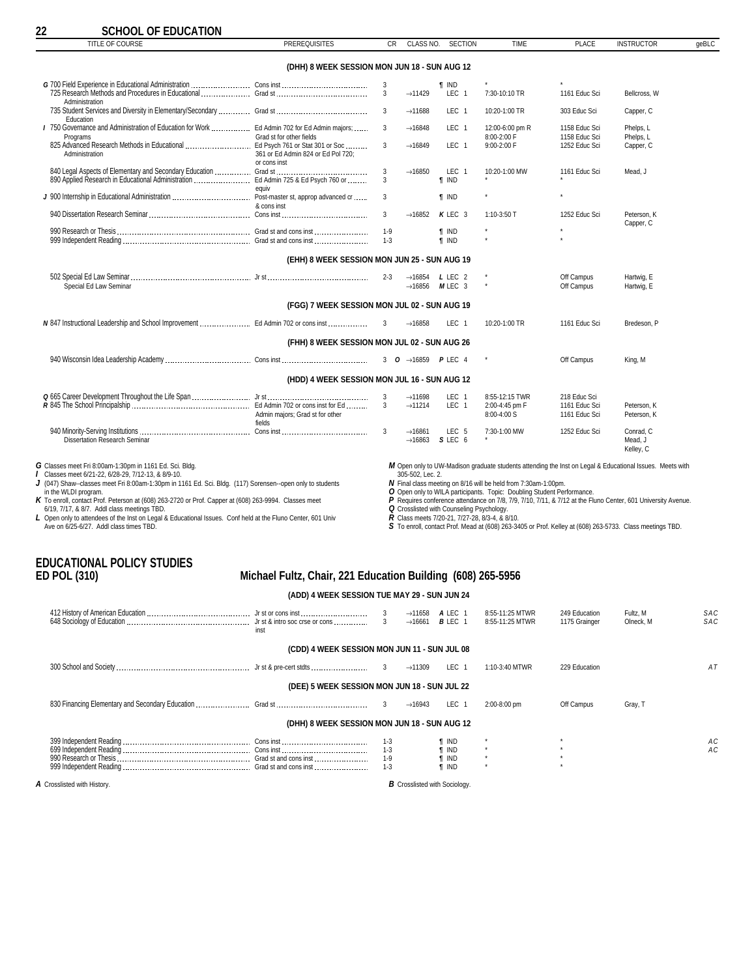<span id="page-21-0"></span>

| TITLE OF COURSE                                                                                          | <b>PREREQUISITES</b>                               | <b>CR</b>    | CLASS NO.           | <b>SECTION</b>             | <b>TIME</b>                    | <b>PLACE</b>                   | <b>INSTRUCTOR</b>                                                                                        | qeBLC |
|----------------------------------------------------------------------------------------------------------|----------------------------------------------------|--------------|---------------------|----------------------------|--------------------------------|--------------------------------|----------------------------------------------------------------------------------------------------------|-------|
|                                                                                                          | (DHH) 8 WEEK SESSION MON JUN 18 - SUN AUG 12       |              |                     |                            |                                |                                |                                                                                                          |       |
|                                                                                                          |                                                    | 3            |                     | <b>T IND</b>               |                                |                                |                                                                                                          |       |
| Administration                                                                                           |                                                    | 3            | $\rightarrow$ 11429 | LEC <sub>1</sub>           | 7:30-10:10 TR                  | 1161 Educ Sci                  | Bellcross, W                                                                                             |       |
| Education                                                                                                |                                                    | 3            | $\rightarrow$ 11688 | LEC <sub>1</sub>           | 10:20-1:00 TR                  | 303 Educ Sci                   | Capper, C                                                                                                |       |
| I 750 Governance and Administration of Education for Work  Ed Admin 702 for Ed Admin majors;<br>Programs | Grad st for other fields                           | 3            | $\rightarrow$ 16848 | LEC <sub>1</sub>           | 12:00-6:00 pm R<br>8:00-2:00 F | 1158 Educ Sci<br>1158 Educ Sci | Phelps. L<br>Phelps, L                                                                                   |       |
| Administration                                                                                           | 361 or Ed Admin 824 or Ed Pol 720;<br>or cons inst | 3            | $\rightarrow$ 16849 | LEC <sub>1</sub>           | 9:00-2:00 F                    | 1252 Educ Sci                  | Capper, C                                                                                                |       |
|                                                                                                          |                                                    | 3            | $\rightarrow$ 16850 | LEC <sub>1</sub>           | 10:20-1:00 MW                  | 1161 Educ Sci                  | Mead, J                                                                                                  |       |
|                                                                                                          | eauiv                                              | 3            |                     | <b>T</b> IND               |                                |                                |                                                                                                          |       |
|                                                                                                          | & cons inst                                        | 3            |                     | $\P$ IND                   |                                | $\star$                        |                                                                                                          |       |
|                                                                                                          |                                                    | $\mathbf{3}$ | $\rightarrow$ 16852 | $K$ LEC 3                  | $1:10-3:50$ T                  | 1252 Educ Sci                  | Peterson, K<br>Capper, C                                                                                 |       |
|                                                                                                          |                                                    | $1 - 9$      |                     | <b>T</b> IND               |                                | $\star$                        |                                                                                                          |       |
|                                                                                                          |                                                    | $1-3$        |                     | <b>T</b> IND               |                                |                                |                                                                                                          |       |
|                                                                                                          | (EHH) 8 WEEK SESSION MON JUN 25 - SUN AUG 19       |              |                     |                            |                                |                                |                                                                                                          |       |
|                                                                                                          |                                                    | $2 - 3$      |                     | $\rightarrow$ 16854 LLEC 2 |                                | Off Campus                     | Hartwig, E                                                                                               |       |
| Special Ed Law Seminar                                                                                   |                                                    |              | $\rightarrow$ 16856 | MLEC 3                     | $\star$                        | Off Campus                     | Hartwig, E                                                                                               |       |
|                                                                                                          | (FGG) 7 WEEK SESSION MON JUL 02 - SUN AUG 19       |              |                     |                            |                                |                                |                                                                                                          |       |
|                                                                                                          |                                                    |              | $\rightarrow$ 16858 | LEC <sub>1</sub>           | 10:20-1:00 TR                  | 1161 Educ Sci                  | Bredeson, P                                                                                              |       |
|                                                                                                          | (FHH) 8 WEEK SESSION MON JUL 02 - SUN AUG 26       |              |                     |                            |                                |                                |                                                                                                          |       |
|                                                                                                          |                                                    |              |                     |                            | $^\star$                       | Off Campus                     | King, M                                                                                                  |       |
|                                                                                                          | (HDD) 4 WEEK SESSION MON JUL 16 - SUN AUG 12       |              |                     |                            |                                |                                |                                                                                                          |       |
|                                                                                                          |                                                    | 3            | $\rightarrow$ 11698 | LEC <sub>1</sub>           | 8:55-12:15 TWR                 | 218 Educ Sci                   |                                                                                                          |       |
|                                                                                                          |                                                    | $\mathbf{3}$ | $\rightarrow$ 11214 | LEC <sub>1</sub>           | 2:00-4:45 pm F                 | 1161 Educ Sci                  | Peterson, K                                                                                              |       |
|                                                                                                          | Admin majors; Grad st for other<br>fields          |              |                     |                            | $8:00 - 4:00 S$                | 1161 Educ Sci                  | Peterson, K                                                                                              |       |
|                                                                                                          |                                                    | 3            | $\rightarrow$ 16861 | LEC 5                      | 7:30-1:00 MW                   | 1252 Educ Sci                  | Conrad. C                                                                                                |       |
| Dissertation Research Seminar                                                                            |                                                    |              | $\rightarrow$ 16863 | SLEC <sub>6</sub>          |                                |                                | Mead, J<br>Kelley, C                                                                                     |       |
| G Classes meet Fri 8:00am-1:30pm in 1161 Ed. Sci. Bldg.                                                  |                                                    |              |                     |                            |                                |                                | M Open only to UW-Madison graduate students attending the Inst on Legal & Educational Issues. Meets with |       |

**G** Classes meet Fri 8:00am-1:30pm in 1161 Ed. Sci. Bldg.<br>♪ Classes meet 6/21-22, 6/28-29, 7/12-13, & 8/9-10.<br>**J** (047) Shaw⊶classes meet Fri 8:00am-1:30pm in 1161 Ed. Sci. Bldg. (117) Sorensen⊶open only to students

in the WLDI program.<br> **K** To enroll, contact Prof. Capper at (608) 263-9994. Classes meet<br>
6/19, 7/17, & 8/7. Addl class meetings TBD.<br> **L** Open only to attendees of the Inst on Legal & Educational Issues. Conf held at the

*M* Open only to UW-Madison graduate students attending the Inst on Legal & Educational Issues. Meets with<br>305-502, Lec. 2.<br>*N* Final class meeting on 8/16 will be held from 7:30am-1:00pm.

*O* Open only to WILA participants. Topic: Doubling Student Performance.<br>ア Requires conference attendance on 7/8, 7/9, 7/10, 7/11, & 7/12 at the Fluno Center, 601 University Avenue.<br>Q Crossiisted with Counseling Psycholo

*R* Class meets 7/20-21, 7/27-28, 8/3-4, & 8/10.

*S* To enroll, contact Prof. Mead at (608) 263-3405 or Prof. Kelley at (608) 263-5733. Class meetings TBD.

# **EDUCATIONAL POLICY STUDIES**

#### **ED POL (310) Michael Fultz, Chair, 221 Education Building (608) 265-5956**

#### **(ADD) 4 WEEK SESSION TUE MAY 29 - SUN JUN 24**

| inst                                         | 3<br>$\overline{3}$ | $\rightarrow$ 11658<br>$\rightarrow$ 16661 | A LEC 1<br>$B$ LEC 1 | 8:55-11:25 MTWR<br>8:55-11:25 MTWR | 249 Education<br>1175 Grainger | Fultz, M<br>Olneck, M | SAC<br>SAC |
|----------------------------------------------|---------------------|--------------------------------------------|----------------------|------------------------------------|--------------------------------|-----------------------|------------|
| (CDD) 4 WEEK SESSION MON JUN 11 - SUN JUL 08 |                     |                                            |                      |                                    |                                |                       |            |
|                                              |                     | $\rightarrow$ 11309                        | LEC 1                | 1:10-3:40 MTWR                     | 229 Education                  |                       | ΑT         |
| (DEE) 5 WEEK SESSION MON JUN 18 - SUN JUL 22 |                     |                                            |                      |                                    |                                |                       |            |
|                                              |                     | $\rightarrow$ 16943                        | LEC 1                | 2:00-8:00 pm                       | Off Campus                     | Gray, T               |            |
| (DHH) 8 WEEK SESSION MON JUN 18 - SUN AUG 12 |                     |                                            |                      |                                    |                                |                       |            |
|                                              | $1-3$               |                                            | ¶ IND                |                                    |                                |                       | АC         |
|                                              | $1 - 3$             |                                            | <b>T</b> IND         | $\star$                            |                                |                       | AC.        |
|                                              | $1 - 9$             |                                            | <b>T</b> IND         |                                    |                                |                       |            |
|                                              | $1 - 3$             |                                            | <b>T</b> IND         |                                    |                                |                       |            |

*A* Crosslisted with History. *B* Crosslisted with Sociology.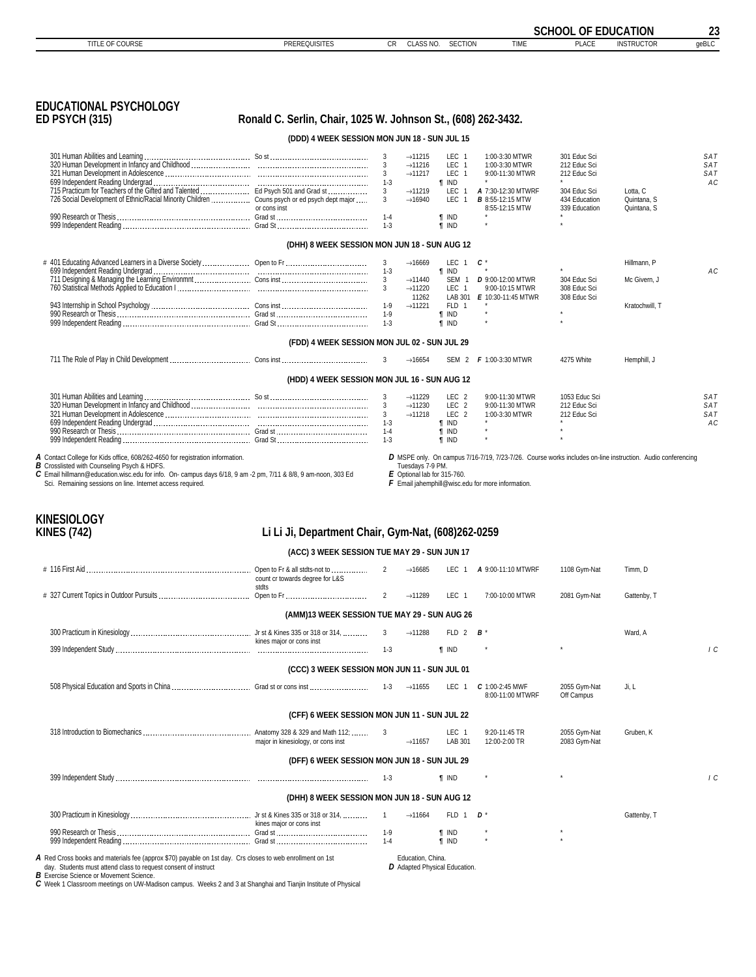<span id="page-22-0"></span>

|                                                                                                                                                                                                                                                                                                                                                |                                                               |                           |                                                    |                                              |                                                                                                                                                                 | <b>SCHOOL OF EDUCATION</b>     |                            | 23         |
|------------------------------------------------------------------------------------------------------------------------------------------------------------------------------------------------------------------------------------------------------------------------------------------------------------------------------------------------|---------------------------------------------------------------|---------------------------|----------------------------------------------------|----------------------------------------------|-----------------------------------------------------------------------------------------------------------------------------------------------------------------|--------------------------------|----------------------------|------------|
| TITLE OF COURSE                                                                                                                                                                                                                                                                                                                                | <b>PREREQUISITES</b>                                          | CR                        | CLASS NO.                                          | <b>SECTION</b>                               | <b>TIME</b>                                                                                                                                                     | <b>PLACE</b>                   | <b>INSTRUCTOR</b>          | geBLC      |
|                                                                                                                                                                                                                                                                                                                                                |                                                               |                           |                                                    |                                              |                                                                                                                                                                 |                                |                            |            |
| <b>EDUCATIONAL PSYCHOLOGY</b><br><b>ED PSYCH (315)</b>                                                                                                                                                                                                                                                                                         | Ronald C. Serlin, Chair, 1025 W. Johnson St., (608) 262-3432. |                           |                                                    |                                              |                                                                                                                                                                 |                                |                            |            |
|                                                                                                                                                                                                                                                                                                                                                | (DDD) 4 WEEK SESSION MON JUN 18 - SUN JUL 15                  |                           |                                                    |                                              |                                                                                                                                                                 |                                |                            |            |
|                                                                                                                                                                                                                                                                                                                                                |                                                               | 3                         | $\rightarrow$ 11215                                | LEC 1                                        | 1:00-3:30 MTWR                                                                                                                                                  | 301 Educ Sci                   |                            | SAT        |
|                                                                                                                                                                                                                                                                                                                                                |                                                               | 3                         | $\rightarrow$ 11216<br>$\rightarrow$ 11217         | LEC 1<br>LEC 1                               | 1:00-3:30 MTWR<br>9:00-11:30 MTWR                                                                                                                               | 212 Educ Sci<br>212 Educ Sci   |                            | SAT<br>SAT |
| 715 Practicum for Teachers of the Gifted and Talented  Ed Psych 501 and Grad st                                                                                                                                                                                                                                                                |                                                               | $1 - 3$<br>3 <sup>1</sup> | $\rightarrow$ 11219                                | <b>T</b> IND<br>LEC 1                        | A 7:30-12:30 MTWRF                                                                                                                                              | 304 Educ Sci                   | Lotta, C                   | AC         |
| 726 Social Development of Ethnic/Racial Minority Children  Couns psych or ed psych dept major                                                                                                                                                                                                                                                  | or cons inst                                                  | 3<br>$1 - 4$              | $\rightarrow$ 16940                                | <b>LEC</b><br>$\overline{1}$<br><b>T</b> IND | <b>B</b> 8:55-12:15 MTW<br>8:55-12:15 MTW                                                                                                                       | 434 Education<br>339 Education | Quintana, S<br>Quintana, S |            |
|                                                                                                                                                                                                                                                                                                                                                |                                                               | $1 - 3$                   |                                                    | <b>T</b> IND                                 |                                                                                                                                                                 |                                |                            |            |
|                                                                                                                                                                                                                                                                                                                                                | (DHH) 8 WEEK SESSION MON JUN 18 - SUN AUG 12                  |                           |                                                    |                                              |                                                                                                                                                                 |                                |                            |            |
|                                                                                                                                                                                                                                                                                                                                                |                                                               | 3                         | $\rightarrow$ 16669                                | LEC 1                                        | c*                                                                                                                                                              |                                | Hillmann, P                |            |
|                                                                                                                                                                                                                                                                                                                                                |                                                               | $1 - 3$<br>$\mathbf{3}$   | $\rightarrow$ 11440                                | <b>T</b> IND<br>SEM 1                        | <b>D</b> 9:00-12:00 MTWR                                                                                                                                        | 304 Educ Sci                   | Mc Givern, J               | AC         |
|                                                                                                                                                                                                                                                                                                                                                |                                                               | 3                         | $\rightarrow$ 11220<br>11262                       | LEC 1                                        | 9:00-10:15 MTWR<br>LAB 301 E 10:30-11:45 MTWR                                                                                                                   | 308 Educ Sci<br>308 Educ Sci   |                            |            |
|                                                                                                                                                                                                                                                                                                                                                |                                                               | $1-9$<br>1-9              | $\rightarrow$ 11221                                | FLD 1<br><b>T</b> IND                        |                                                                                                                                                                 |                                | Kratochwill. T             |            |
|                                                                                                                                                                                                                                                                                                                                                |                                                               | $1-3$                     |                                                    | <b>T</b> IND                                 |                                                                                                                                                                 |                                |                            |            |
|                                                                                                                                                                                                                                                                                                                                                | (FDD) 4 WEEK SESSION MON JUL 02 - SUN JUL 29                  |                           |                                                    |                                              |                                                                                                                                                                 |                                |                            |            |
|                                                                                                                                                                                                                                                                                                                                                |                                                               | 3                         | $\rightarrow$ 16654                                |                                              | SEM 2 <b>F</b> 1:00-3:30 MTWR                                                                                                                                   | 4275 White                     | Hemphill, J                |            |
|                                                                                                                                                                                                                                                                                                                                                | (HDD) 4 WEEK SESSION MON JUL 16 - SUN AUG 12                  |                           |                                                    |                                              |                                                                                                                                                                 |                                |                            |            |
|                                                                                                                                                                                                                                                                                                                                                |                                                               | 3                         | $\rightarrow$ 11229                                | LEC <sub>2</sub>                             | 9:00-11:30 MTWR                                                                                                                                                 | 1053 Educ Sci                  |                            | SAT        |
|                                                                                                                                                                                                                                                                                                                                                |                                                               | 3<br>$\mathbf{3}$         | $\rightarrow$ 11230<br>$\rightarrow$ 11218         | LEC <sub>2</sub><br>LEC <sub>2</sub>         | 9:00-11:30 MTWR<br>1:00-3:30 MTWR                                                                                                                               | 212 Educ Sci<br>212 Educ Sci   |                            | SAT<br>SAT |
|                                                                                                                                                                                                                                                                                                                                                |                                                               | $1-3$                     |                                                    | <b>T</b> IND                                 |                                                                                                                                                                 |                                |                            | АC         |
|                                                                                                                                                                                                                                                                                                                                                |                                                               | $1 - 4$<br>$1 - 3$        |                                                    | <b>f</b> IND<br><b>f</b> IND                 |                                                                                                                                                                 |                                |                            |            |
| A Contact College for Kids office, 608/262-4650 for registration information.<br><b>B</b> Crosslisted with Counseling Psych & HDFS.<br>C Email hillmann@education.wisc.edu for info. On- campus days 6/18, 9 am -2 pm, 7/11 & 8/8, 9 am-noon, 303 Ed<br>Sci. Remaining sessions on line. Internet access required.                             |                                                               |                           | Tuesdays 7-9 PM.<br>$E$ Optional lab for 315-760.  |                                              | D MSPE only. On campus 7/16-7/19, 7/23-7/26. Course works includes on-line instruction. Audio conferencing<br>F Email jahemphill@wisc.edu for more information. |                                |                            |            |
| <b>KINESIOLOGY</b><br><b>KINES (742)</b>                                                                                                                                                                                                                                                                                                       | Li Li Ji, Department Chair, Gym-Nat, (608)262-0259            |                           |                                                    |                                              |                                                                                                                                                                 |                                |                            |            |
|                                                                                                                                                                                                                                                                                                                                                | (ACC) 3 WEEK SESSION TUE MAY 29 - SUN JUN 17                  |                           |                                                    |                                              |                                                                                                                                                                 |                                |                            |            |
|                                                                                                                                                                                                                                                                                                                                                | count cr towards degree for L&S                               | 2                         | $\rightarrow$ 16685                                |                                              | LEC 1 <b>A</b> 9:00-11:10 MTWRF                                                                                                                                 | 1108 Gym-Nat                   | Timm, D                    |            |
|                                                                                                                                                                                                                                                                                                                                                | stdts                                                         | $\overline{2}$            | $\rightarrow$ 11289                                | LEC 1                                        | 7:00-10:00 MTWR                                                                                                                                                 | 2081 Gym-Nat                   | Gattenby, T                |            |
|                                                                                                                                                                                                                                                                                                                                                | (AMM)13 WEEK SESSION TUE MAY 29 - SUN AUG 26                  |                           |                                                    |                                              |                                                                                                                                                                 |                                |                            |            |
|                                                                                                                                                                                                                                                                                                                                                |                                                               | 3                         | $\rightarrow$ 11288                                | FLD 2                                        | В                                                                                                                                                               |                                | Ward, A                    |            |
|                                                                                                                                                                                                                                                                                                                                                | kines major or cons inst                                      | $1 - 3$                   |                                                    | <b>T</b> IND                                 |                                                                                                                                                                 |                                |                            | 1C         |
|                                                                                                                                                                                                                                                                                                                                                |                                                               |                           |                                                    |                                              |                                                                                                                                                                 |                                |                            |            |
|                                                                                                                                                                                                                                                                                                                                                | (CCC) 3 WEEK SESSION MON JUN 11 - SUN JUL 01                  |                           |                                                    |                                              |                                                                                                                                                                 |                                |                            |            |
|                                                                                                                                                                                                                                                                                                                                                |                                                               |                           | $\rightarrow$ 11655                                | LEC <sub>1</sub>                             | C 1:00-2:45 MWF<br>8:00-11:00 MTWRF                                                                                                                             | 2055 Gym-Nat<br>Off Campus     | Ji, L                      |            |
|                                                                                                                                                                                                                                                                                                                                                | (CFF) 6 WEEK SESSION MON JUN 11 - SUN JUL 22                  |                           |                                                    |                                              |                                                                                                                                                                 |                                |                            |            |
|                                                                                                                                                                                                                                                                                                                                                | major in kinesiology, or cons inst                            | 3                         | $\rightarrow$ 11657                                | LEC 1<br>LAB 301                             | 9:20-11:45 TR<br>12:00-2:00 TR                                                                                                                                  | 2055 Gym-Nat<br>2083 Gym-Nat   | Gruben, K                  |            |
|                                                                                                                                                                                                                                                                                                                                                | (DFF) 6 WEEK SESSION MON JUN 18 - SUN JUL 29                  |                           |                                                    |                                              |                                                                                                                                                                 |                                |                            |            |
|                                                                                                                                                                                                                                                                                                                                                |                                                               | $1 - 3$                   |                                                    | <b>T</b> IND                                 |                                                                                                                                                                 |                                |                            | $\sqrt{C}$ |
|                                                                                                                                                                                                                                                                                                                                                | (DHH) 8 WEEK SESSION MON JUN 18 - SUN AUG 12                  |                           |                                                    |                                              |                                                                                                                                                                 |                                |                            |            |
|                                                                                                                                                                                                                                                                                                                                                |                                                               | $\overline{1}$            | $\rightarrow$ 11664                                | FLD 1                                        | D *                                                                                                                                                             |                                | Gattenby, T                |            |
|                                                                                                                                                                                                                                                                                                                                                | kines maior or cons inst                                      | $1-9$<br>$1 - 4$          |                                                    | <b>T</b> IND<br><b>T</b> IND                 |                                                                                                                                                                 |                                |                            |            |
|                                                                                                                                                                                                                                                                                                                                                |                                                               |                           |                                                    |                                              |                                                                                                                                                                 |                                |                            |            |
| A Red Cross books and materials fee (approx \$70) payable on 1st day. Crs closes to web enrollment on 1st<br>day. Students must attend class to request consent of instruct<br><b>B</b> Exercise Science or Movement Science.<br>C Week 1 Classroom meetings on UW-Madison campus. Weeks 2 and 3 at Shanghai and Tianjin Institute of Physical |                                                               |                           | Education, China.<br>D Adapted Physical Education. |                                              |                                                                                                                                                                 |                                |                            |            |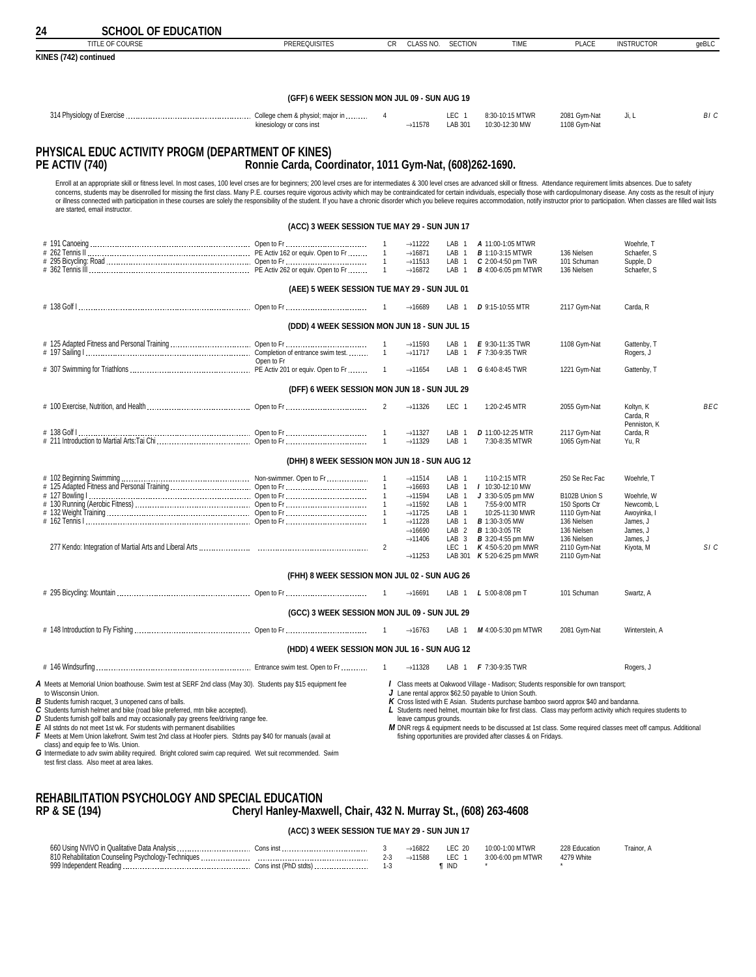<span id="page-23-0"></span>

| 24 | <b>SCHOOL OF EDUCATION</b>                                                                                                                                                                                                                                                                                                                                                                                                                                                                                                                                                                                                                                                                                                          |                                                         |                              |                                            |                                      |                                                                                                              |                                |                                       |            |
|----|-------------------------------------------------------------------------------------------------------------------------------------------------------------------------------------------------------------------------------------------------------------------------------------------------------------------------------------------------------------------------------------------------------------------------------------------------------------------------------------------------------------------------------------------------------------------------------------------------------------------------------------------------------------------------------------------------------------------------------------|---------------------------------------------------------|------------------------------|--------------------------------------------|--------------------------------------|--------------------------------------------------------------------------------------------------------------|--------------------------------|---------------------------------------|------------|
|    | TITLE OF COURSE                                                                                                                                                                                                                                                                                                                                                                                                                                                                                                                                                                                                                                                                                                                     | <b>PREREQUISITES</b>                                    | <b>CR</b>                    | CLASS NO.                                  | <b>SECTION</b>                       | <b>TIME</b>                                                                                                  | <b>PLACE</b>                   | <b>INSTRUCTOR</b>                     | geBLC      |
|    | KINES (742) continued                                                                                                                                                                                                                                                                                                                                                                                                                                                                                                                                                                                                                                                                                                               |                                                         |                              |                                            |                                      |                                                                                                              |                                |                                       |            |
|    |                                                                                                                                                                                                                                                                                                                                                                                                                                                                                                                                                                                                                                                                                                                                     | (GFF) 6 WEEK SESSION MON JUL 09 - SUN AUG 19            |                              |                                            |                                      |                                                                                                              |                                |                                       |            |
|    |                                                                                                                                                                                                                                                                                                                                                                                                                                                                                                                                                                                                                                                                                                                                     |                                                         | 4                            |                                            | LEC 1                                | 8:30-10:15 MTWR                                                                                              | 2081 Gym-Nat                   | Ji, L                                 | BI C       |
|    |                                                                                                                                                                                                                                                                                                                                                                                                                                                                                                                                                                                                                                                                                                                                     | kinesiology or cons inst                                |                              | $\rightarrow$ 11578                        | LAB 301                              | 10:30-12:30 MW                                                                                               | 1108 Gym-Nat                   |                                       |            |
|    | PHYSICAL EDUC ACTIVITY PROGM (DEPARTMENT OF KINES)<br><b>PE ACTIV (740)</b>                                                                                                                                                                                                                                                                                                                                                                                                                                                                                                                                                                                                                                                         | Ronnie Carda, Coordinator, 1011 Gym-Nat, (608)262-1690. |                              |                                            |                                      |                                                                                                              |                                |                                       |            |
|    | Enroll at an appropriate skill or fitness level. In most cases, 100 level crses are for beginners; 200 level crses are for intermediates & 300 level crses are advanced skill or fitness. Attendance requirement limits absenc<br>concerns, students may be disenrolled for missing the first class. Many P.E. courses require vigorous activity which may be contraindicated for certain individuals, especially those with cardiopulmonary disease. Any costs<br>or illness connected with participation in these courses are solely the responsibility of the student. If you have a chronic disorder which you believe requires accommodation, notify instructor prior to participation. When<br>are started, email instructor. |                                                         |                              |                                            |                                      |                                                                                                              |                                |                                       |            |
|    |                                                                                                                                                                                                                                                                                                                                                                                                                                                                                                                                                                                                                                                                                                                                     | (ACC) 3 WEEK SESSION TUE MAY 29 - SUN JUN 17            |                              |                                            |                                      |                                                                                                              |                                |                                       |            |
|    |                                                                                                                                                                                                                                                                                                                                                                                                                                                                                                                                                                                                                                                                                                                                     |                                                         | $\mathbf{1}$                 | $\rightarrow$ 11222                        | LAB <sub>1</sub>                     | A 11:00-1:05 MTWR                                                                                            |                                | Woehrle, T                            |            |
|    |                                                                                                                                                                                                                                                                                                                                                                                                                                                                                                                                                                                                                                                                                                                                     |                                                         | $\mathbf{1}$                 | $\rightarrow$ 16871                        | LAB<br>$\overline{1}$                | <b>B</b> 1:10-3:15 MTWR                                                                                      | 136 Nielsen                    | Schaefer, S                           |            |
|    |                                                                                                                                                                                                                                                                                                                                                                                                                                                                                                                                                                                                                                                                                                                                     |                                                         | $\overline{1}$               | $\rightarrow$ 11513<br>$\rightarrow$ 16872 | LAB <sub>1</sub><br>LAB 1            | C 2:00-4:50 pm TWR<br><b>B</b> 4:00-6:05 pm MTWR                                                             | 101 Schuman<br>136 Nielsen     | Supple, D<br>Schaefer, S              |            |
|    |                                                                                                                                                                                                                                                                                                                                                                                                                                                                                                                                                                                                                                                                                                                                     | (AEE) 5 WEEK SESSION TUE MAY 29 - SUN JUL 01            |                              |                                            |                                      |                                                                                                              |                                |                                       |            |
|    |                                                                                                                                                                                                                                                                                                                                                                                                                                                                                                                                                                                                                                                                                                                                     |                                                         |                              | $\rightarrow$ 16689                        | LAB<br>-1                            | <b>D</b> 9:15-10:55 MTR                                                                                      | 2117 Gym-Nat                   | Carda, R                              |            |
|    |                                                                                                                                                                                                                                                                                                                                                                                                                                                                                                                                                                                                                                                                                                                                     | (DDD) 4 WEEK SESSION MON JUN 18 - SUN JUL 15            |                              |                                            |                                      |                                                                                                              |                                |                                       |            |
|    |                                                                                                                                                                                                                                                                                                                                                                                                                                                                                                                                                                                                                                                                                                                                     |                                                         | $\mathbf{1}$                 | $\rightarrow$ 11593                        | LAB <sub>1</sub>                     | E 9:30-11:35 TWR                                                                                             | 1108 Gym-Nat                   | Gattenby, T                           |            |
|    |                                                                                                                                                                                                                                                                                                                                                                                                                                                                                                                                                                                                                                                                                                                                     | Open to Fr                                              | $\mathbf{1}$                 | $\rightarrow$ 11717                        | LAB 1                                | F 7:30-9:35 TWR                                                                                              |                                | Rogers, J                             |            |
|    |                                                                                                                                                                                                                                                                                                                                                                                                                                                                                                                                                                                                                                                                                                                                     |                                                         |                              | $\rightarrow$ 11654                        | LAB <sub>1</sub>                     | G 6:40-8:45 TWR                                                                                              | 1221 Gym-Nat                   | Gattenby, T                           |            |
|    |                                                                                                                                                                                                                                                                                                                                                                                                                                                                                                                                                                                                                                                                                                                                     | (DFF) 6 WEEK SESSION MON JUN 18 - SUN JUL 29            |                              |                                            |                                      |                                                                                                              |                                |                                       |            |
|    |                                                                                                                                                                                                                                                                                                                                                                                                                                                                                                                                                                                                                                                                                                                                     |                                                         | $\overline{2}$               | $\rightarrow$ 11326                        | LEC 1                                | 1:20-2:45 MTR                                                                                                | 2055 Gym-Nat                   | Koltyn, K<br>Carda, R<br>Penniston, K | <b>BEC</b> |
|    |                                                                                                                                                                                                                                                                                                                                                                                                                                                                                                                                                                                                                                                                                                                                     |                                                         | $\mathbf{1}$<br>$\mathbf{1}$ | $\rightarrow$ 11327<br>$\rightarrow$ 11329 | LAB <sub>1</sub><br>LAB <sub>1</sub> | D 11:00-12:25 MTR<br>7:30-8:35 MTWR                                                                          | 2117 Gym-Nat<br>1065 Gym-Nat   | Carda, R<br>Yu, R                     |            |
|    |                                                                                                                                                                                                                                                                                                                                                                                                                                                                                                                                                                                                                                                                                                                                     | (DHH) 8 WEEK SESSION MON JUN 18 - SUN AUG 12            |                              |                                            |                                      |                                                                                                              |                                |                                       |            |
|    |                                                                                                                                                                                                                                                                                                                                                                                                                                                                                                                                                                                                                                                                                                                                     |                                                         | $\mathbf{1}$                 | $\rightarrow$ 11514                        | LAB <sub>1</sub>                     | 1:10-2:15 MTR                                                                                                | 250 Se Rec Fac                 | Woehrle, T                            |            |
|    |                                                                                                                                                                                                                                                                                                                                                                                                                                                                                                                                                                                                                                                                                                                                     |                                                         | $\mathbf{1}$                 | $\rightarrow$ 16693                        | LAB <sub>1</sub>                     | / 10:30-12:10 MW                                                                                             |                                |                                       |            |
|    |                                                                                                                                                                                                                                                                                                                                                                                                                                                                                                                                                                                                                                                                                                                                     |                                                         |                              | $\rightarrow$ 11594                        | LAB 1                                | $J$ 3:30-5:05 pm MW                                                                                          | B102B Union S                  | Woehrle, W                            |            |
|    |                                                                                                                                                                                                                                                                                                                                                                                                                                                                                                                                                                                                                                                                                                                                     |                                                         | $\mathbf{1}$                 | $\rightarrow$ 11592                        | LAB <sub>1</sub><br>LAB <sub>1</sub> | 7:55-9:00 MTR<br>10:25-11:30 MWR                                                                             | 150 Sports Ctr<br>1110 Gvm-Nat | Newcomb. L<br>Awoyinka, I             |            |
|    |                                                                                                                                                                                                                                                                                                                                                                                                                                                                                                                                                                                                                                                                                                                                     |                                                         | $\mathbf{1}$                 | $\rightarrow$ 11725<br>$\rightarrow$ 11228 | LAB <sub>1</sub>                     | <b>B</b> 1:30-3:05 MW                                                                                        | 136 Nielsen                    | James, J                              |            |
|    |                                                                                                                                                                                                                                                                                                                                                                                                                                                                                                                                                                                                                                                                                                                                     |                                                         |                              | $\rightarrow$ 16690                        | LAB <sub>2</sub>                     | <b>B</b> 1:30-3:05 TR                                                                                        | 136 Nielsen                    | James, J                              |            |
|    |                                                                                                                                                                                                                                                                                                                                                                                                                                                                                                                                                                                                                                                                                                                                     |                                                         |                              | $\rightarrow$ 11406                        | LAB <sub>3</sub>                     | <b>B</b> 3:20-4:55 pm MW                                                                                     | 136 Nielsen                    | James, J                              |            |
|    |                                                                                                                                                                                                                                                                                                                                                                                                                                                                                                                                                                                                                                                                                                                                     |                                                         | $\overline{2}$               | $\rightarrow$ 11253                        | LEC 1                                | K 4:50-5:20 pm MWR<br>LAB 301 K 5:20-6:25 pm MWR                                                             | 2110 Gym-Nat<br>2110 Gym-Nat   | Kiyota, M                             | SIC        |
|    |                                                                                                                                                                                                                                                                                                                                                                                                                                                                                                                                                                                                                                                                                                                                     | (FHH) 8 WEEK SESSION MON JUL 02 - SUN AUG 26            |                              |                                            |                                      |                                                                                                              |                                |                                       |            |
|    |                                                                                                                                                                                                                                                                                                                                                                                                                                                                                                                                                                                                                                                                                                                                     |                                                         |                              | $\rightarrow$ 16691                        |                                      | LAB 1 L 5:00-8:08 pm T                                                                                       | 101 Schuman                    | Swartz, A                             |            |
|    |                                                                                                                                                                                                                                                                                                                                                                                                                                                                                                                                                                                                                                                                                                                                     | (GCC) 3 WEEK SESSION MON JUL 09 - SUN JUL 29            |                              |                                            |                                      |                                                                                                              |                                |                                       |            |
|    |                                                                                                                                                                                                                                                                                                                                                                                                                                                                                                                                                                                                                                                                                                                                     |                                                         | $\overline{1}$               | $\rightarrow$ 16763                        | LAB <sub>1</sub>                     | M 4:00-5:30 pm MTWR                                                                                          | 2081 Gym-Nat                   | Winterstein, A                        |            |
|    |                                                                                                                                                                                                                                                                                                                                                                                                                                                                                                                                                                                                                                                                                                                                     | (HDD) 4 WEEK SESSION MON JUL 16 - SUN AUG 12            |                              |                                            |                                      |                                                                                                              |                                |                                       |            |
|    |                                                                                                                                                                                                                                                                                                                                                                                                                                                                                                                                                                                                                                                                                                                                     |                                                         | $\mathbf{1}$                 | $\rightarrow$ 11328                        |                                      | LAB 1 <b>F</b> 7:30-9:35 TWR                                                                                 |                                | Rogers, J                             |            |
|    | A Meets at Memorial Union boathouse. Swim test at SERF 2nd class (May 30). Students pay \$15 equipment fee                                                                                                                                                                                                                                                                                                                                                                                                                                                                                                                                                                                                                          |                                                         |                              |                                            |                                      | / Class meets at Oakwood Village - Madison; Students responsible for own transport;                          |                                |                                       |            |
|    | to Wisconsin Union.                                                                                                                                                                                                                                                                                                                                                                                                                                                                                                                                                                                                                                                                                                                 |                                                         |                              |                                            |                                      | J Lane rental approx \$62.50 payable to Union South.                                                         |                                |                                       |            |
|    | B Students furnish racquet, 3 unopened cans of balls.                                                                                                                                                                                                                                                                                                                                                                                                                                                                                                                                                                                                                                                                               |                                                         |                              |                                            |                                      | K Cross listed with E Asian. Students purchase bamboo sword approx \$40 and bandanna.                        |                                |                                       |            |
|    | C Students furnish helmet and bike (road bike preferred, mtn bike accepted).                                                                                                                                                                                                                                                                                                                                                                                                                                                                                                                                                                                                                                                        |                                                         |                              |                                            |                                      | L Students need helmet, mountain bike for first class. Class may perform activity which requires students to |                                |                                       |            |
|    | $D$ Students furnish golf balls and may occasionally pay greens fee/driving range fee.                                                                                                                                                                                                                                                                                                                                                                                                                                                                                                                                                                                                                                              |                                                         |                              | leave campus grounds.                      |                                      |                                                                                                              |                                |                                       |            |
|    | $E$ All stdnts do not meet 1st wk. For students with permanent disabilities                                                                                                                                                                                                                                                                                                                                                                                                                                                                                                                                                                                                                                                         |                                                         |                              |                                            |                                      | M DNR regs & equipment needs to be discussed at 1st class. Some required classes meet off campus. Additional |                                |                                       |            |
|    | F Meets at Mem Union lakefront. Swim test 2nd class at Hoofer piers. Stdnts pay \$40 for manuals (avail at                                                                                                                                                                                                                                                                                                                                                                                                                                                                                                                                                                                                                          |                                                         |                              |                                            |                                      | fishing opportunities are provided after classes & on Fridays.                                               |                                |                                       |            |
|    | class) and equip fee to Wis. Union.                                                                                                                                                                                                                                                                                                                                                                                                                                                                                                                                                                                                                                                                                                 |                                                         |                              |                                            |                                      |                                                                                                              |                                |                                       |            |
|    | G Intermediate to adv swim ability required. Bright colored swim cap required. Wet suit recommended. Swim                                                                                                                                                                                                                                                                                                                                                                                                                                                                                                                                                                                                                           |                                                         |                              |                                            |                                      |                                                                                                              |                                |                                       |            |
|    | test first class. Also meet at area lakes.                                                                                                                                                                                                                                                                                                                                                                                                                                                                                                                                                                                                                                                                                          |                                                         |                              |                                            |                                      |                                                                                                              |                                |                                       |            |
|    |                                                                                                                                                                                                                                                                                                                                                                                                                                                                                                                                                                                                                                                                                                                                     |                                                         |                              |                                            |                                      |                                                                                                              |                                |                                       |            |
|    | <b>REHARILITATION PRYCHOLOGY AND REFOIAL EDUCATION</b>                                                                                                                                                                                                                                                                                                                                                                                                                                                                                                                                                                                                                                                                              |                                                         |                              |                                            |                                      |                                                                                                              |                                |                                       |            |

### **REHABILITATION PSYCHOLOGY AND SECT AND SECT AND SECT LABLE RP & SE (194) Cheryl Hanley-Maxwell, Chair, 432 N. Murray St., (608) 263-4608**

### **(ACC) 3 WEEK SESSION TUE MAY 29 - SUN JUN 17**

| 660 Hsing N∖′               |   |     | $\sim$<br>-4 U | <b>TWR</b><br>۱∩∙∩ |       | frainc<br>. |
|-----------------------------|---|-----|----------------|--------------------|-------|-------------|
| 810 Re<br>ווום אווו∩∷ ו<br> | . |     |                |                    | VVIII |             |
| 0.001                       |   | - 1 | <b>INID</b>    |                    |       |             |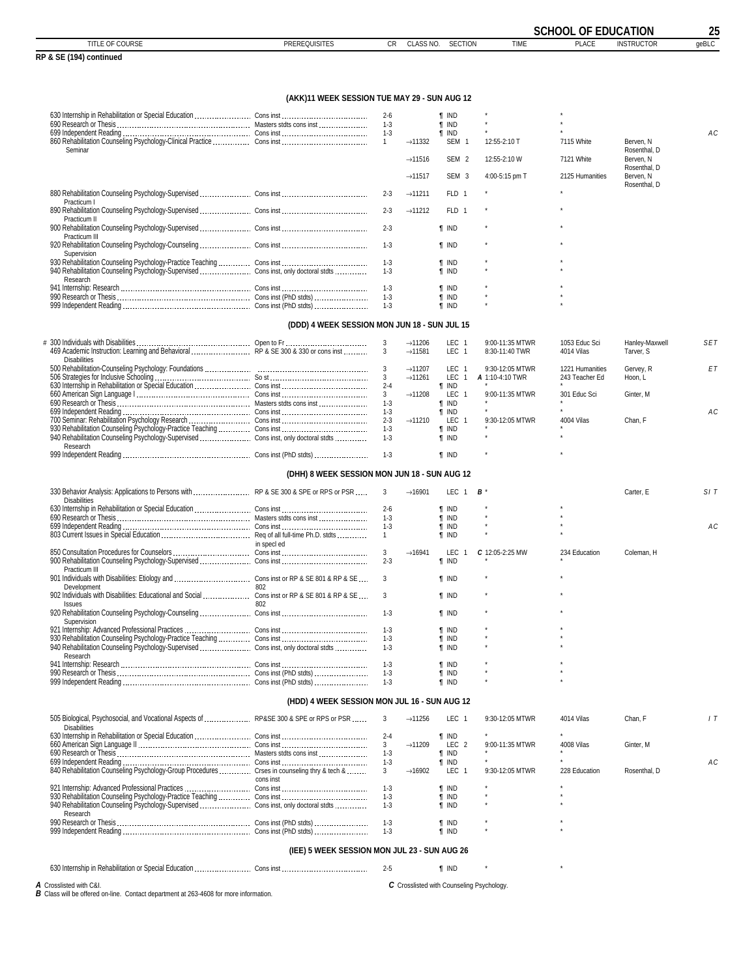|                                                                                              |                                              |                    |                     |                              |                 | <b>SCHOOL OF EDUCATION</b> |                           | 25    |
|----------------------------------------------------------------------------------------------|----------------------------------------------|--------------------|---------------------|------------------------------|-----------------|----------------------------|---------------------------|-------|
| TITLE OF COURSE                                                                              | <b>PREREQUISITES</b>                         | CR                 | CLASS NO.           | <b>SECTION</b>               | <b>TIME</b>     | <b>PLACE</b>               | <b>INSTRUCTOR</b>         | geBLC |
| RP & SE (194) continued                                                                      |                                              |                    |                     |                              |                 |                            |                           |       |
|                                                                                              |                                              |                    |                     |                              |                 |                            |                           |       |
|                                                                                              | (AKK)11 WEEK SESSION TUE MAY 29 - SUN AUG 12 |                    |                     |                              |                 |                            |                           |       |
|                                                                                              |                                              | $2 - 6$<br>$1 - 3$ |                     | ¶ IND<br><b>T IND</b>        |                 |                            |                           |       |
|                                                                                              |                                              | $1-3$              |                     | <b>T</b> IND                 |                 |                            |                           | АC    |
|                                                                                              |                                              | $\overline{1}$     | $\rightarrow$ 11332 | SEM 1                        | 12:55-2:10 T    | 7115 White                 | Berven, N                 |       |
| Seminar                                                                                      |                                              |                    | $\rightarrow$ 11516 | SEM <sub>2</sub>             | 12:55-2:10 W    | 7121 White                 | Rosenthal, D<br>Berven, N |       |
|                                                                                              |                                              |                    |                     |                              |                 |                            | Rosenthal, D              |       |
|                                                                                              |                                              |                    | $\rightarrow$ 11517 | SEM <sub>3</sub>             | 4:00-5:15 pm T  | 2125 Humanities            | Berven, N                 |       |
|                                                                                              |                                              |                    |                     |                              |                 |                            | Rosenthal, D              |       |
| Practicum I                                                                                  |                                              | $2 - 3$            | $\rightarrow$ 11211 | FLD 1                        |                 |                            |                           |       |
|                                                                                              |                                              | $2 - 3$            | $\rightarrow$ 11212 | FLD 1                        |                 |                            |                           |       |
| Practicum II                                                                                 |                                              |                    |                     |                              |                 |                            |                           |       |
| Practicum III                                                                                |                                              | $2 - 3$            |                     | <b>T</b> IND                 |                 |                            |                           |       |
|                                                                                              |                                              | $1-3$              |                     | <b>T</b> IND                 |                 |                            |                           |       |
| Supervision                                                                                  |                                              |                    |                     |                              |                 |                            |                           |       |
|                                                                                              |                                              | $1 - 3$            |                     | <b>T</b> IND                 |                 |                            |                           |       |
| Research                                                                                     |                                              | $1 - 3$            |                     | <b>T IND</b>                 |                 |                            |                           |       |
|                                                                                              |                                              | $1 - 3$            |                     | <b>T</b> IND                 |                 |                            |                           |       |
|                                                                                              |                                              | $1 - 3$            |                     | <b>f</b> IND                 |                 |                            |                           |       |
|                                                                                              |                                              | $1 - 3$            |                     | <b>T</b> IND                 |                 |                            |                           |       |
|                                                                                              | (DDD) 4 WEEK SESSION MON JUN 18 - SUN JUL 15 |                    |                     |                              |                 |                            |                           |       |
|                                                                                              |                                              | 3                  | $\rightarrow$ 11206 | LEC <sub>1</sub>             | 9:00-11:35 MTWR | 1053 Educ Sci              | Hanley-Maxwell            | SET   |
| 469 Academic Instruction: Learning and Behavioral  RP & SE 300 & 330 or cons inst            |                                              | 3                  | $\rightarrow$ 11581 | LEC 1                        | 8:30-11:40 TWR  | 4014 Vilas                 | Tarver, S                 |       |
| <b>Disabilities</b>                                                                          |                                              | 3                  | $\rightarrow$ 11207 | LEC 1                        | 9:30-12:05 MTWR | 1221 Humanities            | Gervey, R                 | ET    |
|                                                                                              |                                              | 3                  | $\rightarrow$ 11261 | LEC 1                        | A 1:10-4:10 TWR | 243 Teacher Ed             | Hoon, L                   |       |
|                                                                                              |                                              | $2 - 4$            |                     | <b>T</b> IND                 |                 |                            |                           |       |
|                                                                                              |                                              | $\mathbf{3}$       | $\rightarrow$ 11208 | LEC 1                        | 9:00-11:35 MTWR | 301 Educ Sci               | Ginter, M                 |       |
|                                                                                              |                                              | $1 - 3$<br>$1-3$   |                     | <b>T</b> IND<br><b>T</b> IND |                 |                            |                           | AC    |
|                                                                                              |                                              | $2 - 3$            | $\rightarrow$ 11210 | LEC                          | 9:30-12:05 MTWR | 4004 Vilas                 | Chan, F                   |       |
|                                                                                              |                                              | $1 - 3$            |                     | <b>T</b> IND                 |                 |                            |                           |       |
|                                                                                              |                                              | $1 - 3$            |                     | <b>T</b> IND                 |                 |                            |                           |       |
| Research                                                                                     |                                              | $1 - 3$            |                     | <b>T</b> IND                 |                 |                            |                           |       |
|                                                                                              | (DHH) 8 WEEK SESSION MON JUN 18 - SUN AUG 12 |                    |                     |                              |                 |                            |                           |       |
|                                                                                              |                                              |                    |                     |                              |                 |                            |                           |       |
| 330 Behavior Analysis: Applications to Persons with  RP & SE 300 & SPE or RPS or PSR         |                                              | 3                  | $\rightarrow$ 16901 | LEC 1                        | в*              |                            | Carter, E                 | SIT   |
| <b>Disabilities</b>                                                                          |                                              | $2 - 6$            |                     | <b>T</b> IND                 |                 |                            |                           |       |
|                                                                                              |                                              | $1 - 3$            |                     | <b>T IND</b>                 |                 |                            |                           |       |
|                                                                                              |                                              | $1 - 3$            |                     | <b>T</b> IND                 |                 |                            |                           | AC    |
|                                                                                              |                                              | $\mathbf{1}$       |                     | <b>T</b> IND                 |                 |                            |                           |       |
|                                                                                              | in specl ed                                  | 3                  | $\rightarrow$ 16941 |                              | C 12:05-2:25 MW |                            | Coleman, H                |       |
|                                                                                              |                                              | $2 - 3$            |                     | LEC 1<br><b>T</b> IND        |                 | 234 Education              |                           |       |
| Practicum III                                                                                |                                              |                    |                     |                              |                 |                            |                           |       |
|                                                                                              |                                              | $\mathbf{3}$       |                     | $\P$ IND                     |                 |                            |                           |       |
| Development                                                                                  | 802                                          |                    |                     |                              |                 |                            |                           |       |
| Issues                                                                                       | 802                                          | 3                  |                     | <b>T</b> IND                 |                 |                            |                           |       |
|                                                                                              |                                              | $1-3$              |                     | <b>T</b> IND                 |                 |                            |                           |       |
| Supervision                                                                                  |                                              |                    |                     |                              |                 |                            |                           |       |
|                                                                                              |                                              | $1 - 3$            |                     | <b>T</b> IND                 |                 |                            |                           |       |
|                                                                                              |                                              | $1 - 3$<br>$1 - 3$ |                     | <b>T</b> IND<br><b>T</b> IND |                 |                            |                           |       |
| Research                                                                                     |                                              |                    |                     |                              |                 |                            |                           |       |
|                                                                                              |                                              | $1-3$              |                     | <b>T</b> IND                 |                 |                            |                           |       |
|                                                                                              |                                              | $1-3$              |                     | $\P$ IND                     |                 |                            |                           |       |
|                                                                                              |                                              | $1 - 3$            |                     | $\P$ IND                     |                 |                            |                           |       |
|                                                                                              | (HDD) 4 WEEK SESSION MON JUL 16 - SUN AUG 12 |                    |                     |                              |                 |                            |                           |       |
| 505 Biological, Psychosocial, and Vocational Aspects of  RP&SE 300 & SPE or RPS or PSR       |                                              | 3                  | $\rightarrow$ 11256 | LEC 1                        | 9:30-12:05 MTWR | 4014 Vilas                 | Chan, F                   | 1T    |
| <b>Disabilities</b>                                                                          |                                              | $2 - 4$            |                     | <b>T</b> IND                 |                 |                            |                           |       |
|                                                                                              |                                              | 3 <sup>1</sup>     | $\rightarrow$ 11209 | LEC <sub>2</sub>             | 9:00-11:35 MTWR | 4008 Vilas                 | Ginter, M                 |       |
|                                                                                              |                                              | $1-3$              |                     | <b>T</b> IND                 |                 |                            |                           |       |
|                                                                                              |                                              | $1 - 3$            |                     | <b>T</b> IND                 |                 |                            |                           | АC    |
| 840 Rehabilitation Counseling Psychology-Group Procedures  Crses in counseling thry & tech & |                                              | $\mathbf{3}$       | $\rightarrow$ 16902 | LEC 1                        | 9:30-12:05 MTWR | 228 Education              | Rosenthal, D              |       |
|                                                                                              | cons inst                                    | $1 - 3$            |                     | <b>T IND</b>                 |                 |                            |                           |       |
|                                                                                              |                                              | $1 - 3$            |                     | <b>T</b> IND                 |                 |                            |                           |       |
|                                                                                              |                                              | $1 - 3$            |                     | <b>T</b> IND                 |                 |                            |                           |       |
| Research                                                                                     |                                              |                    |                     |                              |                 |                            |                           |       |
|                                                                                              |                                              | $1 - 3$            |                     | <b>T</b> IND                 |                 |                            |                           |       |
|                                                                                              |                                              | $1 - 3$            |                     | <b>T</b> IND                 |                 |                            |                           |       |
|                                                                                              | (IEE) 5 WEEK SESSION MON JUL 23 - SUN AUG 26 |                    |                     |                              |                 |                            |                           |       |
|                                                                                              |                                              |                    |                     |                              |                 |                            |                           |       |
|                                                                                              |                                              | $2 - 5$            |                     | <b>T</b> IND                 |                 |                            |                           |       |

*A* Crosslisted with C&I. *B* Class will be offered on-line. Contact department at 263-4608 for more information.

*C* Crosslisted with Counseling Psychology.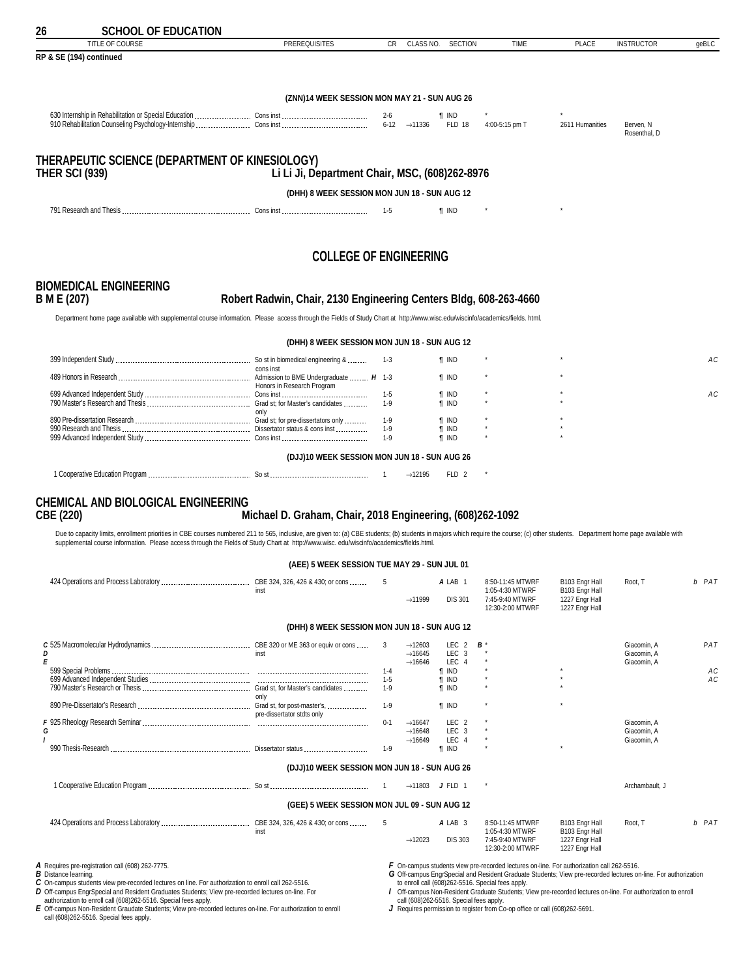<span id="page-25-0"></span>

| 26                          | <b>SCHOOL OF EDUCATION</b>                                                                                                                                                                                                                                                                                                                                                |                                                                   |                  |                                            |                                      |                                                                                                                                                                                                                                                                                     |                                  |                            |          |
|-----------------------------|---------------------------------------------------------------------------------------------------------------------------------------------------------------------------------------------------------------------------------------------------------------------------------------------------------------------------------------------------------------------------|-------------------------------------------------------------------|------------------|--------------------------------------------|--------------------------------------|-------------------------------------------------------------------------------------------------------------------------------------------------------------------------------------------------------------------------------------------------------------------------------------|----------------------------------|----------------------------|----------|
|                             | <b>TITLE OF COURSE</b><br>RP & SE (194) continued                                                                                                                                                                                                                                                                                                                         | <b>PREREQUISITES</b>                                              | CR.              | CLASS NO.                                  | <b>SECTION</b>                       | <b>TIME</b>                                                                                                                                                                                                                                                                         | <b>PLACE</b>                     | <b>INSTRUCTOR</b>          | geBLC    |
|                             |                                                                                                                                                                                                                                                                                                                                                                           |                                                                   |                  |                                            |                                      |                                                                                                                                                                                                                                                                                     |                                  |                            |          |
|                             |                                                                                                                                                                                                                                                                                                                                                                           | (ZNN)14 WEEK SESSION MON MAY 21 - SUN AUG 26                      |                  |                                            |                                      |                                                                                                                                                                                                                                                                                     |                                  |                            |          |
|                             |                                                                                                                                                                                                                                                                                                                                                                           |                                                                   |                  |                                            | ¶ IND<br><b>FLD 18</b>               | 4:00-5:15 pm T                                                                                                                                                                                                                                                                      | 2611 Humanities                  | Berven, N                  |          |
|                             |                                                                                                                                                                                                                                                                                                                                                                           |                                                                   |                  |                                            |                                      |                                                                                                                                                                                                                                                                                     |                                  | Rosenthal, D               |          |
|                             | THERAPEUTIC SCIENCE (DEPARTMENT OF KINESIOLOGY)<br><b>THER SCI (939)</b>                                                                                                                                                                                                                                                                                                  | Li Li Ji, Department Chair, MSC, (608)262-8976                    |                  |                                            |                                      |                                                                                                                                                                                                                                                                                     |                                  |                            |          |
|                             |                                                                                                                                                                                                                                                                                                                                                                           | (DHH) 8 WEEK SESSION MON JUN 18 - SUN AUG 12                      |                  |                                            |                                      |                                                                                                                                                                                                                                                                                     |                                  |                            |          |
|                             |                                                                                                                                                                                                                                                                                                                                                                           |                                                                   | 1-5              |                                            | <b>f</b> IND                         |                                                                                                                                                                                                                                                                                     |                                  |                            |          |
|                             |                                                                                                                                                                                                                                                                                                                                                                           |                                                                   |                  |                                            |                                      |                                                                                                                                                                                                                                                                                     |                                  |                            |          |
|                             |                                                                                                                                                                                                                                                                                                                                                                           | <b>COLLEGE OF ENGINEERING</b>                                     |                  |                                            |                                      |                                                                                                                                                                                                                                                                                     |                                  |                            |          |
|                             | <b>BIOMEDICAL ENGINEERING</b>                                                                                                                                                                                                                                                                                                                                             |                                                                   |                  |                                            |                                      |                                                                                                                                                                                                                                                                                     |                                  |                            |          |
| B M E (207)                 |                                                                                                                                                                                                                                                                                                                                                                           | Robert Radwin, Chair, 2130 Engineering Centers Bldg, 608-263-4660 |                  |                                            |                                      |                                                                                                                                                                                                                                                                                     |                                  |                            |          |
|                             | Department home page available with supplemental course information. Please access through the Fields of Study Chart at http://www.wisc.edu/wiscinfo/academics/fields. html.                                                                                                                                                                                              |                                                                   |                  |                                            |                                      |                                                                                                                                                                                                                                                                                     |                                  |                            |          |
|                             |                                                                                                                                                                                                                                                                                                                                                                           | (DHH) 8 WEEK SESSION MON JUN 18 - SUN AUG 12                      |                  |                                            |                                      |                                                                                                                                                                                                                                                                                     |                                  |                            |          |
|                             |                                                                                                                                                                                                                                                                                                                                                                           | cons inst                                                         | 1-3              |                                            | ¶ IND                                |                                                                                                                                                                                                                                                                                     |                                  |                            | АC       |
|                             |                                                                                                                                                                                                                                                                                                                                                                           | Honors in Research Program                                        |                  |                                            | <b>T</b> IND                         |                                                                                                                                                                                                                                                                                     |                                  |                            |          |
|                             |                                                                                                                                                                                                                                                                                                                                                                           |                                                                   | 1-5<br>$1-9$     |                                            | $\P$ IND<br>¶ IND                    |                                                                                                                                                                                                                                                                                     |                                  |                            | АC       |
|                             |                                                                                                                                                                                                                                                                                                                                                                           | only                                                              | $1-9$            |                                            | <b>T</b> IND                         |                                                                                                                                                                                                                                                                                     |                                  |                            |          |
|                             |                                                                                                                                                                                                                                                                                                                                                                           |                                                                   | 1-9<br>1-9       |                                            | <b>T</b> IND<br><b>T</b> IND         |                                                                                                                                                                                                                                                                                     |                                  |                            |          |
|                             |                                                                                                                                                                                                                                                                                                                                                                           | (DJJ)10 WEEK SESSION MON JUN 18 - SUN AUG 26                      |                  |                                            |                                      |                                                                                                                                                                                                                                                                                     |                                  |                            |          |
|                             |                                                                                                                                                                                                                                                                                                                                                                           |                                                                   |                  | $\rightarrow$ 12195                        | FLD 2                                |                                                                                                                                                                                                                                                                                     |                                  |                            |          |
|                             | <b>CHEMICAL AND BIOLOGICAL ENGINEERING</b>                                                                                                                                                                                                                                                                                                                                |                                                                   |                  |                                            |                                      |                                                                                                                                                                                                                                                                                     |                                  |                            |          |
| <b>CBE (220)</b>            |                                                                                                                                                                                                                                                                                                                                                                           | Michael D. Graham, Chair, 2018 Engineering, (608)262-1092         |                  |                                            |                                      |                                                                                                                                                                                                                                                                                     |                                  |                            |          |
|                             | Due to capacity limits, enrollment priorities in CBE courses numbered 211 to 565, inclusive, are given to: (a) CBE students; (b) students in majors which require the course; (c) other students. Department home page availab<br>supplemental course information. Please access through the Fields of Study Chart at http://www.wisc.edu/wiscinfo/academics/fields.html. |                                                                   |                  |                                            |                                      |                                                                                                                                                                                                                                                                                     |                                  |                            |          |
|                             |                                                                                                                                                                                                                                                                                                                                                                           | (AEE) 5 WEEK SESSION TUE MAY 29 - SUN JUL 01                      |                  |                                            |                                      |                                                                                                                                                                                                                                                                                     |                                  |                            |          |
|                             |                                                                                                                                                                                                                                                                                                                                                                           | inst                                                              | 5                |                                            | A LAB 1                              | 8:50-11:45 MTWRF<br>1:05-4:30 MTWRF                                                                                                                                                                                                                                                 | B103 Engr Hall<br>B103 Engr Hall | Root, T                    | b PAT    |
|                             |                                                                                                                                                                                                                                                                                                                                                                           |                                                                   |                  | $\rightarrow$ 11999                        | <b>DIS 301</b>                       | 7:45-9:40 MTWRF<br>12:30-2:00 MTWRF                                                                                                                                                                                                                                                 | 1227 Engr Hall<br>1227 Engr Hall |                            |          |
|                             |                                                                                                                                                                                                                                                                                                                                                                           | (DHH) 8 WEEK SESSION MON JUN 18 - SUN AUG 12                      |                  |                                            |                                      |                                                                                                                                                                                                                                                                                     |                                  |                            |          |
|                             |                                                                                                                                                                                                                                                                                                                                                                           |                                                                   | 3                | $\rightarrow$ 12603                        | LEC <sub>2</sub>                     | В                                                                                                                                                                                                                                                                                   |                                  | Giacomin, A                | PAT      |
| D<br>E                      |                                                                                                                                                                                                                                                                                                                                                                           |                                                                   |                  | $\rightarrow$ 16645<br>$\rightarrow$ 16646 | LEC <sub>3</sub><br>LEC 4            |                                                                                                                                                                                                                                                                                     |                                  | Giacomin, A<br>Giacomin, A |          |
|                             |                                                                                                                                                                                                                                                                                                                                                                           |                                                                   | $1 - 4$<br>$1-5$ |                                            | <b>T</b> IND<br>$\P$ IND             |                                                                                                                                                                                                                                                                                     |                                  |                            | АC<br>АC |
|                             |                                                                                                                                                                                                                                                                                                                                                                           | only                                                              | $1-9$            |                                            | <b>T</b> IND                         |                                                                                                                                                                                                                                                                                     |                                  |                            |          |
|                             |                                                                                                                                                                                                                                                                                                                                                                           | pre-dissertator stdts only                                        | $1-9$            |                                            | <b>T</b> IND                         |                                                                                                                                                                                                                                                                                     |                                  |                            |          |
| G                           |                                                                                                                                                                                                                                                                                                                                                                           |                                                                   | $0 - 1$          | $\rightarrow$ 16647<br>$\rightarrow$ 16648 | LEC <sub>2</sub><br>LEC <sub>3</sub> |                                                                                                                                                                                                                                                                                     |                                  | Giacomin, A<br>Giacomin, A |          |
|                             |                                                                                                                                                                                                                                                                                                                                                                           |                                                                   | $1-9$            | $\rightarrow$ 16649                        | LEC 4<br><b>T</b> IND                |                                                                                                                                                                                                                                                                                     |                                  | Giacomin, A                |          |
|                             |                                                                                                                                                                                                                                                                                                                                                                           | (DJJ)10 WEEK SESSION MON JUN 18 - SUN AUG 26                      |                  |                                            |                                      |                                                                                                                                                                                                                                                                                     |                                  |                            |          |
|                             |                                                                                                                                                                                                                                                                                                                                                                           |                                                                   | $\overline{1}$   |                                            | $\rightarrow$ 11803 J FLD 1          |                                                                                                                                                                                                                                                                                     |                                  | Archambault, J             |          |
|                             |                                                                                                                                                                                                                                                                                                                                                                           | (GEE) 5 WEEK SESSION MON JUL 09 - SUN AUG 12                      |                  |                                            |                                      |                                                                                                                                                                                                                                                                                     |                                  |                            |          |
|                             |                                                                                                                                                                                                                                                                                                                                                                           |                                                                   | 5                |                                            | A LAB 3                              | 8:50-11:45 MTWRF<br>1:05-4:30 MTWRF                                                                                                                                                                                                                                                 | B103 Engr Hall<br>B103 Engr Hall | Root, T                    | b PAT    |
|                             |                                                                                                                                                                                                                                                                                                                                                                           |                                                                   |                  | $\rightarrow$ 12023                        | <b>DIS 303</b>                       | 7:45-9:40 MTWRF<br>12:30-2:00 MTWRF                                                                                                                                                                                                                                                 | 1227 Engr Hall<br>1227 Engr Hall |                            |          |
|                             | A Requires pre-registration call (608) 262-7775.                                                                                                                                                                                                                                                                                                                          |                                                                   |                  |                                            |                                      | F On-campus students view pre-recorded lectures on-line. For authorization call 262-5516.                                                                                                                                                                                           |                                  |                            |          |
| <b>B</b> Distance learning. | C On-campus students view pre-recorded lectures on line. For authorization to enroll call 262-5516.<br>D Off-campus EngrSpecial and Resident Graduates Students; View pre-recorded lectures on-line. For                                                                                                                                                                  |                                                                   |                  |                                            |                                      | G Off-campus EngrSpecial and Resident Graduate Students; View pre-recorded lectures on-line. For authorization<br>to enroll call (608)262-5516. Special fees apply.<br>1 Off-campus Non-Resident Graduate Students; View pre-recorded lectures on-line. For authorization to enroll |                                  |                            |          |

D Off-campus EngrSpecial and Resident Graduates Students; View pre-recorded lectures on-line. For<br>E Off-campus controll call (608)262-5516. Special fees apply.<br>E Off-campus Non-Resident Graudate Students; View pre-recorded

/ Off-campus Non-Resident Graduate Students; View pre-recorded lectures on-line. For authorization to enroll<br> call (608)262-5516. Special fees apply.<br>J Requires permission to register from Co-op office or call (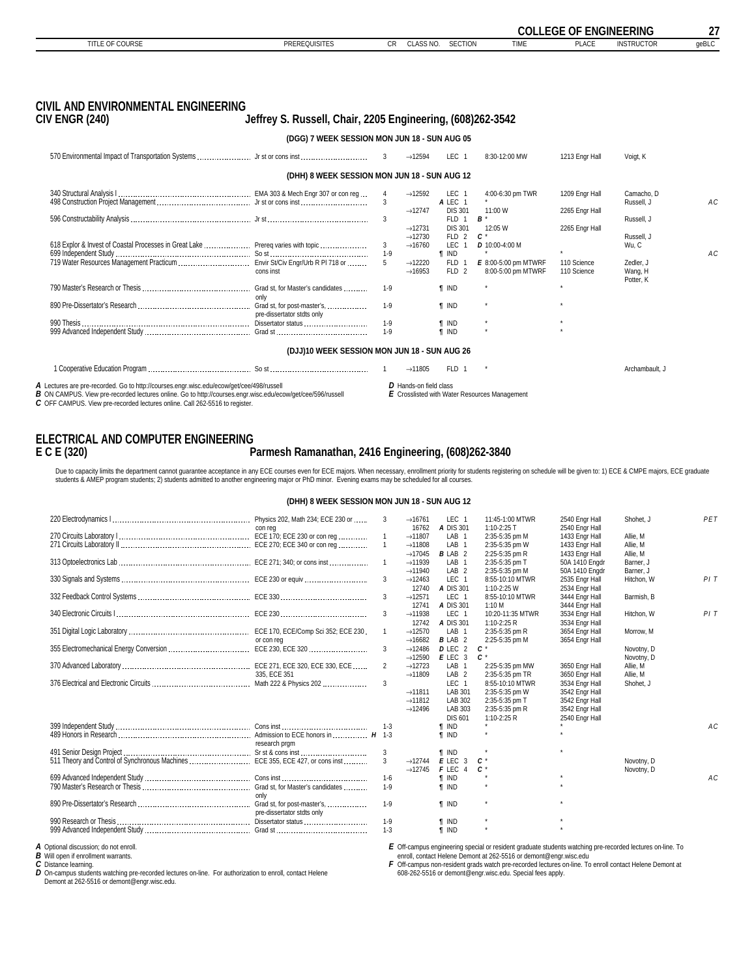<span id="page-26-0"></span>

|                                                                                                             |                                                            |              |                        |                           |                                               | <b>COLLEGE OF ENGINEERING</b> |                   | 27    |
|-------------------------------------------------------------------------------------------------------------|------------------------------------------------------------|--------------|------------------------|---------------------------|-----------------------------------------------|-------------------------------|-------------------|-------|
| TITLE OF COURSE                                                                                             | <b>PREREQUISITES</b>                                       | <b>CR</b>    | CLASS NO.              | <b>SECTION</b>            | <b>TIME</b>                                   | <b>PLACE</b>                  | <b>INSTRUCTOR</b> | qeBLC |
|                                                                                                             |                                                            |              |                        |                           |                                               |                               |                   |       |
|                                                                                                             |                                                            |              |                        |                           |                                               |                               |                   |       |
| <b>CIVIL AND ENVIRONMENTAL ENGINEERING</b>                                                                  |                                                            |              |                        |                           |                                               |                               |                   |       |
| <b>CIV ENGR (240)</b>                                                                                       | Jeffrey S. Russell, Chair, 2205 Engineering, (608)262-3542 |              |                        |                           |                                               |                               |                   |       |
|                                                                                                             | (DGG) 7 WEEK SESSION MON JUN 18 - SUN AUG 05               |              |                        |                           |                                               |                               |                   |       |
|                                                                                                             |                                                            | 3            | $\rightarrow$ 12594    | LEC <sub>1</sub>          | 8:30-12:00 MW                                 | 1213 Engr Hall                | Voigt, K          |       |
|                                                                                                             | (DHH) 8 WEEK SESSION MON JUN 18 - SUN AUG 12               |              |                        |                           |                                               |                               |                   |       |
|                                                                                                             |                                                            |              | $\rightarrow$ 12592    | LEC <sub>1</sub>          | 4:00-6:30 pm TWR                              | 1209 Engr Hall                | Camacho, D        |       |
|                                                                                                             |                                                            | 3            | $\rightarrow$ 12747    | A LEC 1<br><b>DIS 301</b> | 11:00 W                                       | 2265 Engr Hall                | Russell, J        | AC    |
|                                                                                                             |                                                            | 3            |                        | FLD 1                     | $B^*$                                         |                               | Russell, J        |       |
|                                                                                                             |                                                            |              | $\rightarrow$ 12731    | <b>DIS 301</b>            | 12:05 W                                       | 2265 Engr Hall                |                   |       |
|                                                                                                             |                                                            |              | $\rightarrow$ 12730    | FLD 2                     | $c^*$                                         |                               | Russell, J        |       |
| 618 Explor & Invest of Coastal Processes in Great Lake  Prereq varies with topic                            |                                                            | 3<br>$1 - 9$ | $\rightarrow$ 16760    | LEC<br>$\overline{1}$     | D 10:00-4:00 M                                | $\star$                       | Wu, C             |       |
|                                                                                                             |                                                            | 5            | $\rightarrow$ 12220    | <b>T</b> IND<br>FLD 1     | E 8:00-5:00 pm MTWRF                          | 110 Science                   | Zedler, J         | AC    |
|                                                                                                             | cons inst                                                  |              | $\rightarrow$ 16953    | FLD 2                     | 8:00-5:00 pm MTWRF                            | 110 Science                   | Wang, H           |       |
|                                                                                                             | Grad st, for Master's candidates                           | $1 - 9$      |                        | <b>f</b> IND              | $\star$                                       | $\star$                       | Potter, K         |       |
|                                                                                                             | only                                                       |              |                        |                           |                                               |                               |                   |       |
|                                                                                                             |                                                            | $1-9$        |                        | <b>T</b> IND              |                                               |                               |                   |       |
|                                                                                                             | pre-dissertator stdts only                                 |              |                        |                           |                                               |                               |                   |       |
|                                                                                                             |                                                            | $1 - 9$      |                        | <b>T</b> IND              |                                               | $\star$                       |                   |       |
|                                                                                                             |                                                            | $1 - 9$      |                        | <b>f</b> IND              |                                               |                               |                   |       |
|                                                                                                             | (DJJ)10 WEEK SESSION MON JUN 18 - SUN AUG 26               |              |                        |                           |                                               |                               |                   |       |
|                                                                                                             |                                                            |              | $\rightarrow$ 11805    | FLD 1                     |                                               |                               | Archambault. J    |       |
| A Lectures are pre-recorded. Go to http://courses.engr.wisc.edu/ecow/get/cee/498/russell                    |                                                            |              | D Hands-on field class |                           |                                               |                               |                   |       |
| B ON CAMPUS. View pre-recorded lectures online. Go to http://courses.engr.wisc.edu/ecow/get/cee/596/russell |                                                            |              |                        |                           | E Crosslisted with Water Resources Management |                               |                   |       |

*C* OFF CAMPUS. View pre-recorded lectures online. Call 262-5516 to register.

*D* Hands-on field class *E* Crosslisted with Water Resources Management

#### **ELECTRICAL AND COMPUTER ENGINEERING**<br>**E C E (320) E C E (320) Parmesh Ramanathan, 2416 Engineering, (608)262-3840**

Due to capacity limits the department cannot guarantee acceptance in any ECE courses even for ECE majors. When necessary, enrollment priority for students registering on schedule will be given to: 1) ECE & CMPE majors, ECE

#### **(DHH) 8 WEEK SESSION MON JUN 18 - SUN AUG 12**

|                        |                                  | 3              | $\rightarrow$ 16761 | LEC 1                     | 11:45-1:00 MTWR  | 2540 Engr Hall | Shohet. J  | PET            |
|------------------------|----------------------------------|----------------|---------------------|---------------------------|------------------|----------------|------------|----------------|
|                        | con req                          |                | 16762               | A DIS 301                 | $1:10-2:25$ T    | 2540 Engr Hall |            |                |
|                        |                                  |                | $\rightarrow$ 11807 | LAB <sub>1</sub>          | 2:35-5:35 pm M   | 1433 Engr Hall | Allie, M   |                |
|                        |                                  | $\mathbf{1}$   | $\rightarrow$ 11808 | LAB <sub>1</sub>          | 2:35-5:35 pm W   | 1433 Engr Hall | Allie, M   |                |
|                        |                                  |                | $\rightarrow$ 17045 | <b>BLAB 2</b>             | 2:25-5:35 pm R   | 1433 Engr Hall | Allie, M   |                |
|                        |                                  |                | $\rightarrow$ 11939 | LAB <sub>1</sub>          | 2:35-5:35 pm T   | 50A 1410 Engdr | Barner, J  |                |
|                        |                                  |                | $\rightarrow$ 11940 | LAB <sub>2</sub>          | 2:35-5:35 pm M   | 50A 1410 Engdr | Barner, J  |                |
|                        |                                  | 3              | $\rightarrow$ 12463 | LEC <sub>1</sub>          | 8:55-10:10 MTWR  | 2535 Engr Hall | Hitchon. W | PIT            |
|                        |                                  |                | 12740               | A DIS 301                 | 1:10-2:25 W      | 2534 Engr Hall |            |                |
|                        |                                  | 3              | $\rightarrow$ 12571 | LEC <sub>1</sub>          | 8:55-10:10 MTWR  | 3444 Engr Hall | Barmish, B |                |
|                        |                                  |                | 12741               | A DIS 301                 | 1:10 M           | 3444 Engr Hall |            |                |
|                        |                                  | 3              | $\rightarrow$ 11938 | LEC <sub>1</sub>          | 10:20-11:35 MTWR | 3534 Engr Hall | Hitchon, W | PIT            |
|                        |                                  |                | 12742               | A DIS 301                 | 1:10-2:25 R      | 3534 Engr Hall |            |                |
|                        |                                  |                | $\rightarrow$ 12570 | LAB <sub>1</sub>          | 2:35-5:35 pm R   | 3654 Engr Hall | Morrow. M  |                |
|                        | or con reg                       |                | $\rightarrow$ 16682 | <b>B</b> LAB <sub>2</sub> | 2:25-5:35 pm M   | 3654 Engr Hall |            |                |
|                        |                                  | 3              | $\rightarrow$ 12486 | D LEC 2                   | <b>C</b> *       |                | Novotny, D |                |
|                        |                                  |                | $\rightarrow$ 12590 | $E$ LEC 3                 | $c^*$            |                | Novotny, D |                |
|                        |                                  | $\overline{2}$ | $\rightarrow$ 12723 | LAB <sub>1</sub>          | 2:25-5:35 pm MW  | 3650 Engr Hall | Allie, M   |                |
|                        | 335, ECE 351                     |                | $\rightarrow$ 11809 | LAB <sub>2</sub>          | 2:35-5:35 pm TR  | 3650 Engr Hall | Allie, M   |                |
|                        |                                  | 3              |                     | LEC <sub>1</sub>          | 8:55-10:10 MTWR  | 3534 Engr Hall | Shohet. J  |                |
|                        |                                  |                | $\rightarrow$ 11811 | LAB 301                   | 2:35-5:35 pm W   | 3542 Engr Hall |            |                |
|                        |                                  |                | $\rightarrow$ 11812 | LAB 302                   | 2:35-5:35 pm T   | 3542 Engr Hall |            |                |
|                        |                                  |                | $\rightarrow$ 12496 | LAB 303                   | 2:35-5:35 pm R   | 3542 Engr Hall |            |                |
|                        |                                  |                |                     | <b>DIS 601</b>            | 1:10-2:25 R      | 2540 Engr Hall |            |                |
|                        |                                  | $1 - 3$        |                     | <b>f</b> IND              |                  |                |            | AC             |
|                        |                                  |                |                     | <b>T</b> IND              |                  |                |            |                |
|                        | research prom                    |                |                     |                           |                  |                |            |                |
|                        |                                  | 3              |                     | <b>f</b> IND              |                  |                |            |                |
|                        |                                  | 3              | $\rightarrow$ 12744 | $E$ LEC 3                 | C *              |                | Novotny, D |                |
|                        |                                  |                | $\rightarrow$ 12745 | $F$ LEC 4                 | c*               |                | Novotny, D |                |
|                        |                                  | $1 - 6$        |                     | $\P$ IND                  |                  |                |            | A <sub>C</sub> |
|                        | Grad st, for Master's candidates | $1-9$          |                     | <b>f</b> IND              |                  |                |            |                |
|                        | only                             |                |                     |                           |                  |                |            |                |
|                        | Grad st, for post-master's,      | $1-9$          |                     | <b>T</b> IND              | $\star$          |                |            |                |
|                        | pre-dissertator stdts only       |                |                     |                           |                  |                |            |                |
| 990 Research or Thesis |                                  | $1-9$          |                     | <b>T</b> IND              |                  |                |            |                |
|                        |                                  | $1 - 3$        |                     | <b>f</b> IND              |                  |                |            |                |
|                        |                                  |                |                     |                           |                  |                |            |                |

A Optional discussion; do not enroll.<br>B Will open if enrollment warrants.<br>C Distance learning.<br>D On-campus students watching pre-recorded lectures on-line. For authorization to enroll, contact Helene Demont at 262-5516 or demont@engr.wisc.edu.

E Off-campus engineering special or resident graduate students watching pre-recorded lectures on-line. To<br>F Off-campus non-resident at 262-5516 or demont@engr.wisc.edu<br>F Off-campus non-resident grads watch pre-recorded le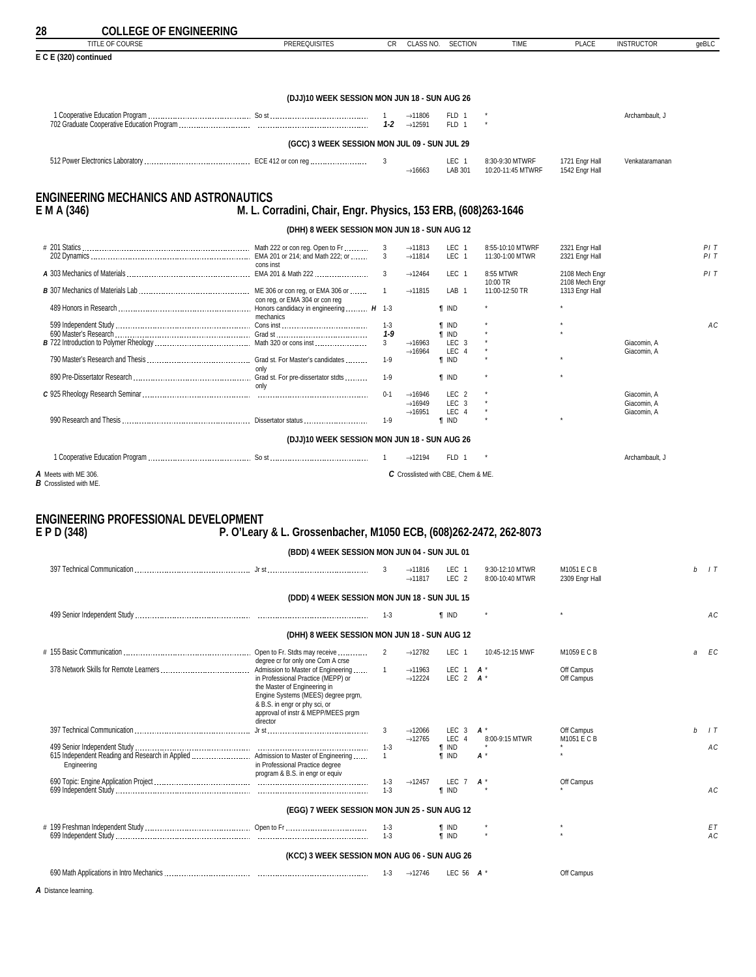<span id="page-27-0"></span>

| 28<br><b>COLLEGE OF ENGINEERING</b><br><b>TITLE OF COURSE</b> | <b>PREREQUISITES</b>                                                    | <b>CR</b>                 | CLASS NO.                                  | <b>SECTION</b>                     | <b>TIME</b>                          | <b>PLACE</b>                     | <b>INSTRUCTOR</b>          | geBLC           |
|---------------------------------------------------------------|-------------------------------------------------------------------------|---------------------------|--------------------------------------------|------------------------------------|--------------------------------------|----------------------------------|----------------------------|-----------------|
| E C E (320) continued                                         |                                                                         |                           |                                            |                                    |                                      |                                  |                            |                 |
|                                                               | (DJJ)10 WEEK SESSION MON JUN 18 - SUN AUG 26                            |                           |                                            |                                    |                                      |                                  |                            |                 |
|                                                               |                                                                         | $\overline{1}$<br>$1 - 2$ | $\rightarrow$ 11806<br>$\rightarrow$ 12591 | FLD 1<br>FLD 1                     |                                      |                                  | Archambault, J             |                 |
|                                                               | (GCC) 3 WEEK SESSION MON JUL 09 - SUN JUL 29                            |                           |                                            |                                    |                                      |                                  |                            |                 |
|                                                               |                                                                         | 3                         | $\rightarrow$ 16663                        | LEC 1<br>LAB 301                   | 8:30-9:30 MTWRF<br>10:20-11:45 MTWRF | 1721 Engr Hall<br>1542 Engr Hall | Venkataramanan             |                 |
|                                                               |                                                                         |                           |                                            |                                    |                                      |                                  |                            |                 |
| <b>ENGINEERING MECHANICS AND ASTRONAUTICS</b><br>E M A (346)  | M. L. Corradini, Chair, Engr. Physics, 153 ERB, (608)263-1646           |                           |                                            |                                    |                                      |                                  |                            |                 |
|                                                               | (DHH) 8 WEEK SESSION MON JUN 18 - SUN AUG 12                            |                           |                                            |                                    |                                      |                                  |                            |                 |
|                                                               |                                                                         | 3                         | $\rightarrow$ 11813                        | LEC 1                              | 8:55-10:10 MTWRF                     | 2321 Engr Hall                   |                            | PIT             |
|                                                               |                                                                         | 3                         | $\rightarrow$ 11814                        | LEC 1                              | 11:30-1:00 MTWR                      | 2321 Engr Hall                   |                            | PIT             |
|                                                               | cons inst                                                               | 3                         | $\rightarrow$ 12464                        | LEC 1                              | 8:55 MTWR                            | 2108 Mech Engr                   |                            | PIT             |
|                                                               |                                                                         | $\mathbf{1}$              | $\rightarrow$ 11815                        | LAB <sub>1</sub>                   | 10:00 TR<br>11:00-12:50 TR           | 2108 Mech Engr<br>1313 Engr Hall |                            |                 |
|                                                               | con reg, or EMA 304 or con reg                                          |                           |                                            | <b>T</b> IND                       |                                      |                                  |                            |                 |
|                                                               | mechanics                                                               |                           |                                            |                                    |                                      |                                  |                            |                 |
|                                                               |                                                                         | $1 - 3$<br>1-9            |                                            | <b>T</b> IND<br>$\P$ IND           |                                      |                                  |                            | AC              |
|                                                               |                                                                         | 3 <sup>1</sup>            | $\rightarrow$ 16963<br>$\rightarrow$ 16964 | LEC 3<br>LEC<br>$\overline{4}$     |                                      |                                  | Giacomin, A<br>Giacomin, A |                 |
|                                                               | only                                                                    | $1-9$                     |                                            | <b>T</b> IND                       |                                      |                                  |                            |                 |
|                                                               |                                                                         | $1-9$                     |                                            | <b>T</b> IND                       |                                      |                                  |                            |                 |
|                                                               |                                                                         | $0 - 1$                   | $\rightarrow$ 16946                        | LEC <sub>2</sub>                   |                                      |                                  | Giacomin, A                |                 |
|                                                               |                                                                         |                           | $\rightarrow$ 16949<br>$\rightarrow$ 16951 | LEC <sub>3</sub><br>LEC 4          |                                      |                                  | Giacomin, A<br>Giacomin, A |                 |
|                                                               |                                                                         | $1-9$                     |                                            | <b>T IND</b>                       |                                      |                                  |                            |                 |
|                                                               | (DJJ)10 WEEK SESSION MON JUN 18 - SUN AUG 26                            |                           |                                            |                                    |                                      |                                  |                            |                 |
|                                                               |                                                                         |                           | $\rightarrow$ 12194                        | FLD 1                              |                                      |                                  | Archambault, J             |                 |
| A Meets with ME 306.                                          |                                                                         |                           |                                            | C Crosslisted with CBE, Chem & ME. |                                      |                                  |                            |                 |
| <b>B</b> Crosslisted with ME.                                 |                                                                         |                           |                                            |                                    |                                      |                                  |                            |                 |
|                                                               |                                                                         |                           |                                            |                                    |                                      |                                  |                            |                 |
| <b>ENGINEERING PROFESSIONAL DEVELOPMENT</b>                   |                                                                         |                           |                                            |                                    |                                      |                                  |                            |                 |
| E P D (348)                                                   | P. O'Leary & L. Grossenbacher, M1050 ECB, (608)262-2472, 262-8073       |                           |                                            |                                    |                                      |                                  |                            |                 |
|                                                               | (BDD) 4 WEEK SESSION MON JUN 04 - SUN JUL 01                            |                           |                                            |                                    |                                      |                                  |                            |                 |
|                                                               |                                                                         | 3                         | $\rightarrow$ 11816<br>$\rightarrow$ 11817 | LEC 1<br>LEC <sub>2</sub>          | 9:30-12:10 MTWR<br>8:00-10:40 MTWR   | M1051 E C B<br>2309 Engr Hall    |                            | $b$ $\perp$ $T$ |
|                                                               |                                                                         |                           |                                            |                                    |                                      |                                  |                            |                 |
|                                                               | (DDD) 4 WEEK SESSION MON JUN 18 - SUN JUL 15                            |                           |                                            |                                    |                                      |                                  |                            |                 |
|                                                               |                                                                         | $1-3$                     |                                            | <b>T</b> IND                       |                                      |                                  |                            | АC              |
|                                                               | (DHH) 8 WEEK SESSION MON JUN 18 - SUN AUG 12                            |                           |                                            |                                    |                                      |                                  |                            |                 |
|                                                               |                                                                         | 2                         | $\rightarrow$ 12782                        | LEC 1                              | 10:45-12:15 MWF                      | M1059 E C B                      |                            | EC<br>a         |
|                                                               | degree cr for only one Com A crse<br>Admission to Master of Engineering | $\overline{1}$            | $\rightarrow$ 11963                        | LEC 1                              | $A^*$                                | Off Campus                       |                            |                 |
|                                                               | in Professional Practice (MEPP) or<br>the Master of Engineering in      |                           | $\rightarrow$ 12224                        | LEC 2 $A^*$                        |                                      | Off Campus                       |                            |                 |
|                                                               | Engine Systems (MEES) degree prgm,                                      |                           |                                            |                                    |                                      |                                  |                            |                 |
|                                                               | & B.S. in engr or phy sci, or<br>approval of instr & MEPP/MEES prgm     |                           |                                            |                                    |                                      |                                  |                            |                 |
|                                                               | director                                                                | 3                         | $\rightarrow$ 12066                        | LEC <sub>3</sub>                   | <b>A</b> *                           | Off Campus                       |                            | 1T<br>h         |
|                                                               |                                                                         |                           | $\rightarrow$ 12765                        | LEC 4                              | 8:00-9:15 MTWR                       | M1051 E C B                      |                            |                 |
|                                                               |                                                                         | $1 - 3$<br>$\mathbf{1}$   |                                            | <b>T</b> IND<br><b>T</b> IND       | $A^*$                                |                                  |                            | AC              |
| Engineering                                                   | in Professional Practice degree<br>program & B.S. in engr or equiv      |                           |                                            |                                    |                                      |                                  |                            |                 |
|                                                               |                                                                         | $1 - 3$<br>$1 - 3$        | $\rightarrow$ 12457                        | LEC $7$ $A^*$<br><b>T</b> IND      |                                      | Off Campus                       |                            | AC              |
|                                                               |                                                                         |                           |                                            |                                    |                                      |                                  |                            |                 |
|                                                               | (EGG) 7 WEEK SESSION MON JUN 25 - SUN AUG 12                            |                           |                                            |                                    |                                      |                                  |                            |                 |
|                                                               |                                                                         | $1 - 3$<br>$1 - 3$        |                                            | ¶ IND<br><b>f</b> IND              |                                      |                                  |                            | EΤ<br>AC        |
|                                                               |                                                                         |                           |                                            |                                    |                                      |                                  |                            |                 |
|                                                               | (KCC) 3 WEEK SESSION MON AUG 06 - SUN AUG 26                            |                           |                                            |                                    |                                      |                                  |                            |                 |
|                                                               |                                                                         | $1-3$                     | $\rightarrow$ 12746                        | LEC 56 $A^*$                       |                                      | Off Campus                       |                            |                 |
| A Distance learning.                                          |                                                                         |                           |                                            |                                    |                                      |                                  |                            |                 |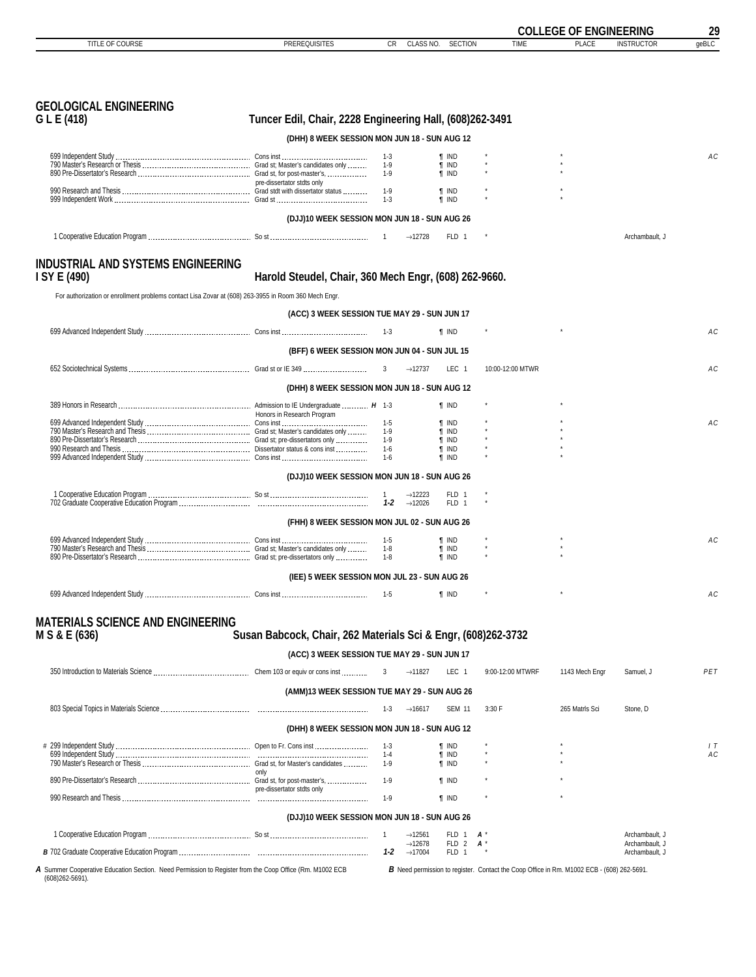<span id="page-28-0"></span>

|                                                                                                                                 |                                                               |                    |                                                              |                                                                                           | <b>COLLEGE OF ENGINEERING</b> |                                  | 29    |
|---------------------------------------------------------------------------------------------------------------------------------|---------------------------------------------------------------|--------------------|--------------------------------------------------------------|-------------------------------------------------------------------------------------------|-------------------------------|----------------------------------|-------|
| TITLE OF COURSE                                                                                                                 | <b>PREREQUISITES</b>                                          | CR.                | CLASS NO.<br><b>SECTION</b>                                  | <b>TIME</b>                                                                               | <b>PLACE</b>                  | <b>INSTRUCTOR</b>                | geBLC |
|                                                                                                                                 |                                                               |                    |                                                              |                                                                                           |                               |                                  |       |
| <b>GEOLOGICAL ENGINEERING</b>                                                                                                   |                                                               |                    |                                                              |                                                                                           |                               |                                  |       |
| G L E (418)                                                                                                                     | Tuncer Edil, Chair, 2228 Engineering Hall, (608)262-3491      |                    |                                                              |                                                                                           |                               |                                  |       |
|                                                                                                                                 | (DHH) 8 WEEK SESSION MON JUN 18 - SUN AUG 12                  |                    |                                                              |                                                                                           |                               |                                  |       |
|                                                                                                                                 |                                                               | 1-3                | ¶ IND                                                        |                                                                                           |                               |                                  | AC    |
|                                                                                                                                 | pre-dissertator stdts only                                    | $1-9$<br>1-9       | <b>T</b> IND<br><b>T</b> IND                                 |                                                                                           |                               |                                  |       |
|                                                                                                                                 |                                                               | $1-9$<br>$1 - 3$   | <b>T</b> IND<br><b>T</b> IND                                 |                                                                                           |                               |                                  |       |
|                                                                                                                                 | (DJJ)10 WEEK SESSION MON JUN 18 - SUN AUG 26                  |                    |                                                              |                                                                                           |                               |                                  |       |
|                                                                                                                                 |                                                               |                    | $\rightarrow$ 12728<br>FLD 1                                 |                                                                                           |                               | Archambault, J                   |       |
| <b>INDUSTRIAL AND SYSTEMS ENGINEERING</b><br>I SY E (490)                                                                       | Harold Steudel, Chair, 360 Mech Engr, (608) 262-9660.         |                    |                                                              |                                                                                           |                               |                                  |       |
| For authorization or enrollment problems contact Lisa Zovar at (608) 263-3955 in Room 360 Mech Engr.                            |                                                               |                    |                                                              |                                                                                           |                               |                                  |       |
|                                                                                                                                 | (ACC) 3 WEEK SESSION TUE MAY 29 - SUN JUN 17                  |                    |                                                              |                                                                                           |                               |                                  |       |
|                                                                                                                                 |                                                               | $1 - 3$            | <b>T</b> IND                                                 |                                                                                           |                               |                                  | AC    |
|                                                                                                                                 |                                                               |                    |                                                              |                                                                                           |                               |                                  |       |
|                                                                                                                                 | (BFF) 6 WEEK SESSION MON JUN 04 - SUN JUL 15                  |                    |                                                              |                                                                                           |                               |                                  |       |
|                                                                                                                                 |                                                               | 3                  | $\rightarrow$ 12737<br>LEC <sub>1</sub>                      | 10:00-12:00 MTWR                                                                          |                               |                                  | AC    |
|                                                                                                                                 | (DHH) 8 WEEK SESSION MON JUN 18 - SUN AUG 12                  |                    |                                                              |                                                                                           |                               |                                  |       |
|                                                                                                                                 | Honors in Research Program                                    |                    | <b>T</b> IND                                                 |                                                                                           |                               |                                  |       |
|                                                                                                                                 |                                                               | $1-5$<br>$1 - 9$   | <b>T</b> IND<br><b>T</b> IND                                 |                                                                                           |                               |                                  | AC    |
|                                                                                                                                 |                                                               | 1-9                | ¶ IND                                                        |                                                                                           |                               |                                  |       |
|                                                                                                                                 |                                                               | $1 - 6$<br>$1 - 6$ | <b>T</b> IND<br><b>T</b> IND                                 |                                                                                           |                               |                                  |       |
|                                                                                                                                 | (DJJ)10 WEEK SESSION MON JUN 18 - SUN AUG 26                  |                    |                                                              |                                                                                           |                               |                                  |       |
|                                                                                                                                 |                                                               |                    | FLD 1<br>$\rightarrow$ 12223                                 |                                                                                           |                               |                                  |       |
|                                                                                                                                 |                                                               | 1-2                | $\rightarrow$ 12026<br>FLD 1                                 |                                                                                           |                               |                                  |       |
|                                                                                                                                 | (FHH) 8 WEEK SESSION MON JUL 02 - SUN AUG 26                  |                    |                                                              |                                                                                           |                               |                                  |       |
|                                                                                                                                 |                                                               | $1-5$              | <b>T</b> IND                                                 |                                                                                           |                               |                                  | AC    |
|                                                                                                                                 |                                                               | $1-8$<br>$1-8$     | <b>T</b> IND<br><b>f</b> IND                                 |                                                                                           |                               |                                  |       |
|                                                                                                                                 | (IEE) 5 WEEK SESSION MON JUL 23 - SUN AUG 26                  |                    |                                                              |                                                                                           |                               |                                  |       |
|                                                                                                                                 |                                                               | 1-5                | <b>T</b> IND                                                 |                                                                                           |                               |                                  | AC    |
|                                                                                                                                 |                                                               |                    |                                                              |                                                                                           |                               |                                  |       |
| <b>MATERIALS SCIENCE AND ENGINEERING</b>                                                                                        |                                                               |                    |                                                              |                                                                                           |                               |                                  |       |
| M S & E (636)                                                                                                                   | Susan Babcock, Chair, 262 Materials Sci & Engr, (608)262-3732 |                    |                                                              |                                                                                           |                               |                                  |       |
|                                                                                                                                 | (ACC) 3 WEEK SESSION TUE MAY 29 - SUN JUN 17                  |                    |                                                              |                                                                                           |                               |                                  |       |
|                                                                                                                                 |                                                               |                    | $\rightarrow$ 11827<br>LEC 1                                 | 9:00-12:00 MTWRF                                                                          | 1143 Mech Engr                | Samuel, J                        | PET   |
|                                                                                                                                 | (AMM)13 WEEK SESSION TUE MAY 29 - SUN AUG 26                  |                    |                                                              |                                                                                           |                               |                                  |       |
|                                                                                                                                 |                                                               | $1-3$              | $\rightarrow$ 16617<br><b>SEM 11</b>                         | 3:30 F                                                                                    | 265 Matrls Sci                | Stone, D                         |       |
|                                                                                                                                 | (DHH) 8 WEEK SESSION MON JUN 18 - SUN AUG 12                  |                    |                                                              |                                                                                           |                               |                                  |       |
|                                                                                                                                 |                                                               | 1-3                | ¶ IND                                                        |                                                                                           |                               |                                  | 1T    |
|                                                                                                                                 |                                                               | $1 - 4$<br>1-9     | <b>T</b> IND<br><b>T</b> IND                                 |                                                                                           |                               |                                  | AC    |
|                                                                                                                                 | only                                                          |                    |                                                              |                                                                                           |                               |                                  |       |
|                                                                                                                                 | pre-dissertator stdts only                                    | $1-9$              | <b>T</b> IND                                                 |                                                                                           |                               |                                  |       |
|                                                                                                                                 |                                                               | $1-9$              | <b>T</b> IND                                                 |                                                                                           |                               |                                  |       |
|                                                                                                                                 | (DJJ)10 WEEK SESSION MON JUN 18 - SUN AUG 26                  |                    |                                                              |                                                                                           |                               |                                  |       |
|                                                                                                                                 |                                                               | $\overline{1}$     | $\rightarrow$ 12561<br>FLD 1<br>$\rightarrow$ 12678<br>FLD 2 | $A^*$<br>$\mathbf{A}$                                                                     |                               | Archambault, J<br>Archambault, J |       |
|                                                                                                                                 |                                                               | $1 - 2$            | $\rightarrow$ 17004<br>FLD 1                                 |                                                                                           |                               | Archambault, J                   |       |
| A Summer Cooperative Education Section. Need Permission to Register from the Coop Office (Rm. M1002 ECB<br>$(608)262 - 5691$ ). |                                                               |                    |                                                              | B Need permission to register. Contact the Coop Office in Rm. M1002 ECB - (608) 262-5691. |                               |                                  |       |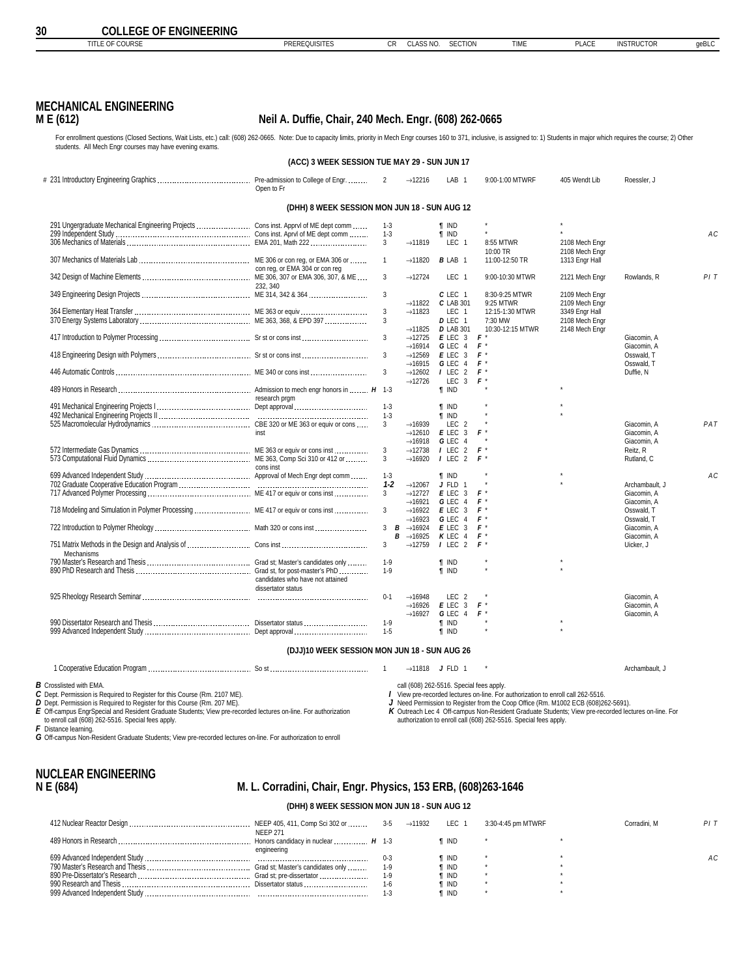<span id="page-29-0"></span>

|--|

### **MECHANICAL ENGINEERING**

#### **M E (612) Neil A. Duffie, Chair, 240 Mech. Engr. (608) 262-0665**

For enrollment questions (Closed Sections, Wait Lists, etc.) call: (608) 262-0665. Note: Due to capacity limits, priority in Mech Engr courses 160 to 371, inclusive, is assigned to: 1) Students in major which requires the students. All Mech Engr courses may have evening exams.

|                                                                                      | (ACC) 3 WEEK SESSION TUE MAY 29 - SUN JUN 17 |              |                                            |                         |                  |                |                           |     |
|--------------------------------------------------------------------------------------|----------------------------------------------|--------------|--------------------------------------------|-------------------------|------------------|----------------|---------------------------|-----|
|                                                                                      | Open to Fr                                   | 2            | $\rightarrow$ 12216                        | LAB <sub>1</sub>        | 9:00-1:00 MTWRF  | 405 Wendt Lib  | Roessler, J               |     |
|                                                                                      | (DHH) 8 WEEK SESSION MON JUN 18 - SUN AUG 12 |              |                                            |                         |                  |                |                           |     |
| 291 Ungergraduate Mechanical Engineering Projects  Cons inst. Apprvl of ME dept comm |                                              | $1 - 3$      |                                            | <b>T</b> IND            |                  |                |                           |     |
|                                                                                      |                                              | $1 - 3$      |                                            | <b>T IND</b>            |                  |                |                           | AC  |
|                                                                                      |                                              | $\mathbf{3}$ | $\rightarrow$ 11819                        | LEC <sub>1</sub>        | 8:55 MTWR        | 2108 Mech Engr |                           |     |
|                                                                                      |                                              |              |                                            |                         | 10:00 TR         | 2108 Mech Engr |                           |     |
|                                                                                      |                                              | $\mathbf{1}$ | $\rightarrow$ 11820                        | <b>BLAB 1</b>           | 11:00-12:50 TR   | 1313 Engr Hall |                           |     |
|                                                                                      | con reg, or EMA 304 or con reg               |              |                                            |                         |                  |                |                           |     |
|                                                                                      |                                              | 3            | $\rightarrow$ 12724                        | LEC <sub>1</sub>        | 9:00-10:30 MTWR  | 2121 Mech Engr | Rowlands, R               | PIT |
|                                                                                      | 232, 340                                     | 3            |                                            | $C$ LEC $1$             | 8:30-9:25 MTWR   | 2109 Mech Engr |                           |     |
|                                                                                      |                                              |              | $\rightarrow$ 11822                        | C LAB 301               | 9:25 MTWR        | 2109 Mech Engr |                           |     |
|                                                                                      |                                              | 3            | $\rightarrow$ 11823                        | LEC 1                   | 12:15-1:30 MTWR  | 3349 Engr Hall |                           |     |
|                                                                                      |                                              | 3            |                                            | D LEC 1                 | 7:30 MW          | 2108 Mech Engr |                           |     |
|                                                                                      |                                              |              | $\rightarrow$ 11825                        | <b>D</b> LAB 301        | 10:30-12:15 MTWR | 2148 Mech Engr |                           |     |
|                                                                                      |                                              | 3            | $\rightarrow$ 12725                        | E LEC 3                 | $F^*$            |                | Giacomin, A               |     |
|                                                                                      |                                              |              | $\rightarrow$ 16914                        | G LEC 4                 | $F^*$            |                | Giacomin, A               |     |
|                                                                                      |                                              | 3            | $\rightarrow$ 12569                        | $E$ LEC 3               | F*               |                | Osswald. T                |     |
|                                                                                      |                                              |              | $\rightarrow$ 16915                        | G LEC<br>$\overline{4}$ | $F^*$            |                | Osswald, T                |     |
|                                                                                      |                                              | 3            | $\rightarrow$ 12602                        | / LEC<br>$\overline{2}$ | $F^*$            |                | Duffie, N                 |     |
|                                                                                      |                                              |              | $\rightarrow$ 12726                        | LEC<br>$\mathbf{3}$     | $F^*$            |                |                           |     |
|                                                                                      | research prgm                                |              |                                            | <b>f</b> IND            |                  |                |                           |     |
|                                                                                      |                                              | $1 - 3$      |                                            | <b>T</b> IND            |                  |                |                           |     |
|                                                                                      |                                              | $1 - 3$      |                                            | $\P$ IND                |                  |                |                           |     |
|                                                                                      |                                              | 3            | $\rightarrow$ 16939                        | LEC <sub>2</sub>        |                  |                | Giacomin, A               | PAT |
|                                                                                      |                                              |              | $\rightarrow$ 12610                        | $E$ LEC 3               | F*               |                | Giacomin, A               |     |
|                                                                                      |                                              |              | $\rightarrow$ 16918                        | GLEC 4                  |                  |                | Giacomin, A               |     |
|                                                                                      |                                              | 3            | $\rightarrow$ 12738                        | $I$ LEC 2               | $F^*$            |                | Reitz, R                  |     |
|                                                                                      |                                              | 3            | $\rightarrow$ 16920                        | 2<br><b>I</b> LEC       | $F^*$            |                | Rutland, C                |     |
|                                                                                      | cons inst                                    |              |                                            |                         |                  |                |                           |     |
|                                                                                      |                                              | $1 - 3$      |                                            | $\P$ IND                |                  |                |                           | AC  |
|                                                                                      |                                              | $1 - 2$      | $\rightarrow$ 12067                        | J FLD<br>-1             |                  |                | Archambault. J            |     |
|                                                                                      |                                              | 3            | $\rightarrow$ 12727                        | E LEC<br>3              | $F^*$            |                | Giacomin, A               |     |
|                                                                                      |                                              | 3            | $\rightarrow$ 16921<br>$\rightarrow$ 16922 | G LEC 4<br>$E$ LEC 3    | $F^*$<br>$F^*$   |                | Giacomin, A<br>Osswald, T |     |
|                                                                                      |                                              |              | $\rightarrow$ 16923                        | G LEC<br>$\overline{4}$ | $F^*$            |                | Osswald, T                |     |
|                                                                                      |                                              | $3$ $B$      | $\rightarrow$ 16924                        | $E$ LEC 3               | $F^*$            |                | Giacomin, A               |     |
|                                                                                      |                                              | в            | $\rightarrow$ 16925                        | K LEC<br>$\overline{4}$ | $F^*$            |                | Giacomin, A               |     |
|                                                                                      |                                              | 3            | $\rightarrow$ 12759                        | $I$ LEC 2               | F*               |                | Uicker, J                 |     |
| Mechanisms                                                                           |                                              |              |                                            |                         |                  |                |                           |     |
|                                                                                      |                                              | $1-9$        |                                            | <b>T</b> IND            |                  |                |                           |     |
|                                                                                      |                                              | $1-9$        |                                            | <b>f</b> IND            |                  |                |                           |     |
|                                                                                      | candidates who have not attained             |              |                                            |                         |                  |                |                           |     |
|                                                                                      | dissertator status                           |              |                                            |                         |                  |                |                           |     |
|                                                                                      |                                              | $0 - 1$      | $\rightarrow$ 16948                        | LEC <sub>2</sub>        |                  |                | Giacomin, A               |     |
|                                                                                      |                                              |              | $\rightarrow$ 16926                        | $E$ LEC 3<br>G LEC 4    | $F^*$<br>F*      |                | Giacomin, A               |     |
|                                                                                      |                                              | $1-9$        | $\rightarrow$ 16927                        | <b>T</b> IND            |                  |                | Giacomin, A               |     |
|                                                                                      |                                              | $1-5$        |                                            | <b>T</b> IND            |                  |                |                           |     |
|                                                                                      |                                              |              |                                            |                         |                  |                |                           |     |

#### **(DJJ)10 WEEK SESSION MON JUN 18 - SUN AUG 26**

1 Cooperative Education Program So st 1 →11818 *J* FLD 1 \* Archambault, J

*B* Crosslisted with EMA. *C* Dept. Permission is Required to Register for this Course (Rm. 2107 ME).

**D** Dept. Permission is Required to Register for this Course (Rm. 207 ME).<br>E Off-campus EngrSpecial and Resident Graduate Students; View pre-recorded lectures on-line. For authorization<br>to enroll call (608) 262-5516. Spe

call (608) 262-5516. Special fees apply. *I* View pre-recorded lectures on-line. For authorization to enroll call 262-5516.

*J* Need Permission to Register from the Coop Office (Rm. M1002 ECB (608)262-5691).

*K* Outreach Lec 4 Off-campus Non-Resident Graduate Students; View pre-recorded lectures on-line. For authorization to enroll call (608) 262-5516. Special fees apply.

*F* Distance learning. *G* Off-campus Non-Resident Graduate Students; View pre-recorded lectures on-line. For authorization to enroll

# **NUCLEAR ENGINEERING**

### **N E (684) M. L. Corradini, Chair, Engr. Physics, 153 ERB, (608)263-1646**

#### **(DHH) 8 WEEK SESSION MON JUN 18 - SUN AUG 12**

| <b>NEEP 271</b> |         | $\rightarrow$ 11932 | LEC 1        | 3:30-4:45 pm MTWRF | Corradini, M |     |
|-----------------|---------|---------------------|--------------|--------------------|--------------|-----|
| engineering     |         |                     | ¶ IND        |                    |              |     |
|                 | $0 - 3$ |                     | ¶ IND        |                    |              | AC. |
|                 | $1-9$   |                     | ¶ IND        |                    |              |     |
|                 | 1-9     |                     | <b>T</b> IND |                    |              |     |
|                 | $1 - 6$ |                     | ¶ IND        |                    |              |     |
|                 |         |                     | ¶ IND        |                    |              |     |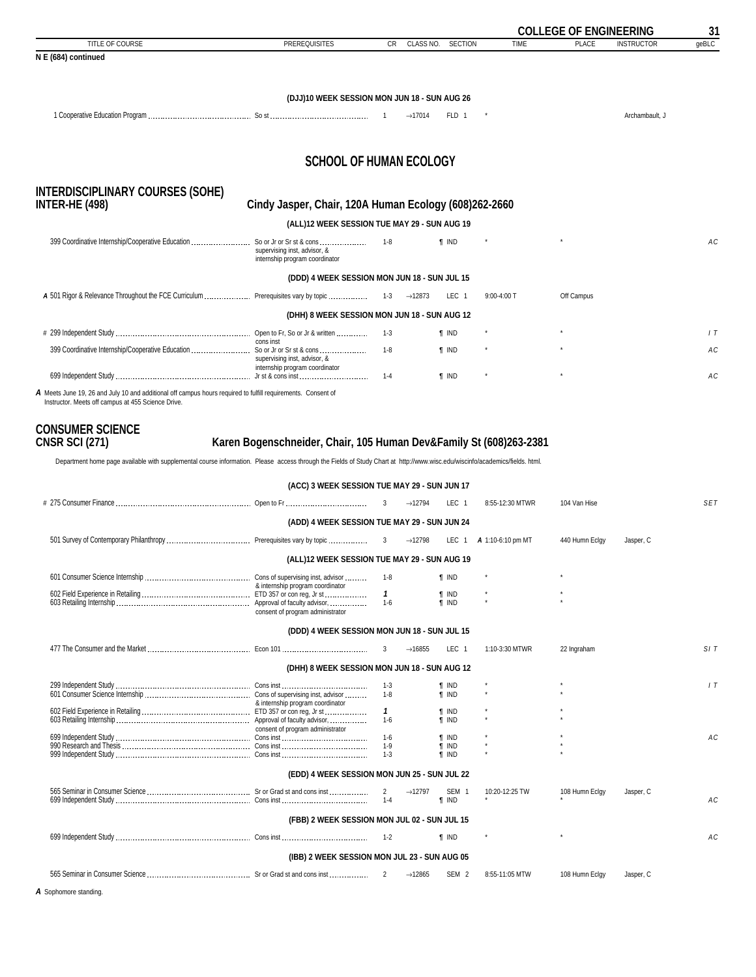<span id="page-30-0"></span>

|                                                                                                                                                                    |                                                                                            |           |                     |              |                 | <b>COLLEGE OF ENGINEERING</b> |                   | 31    |
|--------------------------------------------------------------------------------------------------------------------------------------------------------------------|--------------------------------------------------------------------------------------------|-----------|---------------------|--------------|-----------------|-------------------------------|-------------------|-------|
| TITLE OF COURSE                                                                                                                                                    | <b>PREREQUISITES</b>                                                                       | <b>CR</b> | CLASS NO. SECTION   |              | <b>TIME</b>     | PLACE                         | <b>INSTRUCTOR</b> | geBLC |
| N E (684) continued                                                                                                                                                |                                                                                            |           |                     |              |                 |                               |                   |       |
|                                                                                                                                                                    |                                                                                            |           |                     |              |                 |                               |                   |       |
|                                                                                                                                                                    | (DJJ)10 WEEK SESSION MON JUN 18 - SUN AUG 26                                               |           |                     |              |                 |                               |                   |       |
|                                                                                                                                                                    |                                                                                            |           | $\rightarrow$ 17014 | FLD 1        |                 |                               | Archambault, J    |       |
|                                                                                                                                                                    | <b>SCHOOL OF HUMAN ECOLOGY</b>                                                             |           |                     |              |                 |                               |                   |       |
|                                                                                                                                                                    |                                                                                            |           |                     |              |                 |                               |                   |       |
| <b>INTERDISCIPLINARY COURSES (SOHE)</b><br>INTER-HE (498)                                                                                                          | Cindy Jasper, Chair, 120A Human Ecology (608)262-2660                                      |           |                     |              |                 |                               |                   |       |
|                                                                                                                                                                    | (ALL)12 WEEK SESSION TUE MAY 29 - SUN AUG 19                                               |           |                     |              |                 |                               |                   |       |
| 399 Coordinative Internship/Cooperative Education                                                                                                                  | So or Jr or Sr st & cons<br>supervising inst, advisor, &<br>internship program coordinator | 1-8       |                     | <b>T</b> IND |                 |                               |                   | AC    |
|                                                                                                                                                                    | (DDD) 4 WEEK SESSION MON JUN 18 - SUN JUL 15                                               |           |                     |              |                 |                               |                   |       |
|                                                                                                                                                                    |                                                                                            |           |                     | LEC 1        | $9:00 - 4:00$ T | Off Campus                    |                   |       |
|                                                                                                                                                                    | (DHH) 8 WEEK SESSION MON JUN 18 - SUN AUG 12                                               |           |                     |              |                 |                               |                   |       |
|                                                                                                                                                                    | cons inst                                                                                  | $1 - 3$   |                     | <b>T</b> IND |                 | $^\star$                      |                   | 1T    |
| 399 Coordinative Internship/Cooperative Education                                                                                                                  | So or Jr or Sr st & cons<br>supervising inst, advisor, &<br>internship program coordinator | $1 - 8$   |                     | <b>f</b> IND |                 | $\star$                       |                   | AC    |
|                                                                                                                                                                    |                                                                                            | $1 - 4$   |                     | <b>f</b> IND |                 |                               |                   | AC    |
| A Meets June 19, 26 and July 10 and additional off campus hours required to fulfill requirements. Consent of<br>Instructor. Meets off campus at 455 Science Drive. |                                                                                            |           |                     |              |                 |                               |                   |       |

# **CONSUMER SCIENCE**

### **CNSR SCI (271) Karen Bogenschneider, Chair, 105 Human Dev&Family St (608)263-2381**

Department home page available with supplemental course information. Please access through the Fields of Study Chart at http://www.wisc.edu/wiscinfo/academics/fields. html.

|                                                                                                                                                                                                                                | (ACC) 3 WEEK SESSION TUE MAY 29 - SUN JUN 17 |                         |                     |                              |                   |                |           |            |
|--------------------------------------------------------------------------------------------------------------------------------------------------------------------------------------------------------------------------------|----------------------------------------------|-------------------------|---------------------|------------------------------|-------------------|----------------|-----------|------------|
| # 275 Consumer Finance (1000) with the contract of the construction of the consumer contract of the consumer contract of the consumer contract of the consumer contract of the consumer contract of the consumer contract of t |                                              | 3                       | $\rightarrow$ 12794 | LEC <sub>1</sub>             | 8:55-12:30 MTWR   | 104 Van Hise   |           | <b>SET</b> |
|                                                                                                                                                                                                                                | (ADD) 4 WEEK SESSION TUE MAY 29 - SUN JUN 24 |                         |                     |                              |                   |                |           |            |
|                                                                                                                                                                                                                                |                                              | 3                       | $\rightarrow$ 12798 | LEC <sub>1</sub>             | A 1:10-6:10 pm MT | 440 Humn Eclgy | Jasper, C |            |
|                                                                                                                                                                                                                                | (ALL)12 WEEK SESSION TUE MAY 29 - SUN AUG 19 |                         |                     |                              |                   |                |           |            |
|                                                                                                                                                                                                                                | & internship program coordinator             | $1-8$                   |                     | <b>T</b> IND                 |                   |                |           |            |
|                                                                                                                                                                                                                                | consent of program administrator             | $\mathbf{1}$<br>$1 - 6$ |                     | <b>T</b> IND<br><b>f</b> IND |                   |                |           |            |
|                                                                                                                                                                                                                                | (DDD) 4 WEEK SESSION MON JUN 18 - SUN JUL 15 |                         |                     |                              |                   |                |           |            |
|                                                                                                                                                                                                                                |                                              | 3                       | $\rightarrow$ 16855 | LEC <sub>1</sub>             | 1:10-3:30 MTWR    | 22 Ingraham    |           | SIT        |
|                                                                                                                                                                                                                                | (DHH) 8 WEEK SESSION MON JUN 18 - SUN AUG 12 |                         |                     |                              |                   |                |           |            |
|                                                                                                                                                                                                                                |                                              | $1 - 3$                 |                     | <b>T</b> IND                 |                   |                |           | 1T         |
|                                                                                                                                                                                                                                | & internship program coordinator             | $1 - 8$                 |                     | <b>f</b> IND                 |                   |                |           |            |
|                                                                                                                                                                                                                                |                                              | $\mathbf{1}$            |                     | <b>T</b> IND                 |                   |                |           |            |
|                                                                                                                                                                                                                                | consent of program administrator             | $1 - 6$                 |                     | <b>f</b> IND                 |                   |                |           |            |
|                                                                                                                                                                                                                                |                                              | $1-6$                   |                     | $\P$ IND                     |                   |                |           | AC         |
|                                                                                                                                                                                                                                |                                              | $1-9$                   |                     | $\P$ IND                     |                   |                |           |            |
|                                                                                                                                                                                                                                |                                              | $1 - 3$                 |                     | <b>T</b> IND                 |                   |                |           |            |
|                                                                                                                                                                                                                                | (EDD) 4 WEEK SESSION MON JUN 25 - SUN JUL 22 |                         |                     |                              |                   |                |           |            |
|                                                                                                                                                                                                                                |                                              | 2                       | $\rightarrow$ 12797 | SEM <sub>1</sub>             | 10:20-12:25 TW    | 108 Humn Eclgy | Jasper, C |            |
|                                                                                                                                                                                                                                |                                              | $1 - 4$                 |                     | <b>f</b> IND                 |                   |                |           | AC         |
|                                                                                                                                                                                                                                | (FBB) 2 WEEK SESSION MON JUL 02 - SUN JUL 15 |                         |                     |                              |                   |                |           |            |
|                                                                                                                                                                                                                                |                                              | $1 - 2$                 |                     | <b>f</b> IND                 |                   |                |           | AC         |
|                                                                                                                                                                                                                                | (IBB) 2 WEEK SESSION MON JUL 23 - SUN AUG 05 |                         |                     |                              |                   |                |           |            |
|                                                                                                                                                                                                                                |                                              | $\mathcal{P}$           | $\rightarrow$ 12865 | SEM <sub>2</sub>             | 8:55-11:05 MTW    | 108 Humn Eclgy | Jasper, C |            |
| A Sophomore standing.                                                                                                                                                                                                          |                                              |                         |                     |                              |                   |                |           |            |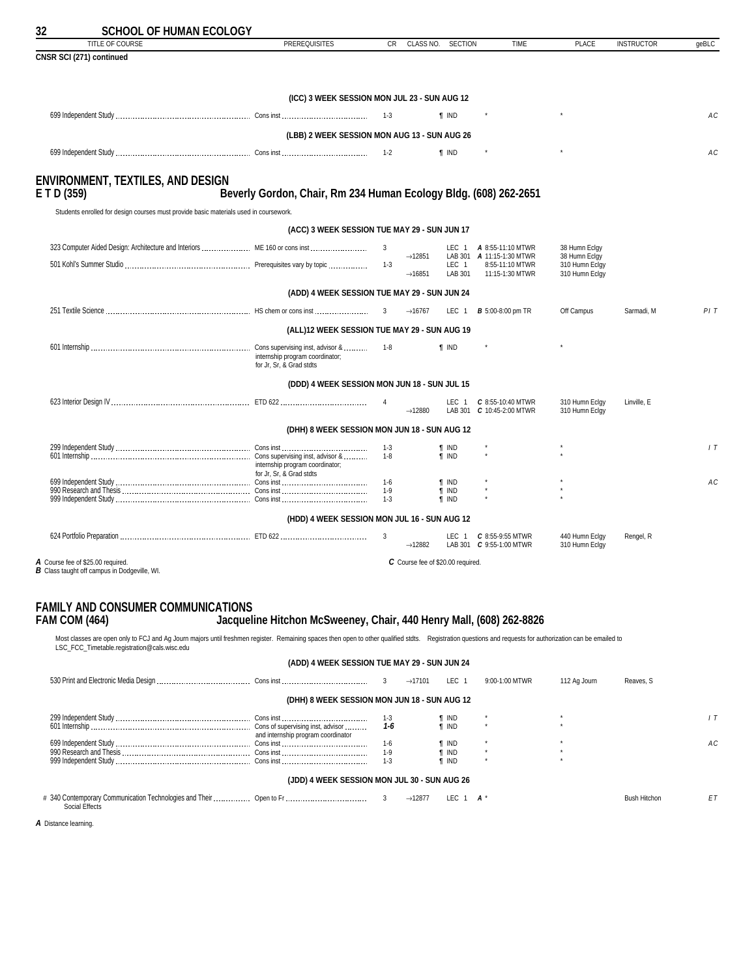<span id="page-31-0"></span>

| TITLE OF COURSE                                                                          | <b>PREREQUISITES</b>                                             | CR.                | CLASS NO.                                  | <b>SECTION</b>               | <b>TIME</b>                                                            | PLACE                                             | <b>INSTRUCTOR</b> | qeBLC          |
|------------------------------------------------------------------------------------------|------------------------------------------------------------------|--------------------|--------------------------------------------|------------------------------|------------------------------------------------------------------------|---------------------------------------------------|-------------------|----------------|
| CNSR SCI (271) continued                                                                 |                                                                  |                    |                                            |                              |                                                                        |                                                   |                   |                |
|                                                                                          | (ICC) 3 WEEK SESSION MON JUL 23 - SUN AUG 12                     |                    |                                            |                              |                                                                        |                                                   |                   |                |
|                                                                                          |                                                                  |                    |                                            | <b>T</b> IND                 |                                                                        |                                                   |                   | АC             |
|                                                                                          | (LBB) 2 WEEK SESSION MON AUG 13 - SUN AUG 26                     |                    |                                            |                              |                                                                        |                                                   |                   |                |
|                                                                                          |                                                                  | $1 - 2$            |                                            | <b>T</b> IND                 |                                                                        |                                                   |                   | AC             |
| <b>ENVIRONMENT, TEXTILES, AND DESIGN</b><br>ETD(359)                                     | Beverly Gordon, Chair, Rm 234 Human Ecology Bldg. (608) 262-2651 |                    |                                            |                              |                                                                        |                                                   |                   |                |
| Students enrolled for design courses must provide basic materials used in coursework.    |                                                                  |                    |                                            |                              |                                                                        |                                                   |                   |                |
|                                                                                          | (ACC) 3 WEEK SESSION TUE MAY 29 - SUN JUN 17                     |                    |                                            |                              |                                                                        |                                                   |                   |                |
|                                                                                          |                                                                  | 3                  |                                            |                              | LEC 1 <b>A</b> 8:55-11:10 MTWR                                         | 38 Humn Eclqy                                     |                   |                |
|                                                                                          |                                                                  |                    | $\rightarrow$ 12851<br>$\rightarrow$ 16851 | LEC <sub>1</sub><br>LAB 301  | LAB 301 <b>A</b> 11:15-1:30 MTWR<br>8:55-11:10 MTWR<br>11:15-1:30 MTWR | 38 Humn Eclqy<br>310 Humn Eclgy<br>310 Humn Eclgy |                   |                |
|                                                                                          | (ADD) 4 WEEK SESSION TUE MAY 29 - SUN JUN 24                     |                    |                                            |                              |                                                                        |                                                   |                   |                |
|                                                                                          |                                                                  | 3                  | $\rightarrow$ 16767                        |                              | LEC 1 <b>B</b> 5:00-8:00 pm TR                                         | Off Campus                                        | Sarmadi, M        | PIT            |
|                                                                                          | (ALL)12 WEEK SESSION TUE MAY 29 - SUN AUG 19                     |                    |                                            |                              |                                                                        |                                                   |                   |                |
|                                                                                          | internship program coordinator;<br>for Jr, Sr, & Grad stdts      |                    |                                            | <b>T</b> IND                 |                                                                        |                                                   |                   |                |
|                                                                                          | (DDD) 4 WEEK SESSION MON JUN 18 - SUN JUL 15                     |                    |                                            |                              |                                                                        |                                                   |                   |                |
|                                                                                          |                                                                  | $\overline{4}$     | $\rightarrow$ 12880                        |                              | LEC 1 C 8:55-10:40 MTWR<br>LAB 301 C 10:45-2:00 MTWR                   | 310 Humn Eclgy<br>310 Humn Eclgy                  | Linville, E       |                |
|                                                                                          | (DHH) 8 WEEK SESSION MON JUN 18 - SUN AUG 12                     |                    |                                            |                              |                                                                        |                                                   |                   |                |
|                                                                                          | internship program coordinator;<br>for Jr. Sr. & Grad stdts      | $1 - 3$<br>$1 - 8$ |                                            | <b>T</b> IND<br><b>T</b> IND |                                                                        |                                                   |                   | 1T             |
|                                                                                          |                                                                  | $1-6$<br>1-9       |                                            | <b>T</b> IND<br>$\P$ IND     |                                                                        |                                                   |                   | A <sub>C</sub> |
|                                                                                          |                                                                  | $1 - 3$            |                                            | <b>T</b> IND                 |                                                                        |                                                   |                   |                |
|                                                                                          | (HDD) 4 WEEK SESSION MON JUL 16 - SUN AUG 12                     |                    |                                            |                              |                                                                        |                                                   |                   |                |
|                                                                                          |                                                                  | 3                  | $\rightarrow$ 12882                        | LEC 1                        | C 8:55-9:55 MTWR<br>LAB 301 C 9:55-1:00 MTWR                           | 440 Humn Eclgy<br>310 Humn Eclgy                  | Rengel, R         |                |
| A Course fee of \$25.00 required.<br><b>B</b> Class taught off campus in Dodgeville, WI. |                                                                  |                    | C Course fee of \$20.00 required.          |                              |                                                                        |                                                   |                   |                |

### **FAMILY AND CONSUMER COMMUNICATIONS<br>FAM COM (464) Jacqueli FAM COM (464) Jacqueline Hitchon McSweeney, Chair, 440 Henry Mall, (608) 262-8826**

Most classes are open only to FCJ and Ag Journ majors until freshmen register. Remaining spaces then open to other qualified stdts. Registration questions and requests for authorization can be emailed to<br>LSC\_FCC\_Timetable.

|                                                                                       | (ADD) 4 WEEK SESSION TUE MAY 29 - SUN JUN 24 |         |                     |               |                |              |                     |     |
|---------------------------------------------------------------------------------------|----------------------------------------------|---------|---------------------|---------------|----------------|--------------|---------------------|-----|
|                                                                                       |                                              |         | $\rightarrow$ 17101 | LEC 1         | 9:00-1:00 MTWR | 112 Ag Journ | Reaves, S           |     |
|                                                                                       | (DHH) 8 WEEK SESSION MON JUN 18 - SUN AUG 12 |         |                     |               |                |              |                     |     |
|                                                                                       |                                              | $1 - 3$ |                     | <b>T</b> IND  |                |              |                     |     |
|                                                                                       | and internship program coordinator           | 1-6     |                     | <b>T</b> IND  |                |              |                     |     |
|                                                                                       |                                              | 1-6     |                     | <b>T</b> IND  |                |              |                     | A C |
|                                                                                       |                                              | $1-9$   |                     | <b>T</b> IND  |                |              |                     |     |
|                                                                                       |                                              | $1 - 3$ |                     | <b>T</b> IND  |                |              |                     |     |
|                                                                                       | (JDD) 4 WEEK SESSION MON JUL 30 - SUN AUG 26 |         |                     |               |                |              |                     |     |
| # 340 Contemporary Communication Technologies and Their  Open to Fr<br>Social Effects |                                              |         | $\rightarrow$ 12877 | LEC.<br>∣ A * |                |              | <b>Bush Hitchon</b> | E1  |

*A* Distance learning.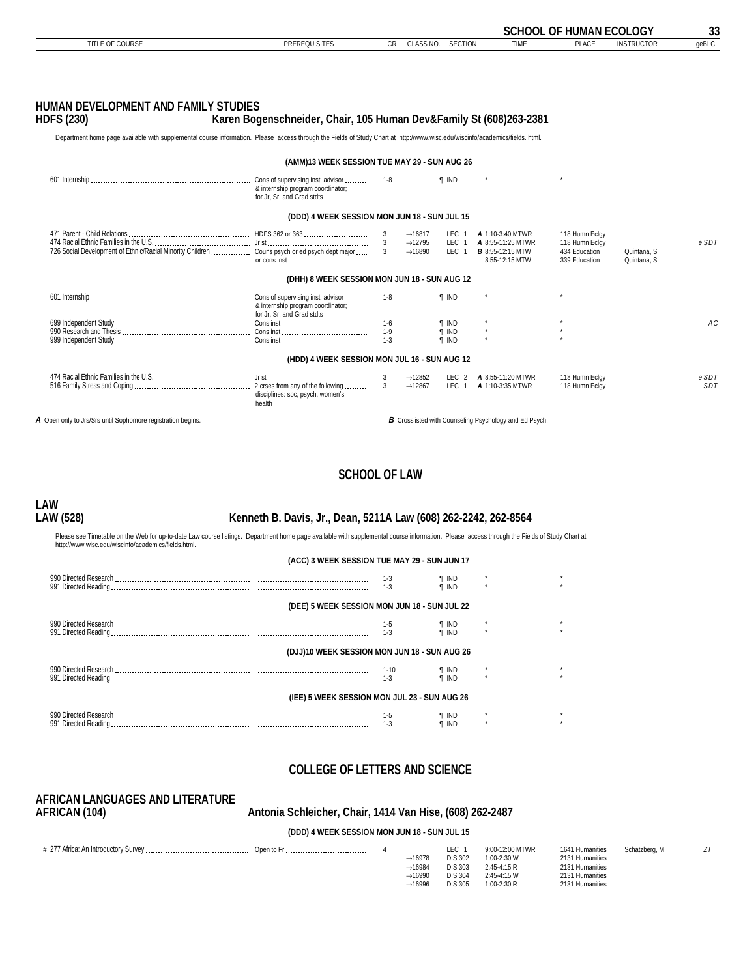<span id="page-32-0"></span>

|                                                                                                                                                                              |                                                                                                      |                    |                                            |                          |                                                                                   | <b>SCHOOL OF HUMAN ECOLOGY</b>                   |                            | 33    |
|------------------------------------------------------------------------------------------------------------------------------------------------------------------------------|------------------------------------------------------------------------------------------------------|--------------------|--------------------------------------------|--------------------------|-----------------------------------------------------------------------------------|--------------------------------------------------|----------------------------|-------|
| <b>TITLE OF COURSE</b>                                                                                                                                                       | <b>PREREQUISITES</b>                                                                                 | <b>CR</b>          | CLASS NO.                                  | <b>SECTION</b>           | <b>TIME</b>                                                                       | <b>PLACE</b>                                     | <b>INSTRUCTOR</b>          | geBLC |
|                                                                                                                                                                              |                                                                                                      |                    |                                            |                          |                                                                                   |                                                  |                            |       |
|                                                                                                                                                                              |                                                                                                      |                    |                                            |                          |                                                                                   |                                                  |                            |       |
|                                                                                                                                                                              |                                                                                                      |                    |                                            |                          |                                                                                   |                                                  |                            |       |
| HUMAN DEVELOPMENT AND FAMILY STUDIES                                                                                                                                         |                                                                                                      |                    |                                            |                          |                                                                                   |                                                  |                            |       |
| <b>HDFS (230)</b>                                                                                                                                                            | Karen Bogenschneider, Chair, 105 Human Dev&Family St (608)263-2381                                   |                    |                                            |                          |                                                                                   |                                                  |                            |       |
| Department home page available with supplemental course information. Please access through the Fields of Study Chart at http://www.wisc.edu/wiscinfo/academics/fields. html. |                                                                                                      |                    |                                            |                          |                                                                                   |                                                  |                            |       |
|                                                                                                                                                                              | (AMM)13 WEEK SESSION TUE MAY 29 - SUN AUG 26                                                         |                    |                                            |                          |                                                                                   |                                                  |                            |       |
|                                                                                                                                                                              | Cons of supervising inst, advisor<br>& internship program coordinator;<br>for Jr, Sr, and Grad stdts | $1 - 8$            |                                            | <b>f</b> IND             |                                                                                   |                                                  |                            |       |
|                                                                                                                                                                              | (DDD) 4 WEEK SESSION MON JUN 18 - SUN JUL 15                                                         |                    |                                            |                          |                                                                                   |                                                  |                            |       |
|                                                                                                                                                                              |                                                                                                      | 3                  | $\rightarrow$ 16817                        |                          | LEC 1 <b>A</b> 1:10-3:40 MTWR                                                     | 118 Humn Eclgy                                   |                            |       |
|                                                                                                                                                                              | or cons inst                                                                                         | 3<br>$\mathcal{R}$ | $\rightarrow$ 12795<br>$\rightarrow$ 16890 |                          | LEC 1 <b>A</b> 8:55-11:25 MTWR<br>LEC 1 <b>B</b> 8:55-12:15 MTW<br>8:55-12:15 MTW | 118 Humn Eclgy<br>434 Education<br>339 Education | Quintana, S<br>Quintana, S | eSDT  |
|                                                                                                                                                                              | (DHH) 8 WEEK SESSION MON JUN 18 - SUN AUG 12                                                         |                    |                                            |                          |                                                                                   |                                                  |                            |       |
|                                                                                                                                                                              | & internship program coordinator;<br>for Jr. Sr. and Grad stdts                                      | $1 - 8$            |                                            | <b>T</b> IND             |                                                                                   |                                                  |                            |       |
|                                                                                                                                                                              |                                                                                                      | $1-6$              |                                            | <b>T</b> IND             |                                                                                   |                                                  |                            | AC    |
|                                                                                                                                                                              |                                                                                                      | $1-9$<br>$1 - 3$   |                                            | $\P$ IND<br><b>T</b> IND |                                                                                   |                                                  |                            |       |
|                                                                                                                                                                              | (HDD) 4 WEEK SESSION MON JUL 16 - SUN AUG 12                                                         |                    |                                            |                          |                                                                                   |                                                  |                            |       |
|                                                                                                                                                                              |                                                                                                      | 3                  | $\rightarrow$ 12852                        | LEC 2                    | A 8:55-11:20 MTWR                                                                 | 118 Humn Eclgy                                   |                            | e SDT |
|                                                                                                                                                                              | disciplines: soc, psych, women's<br>health                                                           | $\mathbf{3}$       | $\rightarrow$ 12867                        |                          | LEC 1 <b>A</b> 1:10-3:35 MTWR                                                     | 118 Humn Eclgy                                   |                            | SDT   |
| A Open only to Jrs/Srs until Sophomore registration begins.                                                                                                                  |                                                                                                      |                    |                                            |                          | <b>B</b> Crosslisted with Counseling Psychology and Ed Psych.                     |                                                  |                            |       |
|                                                                                                                                                                              |                                                                                                      |                    |                                            |                          |                                                                                   |                                                  |                            |       |
|                                                                                                                                                                              |                                                                                                      |                    |                                            |                          |                                                                                   |                                                  |                            |       |

### **SCHOOL OF LAW**

# **LAW**

### **LAW (528) Kenneth B. Davis, Jr., Dean, 5211A Law (608) 262-2242, 262-8564**

Please see Timetable on the Web for up-to-date Law course listings. Department home page available with supplemental course information. Please access through the Fields of Study Chart at<br>http://www.wisc.edu/wiscinfo/acad

| (ACC) 3 WEEK SESSION TUE MAY 29 - SUN JUN 17 |                            |                       |         |         |
|----------------------------------------------|----------------------------|-----------------------|---------|---------|
|                                              | $1 - 3$<br>$1 - 3$         | ¶ IND<br><b>T</b> IND | $\star$ | $\star$ |
| (DEE) 5 WEEK SESSION MON JUN 18 - SUN JUL 22 |                            |                       |         |         |
|                                              | $\frac{1-5}{2}$<br>$1 - 3$ | ¶ IND<br>¶ IND        |         | $\star$ |
| (DJJ)10 WEEK SESSION MON JUN 18 - SUN AUG 26 |                            |                       |         |         |
|                                              | 1-10<br>$1-3$              | ¶ IND<br><b>T</b> IND |         |         |
| (IEE) 5 WEEK SESSION MON JUL 23 - SUN AUG 26 |                            |                       |         |         |
|                                              | $1-5$<br>$1-3$             | ¶ IND<br><b>T</b> IND | $\star$ | $\star$ |

### **COLLEGE OF LETTERS AND SCIENCE**

# **AFRICAN LANGUAGES AND LITERATURE**

### **AFRICAN (104) Antonia Schleicher, Chair, 1414 Van Hise, (608) 262-2487**

**(DDD) 4 WEEK SESSION MON JUN 18 - SUN JUL 15**

| Open to Fr |                     | LEC            | 9:00-12:00 MTWR | 1641 Humanities | Schatzberg, M |  |
|------------|---------------------|----------------|-----------------|-----------------|---------------|--|
|            | $\rightarrow$ 16978 | <b>DIS 302</b> | 1:00-2:30 W     | 2131 Humanities |               |  |
|            | $\rightarrow$ 16984 | <b>DIS 303</b> | 2:45-4:15 R     | 2131 Humanities |               |  |
|            | $\rightarrow$ 16990 | <b>DIS 304</b> | 2:45-4:15 W     | 2131 Humanities |               |  |
|            | $\rightarrow$ 16996 | DIS 305        | $1:00-2:30R$    | 2131 Humanities |               |  |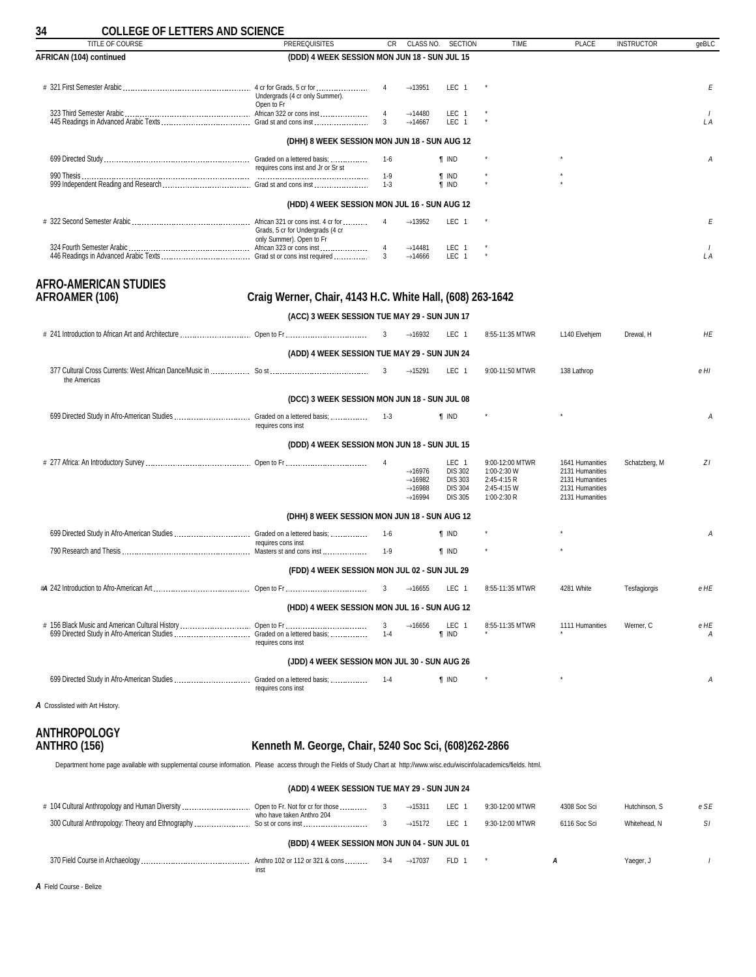<span id="page-33-0"></span>

| <b>COLLEGE OF LETTERS AND SCIENCE</b><br><b>TITLE OF COURSE</b> | <b>PREREQUISITES</b>                                         | CR.                 | CLASS NO.                                                                                | <b>SECTION</b>                                                                | <b>TIME</b>                                                                 | <b>PLACE</b>                                                                                | <b>INSTRUCTOR</b> | qeBLC     |
|-----------------------------------------------------------------|--------------------------------------------------------------|---------------------|------------------------------------------------------------------------------------------|-------------------------------------------------------------------------------|-----------------------------------------------------------------------------|---------------------------------------------------------------------------------------------|-------------------|-----------|
| AFRICAN (104) continued                                         | (DDD) 4 WEEK SESSION MON JUN 18 - SUN JUL 15                 |                     |                                                                                          |                                                                               |                                                                             |                                                                                             |                   |           |
|                                                                 |                                                              |                     |                                                                                          |                                                                               |                                                                             |                                                                                             |                   |           |
|                                                                 | Undergrads (4 cr only Summer).                               | $\overline{4}$      | $\rightarrow$ 13951                                                                      | LEC 1                                                                         |                                                                             |                                                                                             |                   | Ε         |
|                                                                 | Open to Fr                                                   | $\overline{4}$<br>3 | $\rightarrow$ 14480<br>$\rightarrow$ 14667                                               | LEC 1<br>LEC <sub>1</sub>                                                     |                                                                             |                                                                                             |                   | L A       |
|                                                                 | (DHH) 8 WEEK SESSION MON JUN 18 - SUN AUG 12                 |                     |                                                                                          |                                                                               |                                                                             |                                                                                             |                   |           |
|                                                                 | requires cons inst and Jr or Sr st                           | 1-6                 |                                                                                          | <b>T</b> IND                                                                  |                                                                             |                                                                                             |                   | A         |
|                                                                 |                                                              | $1-9$<br>$1 - 3$    |                                                                                          | <b>T</b> IND<br><b>T</b> IND                                                  |                                                                             |                                                                                             |                   |           |
|                                                                 | (HDD) 4 WEEK SESSION MON JUL 16 - SUN AUG 12                 |                     |                                                                                          |                                                                               |                                                                             |                                                                                             |                   |           |
|                                                                 | Grads, 5 cr for Undergrads (4 cr<br>only Summer). Open to Fr | $\overline{4}$      | $\rightarrow$ 13952                                                                      | LEC 1                                                                         |                                                                             |                                                                                             |                   | Ε         |
|                                                                 |                                                              | $\overline{4}$<br>3 | $\rightarrow$ 14481<br>$\rightarrow$ 14666                                               | LEC 1<br>LEC <sub>1</sub>                                                     |                                                                             |                                                                                             |                   | LA        |
| <b>AFRO-AMERICAN STUDIES</b>                                    |                                                              |                     |                                                                                          |                                                                               |                                                                             |                                                                                             |                   |           |
| <b>AFROAMER (106)</b>                                           | Craig Werner, Chair, 4143 H.C. White Hall, (608) 263-1642    |                     |                                                                                          |                                                                               |                                                                             |                                                                                             |                   |           |
|                                                                 | (ACC) 3 WEEK SESSION TUE MAY 29 - SUN JUN 17                 |                     |                                                                                          |                                                                               |                                                                             |                                                                                             |                   |           |
|                                                                 |                                                              |                     | $\rightarrow$ 16932                                                                      | LEC 1                                                                         | 8:55-11:35 MTWR                                                             | L140 Elvehjem                                                                               | Drewal, H         | HE        |
|                                                                 | (ADD) 4 WEEK SESSION TUE MAY 29 - SUN JUN 24                 |                     |                                                                                          |                                                                               |                                                                             |                                                                                             |                   |           |
| the Americas                                                    |                                                              | 3                   | $\rightarrow$ 15291                                                                      | LEC 1                                                                         | 9:00-11:50 MTWR                                                             | 138 Lathrop                                                                                 |                   | e HI      |
|                                                                 | (DCC) 3 WEEK SESSION MON JUN 18 - SUN JUL 08                 |                     |                                                                                          |                                                                               |                                                                             |                                                                                             |                   |           |
|                                                                 | requires cons inst                                           | $1-3$               |                                                                                          | <b>f</b> IND                                                                  |                                                                             |                                                                                             |                   | А         |
|                                                                 | (DDD) 4 WEEK SESSION MON JUN 18 - SUN JUL 15                 |                     |                                                                                          |                                                                               |                                                                             |                                                                                             |                   |           |
|                                                                 |                                                              |                     | $\rightarrow$ 16976<br>$\rightarrow$ 16982<br>$\rightarrow$ 16988<br>$\rightarrow$ 16994 | LEC 1<br><b>DIS 302</b><br><b>DIS 303</b><br><b>DIS 304</b><br><b>DIS 305</b> | 9:00-12:00 MTWR<br>1:00-2:30 W<br>2:45-4:15 R<br>2:45-4:15 W<br>1:00-2:30 R | 1641 Humanities<br>2131 Humanities<br>2131 Humanities<br>2131 Humanities<br>2131 Humanities | Schatzberg, M     | ΖI        |
|                                                                 | (DHH) 8 WEEK SESSION MON JUN 18 - SUN AUG 12                 |                     |                                                                                          |                                                                               |                                                                             |                                                                                             |                   |           |
|                                                                 |                                                              | 1-6                 |                                                                                          | <b>T</b> IND                                                                  |                                                                             |                                                                                             |                   | А         |
|                                                                 | requires cons inst                                           | $1-9$               |                                                                                          | <b>T</b> IND                                                                  |                                                                             |                                                                                             |                   |           |
|                                                                 | (FDD) 4 WEEK SESSION MON JUL 02 - SUN JUL 29                 |                     |                                                                                          |                                                                               |                                                                             |                                                                                             |                   |           |
|                                                                 |                                                              | 3                   | $\rightarrow$ 16655                                                                      | LEC 1                                                                         | 8:55-11:35 MTWR                                                             | 4281 White                                                                                  | Tesfagiorgis      | e HE      |
|                                                                 | (HDD) 4 WEEK SESSION MON JUL 16 - SUN AUG 12                 |                     |                                                                                          |                                                                               |                                                                             |                                                                                             |                   |           |
|                                                                 | requires cons inst                                           | 3<br>$1 - 4$        | $\rightarrow$ 16656                                                                      | LEC 1<br><b>T</b> IND                                                         | 8:55-11:35 MTWR                                                             | 1111 Humanities                                                                             | Werner, C         | e HE<br>Α |
|                                                                 | (JDD) 4 WEEK SESSION MON JUL 30 - SUN AUG 26                 |                     |                                                                                          |                                                                               |                                                                             |                                                                                             |                   |           |
| 699 Directed Study in Afro-American Studies                     | Graded on a lettered basis;<br>requires cons inst            | $1 - 4$             |                                                                                          | <b>T</b> IND                                                                  |                                                                             |                                                                                             |                   | Α         |
|                                                                 |                                                              |                     |                                                                                          |                                                                               |                                                                             |                                                                                             |                   |           |

*A* Crosslisted with Art History.

# **ANTHROPOLOGY**

### **ANTHRO (156) Kenneth M. George, Chair, 5240 Soc Sci, (608)262-2866**

Department home page available with supplemental course information. Please access through the Fields of Study Chart at http://www.wisc.edu/wiscinfo/academics/fields. html.

| (ADD) 4 WEEK SESSION TUE MAY 29 - SUN JUN 24    |                                                               |       |                     |       |                 |              |               |      |  |  |
|-------------------------------------------------|---------------------------------------------------------------|-------|---------------------|-------|-----------------|--------------|---------------|------|--|--|
| # 104 Cultural Anthropology and Human Diversity | Open to Fr. Not for cr for those<br>who have taken Anthro 204 | 3     | $\rightarrow$ 15311 | LEC 1 | 9:30-12:00 MTWR | 4308 Soc Sci | Hutchinson, S | e SE |  |  |
|                                                 |                                                               |       | $\rightarrow$ 15172 | LEC 1 | 9:30-12:00 MTWR | 6116 Soc Sci | Whitehead, N  | -SI  |  |  |
|                                                 | (BDD) 4 WEEK SESSION MON JUN 04 - SUN JUL 01                  |       |                     |       |                 |              |               |      |  |  |
|                                                 | inst                                                          | $3-4$ | $\rightarrow$ 17037 | FLD 1 |                 | А            | Yaeger, J     |      |  |  |

*A* Field Course - Belize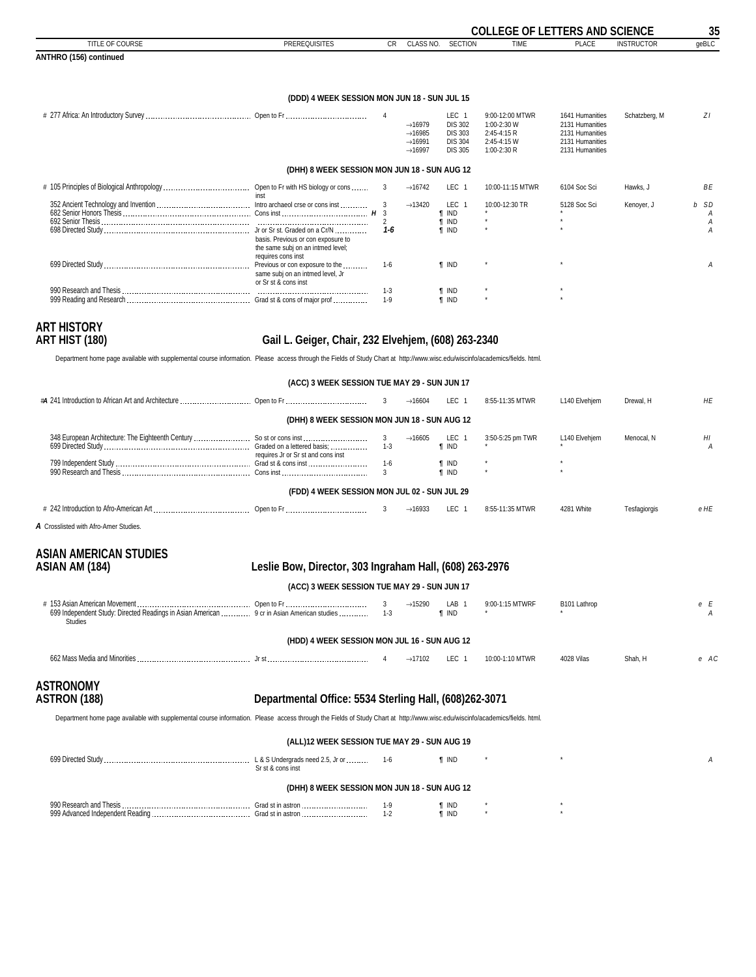<span id="page-34-0"></span>

|                                                                                                                                                                              |                                                                                               |                                       |                                                                                          |                                                                               | <b>COLLEGE OF LETTERS AND SCIENCE</b>                                       |                                                                                             |                   | 35             |
|------------------------------------------------------------------------------------------------------------------------------------------------------------------------------|-----------------------------------------------------------------------------------------------|---------------------------------------|------------------------------------------------------------------------------------------|-------------------------------------------------------------------------------|-----------------------------------------------------------------------------|---------------------------------------------------------------------------------------------|-------------------|----------------|
| TITLE OF COURSE                                                                                                                                                              | <b>PREREQUISITES</b>                                                                          | <b>CR</b>                             | CLASS NO.                                                                                | <b>SECTION</b>                                                                | <b>TIME</b>                                                                 | <b>PLACE</b>                                                                                | <b>INSTRUCTOR</b> | geBLC          |
| ANTHRO (156) continued                                                                                                                                                       |                                                                                               |                                       |                                                                                          |                                                                               |                                                                             |                                                                                             |                   |                |
|                                                                                                                                                                              | (DDD) 4 WEEK SESSION MON JUN 18 - SUN JUL 15                                                  |                                       |                                                                                          |                                                                               |                                                                             |                                                                                             |                   |                |
|                                                                                                                                                                              |                                                                                               |                                       |                                                                                          |                                                                               |                                                                             |                                                                                             |                   |                |
|                                                                                                                                                                              |                                                                                               | $\overline{4}$                        | $\rightarrow$ 16979<br>$\rightarrow$ 16985<br>$\rightarrow$ 16991<br>$\rightarrow$ 16997 | LEC 1<br><b>DIS 302</b><br><b>DIS 303</b><br><b>DIS 304</b><br><b>DIS 305</b> | 9:00-12:00 MTWR<br>1:00-2:30 W<br>2:45-4:15 R<br>2:45-4:15 W<br>1:00-2:30 R | 1641 Humanities<br>2131 Humanities<br>2131 Humanities<br>2131 Humanities<br>2131 Humanities | Schatzberg, M     | ZΙ             |
|                                                                                                                                                                              | (DHH) 8 WEEK SESSION MON JUN 18 - SUN AUG 12                                                  |                                       |                                                                                          |                                                                               |                                                                             |                                                                                             |                   |                |
|                                                                                                                                                                              | inst                                                                                          | 3                                     | $\rightarrow$ 16742                                                                      | LEC 1                                                                         | 10:00-11:15 MTWR                                                            | 6104 Soc Sci                                                                                | Hawks, J          | ВE             |
|                                                                                                                                                                              |                                                                                               | 3<br>$\overline{3}$<br>$\overline{2}$ | $\rightarrow$ 13420                                                                      | LEC 1<br>$\P$ IND<br><b>T</b> IND                                             | 10:00-12:30 TR                                                              | 5128 Soc Sci                                                                                | Kenoyer, J        | b SD<br>Α<br>Α |
|                                                                                                                                                                              | basis. Previous or con exposure to<br>the same subj on an intmed level;<br>requires cons inst | 1-6                                   |                                                                                          | <b>T IND</b>                                                                  |                                                                             |                                                                                             |                   | А              |
|                                                                                                                                                                              | same subj on an intmed level, Jr<br>or Sr st & cons inst                                      | $1-6$                                 |                                                                                          | <b>T IND</b>                                                                  |                                                                             |                                                                                             |                   | А              |
|                                                                                                                                                                              |                                                                                               | $1 - 3$<br>$1-9$                      |                                                                                          | <b>T</b> IND<br><b>T</b> IND                                                  |                                                                             |                                                                                             |                   |                |
| <b>ART HISTORY</b><br><b>ART HIST (180)</b>                                                                                                                                  | Gail L. Geiger, Chair, 232 Elvehjem, (608) 263-2340                                           |                                       |                                                                                          |                                                                               |                                                                             |                                                                                             |                   |                |
| Department home page available with supplemental course information. Please access through the Fields of Study Chart at http://www.wisc.edu/wiscinfo/academics/fields. html. |                                                                                               |                                       |                                                                                          |                                                                               |                                                                             |                                                                                             |                   |                |
|                                                                                                                                                                              | (ACC) 3 WEEK SESSION TUE MAY 29 - SUN JUN 17                                                  |                                       |                                                                                          |                                                                               |                                                                             |                                                                                             |                   |                |
|                                                                                                                                                                              |                                                                                               | 3                                     | $\rightarrow$ 16604                                                                      | LEC 1                                                                         | 8:55-11:35 MTWR                                                             | L140 Elvehjem                                                                               | Drewal, H         | HE             |
|                                                                                                                                                                              | (DHH) 8 WEEK SESSION MON JUN 18 - SUN AUG 12                                                  |                                       |                                                                                          |                                                                               |                                                                             |                                                                                             |                   |                |
|                                                                                                                                                                              | requires Jr or Sr st and cons inst                                                            | 3<br>$1 - 3$                          | $\rightarrow$ 16605                                                                      | LEC 1<br>$\P$ IND                                                             | 3:50-5:25 pm TWR                                                            | L140 Elvehjem                                                                               | Menocal, N        | HI<br>А        |
|                                                                                                                                                                              |                                                                                               | $1-6$<br>3                            |                                                                                          | <b>T</b> IND<br>$\P$ IND                                                      |                                                                             |                                                                                             |                   |                |
|                                                                                                                                                                              | (FDD) 4 WEEK SESSION MON JUL 02 - SUN JUL 29                                                  |                                       |                                                                                          |                                                                               |                                                                             |                                                                                             |                   |                |
|                                                                                                                                                                              |                                                                                               | 3                                     | $\rightarrow$ 16933                                                                      | LEC 1                                                                         | 8:55-11:35 MTWR                                                             | 4281 White                                                                                  | Tesfagiorgis      | e HE           |
| A Crosslisted with Afro-Amer Studies.                                                                                                                                        |                                                                                               |                                       |                                                                                          |                                                                               |                                                                             |                                                                                             |                   |                |
| <b>ASIAN AMERICAN STUDIES</b><br>ASIAN AM (184)                                                                                                                              | Leslie Bow, Director, 303 Ingraham Hall, (608) 263-2976                                       |                                       |                                                                                          |                                                                               |                                                                             |                                                                                             |                   |                |
|                                                                                                                                                                              | (ACC) 3 WEEK SESSION TUE MAY 29 - SUN JUN 17                                                  |                                       |                                                                                          |                                                                               |                                                                             |                                                                                             |                   |                |
| 699 Independent Study: Directed Readings in Asian American  9 cr in Asian American studies<br><b>Studies</b>                                                                 |                                                                                               | 3<br>$1 - 3$                          | $\rightarrow$ 15290                                                                      | LAB <sub>1</sub><br><b>f</b> IND                                              | 9:00-1:15 MTWRF                                                             | B101 Lathrop                                                                                |                   | e E<br>А       |
|                                                                                                                                                                              | (HDD) 4 WEEK SESSION MON JUL 16 - SUN AUG 12                                                  |                                       |                                                                                          |                                                                               |                                                                             |                                                                                             |                   |                |
|                                                                                                                                                                              |                                                                                               | $\overline{4}$                        | $\rightarrow$ 17102                                                                      | LEC 1                                                                         | 10:00-1:10 MTWR                                                             | 4028 Vilas                                                                                  | Shah, H           | e AC           |
| <b>ASTRONOMY</b><br>ASTRON (188)                                                                                                                                             | Departmental Office: 5534 Sterling Hall, (608)262-3071                                        |                                       |                                                                                          |                                                                               |                                                                             |                                                                                             |                   |                |
| Department home page available with supplemental course information. Please access through the Fields of Study Chart at http://www.wisc.edu/wiscinfo/academics/fields. html. |                                                                                               |                                       |                                                                                          |                                                                               |                                                                             |                                                                                             |                   |                |
|                                                                                                                                                                              | (ALL)12 WEEK SESSION TUE MAY 29 - SUN AUG 19                                                  |                                       |                                                                                          |                                                                               |                                                                             |                                                                                             |                   |                |
|                                                                                                                                                                              | Sr st & cons inst                                                                             | 1-6                                   |                                                                                          | $\P$ IND                                                                      |                                                                             |                                                                                             |                   | А              |
|                                                                                                                                                                              | (DHH) 8 WEEK SESSION MON JUN 18 - SUN AUG 12                                                  |                                       |                                                                                          |                                                                               |                                                                             |                                                                                             |                   |                |
|                                                                                                                                                                              |                                                                                               | $1-9$<br>$1 - 2$                      |                                                                                          | <b>T</b> IND<br><b>T</b> IND                                                  |                                                                             |                                                                                             |                   |                |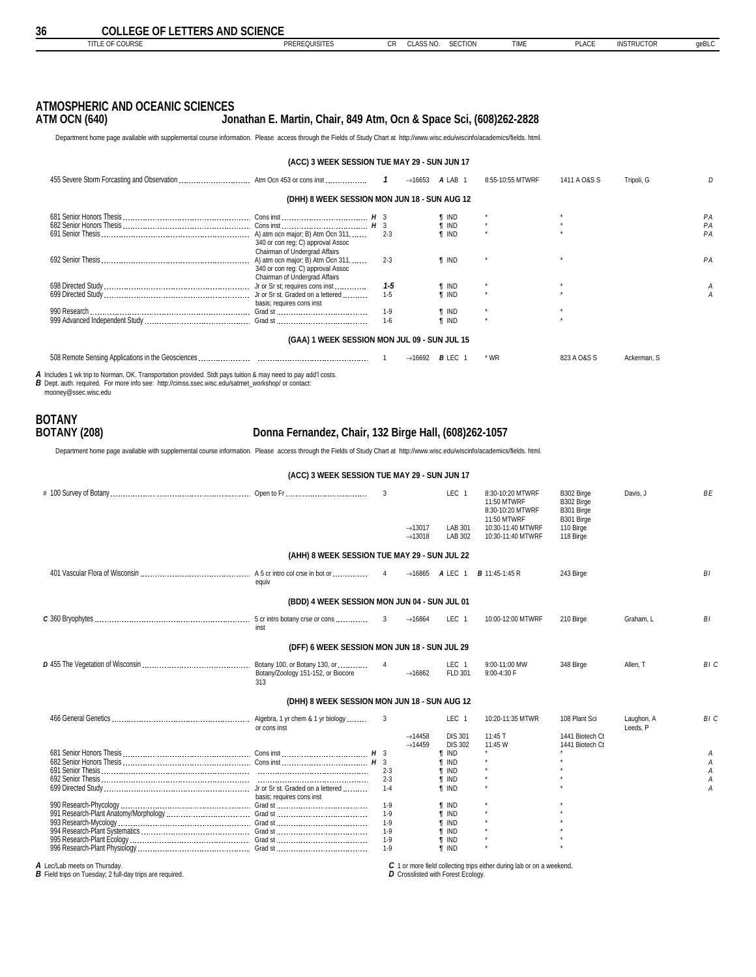<span id="page-35-0"></span>

|                                              |                                                                                                                                          |         |                     | A LAB 1      | 8:55-10:55 MTWRF | 1411 A O&S S | Tripoli, G  |    |  |  |  |
|----------------------------------------------|------------------------------------------------------------------------------------------------------------------------------------------|---------|---------------------|--------------|------------------|--------------|-------------|----|--|--|--|
| (DHH) 8 WEEK SESSION MON JUN 18 - SUN AUG 12 |                                                                                                                                          |         |                     |              |                  |              |             |    |  |  |  |
|                                              |                                                                                                                                          |         |                     | IND          |                  |              |             | PA |  |  |  |
|                                              |                                                                                                                                          |         |                     | I IND        |                  |              |             | PA |  |  |  |
|                                              | 340 or con req; C) approval Assoc                                                                                                        | $2 - 3$ |                     | <b>T</b> IND |                  |              |             | PA |  |  |  |
| 692 Senior Thesis.                           | Chairman of Undergrad Affairs<br>A) atm ocn major; B) Atm Ocn 311,<br>340 or con reg: C) approval Assoc<br>Chairman of Undergrad Affairs | $2 - 3$ |                     | <b>T</b> IND |                  |              |             | PA |  |  |  |
|                                              |                                                                                                                                          | 1-5     |                     | ¶ IND        |                  |              |             |    |  |  |  |
|                                              | basis; requires cons inst                                                                                                                | $1 - 5$ |                     | <b>T IND</b> |                  |              |             |    |  |  |  |
|                                              |                                                                                                                                          | $1-9$   |                     | ¶ IND        |                  |              |             |    |  |  |  |
|                                              |                                                                                                                                          | $1-6$   |                     | <b>f</b> IND |                  |              |             |    |  |  |  |
| (GAA) 1 WEEK SESSION MON JUL 09 - SUN JUL 15 |                                                                                                                                          |         |                     |              |                  |              |             |    |  |  |  |
|                                              |                                                                                                                                          |         | $\rightarrow$ 16692 | $B$ LEC 1    | * WR             | 823 A O&S S  | Ackerman, S |    |  |  |  |

*A* Includes 1 wk trip to Norman, OK. Transportation provided. Stdt pays tuition & may need to pay add'l costs. *B* Dept. auth. required. For more info see: http://cimss.ssec.wisc.edu/satmet\_workshop/ or contact:

mooney@ssec.wisc.edu

| <b>BOTANY</b>       |                                                       |  |
|---------------------|-------------------------------------------------------|--|
| <b>BOTANY (208)</b> | Donna Fernandez, Chair, 132 Birge Hall, (608)262-1057 |  |

Department home page available with supplemental course information. Please access through the Fields of Study Chart at http://www.wisc.edu/wiscinfo/academics/fields. html.

995 Research-Plant Ecology Grad st 1-9 *¶* IND \* \* 996 Research-Plant Physiology Grad st 1-9 *¶* IND \* \*

| (ACC) 3 WEEK SESSION TUE MAY 29 - SUN JUN 17 |                                          |                                            |                                                                              |                                                                                                              |                                                                                |                        |                       |
|----------------------------------------------|------------------------------------------|--------------------------------------------|------------------------------------------------------------------------------|--------------------------------------------------------------------------------------------------------------|--------------------------------------------------------------------------------|------------------------|-----------------------|
|                                              | 3                                        | $\rightarrow$ 13017<br>$\rightarrow$ 13018 | LEC <sub>1</sub><br>LAB 301<br>LAB 302                                       | 8:30-10:20 MTWRF<br>11:50 MTWRF<br>8:30-10:20 MTWRF<br>11:50 MTWRF<br>10:30-11:40 MTWRF<br>10:30-11:40 MTWRF | B302 Birge<br>B302 Birge<br>B301 Birge<br>B301 Birge<br>110 Birge<br>118 Birge | Davis, J               | <b>BE</b>             |
| (AHH) 8 WEEK SESSION TUE MAY 29 - SUN JUL 22 |                                          |                                            |                                                                              |                                                                                                              |                                                                                |                        |                       |
| A 5 cr intro col crse in bot or<br>eauiv     | $\overline{4}$                           |                                            | $\rightarrow$ 16865 ALEC 1                                                   | <b>B</b> 11:45-1:45 R                                                                                        | 243 Birge                                                                      |                        | B1                    |
| (BDD) 4 WEEK SESSION MON JUN 04 - SUN JUL 01 |                                          |                                            |                                                                              |                                                                                                              |                                                                                |                        |                       |
| inst                                         | 3                                        | $\rightarrow$ 16864                        | LEC <sub>1</sub>                                                             | 10:00-12:00 MTWRF                                                                                            | 210 Birge                                                                      | Graham. L              | BI                    |
| (DFF) 6 WEEK SESSION MON JUN 18 - SUN JUL 29 |                                          |                                            |                                                                              |                                                                                                              |                                                                                |                        |                       |
| Botany/Zoology 151-152, or Biocore<br>313    | $\overline{4}$                           | $\rightarrow$ 16862                        | LEC <sub>1</sub><br>FLD 301                                                  | 9:00-11:00 MW<br>9:00-4:30 F                                                                                 | 348 Birge                                                                      | Allen. T               | BI C                  |
| (DHH) 8 WEEK SESSION MON JUN 18 - SUN AUG 12 |                                          |                                            |                                                                              |                                                                                                              |                                                                                |                        |                       |
| or cons inst                                 | 3                                        | $\rightarrow$ 14458<br>$\rightarrow$ 14459 | LEC <sub>1</sub><br><b>DIS 301</b><br><b>DIS 302</b>                         | 10:20-11:35 MTWR<br>11:45 T<br>11:45 W                                                                       | 108 Plant Sci<br>1441 Biotech Ct<br>1441 Biotech Ct                            | Laughon, A<br>Leeds. P | BI C                  |
| basis: requires cons inst                    | $2 - 3$<br>$2 - 3$<br>$1 - 4$            |                                            | <b>T IND</b><br><b>T IND</b><br><b>f</b> IND<br><b>f</b> IND<br><b>T IND</b> |                                                                                                              |                                                                                |                        | Α<br>Α<br>Α<br>Α<br>А |
|                                              | $1 - 9$<br>$1 - 9$<br>$1 - 9$<br>$1 - 9$ |                                            | <b>T IND</b><br><b>T IND</b><br><b>f</b> IND<br><b>f</b> IND                 |                                                                                                              |                                                                                |                        |                       |

*A* Lec/Lab meets on Thursday. *B* Field trips on Tuesday; 2 full-day trips are required.

*C* 1 or more field collecting trips either during lab or on a weekend. *D* Crosslisted with Forest Ecology.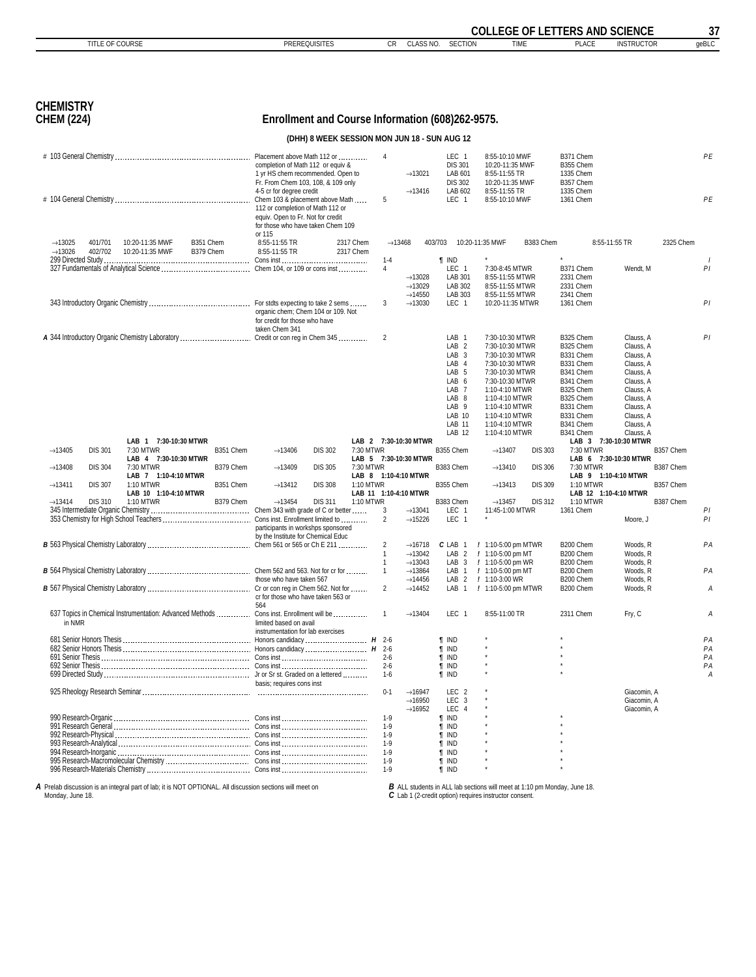<span id="page-36-0"></span>

|                                            |                    |                                                                                         |                        |                                                                                                                                                         |                                              |                        | <b>COLLEGE OF LETTERS AND SCIENCE</b> |                                                                   |                                                                                                                                                                                                     |                                                                                                                                                                                                                            |                |                                                                                                                                                          |                                                                                                                                                          | 37        |          |
|--------------------------------------------|--------------------|-----------------------------------------------------------------------------------------|------------------------|---------------------------------------------------------------------------------------------------------------------------------------------------------|----------------------------------------------|------------------------|---------------------------------------|-------------------------------------------------------------------|-----------------------------------------------------------------------------------------------------------------------------------------------------------------------------------------------------|----------------------------------------------------------------------------------------------------------------------------------------------------------------------------------------------------------------------------|----------------|----------------------------------------------------------------------------------------------------------------------------------------------------------|----------------------------------------------------------------------------------------------------------------------------------------------------------|-----------|----------|
|                                            | TITLE OF COURSE    |                                                                                         |                        |                                                                                                                                                         | <b>PREREQUISITES</b>                         |                        | CR                                    | CLASS NO.                                                         | <b>SECTION</b>                                                                                                                                                                                      | <b>TIME</b>                                                                                                                                                                                                                |                | <b>PLACE</b>                                                                                                                                             | <b>INSTRUCTOR</b>                                                                                                                                        |           | qeBLC    |
|                                            |                    |                                                                                         |                        |                                                                                                                                                         |                                              |                        |                                       |                                                                   |                                                                                                                                                                                                     |                                                                                                                                                                                                                            |                |                                                                                                                                                          |                                                                                                                                                          |           |          |
| <b>CHEMISTRY</b><br><b>CHEM (224)</b>      |                    |                                                                                         |                        | Enrollment and Course Information (608)262-9575.                                                                                                        |                                              |                        |                                       |                                                                   |                                                                                                                                                                                                     |                                                                                                                                                                                                                            |                |                                                                                                                                                          |                                                                                                                                                          |           |          |
|                                            |                    |                                                                                         |                        |                                                                                                                                                         | (DHH) 8 WEEK SESSION MON JUN 18 - SUN AUG 12 |                        |                                       |                                                                   |                                                                                                                                                                                                     |                                                                                                                                                                                                                            |                |                                                                                                                                                          |                                                                                                                                                          |           |          |
|                                            |                    |                                                                                         |                        |                                                                                                                                                         |                                              |                        | $\overline{4}$                        |                                                                   | LEC 1                                                                                                                                                                                               |                                                                                                                                                                                                                            |                | B371 Chem                                                                                                                                                |                                                                                                                                                          |           | PE       |
|                                            |                    |                                                                                         |                        | completion of Math 112 or equiv &<br>1 yr HS chem recommended. Open to<br>Fr. From Chem 103, 108, & 109 only<br>4-5 cr for degree credit                |                                              |                        |                                       | $\rightarrow$ 13021<br>$\rightarrow$ 13416                        | <b>DIS 301</b><br>LAB 601<br><b>DIS 302</b><br>LAB 602                                                                                                                                              | 8:55-10:10 MWF<br>10:20-11:35 MWF<br>8:55-11:55 TR<br>10:20-11:35 MWF<br>8:55-11:55 TR                                                                                                                                     |                | B355 Chem<br>1335 Chem<br>B357 Chem<br>1335 Chem                                                                                                         |                                                                                                                                                          |           |          |
|                                            |                    |                                                                                         |                        | Chem 103 & placement above Math<br>112 or completion of Math 112 or<br>equiv. Open to Fr. Not for credit<br>for those who have taken Chem 109<br>or 115 |                                              |                        | 5                                     |                                                                   | LEC 1                                                                                                                                                                                               | 8:55-10:10 MWF                                                                                                                                                                                                             |                | 1361 Chem                                                                                                                                                |                                                                                                                                                          |           | PE       |
| $\rightarrow$ 13025<br>$\rightarrow$ 13026 | 401/701<br>402/702 | 10:20-11:35 MWF<br>10:20-11:35 MWF                                                      | B351 Chem<br>B379 Chem | 8:55-11:55 TR<br>8:55-11:55 TR                                                                                                                          |                                              | 2317 Chem<br>2317 Chem | $\rightarrow$ 13468                   |                                                                   | 403/703                                                                                                                                                                                             | 10:20-11:35 MWF                                                                                                                                                                                                            | B383 Chem      |                                                                                                                                                          | 8:55-11:55 TR                                                                                                                                            | 2325 Chem |          |
|                                            |                    |                                                                                         |                        |                                                                                                                                                         |                                              |                        | $1 - 4$                               |                                                                   | $\P$ IND                                                                                                                                                                                            |                                                                                                                                                                                                                            |                |                                                                                                                                                          |                                                                                                                                                          |           |          |
|                                            |                    |                                                                                         |                        |                                                                                                                                                         |                                              |                        | 4                                     | $\rightarrow$ 13028                                               | LEC 1<br>LAB 301                                                                                                                                                                                    | 7:30-8:45 MTWR<br>8:55-11:55 MTWR                                                                                                                                                                                          |                | B371 Chem<br>2331 Chem                                                                                                                                   | Wendt. M                                                                                                                                                 |           | PI       |
|                                            |                    |                                                                                         |                        |                                                                                                                                                         |                                              |                        |                                       | $\rightarrow$ 13029<br>$\rightarrow$ 14550                        | LAB 302<br>LAB 303                                                                                                                                                                                  | 8:55-11:55 MTWR                                                                                                                                                                                                            |                | 2331 Chem<br>2341 Chem                                                                                                                                   |                                                                                                                                                          |           |          |
|                                            |                    |                                                                                         |                        | organic chem; Chem 104 or 109. Not<br>for credit for those who have<br>taken Chem 341                                                                   |                                              |                        | 3                                     | $\rightarrow$ 13030                                               | LEC 1                                                                                                                                                                                               | 8:55-11:55 MTWR<br>10:20-11:35 MTWR                                                                                                                                                                                        |                | 1361 Chem                                                                                                                                                |                                                                                                                                                          |           | PI       |
|                                            |                    | A 344 Introductory Organic Chemistry Laboratory  Credit or con reg in Chem 345          |                        |                                                                                                                                                         |                                              |                        | $\overline{2}$                        |                                                                   | LAB <sub>1</sub><br>LAB <sub>2</sub><br>LAB <sub>3</sub><br>LAB 4<br>LAB <sub>5</sub><br>LAB 6<br>LAB <sub>7</sub><br>LAB <sub>8</sub><br>LAB <sub>9</sub><br>LAB 10<br>LAB 11<br>LAB <sub>12</sub> | 7:30-10:30 MTWR<br>7:30-10:30 MTWR<br>7:30-10:30 MTWR<br>7:30-10:30 MTWR<br>7:30-10:30 MTWR<br>7:30-10:30 MTWR<br>1:10-4:10 MTWR<br>1:10-4:10 MTWR<br>1:10-4:10 MTWR<br>1:10-4:10 MTWR<br>1:10-4:10 MTWR<br>1:10-4:10 MTWR |                | B325 Chem<br>B325 Chem<br>B331 Chem<br>B331 Chem<br>B341 Chem<br>B341 Chem<br>B325 Chem<br>B325 Chem<br>B331 Chem<br>B331 Chem<br>B341 Chem<br>B341 Chem | Clauss, A<br>Clauss, A<br>Clauss, A<br>Clauss, A<br>Clauss, A<br>Clauss, A<br>Clauss, A<br>Clauss, A<br>Clauss, A<br>Clauss, A<br>Clauss, A<br>Clauss, A |           | PI       |
| $\rightarrow$ 13405                        | <b>DIS 301</b>     | LAB 1 7:30-10:30 MTWR<br>7:30 MTWR                                                      | B351 Chem              | $\rightarrow$ 13406                                                                                                                                     | <b>DIS 302</b>                               | 7:30 MTWR              |                                       | LAB 2 7:30-10:30 MTWR                                             | B355 Chem                                                                                                                                                                                           | $\rightarrow$ 13407                                                                                                                                                                                                        | <b>DIS 303</b> | 7:30 MTWR                                                                                                                                                | LAB 3 7:30-10:30 MTWR                                                                                                                                    | B357 Chem |          |
|                                            |                    | LAB 4 7:30-10:30 MTWR<br>7:30 MTWR                                                      | B379 Chem              |                                                                                                                                                         | <b>DIS 305</b>                               | 7:30 MTWR              |                                       | LAB 5 7:30-10:30 MTWR                                             |                                                                                                                                                                                                     |                                                                                                                                                                                                                            |                | 7:30 MTWR                                                                                                                                                | LAB 6 7:30-10:30 MTWR                                                                                                                                    |           |          |
| $\rightarrow$ 13408                        | <b>DIS 304</b>     | LAB 7 1:10-4:10 MTWR                                                                    |                        | $\rightarrow$ 13409                                                                                                                                     |                                              |                        |                                       | LAB 8 1:10-4:10 MTWR                                              | B383 Chem                                                                                                                                                                                           | $\rightarrow$ 13410                                                                                                                                                                                                        | <b>DIS 306</b> |                                                                                                                                                          | LAB 9 1:10-4:10 MTWR                                                                                                                                     | B387 Chem |          |
| $\rightarrow$ 13411                        | <b>DIS 307</b>     | 1:10 MTWR<br>LAB 10 1:10-4:10 MTWR                                                      | B351 Chem              | $\rightarrow$ 13412                                                                                                                                     | <b>DIS 308</b>                               | 1:10 MTWR              |                                       | LAB 11 1:10-4:10 MTWR                                             | B355 Chem                                                                                                                                                                                           | $\rightarrow$ 13413                                                                                                                                                                                                        | <b>DIS 309</b> | 1:10 MTWR                                                                                                                                                | LAB 12 1:10-4:10 MTWR                                                                                                                                    | B357 Chem |          |
| $\rightarrow$ 13414                        | <b>DIS 310</b>     | 1:10 MTWR                                                                               | B379 Chem              | $\rightarrow$ 13454                                                                                                                                     | <b>DIS 311</b>                               | 1:10 MTWR              | 3                                     | $\rightarrow$ 13041                                               | B383 Chem<br>LEC 1                                                                                                                                                                                  | $\rightarrow$ 13457<br>11:45-1:00 MTWR                                                                                                                                                                                     | <b>DIS 312</b> | 1:10 MTWR<br>1361 Chem                                                                                                                                   |                                                                                                                                                          | B387 Chem | PI       |
|                                            |                    |                                                                                         |                        | participants in workshps sponsored<br>by the Institute for Chemical Educ                                                                                |                                              |                        | $\overline{2}$                        | $\rightarrow$ 15226                                               | LEC 1                                                                                                                                                                                               |                                                                                                                                                                                                                            |                |                                                                                                                                                          | Moore, J                                                                                                                                                 |           | PI       |
|                                            |                    |                                                                                         |                        |                                                                                                                                                         |                                              |                        | 2<br>$\overline{1}$                   | $\rightarrow$ 16718<br>$\rightarrow$ 13042                        | C LAB<br>-1<br>LAB <sub>2</sub>                                                                                                                                                                     | / 1:10-5:00 pm MTWR<br>/ 1:10-5:00 pm MT                                                                                                                                                                                   |                | B200 Chem<br>B200 Chem                                                                                                                                   | Woods, R<br>Woods, R                                                                                                                                     |           | PA       |
|                                            |                    |                                                                                         |                        |                                                                                                                                                         |                                              |                        | $\overline{1}$                        | $\rightarrow$ 13043                                               | LAB <sub>3</sub>                                                                                                                                                                                    | / 1:10-5:00 pm WR                                                                                                                                                                                                          |                | B200 Chem                                                                                                                                                | Woods, R                                                                                                                                                 |           |          |
|                                            |                    |                                                                                         |                        | those who have taken 567<br>cr for those who have taken 563 or                                                                                          |                                              |                        | $\mathbf{1}$<br>$\overline{2}$        | $\rightarrow$ 13864<br>$\rightarrow$ 14456<br>$\rightarrow$ 14452 | LAB<br>$\overline{2}$<br>LAB<br>$\overline{1}$                                                                                                                                                      | LAB 1 / 1:10-5:00 pm MT<br>$\prime$<br>1:10-3:00 WR<br>/ 1:10-5:00 pm MTWR                                                                                                                                                 |                | B200 Chem<br>B200 Chem<br>B200 Chem                                                                                                                      | Woods, R<br>Woods, R<br>Woods, R                                                                                                                         |           | PA<br>Α  |
| in NMR                                     |                    | 637 Topics in Chemical Instrumentation: Advanced Methods  Cons inst. Enrollment will be |                        | 564<br>limited based on avail                                                                                                                           |                                              |                        | $\mathbf{1}$                          | $\rightarrow$ 13404                                               | LEC 1                                                                                                                                                                                               | 8:55-11:00 TR                                                                                                                                                                                                              |                | 2311 Chem                                                                                                                                                | Fry, C                                                                                                                                                   |           | А        |
|                                            |                    |                                                                                         |                        | instrumentation for lab exercises                                                                                                                       |                                              |                        |                                       |                                                                   | <b>T</b> IND                                                                                                                                                                                        |                                                                                                                                                                                                                            |                |                                                                                                                                                          |                                                                                                                                                          |           | PA       |
|                                            |                    |                                                                                         |                        |                                                                                                                                                         |                                              |                        | $2 - 6$                               |                                                                   | <b>T</b> IND<br><b>T</b> IND                                                                                                                                                                        |                                                                                                                                                                                                                            |                |                                                                                                                                                          |                                                                                                                                                          |           | PA<br>PA |
|                                            |                    |                                                                                         |                        |                                                                                                                                                         |                                              |                        | $2-6$                                 |                                                                   | <b>T</b> IND                                                                                                                                                                                        |                                                                                                                                                                                                                            |                |                                                                                                                                                          |                                                                                                                                                          |           | PA       |
|                                            |                    |                                                                                         |                        | basis; requires cons inst                                                                                                                               |                                              |                        | $1-6$                                 |                                                                   | <b>T</b> IND                                                                                                                                                                                        |                                                                                                                                                                                                                            |                |                                                                                                                                                          |                                                                                                                                                          |           | А        |
|                                            |                    |                                                                                         |                        |                                                                                                                                                         |                                              |                        | $0 - 1$                               | $\rightarrow$ 16947<br>$\rightarrow$ 16950<br>$\rightarrow$ 16952 | LEC <sub>2</sub><br>LEC <sub>3</sub><br>LEC<br>$\overline{4}$                                                                                                                                       |                                                                                                                                                                                                                            |                |                                                                                                                                                          | Giacomin, A<br>Giacomin, A<br>Giacomin, A                                                                                                                |           |          |
|                                            |                    |                                                                                         |                        |                                                                                                                                                         |                                              |                        | $1-9$<br>$1 - 9$                      |                                                                   | <b>T</b> IND<br><b>T</b> IND                                                                                                                                                                        |                                                                                                                                                                                                                            |                |                                                                                                                                                          |                                                                                                                                                          |           |          |
|                                            |                    |                                                                                         |                        |                                                                                                                                                         |                                              |                        | $1-9$                                 |                                                                   | <b>T</b> IND                                                                                                                                                                                        |                                                                                                                                                                                                                            |                |                                                                                                                                                          |                                                                                                                                                          |           |          |
|                                            |                    |                                                                                         |                        |                                                                                                                                                         |                                              |                        | $1-9$<br>$1 - 9$                      |                                                                   | <b>T</b> IND<br><b>T</b> IND                                                                                                                                                                        |                                                                                                                                                                                                                            |                |                                                                                                                                                          |                                                                                                                                                          |           |          |
|                                            |                    |                                                                                         |                        |                                                                                                                                                         |                                              |                        | $1-9$                                 |                                                                   | $\P$ IND                                                                                                                                                                                            |                                                                                                                                                                                                                            |                |                                                                                                                                                          |                                                                                                                                                          |           |          |
|                                            |                    |                                                                                         |                        |                                                                                                                                                         |                                              |                        | $1-9$                                 |                                                                   | $\P$ IND                                                                                                                                                                                            |                                                                                                                                                                                                                            |                |                                                                                                                                                          |                                                                                                                                                          |           |          |

*A* Prelab discussion is an integral part of lab; it is NOT OPTIONAL. All discussion sections will meet on Monday, June 18.

*B* ALL students in ALL lab sections will meet at 1:10 pm Monday, June 18. *C* Lab 1 (2-credit option) requires instructor consent.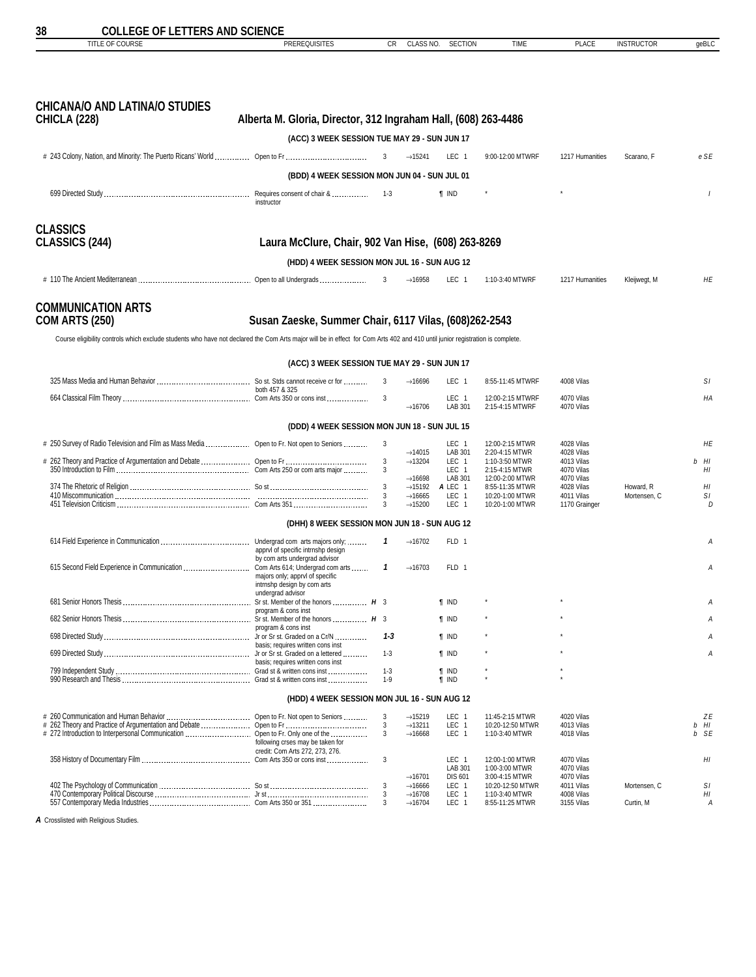| TITLE OF COURSE                                                                                                                                                               | PREREQUISITES                                                       | СR           | CLASS NO.                                  | <b>SECTION</b>            | TIME                                | <b>PLACE</b>                | <b>INSTRUCTOR</b> | geBLC      |
|-------------------------------------------------------------------------------------------------------------------------------------------------------------------------------|---------------------------------------------------------------------|--------------|--------------------------------------------|---------------------------|-------------------------------------|-----------------------------|-------------------|------------|
|                                                                                                                                                                               |                                                                     |              |                                            |                           |                                     |                             |                   |            |
| <b>CHICANA/O AND LATINA/O STUDIES</b><br><b>CHICLA (228)</b>                                                                                                                  | Alberta M. Gloria, Director, 312 Ingraham Hall, (608) 263-4486      |              |                                            |                           |                                     |                             |                   |            |
|                                                                                                                                                                               | (ACC) 3 WEEK SESSION TUE MAY 29 - SUN JUN 17                        |              |                                            |                           |                                     |                             |                   |            |
|                                                                                                                                                                               |                                                                     | $\mathbf{3}$ | $\rightarrow$ 15241                        | LEC 1                     | 9:00-12:00 MTWRF                    | 1217 Humanities             | Scarano, F        | e SE       |
|                                                                                                                                                                               | (BDD) 4 WEEK SESSION MON JUN 04 - SUN JUL 01                        |              |                                            |                           |                                     |                             |                   |            |
|                                                                                                                                                                               | instructor                                                          |              |                                            | <b>T</b> IND              |                                     |                             |                   | $\prime$   |
| <b>CLASSICS</b><br>CLASSICS (244)                                                                                                                                             | Laura McClure, Chair, 902 Van Hise, (608) 263-8269                  |              |                                            |                           |                                     |                             |                   |            |
|                                                                                                                                                                               | (HDD) 4 WEEK SESSION MON JUL 16 - SUN AUG 12                        |              |                                            |                           |                                     |                             |                   |            |
|                                                                                                                                                                               |                                                                     | 3            | $\rightarrow$ 16958                        | LEC 1                     | 1:10-3:40 MTWRF                     | 1217 Humanities             | Kleijwegt, M      | НE         |
|                                                                                                                                                                               |                                                                     |              |                                            |                           |                                     |                             |                   |            |
| <b>COMMUNICATION ARTS</b><br><b>COM ARTS (250)</b>                                                                                                                            | Susan Zaeske, Summer Chair, 6117 Vilas, (608)262-2543               |              |                                            |                           |                                     |                             |                   |            |
| Course eligibility controls which exclude students who have not declared the Com Arts major will be in effect for Com Arts 402 and 410 until junior registration is complete. |                                                                     |              |                                            |                           |                                     |                             |                   |            |
|                                                                                                                                                                               | (ACC) 3 WEEK SESSION TUE MAY 29 - SUN JUN 17                        |              |                                            |                           |                                     |                             |                   |            |
|                                                                                                                                                                               |                                                                     | 3            | $\rightarrow$ 16696                        | LEC 1                     | 8:55-11:45 MTWRF                    | 4008 Vilas                  |                   | SΙ         |
|                                                                                                                                                                               | both 457 & 325                                                      | 3            |                                            | LEC 1                     | 12:00-2:15 MTWRF                    | 4070 Vilas                  |                   | НA         |
|                                                                                                                                                                               |                                                                     |              | $\rightarrow$ 16706                        | LAB 301                   | 2:15-4:15 MTWRF                     | 4070 Vilas                  |                   |            |
|                                                                                                                                                                               | (DDD) 4 WEEK SESSION MON JUN 18 - SUN JUL 15                        |              |                                            |                           |                                     |                             |                   |            |
| # 250 Survey of Radio Television and Film as Mass Media  Open to Fr. Not open to Seniors                                                                                      |                                                                     | 3            | $\rightarrow$ 14015                        | LEC 1<br>LAB 301          | 12:00-2:15 MTWR<br>2:20-4:15 MTWR   | 4028 Vilas<br>4028 Vilas    |                   | HE         |
|                                                                                                                                                                               |                                                                     | 3<br>3       | $\rightarrow$ 13204                        | LEC 1<br>LEC 1            | 1:10-3:50 MTWR<br>2:15-4:15 MTWR    | 4013 Vilas<br>4070 Vilas    |                   | b HI<br>HI |
|                                                                                                                                                                               |                                                                     | 3            | $\rightarrow$ 16698<br>$\rightarrow$ 15192 | LAB 301<br>A LEC 1        | 12:00-2:00 MTWR<br>8:55-11:35 MTWR  | 4070 Vilas<br>4028 Vilas    | Howard, R         | HI         |
|                                                                                                                                                                               |                                                                     | 3<br>3       | $\rightarrow$ 16665<br>$\rightarrow$ 15200 | LEC 1<br>LEC 1            | 10:20-1:00 MTWR<br>10:20-1:00 MTWR  | 4011 Vilas<br>1170 Grainger | Mortensen, C      | SΙ<br>D    |
|                                                                                                                                                                               |                                                                     |              |                                            |                           |                                     |                             |                   |            |
|                                                                                                                                                                               | (DHH) 8 WEEK SESSION MON JUN 18 - SUN AUG 12                        | 1            | $\rightarrow$ 16702                        | FLD 1                     |                                     |                             |                   | Α          |
|                                                                                                                                                                               | apprvl of specific intrnshp design<br>by com arts undergrad advisor |              |                                            |                           |                                     |                             |                   |            |
|                                                                                                                                                                               | majors only: appryl of specific<br>intrnshp design by com arts      | 1            | $\rightarrow$ 16703                        | FLD 1                     |                                     |                             |                   | Α          |
|                                                                                                                                                                               | undergrad advisor                                                   |              |                                            | <b>T</b> IND              |                                     |                             |                   | А          |
|                                                                                                                                                                               | program & cons inst                                                 |              |                                            | $\P$ IND                  |                                     |                             |                   |            |
|                                                                                                                                                                               | program & cons inst                                                 | $1 - 3$      |                                            | <b>T</b> IND              |                                     |                             |                   |            |
|                                                                                                                                                                               | basis; requires written cons inst                                   | $1 - 3$      |                                            | <b>T</b> IND              |                                     |                             |                   | A          |
|                                                                                                                                                                               | basis: requires written cons inst                                   | $1 - 3$      |                                            | <b>T</b> IND              |                                     |                             |                   |            |
|                                                                                                                                                                               |                                                                     | $1-9$        |                                            | <b>T</b> IND              |                                     |                             |                   |            |
|                                                                                                                                                                               | (HDD) 4 WEEK SESSION MON JUL 16 - SUN AUG 12                        |              |                                            |                           |                                     |                             |                   |            |
|                                                                                                                                                                               |                                                                     | 3<br>3       | $\rightarrow$ 15219<br>$\rightarrow$ 13211 | LEC <sub>1</sub><br>LEC 1 | 11:45-2:15 MTWR<br>10:20-12:50 MTWR | 4020 Vilas<br>4013 Vilas    |                   | ΖE<br>b HI |
| # 272 Introduction to Interpersonal Communication  Open to Fr. Only one of the                                                                                                | following crses may be taken for                                    | 3            | $\rightarrow$ 16668                        | LEC 1                     | 1:10-3:40 MTWR                      | 4018 Vilas                  |                   | b SE       |
|                                                                                                                                                                               | credit: Com Arts 272, 273, 276.                                     | 3            |                                            | LEC 1                     | 12:00-1:00 MTWR                     | 4070 Vilas                  |                   | HI         |
|                                                                                                                                                                               |                                                                     |              | $\rightarrow$ 16701                        | LAB 301<br><b>DIS 601</b> | 1:00-3:00 MTWR<br>3:00-4:15 MTWR    | 4070 Vilas<br>4070 Vilas    |                   |            |
|                                                                                                                                                                               |                                                                     | 3<br>3       | $\rightarrow$ 16666<br>$\rightarrow$ 16708 | LEC 1<br>LEC 1            | 10:20-12:50 MTWR<br>1:10-3:40 MTWR  | 4011 Vilas<br>4008 Vilas    | Mortensen, C      | SΙ<br>HI   |
|                                                                                                                                                                               |                                                                     | 3            | $\rightarrow$ 16704                        | LEC 1                     | 8:55-11:25 MTWR                     | 3155 Vilas                  | Curtin, M         | A          |

*A* Crosslisted with Religious Studies.

<span id="page-37-0"></span>**38 COLLEGE OF LETTERS AND SCIENCE**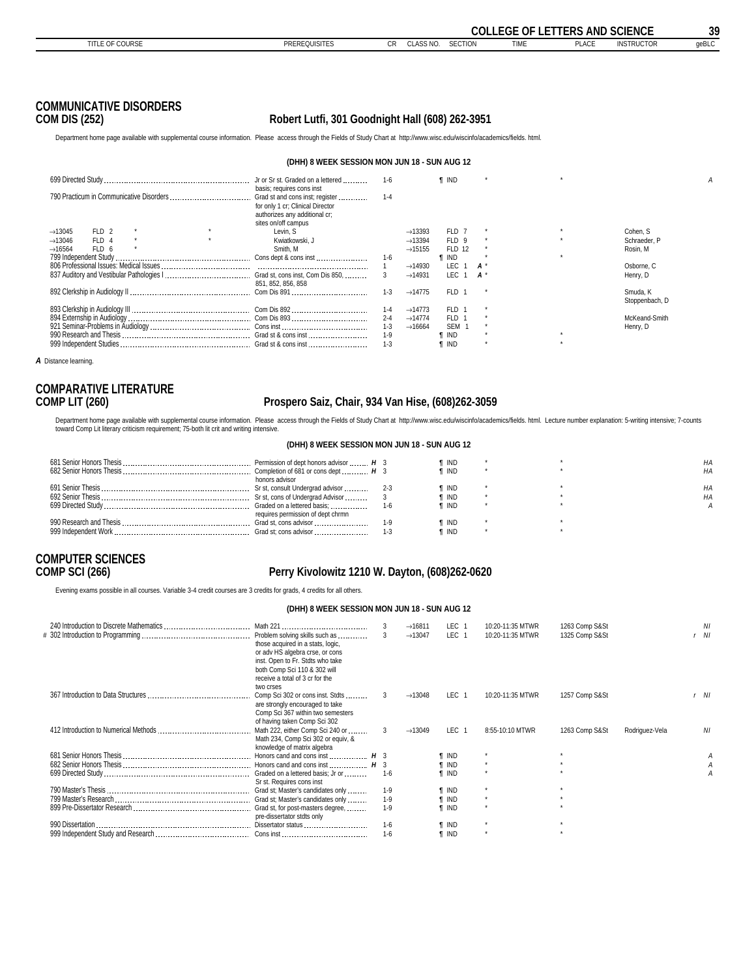<span id="page-38-0"></span>

|                                                                                                                                                                              |                                                                                          |         |                     |                  |         | <b>COLLEGE OF LETTERS AND SCIENCE</b> |              |                   | 39    |
|------------------------------------------------------------------------------------------------------------------------------------------------------------------------------|------------------------------------------------------------------------------------------|---------|---------------------|------------------|---------|---------------------------------------|--------------|-------------------|-------|
| <b>TITLE OF COURSE</b>                                                                                                                                                       | <b>PREREQUISITES</b>                                                                     | CR.     | CLASS NO.           | <b>SECTION</b>   |         | <b>TIME</b>                           | <b>PLACE</b> | <b>INSTRUCTOR</b> | geBLC |
| <b>COMMUNICATIVE DISORDERS</b><br><b>COM DIS (252)</b>                                                                                                                       | Robert Lutfi, 301 Goodnight Hall (608) 262-3951                                          |         |                     |                  |         |                                       |              |                   |       |
| Department home page available with supplemental course information. Please access through the Fields of Study Chart at http://www.wisc.edu/wiscinfo/academics/fields. html. |                                                                                          |         |                     |                  |         |                                       |              |                   |       |
|                                                                                                                                                                              | (DHH) 8 WEEK SESSION MON JUN 18 - SUN AUG 12                                             |         |                     |                  |         |                                       |              |                   |       |
|                                                                                                                                                                              | basis; requires cons inst                                                                | - 1-6   |                     | <b>f</b> IND     |         |                                       | $\star$      |                   | A     |
|                                                                                                                                                                              | for only 1 cr; Clinical Director<br>authorizes any additional cr;<br>sites on/off campus | $1 - 4$ |                     |                  |         |                                       |              |                   |       |
| FLD 2<br>$\rightarrow$ 13045                                                                                                                                                 | Levin, S                                                                                 |         | $\rightarrow$ 13393 | FLD 7            | $\star$ |                                       | $\star$      | Cohen, S          |       |
| FLD 4<br>$\rightarrow$ 13046                                                                                                                                                 | Kwiatkowski, J                                                                           |         | $\rightarrow$ 13394 | FLD 9            | $\star$ |                                       | $\star$      | Schraeder, P      |       |
| FLD 6<br>$\rightarrow$ 16564                                                                                                                                                 | Smith, M                                                                                 |         | $\rightarrow$ 15155 | <b>FLD 12</b>    | $\star$ |                                       |              | Rosin, M          |       |
|                                                                                                                                                                              |                                                                                          | $1 - 6$ |                     | $\P$ IND         |         |                                       | $\star$      |                   |       |
|                                                                                                                                                                              |                                                                                          |         | $\rightarrow$ 14930 | LEC 1            | $A^*$   |                                       |              | Osborne, C        |       |
|                                                                                                                                                                              | 851, 852, 856, 858                                                                       |         | $\rightarrow$ 14931 | LEC <sub>1</sub> | $A^*$   |                                       |              | Henry, D          |       |
|                                                                                                                                                                              |                                                                                          | $1 - 3$ | $\rightarrow$ 14775 | FLD 1            |         |                                       |              | Smuda, K          |       |

999 Independent Studies Grad st & cons inst 1-3 *¶* IND \* \*

*A* Distance learning.

## **COMPARATIVE LITERATURE**

### **COMP LIT (260) Prospero Saiz, Chair, 934 Van Hise, (608)262-3059**

 Stoppenbach, D 893 Clerkship in Audiology III Com Dis 892 1-4 →14773 FLD 1 \* 894 Externship in Audiology Com Dis 893 2-4 →14774 FLD 1 \* McKeand-Smith 921 Seminar-Problems in Audiology Cons inst 1-3 →16664 SEM 1 \* Henry, D 990 Research and Thesis Grad st & cons inst 1-9 *¶* IND \* \*

Department home page available with supplemental course information. Please access through the Fields of Study Chart at http://www.wisc.edu/wiscinfo/academics/fields. html. Lecture number explanation: 5-writing intensive; toward Comp Lit literary criticism requirement; 75-both lit crit and writing intensive.

#### **(DHH) 8 WEEK SESSION MON JUN 18 - SUN AUG 12**

| Permission of dept honors advisor  H 3 | ¶ IND |  | НA |
|----------------------------------------|-------|--|----|
|                                        | ¶ IND |  | НA |
| honors advisor                         |       |  |    |
|                                        | ¶ IND |  |    |
|                                        | ¶ IND |  | НA |
|                                        | ¶ IND |  |    |
| requires permission of dept chrmn      |       |  |    |
| Grad st, cons advisor                  | ¶ IND |  |    |
| Grad st: cons advisor                  | ¶ IND |  |    |

# **COMPUTER SCIENCES**

### **COMP SCI (266) Perry Kivolowitz 1210 W. Dayton, (608)262-0620**

Evening exams possible in all courses. Variable 3-4 credit courses are 3 credits for grads, 4 credits for all others.

#### **(DHH) 8 WEEK SESSION MON JUN 18 - SUN AUG 12**

| ΝI<br>Nl |
|----------|
| r NI     |
|          |
| ΝI       |
|          |
|          |
|          |
|          |
|          |
|          |
|          |
|          |
|          |
|          |
|          |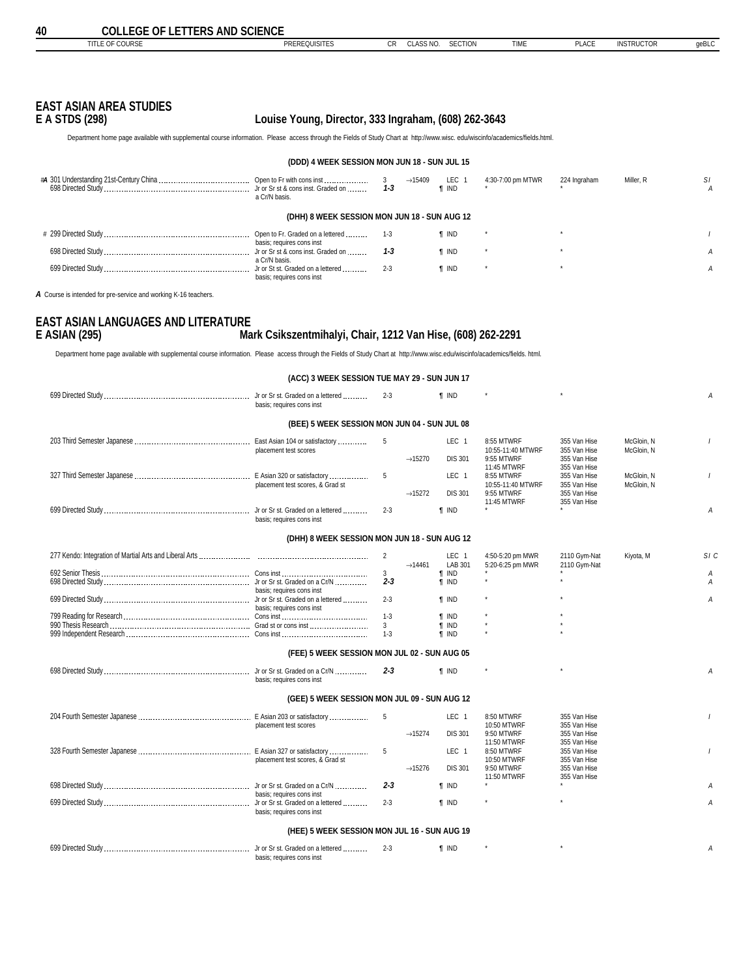<span id="page-39-0"></span>**40 COLLEGE OF LETTERS AND SCIENCE**<br>
TITLE OF COURSE CR CLASS NO. SECTION TIME PLACE INSTRUCTOR geBLC

| EAST ASIAN AREA STUDIES |  |  |
|-------------------------|--|--|
| F & ATRA (AAA)          |  |  |

### **E A STDS (298) Louise Young, Director, 333 Ingraham, (608) 262-3643**

Department home page available with supplemental course information. Please access through the Fields of Study Chart at http://www.wisc. edu/wiscinfo/academics/fields.html.

#### **(DDD) 4 WEEK SESSION MON JUN 18 - SUN JUL 15**

| a Cr/N basis.                                                  | $3^{\circ}$<br>$1 - 3$ | $\rightarrow$ 15409 LEC 1<br><b>T</b> IND | 4:30-7:00 pm MTWR | 224 Ingraham | Miller, R | -SI |
|----------------------------------------------------------------|------------------------|-------------------------------------------|-------------------|--------------|-----------|-----|
| (DHH) 8 WEEK SESSION MON JUN 18 - SUN AUG 12                   |                        |                                           |                   |              |           |     |
| Open to Fr. Graded on a lettered<br>basis; requires cons inst  | $1 - 3$                | ¶ IND                                     |                   |              |           |     |
| Jr or Sr st & cons inst. Graded on<br>a Cr/N basis.            | $1 - 3$                | <b>T</b> IND                              |                   |              |           |     |
| Jr or St st. Graded on a lettered<br>basis; requires cons inst | $2 - 3$                | <b>T</b> IND                              |                   |              |           |     |

*A* Course is intended for pre-service and working K-16 teachers.

### **EAST ASIAN LANGUAGES AND LITERATURE E ASIAN (295) Mark Csikszentmihalyi, Chair, 1212 Van Hise, (608) 262-2291**

Department home page available with supplemental course information. Please access through the Fields of Study Chart at http://www.wisc.edu/wiscinfo/academics/fields. html.

| (ACC) 3 WEEK SESSION TUE MAY 29 - SUN JUN 17                   |              |                     |                             |                                      |                              |            |                |
|----------------------------------------------------------------|--------------|---------------------|-----------------------------|--------------------------------------|------------------------------|------------|----------------|
| Jr or Sr st. Graded on a lettered<br>basis; requires cons inst | $2 - 3$      |                     | $\P$ IND                    |                                      |                              |            | А              |
| (BEE) 5 WEEK SESSION MON JUN 04 - SUN JUL 08                   |              |                     |                             |                                      |                              |            |                |
| East Asian 104 or satisfactory                                 | 5            |                     | LEC <sub>1</sub>            | 8:55 MTWRF                           | 355 Van Hise                 | McGloin, N |                |
| placement test scores                                          |              | $\rightarrow$ 15270 | <b>DIS 301</b>              | 10:55-11:40 MTWRF<br>9:55 MTWRF      | 355 Van Hise<br>355 Van Hise | McGloin, N |                |
|                                                                | 5            |                     | LEC <sub>1</sub>            | 11:45 MTWRF<br>8:55 MTWRF            | 355 Van Hise<br>355 Van Hise | McGloin, N |                |
| placement test scores, & Grad st                               |              | $\rightarrow$ 15272 | <b>DIS 301</b>              | 10:55-11:40 MTWRF<br>9:55 MTWRF      | 355 Van Hise<br>355 Van Hise | McGloin, N |                |
| basis: requires cons inst                                      | $2 - 3$      |                     | <b>T</b> IND                | 11:45 MTWRF                          | 355 Van Hise                 |            | A              |
| (DHH) 8 WEEK SESSION MON JUN 18 - SUN AUG 12                   |              |                     |                             |                                      |                              |            |                |
|                                                                | 2            | $\rightarrow$ 14461 | LEC <sub>1</sub><br>LAB 301 | 4:50-5:20 pm MWR<br>5:20-6:25 pm MWR | 2110 Gym-Nat<br>2110 Gym-Nat | Kiyota, M  | SIC            |
|                                                                | 3            |                     | <b>T</b> IND                |                                      |                              |            | Α              |
|                                                                | $2 - 3$      |                     | <b>T</b> IND                |                                      |                              |            | А              |
| basis; requires cons inst                                      |              |                     |                             |                                      |                              |            |                |
| basis; requires cons inst                                      | $2 - 3$      |                     | <b>T</b> IND                |                                      |                              |            | Α              |
|                                                                | $1 - 3$      |                     | <b>T</b> IND                |                                      |                              |            |                |
|                                                                | $\mathbf{3}$ |                     | $\P$ IND                    |                                      |                              |            |                |
|                                                                | $1 - 3$      |                     | <b>T</b> IND                |                                      |                              |            |                |
| (FEE) 5 WEEK SESSION MON JUL 02 - SUN AUG 05                   |              |                     |                             |                                      |                              |            |                |
| basis; requires cons inst                                      | $2 - 3$      |                     | <b>f</b> IND                |                                      |                              |            | $\overline{A}$ |
| (GEE) 5 WEEK SESSION MON JUL 09 - SUN AUG 12                   |              |                     |                             |                                      |                              |            |                |
|                                                                | 5            |                     | LEC <sub>1</sub>            | 8:50 MTWRF                           | 355 Van Hise                 |            |                |
| placement test scores                                          |              | $\rightarrow$ 15274 | <b>DIS 301</b>              | 10:50 MTWRF<br>9:50 MTWRF            | 355 Van Hise<br>355 Van Hise |            |                |
|                                                                | 5            |                     | LEC <sub>1</sub>            | 11:50 MTWRF<br>8:50 MTWRF            | 355 Van Hise<br>355 Van Hise |            |                |
| placement test scores, & Grad st                               |              | $\rightarrow$ 15276 | <b>DIS 301</b>              | 10:50 MTWRF<br>9:50 MTWRF            | 355 Van Hise<br>355 Van Hise |            |                |
|                                                                | $2 - 3$      |                     | <b>T</b> IND                | 11:50 MTWRF                          | 355 Van Hise                 |            | A              |
| basis: requires cons inst                                      |              |                     |                             |                                      |                              |            |                |
| basis; requires cons inst                                      | $2 - 3$      |                     | <b>f</b> IND                |                                      |                              |            | A              |
| (HEE) 5 WEEK SESSION MON JUL 16 - SUN AUG 19                   |              |                     |                             |                                      |                              |            |                |
|                                                                |              |                     |                             |                                      |                              |            |                |
| basis; requires cons inst                                      | $2 - 3$      |                     | <b>T</b> IND                |                                      |                              |            | А              |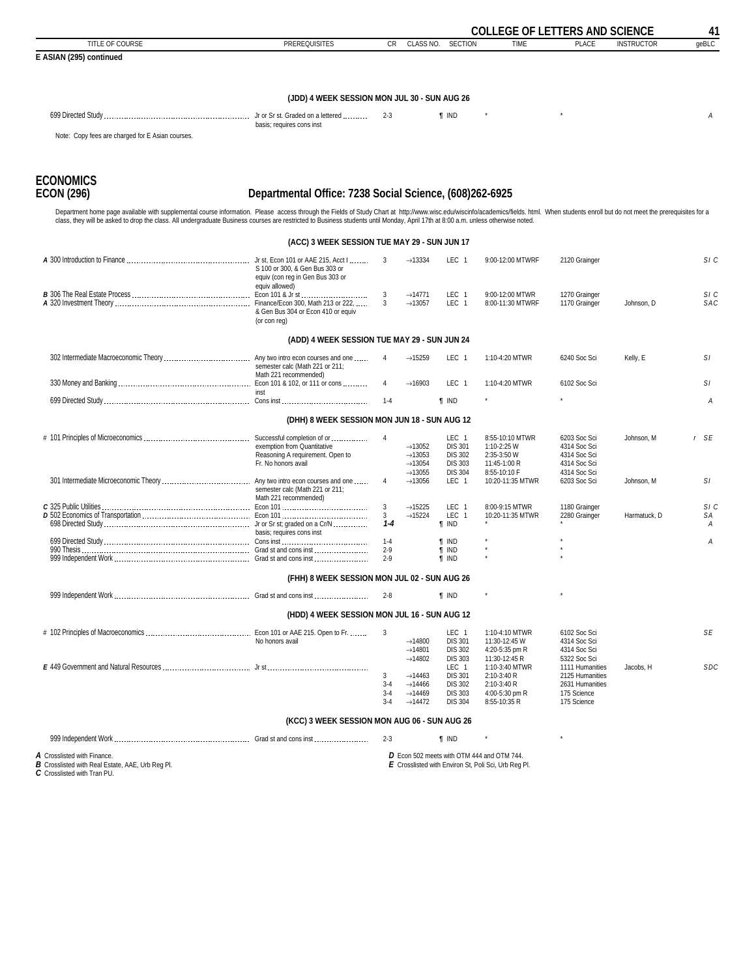<span id="page-40-0"></span>

|                                                                                                                                                                                                                                                                                                                                                                                                                     |                                                                                        |                                    |                                                                                                                 |                                                                                                 |                                                                                                    |                                                                                                     | <b>COLLEGE OF LETTERS AND SCIENCE</b> |            |  |
|---------------------------------------------------------------------------------------------------------------------------------------------------------------------------------------------------------------------------------------------------------------------------------------------------------------------------------------------------------------------------------------------------------------------|----------------------------------------------------------------------------------------|------------------------------------|-----------------------------------------------------------------------------------------------------------------|-------------------------------------------------------------------------------------------------|----------------------------------------------------------------------------------------------------|-----------------------------------------------------------------------------------------------------|---------------------------------------|------------|--|
| TITLE OF COURSE                                                                                                                                                                                                                                                                                                                                                                                                     | <b>PREREQUISITES</b>                                                                   | <b>CR</b>                          | CLASS NO.                                                                                                       | <b>SECTION</b>                                                                                  | <b>TIME</b>                                                                                        | <b>PLACE</b>                                                                                        | <b>INSTRUCTOR</b>                     | qeBLC      |  |
| E ASIAN (295) continued                                                                                                                                                                                                                                                                                                                                                                                             |                                                                                        |                                    |                                                                                                                 |                                                                                                 |                                                                                                    |                                                                                                     |                                       |            |  |
|                                                                                                                                                                                                                                                                                                                                                                                                                     |                                                                                        |                                    |                                                                                                                 |                                                                                                 |                                                                                                    |                                                                                                     |                                       |            |  |
|                                                                                                                                                                                                                                                                                                                                                                                                                     | (JDD) 4 WEEK SESSION MON JUL 30 - SUN AUG 26                                           |                                    |                                                                                                                 |                                                                                                 |                                                                                                    |                                                                                                     |                                       |            |  |
|                                                                                                                                                                                                                                                                                                                                                                                                                     | basis; requires cons inst                                                              | $2 - 3$                            |                                                                                                                 | <b>T</b> IND                                                                                    |                                                                                                    |                                                                                                     |                                       | Α          |  |
| Note: Copy fees are charged for E Asian courses.                                                                                                                                                                                                                                                                                                                                                                    |                                                                                        |                                    |                                                                                                                 |                                                                                                 |                                                                                                    |                                                                                                     |                                       |            |  |
| <b>ECONOMICS</b><br><b>ECON (296)</b>                                                                                                                                                                                                                                                                                                                                                                               | Departmental Office: 7238 Social Science, (608)262-6925                                |                                    |                                                                                                                 |                                                                                                 |                                                                                                    |                                                                                                     |                                       |            |  |
| Department home page available with supplemental course information. Please access through the Fields of Study Chart at http://www.wisc.edu/wiscinfo/academics/fields. html. When students enroll but do not meet the prerequi<br>class, they will be asked to drop the class. All undergraduate Business courses are restricted to Business students until Monday, April 17th at 8:00 a.m. unless otherwise noted. |                                                                                        |                                    |                                                                                                                 |                                                                                                 |                                                                                                    |                                                                                                     |                                       |            |  |
|                                                                                                                                                                                                                                                                                                                                                                                                                     | (ACC) 3 WEEK SESSION TUE MAY 29 - SUN JUN 17                                           |                                    |                                                                                                                 |                                                                                                 |                                                                                                    |                                                                                                     |                                       |            |  |
|                                                                                                                                                                                                                                                                                                                                                                                                                     | S 100 or 300, & Gen Bus 303 or<br>equiv (con reg in Gen Bus 303 or<br>equiv allowed)   | 3                                  | $\rightarrow$ 13334                                                                                             | LEC 1                                                                                           | 9:00-12:00 MTWRF                                                                                   | 2120 Grainger                                                                                       |                                       | SI C       |  |
|                                                                                                                                                                                                                                                                                                                                                                                                                     | & Gen Bus 304 or Econ 410 or equiv<br>(or con rea)                                     | 3<br>$\mathbf{3}$                  | $\rightarrow$ 14771<br>$\rightarrow$ 13057                                                                      | LEC <sub>1</sub><br>LEC 1                                                                       | 9:00-12:00 MTWR<br>8:00-11:30 MTWRF                                                                | 1270 Grainger<br>1170 Grainger                                                                      | Johnson. D                            | SIC<br>SAC |  |
|                                                                                                                                                                                                                                                                                                                                                                                                                     | (ADD) 4 WEEK SESSION TUE MAY 29 - SUN JUN 24                                           |                                    |                                                                                                                 |                                                                                                 |                                                                                                    |                                                                                                     |                                       |            |  |
|                                                                                                                                                                                                                                                                                                                                                                                                                     | semester calc (Math 221 or 211;<br>Math 221 recommended)                               | $\overline{4}$                     | $\rightarrow$ 15259                                                                                             | LEC <sub>1</sub>                                                                                | 1:10-4:20 MTWR                                                                                     | 6240 Soc Sci                                                                                        | Kelly, E                              | SI.        |  |
|                                                                                                                                                                                                                                                                                                                                                                                                                     | inst                                                                                   | 4                                  | $\rightarrow$ 16903                                                                                             | LEC 1                                                                                           | 1:10-4:20 MTWR                                                                                     | 6102 Soc Sci                                                                                        |                                       | SI.        |  |
|                                                                                                                                                                                                                                                                                                                                                                                                                     |                                                                                        | $1 - 4$                            |                                                                                                                 | <b>T</b> IND                                                                                    |                                                                                                    |                                                                                                     |                                       | А          |  |
|                                                                                                                                                                                                                                                                                                                                                                                                                     | (DHH) 8 WEEK SESSION MON JUN 18 - SUN AUG 12                                           |                                    |                                                                                                                 |                                                                                                 |                                                                                                    |                                                                                                     |                                       |            |  |
|                                                                                                                                                                                                                                                                                                                                                                                                                     | exemption from Quantitative<br>Reasoning A requirement. Open to<br>Fr. No honors avail | 4                                  | $\rightarrow$ 13052<br>$\rightarrow$ 13053<br>$\rightarrow$ 13054                                               | LEC 1<br><b>DIS 301</b><br><b>DIS 302</b><br><b>DIS 303</b>                                     | 8:55-10:10 MTWR<br>1:10-2:25 W<br>2:35-3:50 W<br>11:45-1:00 R                                      | 6203 Soc Sci<br>4314 Soc Sci<br>4314 Soc Sci<br>4314 Soc Sci                                        | Johnson, M                            | r SE       |  |
|                                                                                                                                                                                                                                                                                                                                                                                                                     | semester calc (Math 221 or 211;<br>Math 221 recommended)                               | $\overline{4}$                     | $\rightarrow$ 13055<br>$\rightarrow$ 13056                                                                      | <b>DIS 304</b><br>LEC 1                                                                         | 8:55-10:10 F<br>10:20-11:35 MTWR                                                                   | 4314 Soc Sci<br>6203 Soc Sci                                                                        | Johnson, M                            | SI.        |  |
|                                                                                                                                                                                                                                                                                                                                                                                                                     |                                                                                        | 3<br>3                             | $\rightarrow$ 15225<br>$\rightarrow$ 15224                                                                      | LEC 1<br>LEC 1                                                                                  | 8:00-9:15 MTWR<br>10:20-11:35 MTWR                                                                 | 1180 Grainger<br>2280 Grainger                                                                      | Harmatuck, D                          | SI C<br>SА |  |
|                                                                                                                                                                                                                                                                                                                                                                                                                     | basis: requires cons inst                                                              | $1 - 4$                            |                                                                                                                 | <b>T</b> IND                                                                                    |                                                                                                    |                                                                                                     |                                       | А          |  |
|                                                                                                                                                                                                                                                                                                                                                                                                                     |                                                                                        | $1 - 4$<br>$2 - 9$                 |                                                                                                                 | <b>T</b> IND<br><b>T</b> IND                                                                    |                                                                                                    |                                                                                                     |                                       | А          |  |
|                                                                                                                                                                                                                                                                                                                                                                                                                     |                                                                                        | $2 - 9$                            |                                                                                                                 | <b>T</b> IND                                                                                    |                                                                                                    |                                                                                                     |                                       |            |  |
|                                                                                                                                                                                                                                                                                                                                                                                                                     | (FHH) 8 WEEK SESSION MON JUL 02 - SUN AUG 26                                           |                                    |                                                                                                                 |                                                                                                 |                                                                                                    |                                                                                                     |                                       |            |  |
|                                                                                                                                                                                                                                                                                                                                                                                                                     |                                                                                        | $2 - 8$                            |                                                                                                                 | <b>T</b> IND                                                                                    |                                                                                                    |                                                                                                     |                                       |            |  |
|                                                                                                                                                                                                                                                                                                                                                                                                                     | (HDD) 4 WEEK SESSION MON JUL 16 - SUN AUG 12                                           |                                    |                                                                                                                 |                                                                                                 |                                                                                                    |                                                                                                     |                                       |            |  |
|                                                                                                                                                                                                                                                                                                                                                                                                                     | No honors avail                                                                        | 3                                  | $\rightarrow$ 14800<br>$\rightarrow$ 14801                                                                      | LEC 1<br><b>DIS 301</b><br><b>DIS 302</b>                                                       | 1:10-4:10 MTWR<br>11:30-12:45 W<br>4:20-5:35 pm R                                                  | 6102 Soc Sci<br>4314 Soc Sci<br>4314 Soc Sci                                                        |                                       | SE         |  |
|                                                                                                                                                                                                                                                                                                                                                                                                                     |                                                                                        | 3<br>$3 - 4$<br>$3 - 4$<br>$3 - 4$ | $\rightarrow$ 14802<br>$\rightarrow$ 14463<br>$\rightarrow$ 14466<br>$\rightarrow$ 14469<br>$\rightarrow$ 14472 | <b>DIS 303</b><br>LEC 1<br><b>DIS 301</b><br><b>DIS 302</b><br><b>DIS 303</b><br><b>DIS 304</b> | 11:30-12:45 R<br>1:10-3:40 MTWR<br>2:10-3:40 R<br>2:10-3:40 R<br>4:00-5:30 pm R<br>8:55-10:35 R    | 5322 Soc Sci<br>1111 Humanities<br>2125 Humanities<br>2631 Humanities<br>175 Science<br>175 Science | Jacobs, H                             | <b>SDC</b> |  |
|                                                                                                                                                                                                                                                                                                                                                                                                                     | (KCC) 3 WEEK SESSION MON AUG 06 - SUN AUG 26                                           |                                    |                                                                                                                 |                                                                                                 |                                                                                                    |                                                                                                     |                                       |            |  |
|                                                                                                                                                                                                                                                                                                                                                                                                                     |                                                                                        | $2 - 3$                            |                                                                                                                 | $\P$ IND                                                                                        |                                                                                                    |                                                                                                     |                                       |            |  |
| A Crosslisted with Finance.<br>B Crosslisted with Real Estate, AAE, Urb Reg Pl.<br>C Crosslisted with Tran PU.                                                                                                                                                                                                                                                                                                      |                                                                                        |                                    |                                                                                                                 |                                                                                                 | D Econ 502 meets with OTM 444 and OTM 744.<br>E Crosslisted with Environ St, Poli Sci, Urb Reg Pl. |                                                                                                     |                                       |            |  |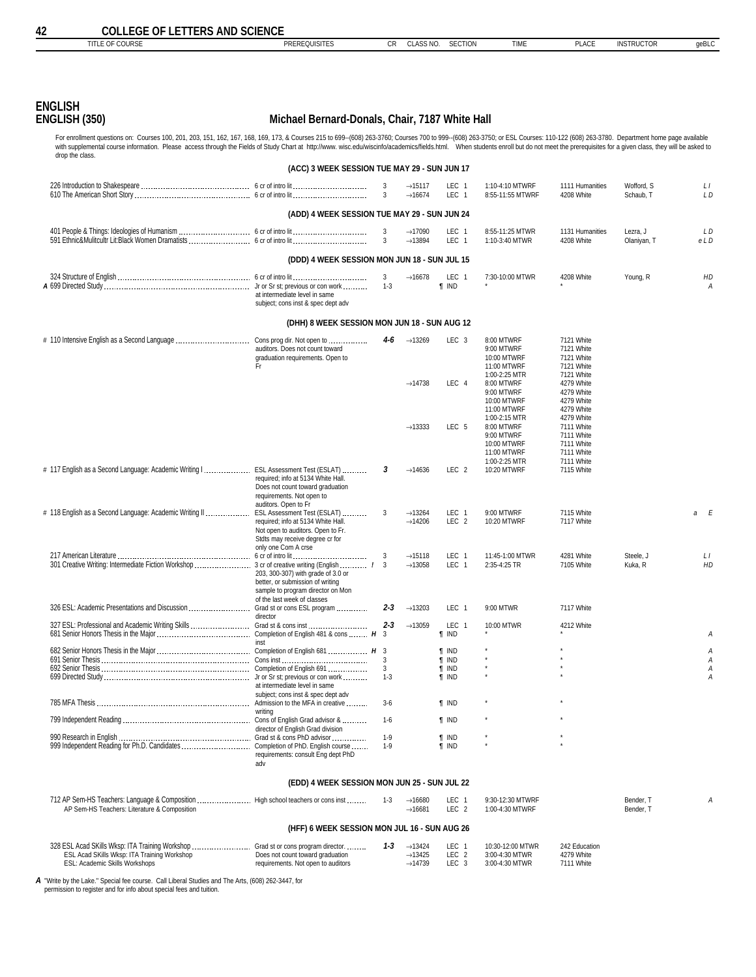<span id="page-41-0"></span>

| <b>COLLEGE OF LETTERS AND SCIENCE</b><br>42<br>TITLE OF COURSE                                                                                                                                                                                                                                                                                                                                                                                                   |                                                                                                                                                                  |                  |                                                                   |                                               |                                                                         |                                                                    |                         |            |
|------------------------------------------------------------------------------------------------------------------------------------------------------------------------------------------------------------------------------------------------------------------------------------------------------------------------------------------------------------------------------------------------------------------------------------------------------------------|------------------------------------------------------------------------------------------------------------------------------------------------------------------|------------------|-------------------------------------------------------------------|-----------------------------------------------|-------------------------------------------------------------------------|--------------------------------------------------------------------|-------------------------|------------|
|                                                                                                                                                                                                                                                                                                                                                                                                                                                                  | <b>PREREQUISITES</b>                                                                                                                                             | CR               | CLASS NO.                                                         | <b>SECTION</b>                                | <b>TIME</b>                                                             | <b>PLACE</b>                                                       | <b>INSTRUCTOR</b>       | geBLC      |
|                                                                                                                                                                                                                                                                                                                                                                                                                                                                  |                                                                                                                                                                  |                  |                                                                   |                                               |                                                                         |                                                                    |                         |            |
| <b>ENGLISH</b><br>ENGLISH (350)                                                                                                                                                                                                                                                                                                                                                                                                                                  | Michael Bernard-Donals, Chair, 7187 White Hall                                                                                                                   |                  |                                                                   |                                               |                                                                         |                                                                    |                         |            |
| For enrollment questions on: Courses 100, 201, 203, 151, 162, 167, 168, 169, 173, & Courses 215 to 699-(608) 263-3760; Courses 700 to 999-(608) 263-3750; or ESL Courses: 110-122 (608) 263-3780. Department home page availab<br>with supplemental course information. Please access through the Fields of Study Chart at http://www. wisc.edu/wiscinfo/academics/fields.html. When students enroll but do not meet the prerequisites for a given class, they w |                                                                                                                                                                  |                  |                                                                   |                                               |                                                                         |                                                                    |                         |            |
| drop the class.                                                                                                                                                                                                                                                                                                                                                                                                                                                  | (ACC) 3 WEEK SESSION TUE MAY 29 - SUN JUN 17                                                                                                                     |                  |                                                                   |                                               |                                                                         |                                                                    |                         |            |
|                                                                                                                                                                                                                                                                                                                                                                                                                                                                  |                                                                                                                                                                  | 3<br>3           | $\rightarrow$ 15117<br>$\rightarrow$ 16674                        | LEC 1<br>LEC <sub>1</sub>                     | 1:10-4:10 MTWRF<br>8:55-11:55 MTWRF                                     | 1111 Humanities<br>4208 White                                      | Wofford, S<br>Schaub, T | LI<br>L D  |
|                                                                                                                                                                                                                                                                                                                                                                                                                                                                  | (ADD) 4 WEEK SESSION TUE MAY 29 - SUN JUN 24                                                                                                                     |                  |                                                                   |                                               |                                                                         |                                                                    |                         |            |
|                                                                                                                                                                                                                                                                                                                                                                                                                                                                  |                                                                                                                                                                  | 3<br>3           | $\rightarrow$ 17090<br>$\rightarrow$ 13894                        | LEC 1<br>LEC 1                                | 8:55-11:25 MTWR<br>1:10-3:40 MTWR                                       | 1131 Humanities<br>4208 White                                      | Lezra, J<br>Olaniyan, T | L D<br>eLD |
|                                                                                                                                                                                                                                                                                                                                                                                                                                                                  | (DDD) 4 WEEK SESSION MON JUN 18 - SUN JUL 15                                                                                                                     |                  |                                                                   |                                               |                                                                         |                                                                    |                         |            |
|                                                                                                                                                                                                                                                                                                                                                                                                                                                                  | at intermediate level in same<br>subject; cons inst & spec dept adv                                                                                              | 3<br>$1 - 3$     | $\rightarrow$ 16678                                               | LEC 1<br><b>T</b> IND                         | 7:30-10:00 MTWR                                                         | 4208 White                                                         | Young, R                | HD<br>А    |
|                                                                                                                                                                                                                                                                                                                                                                                                                                                                  | (DHH) 8 WEEK SESSION MON JUN 18 - SUN AUG 12                                                                                                                     |                  |                                                                   |                                               |                                                                         |                                                                    |                         |            |
| # 110 Intensive English as a Second Language                                                                                                                                                                                                                                                                                                                                                                                                                     | Cons prog dir. Not open to<br>auditors. Does not count toward<br>graduation requirements. Open to<br>Fr                                                          | 4-6              | $\rightarrow$ 13269                                               | LEC <sub>3</sub>                              | 8:00 MTWRF<br>9:00 MTWRF<br>10:00 MTWRF<br>11:00 MTWRF<br>1:00-2:25 MTR | 7121 White<br>7121 White<br>7121 White<br>7121 White<br>7121 White |                         |            |
|                                                                                                                                                                                                                                                                                                                                                                                                                                                                  |                                                                                                                                                                  |                  | $\rightarrow$ 14738                                               | LEC 4                                         | 8:00 MTWRF<br>9:00 MTWRF<br>10:00 MTWRF<br>11:00 MTWRF                  | 4279 White<br>4279 White<br>4279 White<br>4279 White               |                         |            |
|                                                                                                                                                                                                                                                                                                                                                                                                                                                                  |                                                                                                                                                                  |                  | $\rightarrow$ 13333                                               | LEC 5                                         | 1:00-2:15 MTR<br>8:00 MTWRF<br>9:00 MTWRF<br>10:00 MTWRF<br>11:00 MTWRF | 4279 White<br>7111 White<br>7111 White<br>7111 White<br>7111 White |                         |            |
| # 117 English as a Second Language: Academic Writing I                                                                                                                                                                                                                                                                                                                                                                                                           | ESL Assessment Test (ESLAT)<br>required; info at 5134 White Hall.<br>Does not count toward graduation<br>requirements. Not open to<br>auditors. Open to Fr       | 3                | $\rightarrow$ 14636                                               | LEC <sub>2</sub>                              | 1:00-2:25 MTR<br>10:20 MTWRF                                            | 7111 White<br>7115 White                                           |                         |            |
| # 118 English as a Second Language: Academic Writing II                                                                                                                                                                                                                                                                                                                                                                                                          | ESL Assessment Test (ESLAT)<br>required; info at 5134 White Hall.<br>Not open to auditors. Open to Fr.<br>Stdts may receive degree cr for<br>only one Com A crse | 3                | $\rightarrow$ 13264<br>$\rightarrow$ 14206                        | LEC <sub>1</sub><br>LEC <sub>2</sub>          | 9:00 MTWRF<br>10:20 MTWRF                                               | 7115 White<br>7117 White                                           |                         | E<br>a     |
|                                                                                                                                                                                                                                                                                                                                                                                                                                                                  | 6 cr of intro lit<br>203, 300-307) with grade of 3.0 or<br>better, or submission of writing<br>sample to program director on Mon<br>of the last week of classes  | 3                | $\rightarrow$ 15118<br>$\rightarrow$ 13058                        | LEC 1<br>LEC <sub>1</sub>                     | 11:45-1:00 MTWR<br>2:35-4:25 TR                                         | 4281 White<br>7105 White                                           | Steele, J<br>Kuka, R    | LI<br>HD   |
| 326 ESL: Academic Presentations and Discussion                                                                                                                                                                                                                                                                                                                                                                                                                   | Grad st or cons ESL program<br>director                                                                                                                          | $2 - 3$          | $\rightarrow$ 13203                                               | LEC 1                                         | 9:00 MTWR                                                               | 7117 White                                                         |                         |            |
|                                                                                                                                                                                                                                                                                                                                                                                                                                                                  | inst                                                                                                                                                             | $2 - 3$          | $\rightarrow$ 13059                                               | LEC <sub>1</sub><br><b>T</b> IND              | 10:00 MTWR                                                              | 4212 White                                                         |                         | А          |
|                                                                                                                                                                                                                                                                                                                                                                                                                                                                  |                                                                                                                                                                  | 3                |                                                                   | <b>T</b> IND<br>$\P$ IND                      |                                                                         |                                                                    |                         | А<br>A     |
|                                                                                                                                                                                                                                                                                                                                                                                                                                                                  |                                                                                                                                                                  | 3<br>$1-3$       |                                                                   | <b>T</b> IND<br><b>T</b> IND                  |                                                                         |                                                                    |                         | Α<br>Α     |
|                                                                                                                                                                                                                                                                                                                                                                                                                                                                  | at intermediate level in same<br>subject; cons inst & spec dept adv                                                                                              | $3-6$            |                                                                   | <b>T</b> IND                                  |                                                                         |                                                                    |                         |            |
|                                                                                                                                                                                                                                                                                                                                                                                                                                                                  | writing                                                                                                                                                          | $1 - 6$          |                                                                   | <b>T</b> IND                                  |                                                                         |                                                                    |                         |            |
| 999 Independent Reading for Ph.D. Candidates  Completion of PhD. English course                                                                                                                                                                                                                                                                                                                                                                                  | director of English Grad division<br>requirements: consult Eng dept PhD<br>adv                                                                                   | $1 - 9$<br>$1-9$ |                                                                   | <b>T</b> IND<br><b>T</b> IND                  |                                                                         |                                                                    |                         |            |
|                                                                                                                                                                                                                                                                                                                                                                                                                                                                  | (EDD) 4 WEEK SESSION MON JUN 25 - SUN JUL 22                                                                                                                     |                  |                                                                   |                                               |                                                                         |                                                                    |                         |            |
| AP Sem-HS Teachers: Literature & Composition                                                                                                                                                                                                                                                                                                                                                                                                                     |                                                                                                                                                                  | $1 - 3$          | $\rightarrow$ 16680<br>$\rightarrow$ 16681                        | LEC <sub>1</sub><br>LEC <sub>2</sub>          | 9:30-12:30 MTWRF<br>1:00-4:30 MTWRF                                     |                                                                    | Bender. T<br>Bender, T  | A          |
|                                                                                                                                                                                                                                                                                                                                                                                                                                                                  | (HFF) 6 WEEK SESSION MON JUL 16 - SUN AUG 26                                                                                                                     |                  |                                                                   |                                               |                                                                         |                                                                    |                         |            |
| 328 ESL Acad SKills Wksp: ITA Training Workshop<br>ESL Acad SKills Wksp: ITA Training Workshop<br>ESL: Academic Skills Workshops                                                                                                                                                                                                                                                                                                                                 | Grad st or cons program director.<br>Does not count toward graduation<br>requirements. Not open to auditors                                                      | $1 - 3$          | $\rightarrow$ 13424<br>$\rightarrow$ 13425<br>$\rightarrow$ 14739 | LEC 1<br>LEC <sub>2</sub><br>LEC <sub>3</sub> | 10:30-12:00 MTWR<br>3:00-4:30 MTWR<br>3:00-4:30 MTWR                    | 242 Education<br>4279 White<br>7111 White                          |                         |            |

*A* "Write by the Lake." Special fee course. Call Liberal Studies and The Arts, (608) 262-3447, for permission to register and for info about special fees and tuition.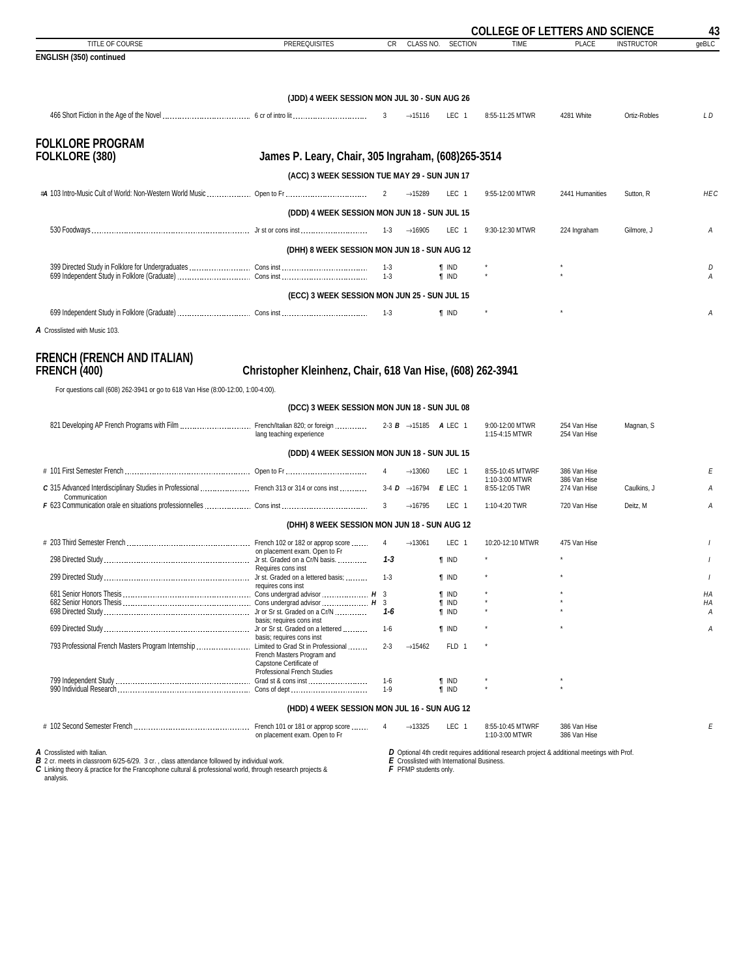<span id="page-42-0"></span>

|                                                                                                                                                                                                                                                             |                                                            |                |                                                       |                                            | <b>COLLEGE OF LETTERS AND SCIENCE</b>                                                       |                              |                   | 43         |
|-------------------------------------------------------------------------------------------------------------------------------------------------------------------------------------------------------------------------------------------------------------|------------------------------------------------------------|----------------|-------------------------------------------------------|--------------------------------------------|---------------------------------------------------------------------------------------------|------------------------------|-------------------|------------|
| TITLE OF COURSE<br>ENGLISH (350) continued                                                                                                                                                                                                                  | <b>PREREQUISITES</b>                                       | CR             | CLASS NO.                                             | <b>SECTION</b>                             | <b>TIME</b>                                                                                 | <b>PLACE</b>                 | <b>INSTRUCTOR</b> | geBLC      |
|                                                                                                                                                                                                                                                             |                                                            |                |                                                       |                                            |                                                                                             |                              |                   |            |
|                                                                                                                                                                                                                                                             | (JDD) 4 WEEK SESSION MON JUL 30 - SUN AUG 26               |                |                                                       |                                            |                                                                                             |                              |                   |            |
|                                                                                                                                                                                                                                                             |                                                            |                | $\rightarrow$ 15116                                   | LEC 1                                      | 8:55-11:25 MTWR                                                                             | 4281 White                   | Ortiz-Robles      | L D        |
| <b>FOLKLORE PROGRAM</b><br>FOLKLORE (380)                                                                                                                                                                                                                   | James P. Leary, Chair, 305 Ingraham, (608)265-3514         |                |                                                       |                                            |                                                                                             |                              |                   |            |
|                                                                                                                                                                                                                                                             |                                                            |                |                                                       |                                            |                                                                                             |                              |                   |            |
|                                                                                                                                                                                                                                                             | (ACC) 3 WEEK SESSION TUE MAY 29 - SUN JUN 17               |                |                                                       |                                            |                                                                                             |                              |                   | <b>HEC</b> |
|                                                                                                                                                                                                                                                             | (DDD) 4 WEEK SESSION MON JUN 18 - SUN JUL 15               |                | $\rightarrow$ 15289                                   | LEC <sub>1</sub>                           | 9:55-12:00 MTWR                                                                             | 2441 Humanities              | Sutton, R         |            |
|                                                                                                                                                                                                                                                             |                                                            |                | $\rightarrow$ 16905                                   | LEC <sub>1</sub>                           | 9:30-12:30 MTWR                                                                             | 224 Ingraham                 | Gilmore, J        | Α          |
|                                                                                                                                                                                                                                                             |                                                            |                |                                                       |                                            |                                                                                             |                              |                   |            |
|                                                                                                                                                                                                                                                             | (DHH) 8 WEEK SESSION MON JUN 18 - SUN AUG 12               |                |                                                       |                                            |                                                                                             |                              |                   |            |
|                                                                                                                                                                                                                                                             |                                                            | $1 - 3$        |                                                       | ¶ IND<br><b>T</b> IND                      |                                                                                             |                              |                   | D<br>А     |
|                                                                                                                                                                                                                                                             | (ECC) 3 WEEK SESSION MON JUN 25 - SUN JUL 15               |                |                                                       |                                            |                                                                                             |                              |                   |            |
|                                                                                                                                                                                                                                                             |                                                            |                |                                                       | <b>f</b> IND                               |                                                                                             |                              |                   | А          |
| A Crosslisted with Music 103.                                                                                                                                                                                                                               |                                                            |                |                                                       |                                            |                                                                                             |                              |                   |            |
| <b>FRENCH (FRENCH AND ITALIAN)</b><br><b>FRENCH (400)</b>                                                                                                                                                                                                   | Christopher Kleinhenz, Chair, 618 Van Hise, (608) 262-3941 |                |                                                       |                                            |                                                                                             |                              |                   |            |
| For questions call (608) 262-3941 or go to 618 Van Hise (8:00-12:00, 1:00-4:00).                                                                                                                                                                            |                                                            |                |                                                       |                                            |                                                                                             |                              |                   |            |
|                                                                                                                                                                                                                                                             | (DCC) 3 WEEK SESSION MON JUN 18 - SUN JUL 08               |                |                                                       |                                            |                                                                                             |                              |                   |            |
|                                                                                                                                                                                                                                                             | lang teaching experience                                   |                |                                                       |                                            | 9:00-12:00 MTWR<br>1:15-4:15 MTWR                                                           | 254 Van Hise<br>254 Van Hise | Magnan, S         |            |
|                                                                                                                                                                                                                                                             | (DDD) 4 WEEK SESSION MON JUN 18 - SUN JUL 15               |                |                                                       |                                            |                                                                                             |                              |                   |            |
|                                                                                                                                                                                                                                                             |                                                            | $\overline{4}$ | $\rightarrow$ 13060                                   | LEC <sub>1</sub>                           | 8:55-10:45 MTWRF                                                                            | 386 Van Hise                 |                   | Е          |
| C 315 Advanced Interdisciplinary Studies in Professional  French 313 or 314 or cons inst<br>Communication                                                                                                                                                   |                                                            |                | 3-4 $\overline{D}$ $\rightarrow$ 16794 <b>E</b> LEC 1 |                                            | 1:10-3:00 MTWR<br>8:55-12:05 TWR                                                            | 386 Van Hise<br>274 Van Hise | Caulkins, J       | A          |
|                                                                                                                                                                                                                                                             |                                                            |                | $\rightarrow$ 16795                                   | LEC 1                                      | 1:10-4:20 TWR                                                                               | 720 Van Hise                 | Deitz, M          | Α          |
|                                                                                                                                                                                                                                                             | (DHH) 8 WEEK SESSION MON JUN 18 - SUN AUG 12               |                |                                                       |                                            |                                                                                             |                              |                   |            |
|                                                                                                                                                                                                                                                             |                                                            | $\overline{4}$ | $\rightarrow$ 13061                                   | LEC 1                                      | 10:20-12:10 MTWR                                                                            | 475 Van Hise                 |                   |            |
|                                                                                                                                                                                                                                                             | on placement exam. Open to Fr                              | 1-3            |                                                       | <b>T</b> IND                               |                                                                                             |                              |                   |            |
|                                                                                                                                                                                                                                                             | Requires cons inst<br>requires cons inst                   | $1-3$          |                                                       | $\P$ IND                                   |                                                                                             |                              |                   |            |
|                                                                                                                                                                                                                                                             |                                                            |                |                                                       | <b>T</b> IND                               |                                                                                             |                              |                   | HA         |
|                                                                                                                                                                                                                                                             |                                                            | 1-6            |                                                       | <b>T</b> IND<br><b>T</b> IND               |                                                                                             |                              |                   | HA<br>А    |
|                                                                                                                                                                                                                                                             | basis; requires cons inst                                  | $1-6$          |                                                       | <b>T</b> IND                               |                                                                                             |                              |                   | A          |
| 793 Professional French Masters Program Internship  Limited to Grad St in Professional                                                                                                                                                                      | basis; requires cons inst                                  | $2 - 3$        | $\rightarrow$ 15462                                   | FLD 1                                      |                                                                                             |                              |                   |            |
|                                                                                                                                                                                                                                                             | French Masters Program and<br>Capstone Certificate of      |                |                                                       |                                            |                                                                                             |                              |                   |            |
|                                                                                                                                                                                                                                                             | Professional French Studies                                | $1-6$          |                                                       | <b>T</b> IND                               |                                                                                             |                              |                   |            |
|                                                                                                                                                                                                                                                             |                                                            | $1-9$          |                                                       | <b>T</b> IND                               |                                                                                             |                              |                   |            |
|                                                                                                                                                                                                                                                             | (HDD) 4 WEEK SESSION MON JUL 16 - SUN AUG 12               |                |                                                       |                                            |                                                                                             |                              |                   |            |
|                                                                                                                                                                                                                                                             | on placement exam. Open to Fr                              | 4              | $\rightarrow$ 13325                                   | LEC <sub>1</sub>                           | 8:55-10:45 MTWRF<br>1:10-3:00 MTWR                                                          | 386 Van Hise<br>386 Van Hise |                   | E          |
| A Crosslisted with Italian.<br><b>B</b> 2 cr. meets in classroom 6/25-6/29. 3 cr., class attendance followed by individual work.<br>C Linking theory & practice for the Francophone cultural & professional world, through research projects &<br>analysis. |                                                            |                | F PFMP students only.                                 | E Crosslisted with International Business. | D Optional 4th credit requires additional research project & additional meetings with Prof. |                              |                   |            |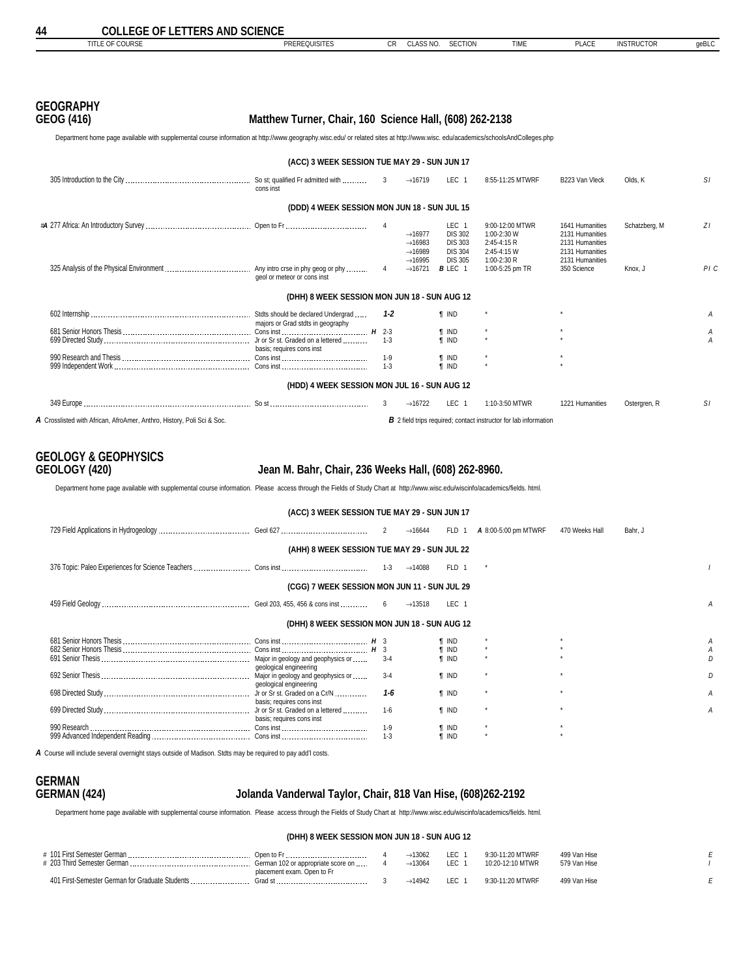## <span id="page-43-0"></span>**GEOGRAPHY**

### **GEOG (416) Matthew Turner, Chair, 160 Science Hall, (608) 262-2138**

Department home page available with supplemental course information at http://www.geography.wisc.edu/ or related sites at http://www.wisc. edu/academics/schoolsAndColleges.php

|                                                                        | (ACC) 3 WEEK SESSION TUE MAY 29 - SUN JUN 17 |                  |                                                                                          |                                                                               |                                                                              |                                                                                             |               |        |
|------------------------------------------------------------------------|----------------------------------------------|------------------|------------------------------------------------------------------------------------------|-------------------------------------------------------------------------------|------------------------------------------------------------------------------|---------------------------------------------------------------------------------------------|---------------|--------|
|                                                                        | cons inst                                    | 3 <sup>3</sup>   | $\rightarrow$ 16719                                                                      | LEC 1                                                                         | 8:55-11:25 MTWRF                                                             | B223 Van Vleck                                                                              | Olds, K       | SI.    |
|                                                                        | (DDD) 4 WEEK SESSION MON JUN 18 - SUN JUL 15 |                  |                                                                                          |                                                                               |                                                                              |                                                                                             |               |        |
|                                                                        |                                              |                  | $\rightarrow$ 16977<br>$\rightarrow$ 16983<br>$\rightarrow$ 16989<br>$\rightarrow$ 16995 | LEC 1<br><b>DIS 302</b><br><b>DIS 303</b><br><b>DIS 304</b><br><b>DIS 305</b> | 9:00-12:00 MTWR<br>1:00-2:30 W<br>$2:45-4:15R$<br>2:45-4:15 W<br>1:00-2:30 R | 1641 Humanities<br>2131 Humanities<br>2131 Humanities<br>2131 Humanities<br>2131 Humanities | Schatzberg, M | ΖI     |
|                                                                        | geol or meteor or cons inst                  | 4                | $\rightarrow$ 16721                                                                      | <b>B</b> LEC 1                                                                | 1:00-5:25 pm TR                                                              | 350 Science                                                                                 | Knox, J       | PIC    |
|                                                                        | (DHH) 8 WEEK SESSION MON JUN 18 - SUN AUG 12 |                  |                                                                                          |                                                                               |                                                                              |                                                                                             |               |        |
|                                                                        | majors or Grad stdts in geography            | 1-2              |                                                                                          | <b>T</b> IND                                                                  |                                                                              |                                                                                             |               | А      |
|                                                                        | basis; requires cons inst                    | $1-3$            |                                                                                          | <b>T</b> IND<br><b>T</b> IND                                                  | $\star$                                                                      | $\star$                                                                                     |               | Α<br>А |
|                                                                        |                                              | $1-9$<br>$1 - 3$ |                                                                                          | <b>T</b> IND<br><b>f</b> IND                                                  | $\star$                                                                      |                                                                                             |               |        |
|                                                                        | (HDD) 4 WEEK SESSION MON JUL 16 - SUN AUG 12 |                  |                                                                                          |                                                                               |                                                                              |                                                                                             |               |        |
|                                                                        |                                              | 3                | $\rightarrow$ 16722                                                                      | LEC 1                                                                         | 1:10-3:50 MTWR                                                               | 1221 Humanities                                                                             | Ostergren, R  | SI.    |
| A Crosslisted with African. AfroAmer. Anthro. History. Poli Sci & Soc. |                                              |                  |                                                                                          |                                                                               | <b>B</b> 2 field trips required: contact instructor for lab information      |                                                                                             |               |        |

## **GEOLOGY & GEOPHYSICS**

#### **GEOLOGY (420) Jean M. Bahr, Chair, 236 Weeks Hall, (608) 262-8960.**

Department home page available with supplemental course information. Please access through the Fields of Study Chart at http://www.wisc.edu/wiscinfo/academics/fields. html.

| (ACC) 3 WEEK SESSION TUE MAY 29 - SUN JUN 17 |                                              |                    |                     |                       |                      |                |         |  |  |  |  |
|----------------------------------------------|----------------------------------------------|--------------------|---------------------|-----------------------|----------------------|----------------|---------|--|--|--|--|
|                                              |                                              |                    | $\rightarrow$ 16644 | FLD 1                 | A 8:00-5:00 pm MTWRF | 470 Weeks Hall | Bahr. J |  |  |  |  |
| (AHH) 8 WEEK SESSION TUE MAY 29 - SUN JUL 22 |                                              |                    |                     |                       |                      |                |         |  |  |  |  |
|                                              |                                              |                    | $\rightarrow$ 14088 | FLD 1                 |                      |                |         |  |  |  |  |
| (CGG) 7 WEEK SESSION MON JUN 11 - SUN JUL 29 |                                              |                    |                     |                       |                      |                |         |  |  |  |  |
|                                              |                                              |                    | $\rightarrow$ 13518 | LEC 1                 |                      |                |         |  |  |  |  |
|                                              | (DHH) 8 WEEK SESSION MON JUN 18 - SUN AUG 12 |                    |                     |                       |                      |                |         |  |  |  |  |
|                                              |                                              |                    |                     | T IND                 |                      |                |         |  |  |  |  |
|                                              | geological engineering                       | $3 - 4$            |                     | ¶ IND<br><b>T</b> IND |                      |                |         |  |  |  |  |
|                                              | geological engineering                       | $3 - 4$            |                     | <b>f</b> IND          |                      |                |         |  |  |  |  |
|                                              | basis; requires cons inst                    | $1 - 6$            |                     | <b>T IND</b>          |                      |                |         |  |  |  |  |
|                                              | basis; requires cons inst                    | $1-6$              |                     | <b>T</b> IND          |                      |                |         |  |  |  |  |
|                                              |                                              | $1 - 9$<br>$1 - 3$ |                     | ¶ IND<br><b>f</b> IND |                      |                |         |  |  |  |  |

*A* Course will include several overnight stays outside of Madison. Stdts may be required to pay add'l costs.

# **GERMAN**

#### **GERMAN (424) Jolanda Vanderwal Taylor, Chair, 818 Van Hise, (608)262-2192**

Department home page available with supplemental course information. Please access through the Fields of Study Chart at http://www.wisc.edu/wiscinfo/academics/fields. html.

#### **(DHH) 8 WEEK SESSION MON JUN 18 - SUN AUG 12**

| # 101 First Semester German<br># 203 Third Semester German. | Open to F<br>German 102 or appropriate score on<br>placement exam. Open to Fr | $-13067$<br>$\rightarrow$ 13064 | <b>LEC</b><br><b>LEC</b> | 9:30-11:20 MTWRF<br>10:20-12:10 MTWR | 499 Van Hise<br>579 Van Hise |  |
|-------------------------------------------------------------|-------------------------------------------------------------------------------|---------------------------------|--------------------------|--------------------------------------|------------------------------|--|
| 401 First-Semester German for Graduate Students             | Grad s                                                                        | $\rightarrow$ 14942             | LEC.                     | 9:30-11:20 MTWRF                     | 499 Van Hise                 |  |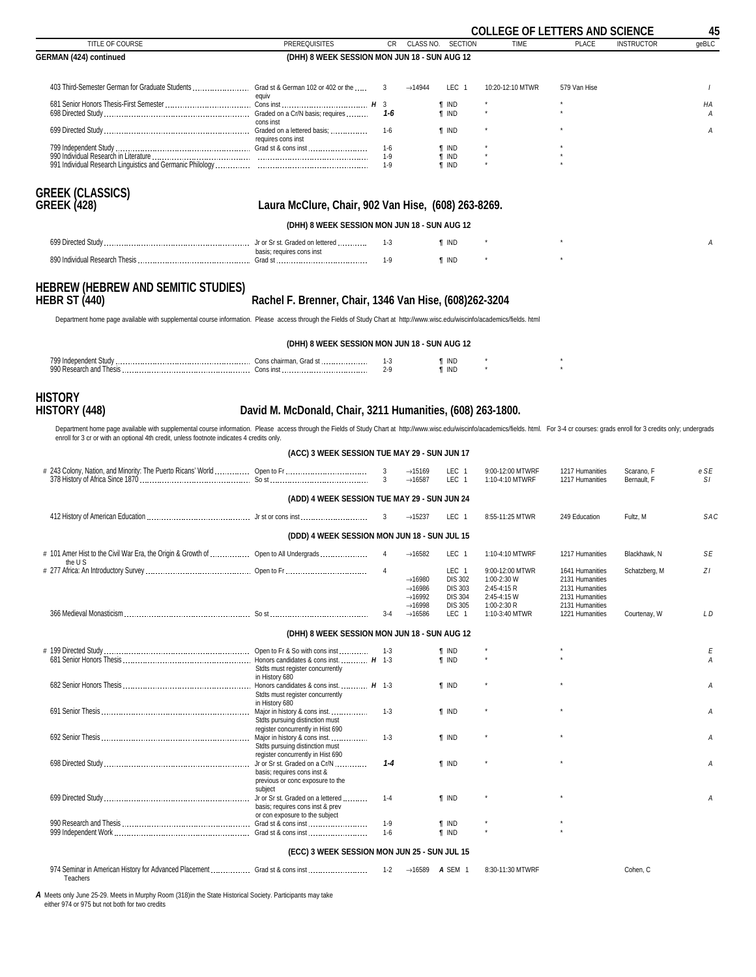<span id="page-44-0"></span>

|                                                                                                                                                                                                                                                                                                                             |                                                                                                      |                       |                                                                                          |                                                                               | <b>COLLEGE OF LETTERS AND SCIENCE</b>                                       |                                                                                             |                   | 45       |
|-----------------------------------------------------------------------------------------------------------------------------------------------------------------------------------------------------------------------------------------------------------------------------------------------------------------------------|------------------------------------------------------------------------------------------------------|-----------------------|------------------------------------------------------------------------------------------|-------------------------------------------------------------------------------|-----------------------------------------------------------------------------|---------------------------------------------------------------------------------------------|-------------------|----------|
| TITLE OF COURSE                                                                                                                                                                                                                                                                                                             | <b>PREREQUISITES</b>                                                                                 | CR                    | CLASS NO.                                                                                | <b>SECTION</b>                                                                | <b>TIME</b>                                                                 | <b>PLACE</b>                                                                                | <b>INSTRUCTOR</b> | geBLC    |
| <b>GERMAN (424) continued</b>                                                                                                                                                                                                                                                                                               | (DHH) 8 WEEK SESSION MON JUN 18 - SUN AUG 12                                                         |                       |                                                                                          |                                                                               |                                                                             |                                                                                             |                   |          |
|                                                                                                                                                                                                                                                                                                                             |                                                                                                      | 3                     | $\rightarrow$ 14944                                                                      | LEC 1                                                                         | 10:20-12:10 MTWR                                                            | 579 Van Hise                                                                                |                   | $\prime$ |
|                                                                                                                                                                                                                                                                                                                             | equiv                                                                                                | 1-6                   |                                                                                          | <b>T</b> IND<br><b>f</b> IND                                                  |                                                                             |                                                                                             |                   | ΗA<br>Α  |
|                                                                                                                                                                                                                                                                                                                             | cons inst                                                                                            | 1-6                   |                                                                                          | <b>T</b> IND                                                                  |                                                                             |                                                                                             |                   | А        |
|                                                                                                                                                                                                                                                                                                                             |                                                                                                      | $1-6$<br>1-9<br>$1-9$ |                                                                                          | <b>T</b> IND<br><b>f</b> IND<br><b>T</b> IND                                  |                                                                             |                                                                                             |                   |          |
| <b>GREEK (CLASSICS)</b><br><b>GREEK (428)</b>                                                                                                                                                                                                                                                                               | Laura McClure, Chair, 902 Van Hise, (608) 263-8269.                                                  |                       |                                                                                          |                                                                               |                                                                             |                                                                                             |                   |          |
|                                                                                                                                                                                                                                                                                                                             | (DHH) 8 WEEK SESSION MON JUN 18 - SUN AUG 12                                                         |                       |                                                                                          |                                                                               |                                                                             |                                                                                             |                   |          |
|                                                                                                                                                                                                                                                                                                                             | basis; requires cons inst                                                                            | $1-3$                 |                                                                                          | <b>T</b> IND                                                                  |                                                                             |                                                                                             |                   | А        |
|                                                                                                                                                                                                                                                                                                                             |                                                                                                      | 1-9                   |                                                                                          | <b>T</b> IND                                                                  |                                                                             |                                                                                             |                   |          |
| <b>HEBREW (HEBREW AND SEMITIC STUDIES)</b><br><b>HEBR ST (440)</b><br>Department home page available with supplemental course information. Please access through the Fields of Study Chart at http://www.wisc.edu/wiscinfo/academics/fields. html                                                                           | Rachel F. Brenner, Chair, 1346 Van Hise, (608)262-3204                                               |                       |                                                                                          |                                                                               |                                                                             |                                                                                             |                   |          |
|                                                                                                                                                                                                                                                                                                                             | (DHH) 8 WEEK SESSION MON JUN 18 - SUN AUG 12                                                         |                       |                                                                                          |                                                                               |                                                                             |                                                                                             |                   |          |
|                                                                                                                                                                                                                                                                                                                             |                                                                                                      | $1 - 3$<br>$2-9$      |                                                                                          | ¶ IND<br><b>f</b> IND                                                         |                                                                             |                                                                                             |                   |          |
| <b>HISTORY</b><br>HISTORY (448)                                                                                                                                                                                                                                                                                             | David M. McDonald, Chair, 3211 Humanities, (608) 263-1800.                                           |                       |                                                                                          |                                                                               |                                                                             |                                                                                             |                   |          |
| Department home page available with supplemental course information. Please access through the Fields of Study Chart at http://www.wisc.edu/wiscinfo/academics/fields. html. For 3-4 cr courses: grads enroll for 3 credits on<br>enroll for 3 cr or with an optional 4th credit, unless footnote indicates 4 credits only. |                                                                                                      |                       |                                                                                          |                                                                               |                                                                             |                                                                                             |                   |          |
|                                                                                                                                                                                                                                                                                                                             | (ACC) 3 WEEK SESSION TUE MAY 29 - SUN JUN 17                                                         |                       |                                                                                          |                                                                               |                                                                             |                                                                                             |                   |          |
| # 243 Colony, Nation, and Minority: The Puerto Ricans' World  Open to Fr                                                                                                                                                                                                                                                    |                                                                                                      | 3                     | $\rightarrow$ 15169                                                                      | LEC 1                                                                         | 9:00-12:00 MTWRF                                                            | 1217 Humanities                                                                             | Scarano, F        | e SE     |
|                                                                                                                                                                                                                                                                                                                             |                                                                                                      | 3                     | $\rightarrow$ 16587                                                                      | LEC <sub>1</sub>                                                              | 1:10-4:10 MTWRF                                                             | 1217 Humanities                                                                             | Bernault, F       | SΙ       |
|                                                                                                                                                                                                                                                                                                                             | (ADD) 4 WEEK SESSION TUE MAY 29 - SUN JUN 24                                                         |                       |                                                                                          |                                                                               |                                                                             |                                                                                             |                   |          |
|                                                                                                                                                                                                                                                                                                                             |                                                                                                      | 3                     | $\rightarrow$ 15237                                                                      | LEC 1                                                                         | 8:55-11:25 MTWR                                                             | 249 Education                                                                               | Fultz, M          | SAC      |
|                                                                                                                                                                                                                                                                                                                             | (DDD) 4 WEEK SESSION MON JUN 18 - SUN JUL 15                                                         |                       |                                                                                          |                                                                               |                                                                             |                                                                                             |                   |          |
| # 101 Amer Hist to the Civil War Era, the Origin & Growth of  Open to All Undergrads<br>the U S                                                                                                                                                                                                                             |                                                                                                      | $\overline{4}$        | $\rightarrow$ 16582                                                                      | LEC 1                                                                         | 1:10-4:10 MTWRF                                                             | 1217 Humanities                                                                             | Blackhawk, N      | SE       |
|                                                                                                                                                                                                                                                                                                                             |                                                                                                      |                       | $\rightarrow$ 16980<br>$\rightarrow$ 16986<br>$\rightarrow$ 16992<br>$\rightarrow$ 16998 | LEC 1<br><b>DIS 302</b><br><b>DIS 303</b><br><b>DIS 304</b><br><b>DIS 305</b> | 9:00-12:00 MTWR<br>1:00-2:30 W<br>2:45-4:15 R<br>2:45-4:15 W<br>1:00-2:30 R | 1641 Humanities<br>2131 Humanities<br>2131 Humanities<br>2131 Humanities<br>2131 Humanities | Schatzberg, M     | ZI       |
|                                                                                                                                                                                                                                                                                                                             |                                                                                                      | $3 - 4$               | $\rightarrow$ 16586                                                                      | LEC 1                                                                         | 1:10-3:40 MTWR                                                              | 1221 Humanities                                                                             | Courtenav. W      | L D      |
|                                                                                                                                                                                                                                                                                                                             | (DHH) 8 WEEK SESSION MON JUN 18 - SUN AUG 12                                                         |                       |                                                                                          |                                                                               |                                                                             |                                                                                             |                   |          |
|                                                                                                                                                                                                                                                                                                                             | Stdts must register concurrently                                                                     | 1-3                   |                                                                                          | $\P$ IND<br><b>T</b> IND                                                      |                                                                             |                                                                                             |                   | Ε<br>A   |
|                                                                                                                                                                                                                                                                                                                             | in History 680<br>Stdts must register concurrently                                                   |                       |                                                                                          | <b>T</b> IND                                                                  |                                                                             |                                                                                             |                   | A        |
|                                                                                                                                                                                                                                                                                                                             | in History 680<br>Major in history & cons inst.<br>Stdts pursuing distinction must                   | $1 - 3$               |                                                                                          | <b>T</b> IND                                                                  |                                                                             |                                                                                             |                   | A        |
|                                                                                                                                                                                                                                                                                                                             | register concurrently in Hist 690<br>Stdts pursuing distinction must                                 | $1 - 3$               |                                                                                          | <b>T</b> IND                                                                  |                                                                             |                                                                                             |                   | A        |
|                                                                                                                                                                                                                                                                                                                             | register concurrently in Hist 690<br>basis; requires cons inst &<br>previous or conc exposure to the | $1 - 4$               |                                                                                          | <b>T</b> IND                                                                  |                                                                             |                                                                                             |                   | A        |
|                                                                                                                                                                                                                                                                                                                             | subject<br>basis; requires cons inst & prev                                                          | $1 - 4$               |                                                                                          | <b>T</b> IND                                                                  |                                                                             |                                                                                             |                   | Α        |
|                                                                                                                                                                                                                                                                                                                             | or con exposure to the subject                                                                       | $1-9$                 |                                                                                          | <b>T</b> IND                                                                  |                                                                             |                                                                                             |                   |          |
|                                                                                                                                                                                                                                                                                                                             |                                                                                                      | $1-6$                 |                                                                                          | <b>T</b> IND                                                                  |                                                                             |                                                                                             |                   |          |
|                                                                                                                                                                                                                                                                                                                             | (ECC) 3 WEEK SESSION MON JUN 25 - SUN JUL 15                                                         |                       |                                                                                          |                                                                               |                                                                             |                                                                                             |                   |          |
| 974 Seminar in American History for Advanced Placement  Grad st & cons inst<br>Teachers                                                                                                                                                                                                                                     |                                                                                                      | $1 - 2$               |                                                                                          | $\rightarrow$ 16589 <b>A</b> SEM 1                                            | 8:30-11:30 MTWRF                                                            |                                                                                             | Cohen, C          |          |
| A Meets only June 25-29. Meets in Murphy Room (318) in the State Historical Society. Participants may take                                                                                                                                                                                                                  |                                                                                                      |                       |                                                                                          |                                                                               |                                                                             |                                                                                             |                   |          |

*A* Meets only June 25-29. Meets in Murphy Room (318)in the State Historical Society. Participants may take either 974 or 975 but not both for two credits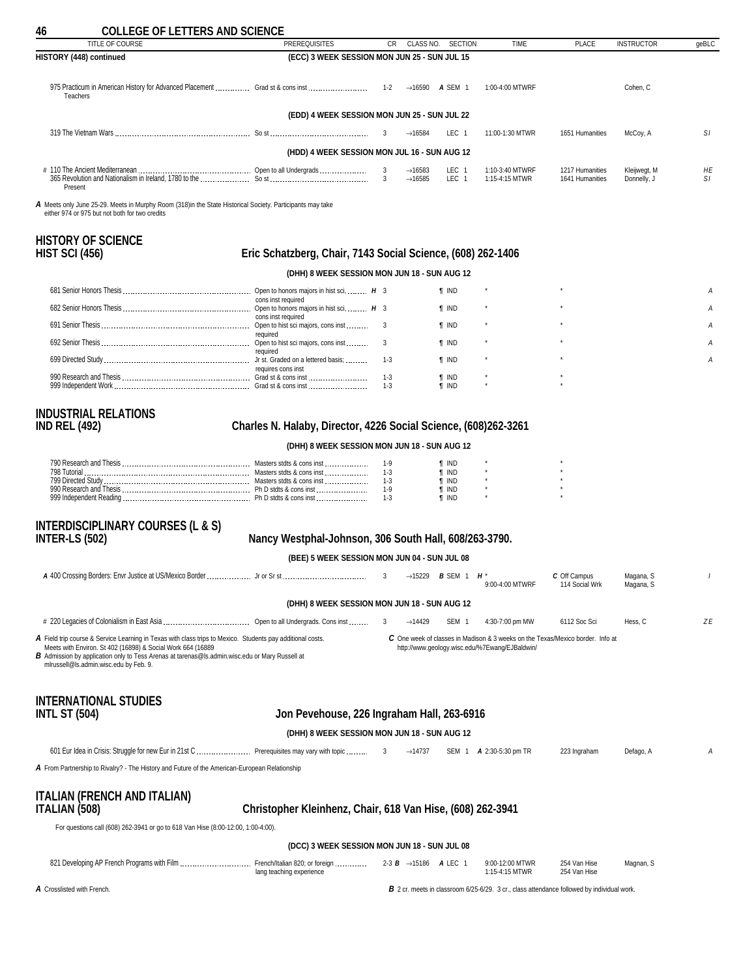<span id="page-45-0"></span>

| <b>COLLEGE OF LETTERS AND SCIENCE</b><br>46<br>TITLE OF COURSE                                                                                                                                                                                                                                                               | <b>PREREQUISITES</b>                                            | CR               | CLASS NO.                          | <b>SECTION</b>                     | <b>TIME</b>                                                                                                                      | <b>PLACE</b>                   | <b>INSTRUCTOR</b>      |       |
|------------------------------------------------------------------------------------------------------------------------------------------------------------------------------------------------------------------------------------------------------------------------------------------------------------------------------|-----------------------------------------------------------------|------------------|------------------------------------|------------------------------------|----------------------------------------------------------------------------------------------------------------------------------|--------------------------------|------------------------|-------|
| HISTORY (448) continued                                                                                                                                                                                                                                                                                                      | (ECC) 3 WEEK SESSION MON JUN 25 - SUN JUL 15                    |                  |                                    |                                    |                                                                                                                                  |                                |                        | geBLC |
|                                                                                                                                                                                                                                                                                                                              |                                                                 |                  |                                    |                                    |                                                                                                                                  |                                |                        |       |
| Teachers                                                                                                                                                                                                                                                                                                                     |                                                                 |                  |                                    | $\rightarrow$ 16590 <b>A</b> SEM 1 | 1:00-4:00 MTWRF                                                                                                                  |                                | Cohen, C               |       |
|                                                                                                                                                                                                                                                                                                                              | (EDD) 4 WEEK SESSION MON JUN 25 - SUN JUL 22                    |                  |                                    |                                    |                                                                                                                                  |                                |                        |       |
|                                                                                                                                                                                                                                                                                                                              |                                                                 | 3                | $\rightarrow$ 16584                | LEC 1                              | 11:00-1:30 MTWR                                                                                                                  | 1651 Humanities                | McCoy, A               | SI.   |
|                                                                                                                                                                                                                                                                                                                              | (HDD) 4 WEEK SESSION MON JUL 16 - SUN AUG 12                    |                  |                                    |                                    |                                                                                                                                  |                                |                        |       |
|                                                                                                                                                                                                                                                                                                                              |                                                                 | 3                | $\rightarrow$ 16583                | LEC 1                              | 1:10-3:40 MTWRF                                                                                                                  | 1217 Humanities                | Kleijwegt, M           | HE    |
| Present                                                                                                                                                                                                                                                                                                                      |                                                                 |                  | $\rightarrow$ 16585                | LEC 1                              | 1:15-4:15 MTWR                                                                                                                   | 1641 Humanities                | Donnelly, J            | SI.   |
| A Meets only June 25-29. Meets in Murphy Room (318) in the State Historical Society. Participants may take<br>either 974 or 975 but not both for two credits                                                                                                                                                                 |                                                                 |                  |                                    |                                    |                                                                                                                                  |                                |                        |       |
| <b>HISTORY OF SCIENCE</b>                                                                                                                                                                                                                                                                                                    |                                                                 |                  |                                    |                                    |                                                                                                                                  |                                |                        |       |
| <b>HIST SCI (456)</b>                                                                                                                                                                                                                                                                                                        | Eric Schatzberg, Chair, 7143 Social Science, (608) 262-1406     |                  |                                    |                                    |                                                                                                                                  |                                |                        |       |
|                                                                                                                                                                                                                                                                                                                              | (DHH) 8 WEEK SESSION MON JUN 18 - SUN AUG 12                    |                  |                                    |                                    |                                                                                                                                  |                                |                        |       |
|                                                                                                                                                                                                                                                                                                                              | cons inst required                                              |                  |                                    | <b>T</b> IND                       |                                                                                                                                  |                                |                        | А     |
|                                                                                                                                                                                                                                                                                                                              |                                                                 |                  |                                    | <b>T</b> IND                       |                                                                                                                                  |                                |                        | А     |
|                                                                                                                                                                                                                                                                                                                              | cons inst required                                              | 3                |                                    | <b>T</b> IND                       |                                                                                                                                  |                                |                        |       |
|                                                                                                                                                                                                                                                                                                                              | required                                                        | 3                |                                    | <b>T</b> IND                       |                                                                                                                                  |                                |                        |       |
|                                                                                                                                                                                                                                                                                                                              | reauired                                                        | $1-3$            |                                    | <b>T</b> IND                       |                                                                                                                                  |                                |                        | Α     |
|                                                                                                                                                                                                                                                                                                                              | requires cons inst                                              | $1 - 3$          |                                    | <b>T</b> IND                       |                                                                                                                                  |                                |                        |       |
|                                                                                                                                                                                                                                                                                                                              |                                                                 | $1 - 3$          |                                    | <b>T</b> IND                       |                                                                                                                                  |                                |                        |       |
| <b>INDUSTRIAL RELATIONS</b><br><b>IND REL (492)</b>                                                                                                                                                                                                                                                                          | Charles N. Halaby, Director, 4226 Social Science, (608)262-3261 |                  |                                    |                                    |                                                                                                                                  |                                |                        |       |
|                                                                                                                                                                                                                                                                                                                              | (DHH) 8 WEEK SESSION MON JUN 18 - SUN AUG 12                    |                  |                                    |                                    |                                                                                                                                  |                                |                        |       |
|                                                                                                                                                                                                                                                                                                                              |                                                                 |                  |                                    |                                    |                                                                                                                                  |                                |                        |       |
|                                                                                                                                                                                                                                                                                                                              |                                                                 | 1-9<br>$1 - 3$   |                                    | ¶ IND<br><b>T</b> IND              |                                                                                                                                  |                                |                        |       |
|                                                                                                                                                                                                                                                                                                                              |                                                                 | $1 - 3$<br>$1-9$ |                                    | <b>T</b> IND<br><b>T</b> IND       |                                                                                                                                  |                                |                        |       |
|                                                                                                                                                                                                                                                                                                                              |                                                                 | $1-3$            |                                    | <b>T</b> IND                       |                                                                                                                                  |                                |                        |       |
| <b>INTERDISCIPLINARY COURSES (L &amp; S)</b><br><b>INTER-LS (502)</b>                                                                                                                                                                                                                                                        | Nancy Westphal-Johnson, 306 South Hall, 608/263-3790.           |                  |                                    |                                    |                                                                                                                                  |                                |                        |       |
|                                                                                                                                                                                                                                                                                                                              | (BEE) 5 WEEK SESSION MON JUN 04 - SUN JUL 08                    |                  |                                    |                                    |                                                                                                                                  |                                |                        |       |
|                                                                                                                                                                                                                                                                                                                              |                                                                 |                  |                                    |                                    | 9:00-4:00 MTWRF                                                                                                                  | C Off Campus<br>114 Social Wrk | Magana, S<br>Magana, S |       |
|                                                                                                                                                                                                                                                                                                                              | (DHH) 8 WEEK SESSION MON JUN 18 - SUN AUG 12                    |                  |                                    |                                    |                                                                                                                                  |                                |                        |       |
|                                                                                                                                                                                                                                                                                                                              |                                                                 | 3                | $\rightarrow$ 14429                | SEM 1                              | 4:30-7:00 pm MW                                                                                                                  | 6112 Soc Sci                   | Hess, C                | ΖE    |
| A Field trip course & Service Learning in Texas with class trips to Mexico. Students pay additional costs.<br>Meets with Environ. St 402 (16898) & Social Work 664 (16889<br>$\bm{B}$ Admission by application only to Tess Arenas at tarenas@ls.admin.wisc.edu or Mary Russell at<br>mlrussell@ls.admin.wisc.edu by Feb. 9. |                                                                 |                  |                                    |                                    | C One week of classes in Madison & 3 weeks on the Texas/Mexico border. Info at<br>http://www.geology.wisc.edu/%7Ewang/EJBaldwin/ |                                |                        |       |
|                                                                                                                                                                                                                                                                                                                              |                                                                 |                  |                                    |                                    |                                                                                                                                  |                                |                        |       |
| <b>INTERNATIONAL STUDIES</b><br><b>INTL ST (504)</b>                                                                                                                                                                                                                                                                         | Jon Pevehouse, 226 Ingraham Hall, 263-6916                      |                  |                                    |                                    |                                                                                                                                  |                                |                        |       |
|                                                                                                                                                                                                                                                                                                                              | (DHH) 8 WEEK SESSION MON JUN 18 - SUN AUG 12                    |                  |                                    |                                    |                                                                                                                                  |                                |                        |       |
| 601 Eur Idea in Crisis: Struggle for new Eur in 21st C  Prerequisites may vary with topic                                                                                                                                                                                                                                    |                                                                 | 3                | $\rightarrow$ 14737                |                                    | SEM 1 <b>A</b> 2:30-5:30 pm TR                                                                                                   | 223 Ingraham                   | Defago, A              | А     |
| A From Partnership to Rivalry? - The History and Future of the American-European Relationship                                                                                                                                                                                                                                |                                                                 |                  |                                    |                                    |                                                                                                                                  |                                |                        |       |
|                                                                                                                                                                                                                                                                                                                              |                                                                 |                  |                                    |                                    |                                                                                                                                  |                                |                        |       |
| <b>ITALIAN (FRENCH AND ITALIAN)</b><br><b>ITALIAN (508)</b>                                                                                                                                                                                                                                                                  | Christopher Kleinhenz, Chair, 618 Van Hise, (608) 262-3941      |                  |                                    |                                    |                                                                                                                                  |                                |                        |       |
| For questions call (608) 262-3941 or go to 618 Van Hise (8:00-12:00, 1:00-4:00).                                                                                                                                                                                                                                             |                                                                 |                  |                                    |                                    |                                                                                                                                  |                                |                        |       |
|                                                                                                                                                                                                                                                                                                                              | (DCC) 3 WEEK SESSION MON JUN 18 - SUN JUL 08                    |                  |                                    |                                    |                                                                                                                                  |                                |                        |       |
|                                                                                                                                                                                                                                                                                                                              | French/Italian 820; or foreign<br>lang teaching experience      |                  | 2-3 <b>B</b> →15186 <b>A</b> LEC 1 |                                    | 9:00-12:00 MTWR<br>1:15-4:15 MTWR                                                                                                | 254 Van Hise<br>254 Van Hise   | Magnan, S              |       |

**A** Crosslisted with French. **B** 2 cr. meets in classroom 6/25-6/29. 3 cr., class attendance followed by individual work.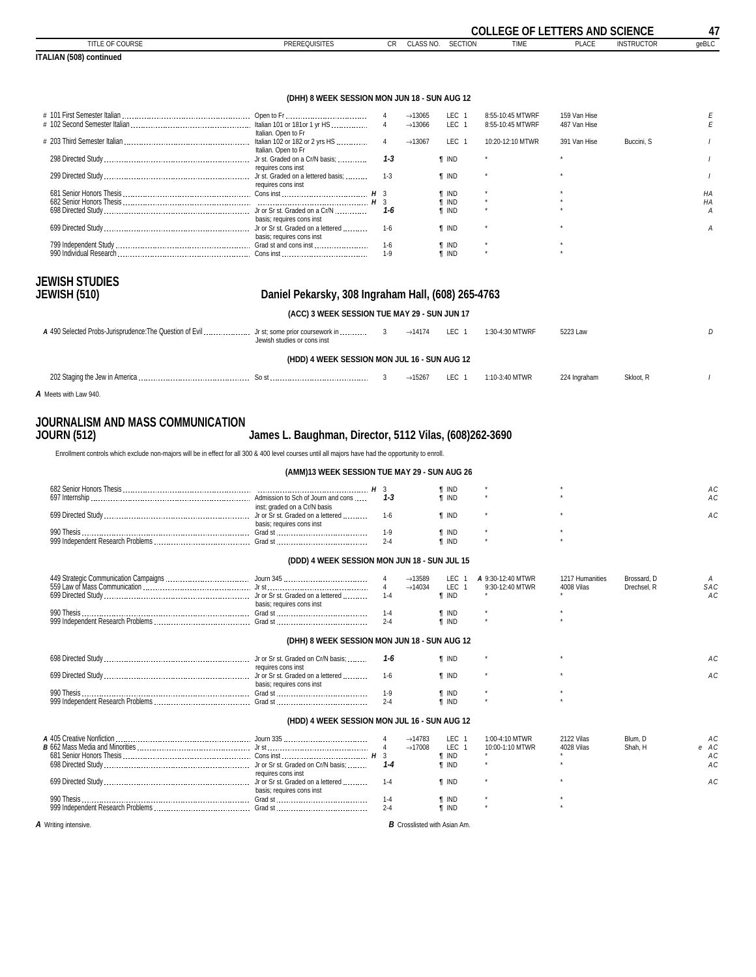<span id="page-46-0"></span>

|                                                                                                                                                     |                                                        |                           |                                            |                                          | <b>COLLEGE OF LETTERS AND SCIENCE</b> |                              |                    | 47         |
|-----------------------------------------------------------------------------------------------------------------------------------------------------|--------------------------------------------------------|---------------------------|--------------------------------------------|------------------------------------------|---------------------------------------|------------------------------|--------------------|------------|
| TITLE OF COURSE<br><b>ITALIAN (508) continued</b>                                                                                                   | <b>PREREQUISITES</b>                                   |                           | <b>CR</b><br>CLASS NO.                     | <b>SECTION</b>                           | <b>TIME</b>                           | <b>PLACE</b>                 | <b>INSTRUCTOR</b>  | qeBLC      |
|                                                                                                                                                     |                                                        |                           |                                            |                                          |                                       |                              |                    |            |
|                                                                                                                                                     | (DHH) 8 WEEK SESSION MON JUN 18 - SUN AUG 12           |                           |                                            |                                          |                                       |                              |                    |            |
|                                                                                                                                                     |                                                        | 4<br>$\overline{4}$       | $\rightarrow$ 13065<br>$\rightarrow$ 13066 | LEC 1<br>LEC <sub>1</sub>                | 8:55-10:45 MTWRF<br>8:55-10:45 MTWRF  | 159 Van Hise<br>487 Van Hise |                    | Е<br>E     |
|                                                                                                                                                     | Italian. Open to Fr                                    | $\overline{4}$            | $\rightarrow$ 13067                        | LEC <sub>1</sub>                         | 10:20-12:10 MTWR                      | 391 Van Hise                 | Buccini, S         |            |
|                                                                                                                                                     | Italian. Open to Fr                                    | $1 - 3$                   |                                            | <b>f</b> IND                             |                                       |                              |                    |            |
|                                                                                                                                                     | requires cons inst                                     | $1 - 3$                   |                                            | <b>T</b> IND                             |                                       |                              |                    |            |
|                                                                                                                                                     | requires cons inst                                     |                           |                                            | <b>f</b> IND                             |                                       |                              |                    | HA         |
|                                                                                                                                                     |                                                        | 1-6                       |                                            | <b>f</b> IND<br><b>f</b> IND             |                                       |                              |                    | HA<br>А    |
|                                                                                                                                                     | basis; requires cons inst                              | $1-6$                     |                                            | <b>T</b> IND                             |                                       |                              |                    | A          |
|                                                                                                                                                     | basis; requires cons inst                              | $1 - 6$                   |                                            | <b>T</b> IND                             |                                       |                              |                    |            |
|                                                                                                                                                     |                                                        | $1-9$                     |                                            | <b>T</b> IND                             |                                       |                              |                    |            |
| <b>JEWISH STUDIES</b>                                                                                                                               |                                                        |                           |                                            |                                          |                                       |                              |                    |            |
| <b>JEWISH (510)</b>                                                                                                                                 | Daniel Pekarsky, 308 Ingraham Hall, (608) 265-4763     |                           |                                            |                                          |                                       |                              |                    |            |
|                                                                                                                                                     | (ACC) 3 WEEK SESSION TUE MAY 29 - SUN JUN 17           |                           |                                            |                                          |                                       |                              |                    |            |
|                                                                                                                                                     | Jewish studies or cons inst                            | 3                         | $\rightarrow$ 14174                        | LEC 1                                    | 1:30-4:30 MTWRF                       | 5223 Law                     |                    | D          |
|                                                                                                                                                     | (HDD) 4 WEEK SESSION MON JUL 16 - SUN AUG 12           |                           |                                            |                                          |                                       |                              |                    |            |
|                                                                                                                                                     |                                                        | 3                         | $\rightarrow$ 15267                        | LEC 1                                    | 1:10-3:40 MTWR                        | 224 Ingraham                 | Skloot, R          |            |
| A Meets with Law 940.                                                                                                                               |                                                        |                           |                                            |                                          |                                       |                              |                    |            |
| JOURNALISM AND MASS COMMUNICATION                                                                                                                   |                                                        |                           |                                            |                                          |                                       |                              |                    |            |
| <b>JOURN (512)</b>                                                                                                                                  | James L. Baughman, Director, 5112 Vilas, (608)262-3690 |                           |                                            |                                          |                                       |                              |                    |            |
| Enrollment controls which exclude non-majors will be in effect for all 300 & 400 level courses until all majors have had the opportunity to enroll. |                                                        |                           |                                            |                                          |                                       |                              |                    |            |
|                                                                                                                                                     | (AMM)13 WEEK SESSION TUE MAY 29 - SUN AUG 26           |                           |                                            |                                          |                                       |                              |                    |            |
|                                                                                                                                                     |                                                        | 1-3                       |                                            | <b>T</b> IND                             |                                       |                              |                    | АC<br>АC   |
|                                                                                                                                                     | inst; graded on a Cr/N basis                           |                           |                                            | <b>T</b> IND                             |                                       |                              |                    | АC         |
|                                                                                                                                                     | basis: requires cons inst                              | 1-6<br>$1-9$              |                                            | <b>f</b> IND                             |                                       |                              |                    |            |
|                                                                                                                                                     |                                                        | $2 - 4$                   |                                            | <b>f</b> IND<br><b>f</b> IND             |                                       |                              |                    |            |
|                                                                                                                                                     | (DDD) 4 WEEK SESSION MON JUN 18 - SUN JUL 15           |                           |                                            |                                          |                                       |                              |                    |            |
|                                                                                                                                                     |                                                        | 4                         | $\rightarrow$ 13589                        | LEC 1                                    | A 9:30-12:40 MTWR                     | 1217 Humanities              | Brossard, D        | Α          |
|                                                                                                                                                     |                                                        | $\overline{4}$<br>$1 - 4$ | $\rightarrow$ 14034                        | <b>LEC</b><br>$\overline{1}$<br>$\P$ IND | 9:30-12:40 MTWR                       | 4008 Vilas                   | Drechsel, R        | SAC<br>AC  |
|                                                                                                                                                     | basis; requires cons inst                              | $1 - 4$                   |                                            | <b>T</b> IND                             |                                       |                              |                    |            |
|                                                                                                                                                     |                                                        | $2 - 4$                   |                                            | $\P$ IND                                 |                                       |                              |                    |            |
|                                                                                                                                                     | (DHH) 8 WEEK SESSION MON JUN 18 - SUN AUG 12           |                           |                                            |                                          |                                       |                              |                    |            |
|                                                                                                                                                     | requires cons inst                                     | 1-6                       |                                            | <b>T</b> IND                             |                                       |                              |                    | AC         |
|                                                                                                                                                     | basis; requires cons inst                              | $1-6$                     |                                            | <b>T</b> IND                             |                                       |                              |                    | AC         |
|                                                                                                                                                     |                                                        | $1-9$<br>$2 - 4$          |                                            | <b>T</b> IND<br>$\P$ IND                 |                                       |                              |                    |            |
|                                                                                                                                                     |                                                        |                           |                                            |                                          |                                       |                              |                    |            |
|                                                                                                                                                     | (HDD) 4 WEEK SESSION MON JUL 16 - SUN AUG 12           |                           |                                            |                                          |                                       |                              |                    |            |
|                                                                                                                                                     |                                                        |                           | $\rightarrow$ 14783<br>$\rightarrow$ 17008 | LEC <sub>1</sub><br>LEC <sub>1</sub>     | 1:00-4:10 MTWR<br>10:00-1:10 MTWR     | 2122 Vilas<br>4028 Vilas     | Blum, D<br>Shah, H | AC<br>e AC |
|                                                                                                                                                     |                                                        |                           |                                            | <b>T</b> IND                             |                                       |                              |                    | AC         |

| <b>B</b> 662 Mass Media and Minorities | Jr st                                                   | $\rightarrow$ 17008 | LEC   | 10:00-1:10 MTWR | 4028 Vilas | Shah. H | e AC |  |
|----------------------------------------|---------------------------------------------------------|---------------------|-------|-----------------|------------|---------|------|--|
| 681 Senior Honors Thesis               | Cons inst                                               |                     | . IND |                 |            |         | A C  |  |
| 698 Directed Study                     | Jr or Sr st. Graded on Cr/N basis;                      |                     | ' IND |                 |            |         | АC   |  |
| 699 Directed Study                     | requires cons inst<br>Jr or Sr st. Graded on a lettered |                     | ' IND |                 |            |         |      |  |
|                                        | basis; requires cons inst                               |                     |       |                 |            |         |      |  |
| 990 Thesis                             | Grad st                                                 |                     | ' IND |                 |            |         |      |  |
| 999 Independent Research Problems      | Grad st                                                 |                     | ' IND |                 |            |         |      |  |
|                                        |                                                         |                     |       |                 |            |         |      |  |

*A* Writing intensive. *B* Crosslisted with Asian Am.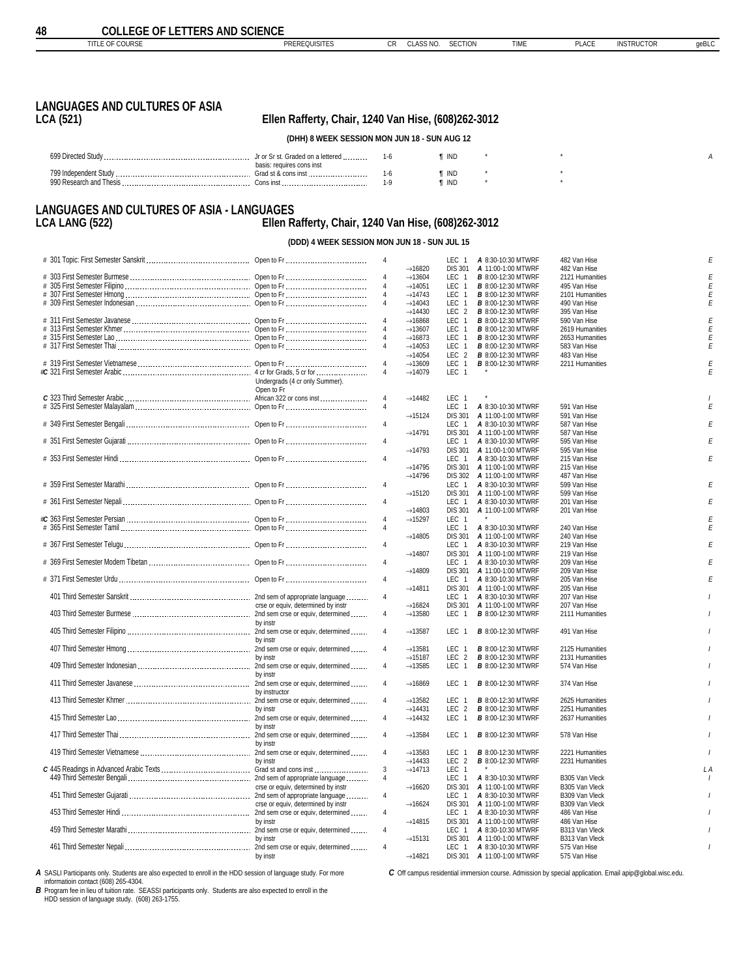<span id="page-47-0"></span>

CR CLASS NO. SECTION TIME PLACE INSTRUCTOR geBLC

# **LANGUAGES AND CULTURES OF ASIA**

### **LCA (521) Ellen Rafferty, Chair, 1240 Van Hise, (608)262-3012**

**(DHH) 8 WEEK SESSION MON JUN 18 - SUN AUG 12**

| 600 Dirocto<br>w       | Ir or Sr st. Graded on a lettered | 'INL  |  |  |
|------------------------|-----------------------------------|-------|--|--|
|                        |                                   |       |  |  |
|                        | basis: requires cons inst         |       |  |  |
| 799 Independent Study  | Grad st & cons inst<br>           | ' INL |  |  |
| 000 Recearch and Theci | Cone inet<br><b>UUID</b>          | t inl |  |  |

#### **LANGUAGES AND CULTURES OF ASIA - LANGUAGES LCA LANG (522) Ellen Rafferty, Chair, 1240 Van Hise, (608)262-3012**

**(DDD) 4 WEEK SESSION MON JUN 18 - SUN JUL 15**

|                                                                                                                                                                                                                                |                                    |                | $\rightarrow$ 16820 | LEC 1<br><b>DIS 301</b>      | A 8:30-10:30 MTWRF<br>A 11:00-1:00 MTWRF | 482 Van Hise<br>482 Van Hise |  |
|--------------------------------------------------------------------------------------------------------------------------------------------------------------------------------------------------------------------------------|------------------------------------|----------------|---------------------|------------------------------|------------------------------------------|------------------------------|--|
|                                                                                                                                                                                                                                |                                    |                |                     |                              |                                          |                              |  |
|                                                                                                                                                                                                                                |                                    |                | $\rightarrow$ 13604 | LEC 1                        | <b>B</b> 8:00-12:30 MTWRF                | 2121 Humanities              |  |
|                                                                                                                                                                                                                                |                                    |                | $\rightarrow$ 14051 | LEC 1                        | <b>B</b> 8:00-12:30 MTWRF                | 495 Van Hise                 |  |
|                                                                                                                                                                                                                                |                                    |                | $\rightarrow$ 14743 | LEC <sub>1</sub>             | <b>B</b> 8:00-12:30 MTWRF                | 2101 Humanities              |  |
|                                                                                                                                                                                                                                |                                    |                |                     |                              |                                          |                              |  |
|                                                                                                                                                                                                                                |                                    |                | $\rightarrow$ 14043 | LEC<br>$\overline{1}$        | <b>B</b> 8:00-12:30 MTWRF                | 490 Van Hise                 |  |
|                                                                                                                                                                                                                                |                                    |                | $\rightarrow$ 14430 | LEC <sub>2</sub>             | <b>B</b> 8:00-12:30 MTWRF                | 395 Van Hise                 |  |
|                                                                                                                                                                                                                                |                                    |                | $\rightarrow$ 16868 | LEC<br>$\overline{1}$        | <b>B</b> 8:00-12:30 MTWRF                | 590 Van Hise                 |  |
|                                                                                                                                                                                                                                |                                    |                | $\rightarrow$ 13607 | <b>LEC</b><br>$\overline{1}$ | <b>B</b> 8:00-12:30 MTWRF                | 2619 Humanities              |  |
|                                                                                                                                                                                                                                |                                    |                |                     |                              |                                          |                              |  |
|                                                                                                                                                                                                                                |                                    | $\overline{4}$ | $\rightarrow$ 16873 | LEC<br>$\overline{1}$        | <b>B</b> 8:00-12:30 MTWRF                | 2653 Humanities              |  |
|                                                                                                                                                                                                                                |                                    | $\overline{4}$ | $\rightarrow$ 14053 | LEC <sub>1</sub>             | <b>B</b> 8:00-12:30 MTWRF                | 583 Van Hise                 |  |
|                                                                                                                                                                                                                                |                                    |                | $\rightarrow$ 14054 | LEC <sub>2</sub>             | <b>B</b> 8:00-12:30 MTWRF                | 483 Van Hise                 |  |
|                                                                                                                                                                                                                                |                                    |                |                     |                              |                                          |                              |  |
|                                                                                                                                                                                                                                |                                    | $\overline{4}$ | $\rightarrow$ 13609 | <b>LEC</b><br>$\overline{1}$ | <b>B</b> 8:00-12:30 MTWRF                | 2211 Humanities              |  |
|                                                                                                                                                                                                                                |                                    | 4              | $\rightarrow$ 14079 | LEC 1                        |                                          |                              |  |
|                                                                                                                                                                                                                                | Undergrads (4 cr only Summer).     |                |                     |                              |                                          |                              |  |
|                                                                                                                                                                                                                                | Open to Fr                         |                |                     |                              |                                          |                              |  |
|                                                                                                                                                                                                                                |                                    |                |                     |                              |                                          |                              |  |
|                                                                                                                                                                                                                                |                                    | $\overline{4}$ | $\rightarrow$ 14482 | LEC <sub>1</sub>             |                                          |                              |  |
|                                                                                                                                                                                                                                |                                    | $\sqrt{4}$     |                     | LEC 1                        | A 8:30-10:30 MTWRF                       | 591 Van Hise                 |  |
|                                                                                                                                                                                                                                |                                    |                | $\rightarrow$ 15124 | <b>DIS 301</b>               | A 11:00-1:00 MTWRF                       | 591 Van Hise                 |  |
|                                                                                                                                                                                                                                |                                    |                |                     |                              |                                          |                              |  |
|                                                                                                                                                                                                                                |                                    | $\overline{4}$ |                     | LEC <sub>1</sub>             | A 8:30-10:30 MTWRF                       | 587 Van Hise                 |  |
|                                                                                                                                                                                                                                |                                    |                | $\rightarrow$ 14791 | <b>DIS 301</b>               | A 11:00-1:00 MTWRF                       | 587 Van Hise                 |  |
|                                                                                                                                                                                                                                |                                    | $\overline{4}$ |                     | LEC 1                        | A 8:30-10:30 MTWRF                       | 595 Van Hise                 |  |
|                                                                                                                                                                                                                                |                                    |                |                     |                              |                                          |                              |  |
|                                                                                                                                                                                                                                |                                    |                | $\rightarrow$ 14793 | <b>DIS 301</b>               | A 11:00-1:00 MTWRF                       | 595 Van Hise                 |  |
|                                                                                                                                                                                                                                |                                    | $\sqrt{4}$     |                     | LEC 1                        | A 8:30-10:30 MTWRF                       | 215 Van Hise                 |  |
|                                                                                                                                                                                                                                |                                    |                | $\rightarrow$ 14795 |                              | DIS 301 A 11:00-1:00 MTWRF               | 215 Van Hise                 |  |
|                                                                                                                                                                                                                                |                                    |                |                     |                              |                                          |                              |  |
|                                                                                                                                                                                                                                |                                    |                | $\rightarrow$ 14796 |                              | DIS 302 A 11:00-1:00 MTWRF               | 487 Van Hise                 |  |
|                                                                                                                                                                                                                                |                                    | $\overline{4}$ |                     | LEC <sub>1</sub>             | A 8:30-10:30 MTWRF                       | 599 Van Hise                 |  |
|                                                                                                                                                                                                                                |                                    |                | $\rightarrow$ 15120 | <b>DIS 301</b>               | A 11:00-1:00 MTWRF                       | 599 Van Hise                 |  |
|                                                                                                                                                                                                                                |                                    |                |                     |                              |                                          |                              |  |
|                                                                                                                                                                                                                                |                                    | $\sqrt{4}$     |                     | LEC 1                        | A 8:30-10:30 MTWRF                       | 201 Van Hise                 |  |
|                                                                                                                                                                                                                                |                                    |                | $\rightarrow$ 14803 | <b>DIS 301</b>               | A 11:00-1:00 MTWRF                       | 201 Van Hise                 |  |
|                                                                                                                                                                                                                                |                                    | $\overline{4}$ | $\rightarrow$ 15297 | LEC 1                        |                                          |                              |  |
|                                                                                                                                                                                                                                |                                    |                |                     | LEC<br>$\overline{1}$        |                                          | 240 Van Hise                 |  |
|                                                                                                                                                                                                                                |                                    |                |                     |                              | A 8:30-10:30 MTWRF                       |                              |  |
|                                                                                                                                                                                                                                |                                    |                | $\rightarrow$ 14805 | <b>DIS 301</b>               | A 11:00-1:00 MTWRF                       | 240 Van Hise                 |  |
|                                                                                                                                                                                                                                |                                    | $\sqrt{4}$     |                     | LEC 1                        | A 8:30-10:30 MTWRF                       | 219 Van Hise                 |  |
|                                                                                                                                                                                                                                |                                    |                | $\rightarrow$ 14807 |                              | DIS 301 A 11:00-1:00 MTWRF               | 219 Van Hise                 |  |
|                                                                                                                                                                                                                                |                                    |                |                     |                              |                                          |                              |  |
|                                                                                                                                                                                                                                |                                    | $\overline{4}$ |                     | LEC 1                        | A 8:30-10:30 MTWRF                       | 209 Van Hise                 |  |
|                                                                                                                                                                                                                                |                                    |                | $\rightarrow$ 14809 |                              | DIS 301 A 11:00-1:00 MTWRF               | 209 Van Hise                 |  |
|                                                                                                                                                                                                                                |                                    | $\sqrt{4}$     |                     | LEC 1                        | A 8:30-10:30 MTWRF                       | 205 Van Hise                 |  |
|                                                                                                                                                                                                                                |                                    |                | $\rightarrow$ 14811 |                              |                                          |                              |  |
|                                                                                                                                                                                                                                |                                    |                |                     | <b>DIS 301</b>               | A 11:00-1:00 MTWRF                       | 205 Van Hise                 |  |
|                                                                                                                                                                                                                                |                                    | $\overline{4}$ |                     | LEC <sub>1</sub>             | A 8:30-10:30 MTWRF                       | 207 Van Hise                 |  |
|                                                                                                                                                                                                                                | crse or equiv, determined by instr |                | $\rightarrow$ 16824 | <b>DIS 301</b>               | A 11:00-1:00 MTWRF                       | 207 Van Hise                 |  |
|                                                                                                                                                                                                                                |                                    | $\overline{4}$ | $\rightarrow$ 13580 | LEC 1                        | <b>B</b> 8:00-12:30 MTWRF                | 2111 Humanities              |  |
|                                                                                                                                                                                                                                |                                    |                |                     |                              |                                          |                              |  |
|                                                                                                                                                                                                                                | by instr                           |                |                     |                              |                                          |                              |  |
|                                                                                                                                                                                                                                |                                    | $\overline{4}$ | $\rightarrow$ 13587 | LEC <sub>1</sub>             | <b>B</b> 8:00-12:30 MTWRF                | 491 Van Hise                 |  |
|                                                                                                                                                                                                                                | by instr                           |                |                     |                              |                                          |                              |  |
|                                                                                                                                                                                                                                |                                    |                |                     |                              |                                          |                              |  |
|                                                                                                                                                                                                                                |                                    | $\overline{4}$ | $\rightarrow$ 13581 | LEC 1                        | <b>B</b> 8:00-12:30 MTWRF                | 2125 Humanities              |  |
|                                                                                                                                                                                                                                | by instr                           |                | $\rightarrow$ 15187 | LEC<br>$\overline{2}$        | <b>B</b> 8:00-12:30 MTWRF                | 2131 Humanities              |  |
|                                                                                                                                                                                                                                |                                    | $\overline{4}$ | $\rightarrow$ 13585 | <b>LEC</b><br>$\overline{1}$ | <b>B</b> 8:00-12:30 MTWRF                | 574 Van Hise                 |  |
|                                                                                                                                                                                                                                | by instr                           |                |                     |                              |                                          |                              |  |
|                                                                                                                                                                                                                                |                                    |                |                     |                              |                                          |                              |  |
|                                                                                                                                                                                                                                |                                    | $\overline{4}$ | $\rightarrow$ 16869 | LEC 1                        | <b>B</b> 8:00-12:30 MTWRF                | 374 Van Hise                 |  |
|                                                                                                                                                                                                                                |                                    |                |                     |                              |                                          |                              |  |
|                                                                                                                                                                                                                                |                                    | $\overline{4}$ | $\rightarrow$ 13582 | LEC 1                        | <b>B</b> 8:00-12:30 MTWRF                | 2625 Humanities              |  |
|                                                                                                                                                                                                                                |                                    |                |                     |                              |                                          |                              |  |
|                                                                                                                                                                                                                                | by instr                           |                | $\rightarrow$ 14431 | LEC <sub>2</sub>             | <b>B</b> 8:00-12:30 MTWRF                | 2251 Humanities              |  |
|                                                                                                                                                                                                                                |                                    | $\overline{4}$ | $\rightarrow$ 14432 | LEC<br>$\overline{1}$        | <b>B</b> 8:00-12:30 MTWRF                | 2637 Humanities              |  |
|                                                                                                                                                                                                                                | by instr                           |                |                     |                              |                                          |                              |  |
| oy mail by the contract of the contract of the contract of the contract of the contract of the contract of the time of the contract of the contract contract contract contract contract contract contract contract contract co |                                    | $\overline{4}$ |                     | LEC <sub>1</sub>             |                                          |                              |  |
|                                                                                                                                                                                                                                |                                    |                | $\rightarrow$ 13584 |                              | <b>B</b> 8:00-12:30 MTWRF                | 578 Van Hise                 |  |
|                                                                                                                                                                                                                                | by instr                           |                |                     |                              |                                          |                              |  |
|                                                                                                                                                                                                                                |                                    | $\overline{4}$ | $\rightarrow$ 13583 | LEC <sub>1</sub>             | <b>B</b> 8:00-12:30 MTWRF                | 2221 Humanities              |  |
|                                                                                                                                                                                                                                | by instr                           |                | $\rightarrow$ 14433 | LEC <sub>2</sub>             | <b>B</b> 8:00-12:30 MTWRF                | 2231 Humanities              |  |
|                                                                                                                                                                                                                                |                                    |                |                     |                              |                                          |                              |  |
|                                                                                                                                                                                                                                |                                    | 3              | $\rightarrow$ 14713 | LEC 1                        |                                          |                              |  |
|                                                                                                                                                                                                                                |                                    | $\overline{4}$ |                     | LEC <sub>1</sub>             | A 8:30-10:30 MTWRF                       | B305 Van Vleck               |  |
|                                                                                                                                                                                                                                | crse or equiv, determined by instr |                | $\rightarrow$ 16620 | <b>DIS 301</b>               | A 11:00-1:00 MTWRF                       | B305 Van Vleck               |  |
|                                                                                                                                                                                                                                |                                    | $\overline{4}$ |                     |                              |                                          |                              |  |
|                                                                                                                                                                                                                                |                                    |                |                     | LEC 1                        | A 8:30-10:30 MTWRF                       | B309 Van Vleck               |  |
|                                                                                                                                                                                                                                |                                    |                |                     |                              |                                          |                              |  |
|                                                                                                                                                                                                                                | crse or equiv, determined by instr |                | $\rightarrow$ 16624 | <b>DIS 301</b>               | A 11:00-1:00 MTWRF                       | B309 Van Vleck               |  |
|                                                                                                                                                                                                                                |                                    |                |                     |                              |                                          |                              |  |
|                                                                                                                                                                                                                                |                                    | $\overline{4}$ |                     | LEC <sub>1</sub>             | A 8:30-10:30 MTWRF                       | 486 Van Hise                 |  |
|                                                                                                                                                                                                                                | by instr                           |                | $\rightarrow$ 14815 |                              | DIS 301 A 11:00-1:00 MTWRF               | 486 Van Hise                 |  |
|                                                                                                                                                                                                                                |                                    | $\overline{4}$ |                     | LEC 1                        | A 8:30-10:30 MTWRF                       | B313 Van Vleck               |  |
|                                                                                                                                                                                                                                | by instr                           |                |                     |                              |                                          |                              |  |
|                                                                                                                                                                                                                                |                                    |                | $\rightarrow$ 15131 |                              | DIS 301 A 11:00-1:00 MTWRF               | B313 Van Vleck               |  |
| gy insurance or equiv, determined<br>2nd sem crse or equiv, determined                                                                                                                                                         | by instr                           | $\overline{4}$ | $\rightarrow$ 14821 | LEC 1<br><b>DIS 301</b>      | A 8:30-10:30 MTWRF<br>A 11:00-1:00 MTWRF | 575 Van Hise<br>575 Van Hise |  |

*A* SASLI Participants only. Students are also expected to enroll in the HDD session of language study. For more

informatioin contact (608) 265-4304. *B* Program fee in lieu of tuition rate. SEASSI participants only. Students are also expected to enroll in the

HDD session of language study. (608) 263-1755.

*C* Off campus residential immersion course. Admission by special application. Email apip@global.wisc.edu.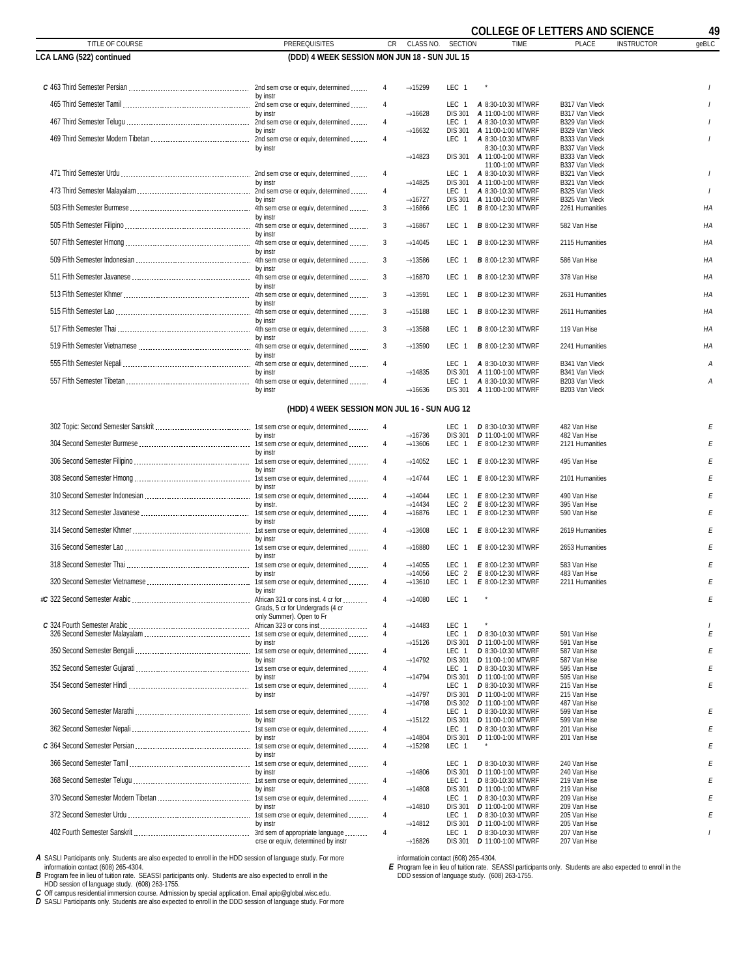|                                 |                                              |                                  |                                            |                           | <b>COLLEGE OF LETTERS AND SCIENCE</b>                  |                                   |                   | 49             |
|---------------------------------|----------------------------------------------|----------------------------------|--------------------------------------------|---------------------------|--------------------------------------------------------|-----------------------------------|-------------------|----------------|
| TITLE OF COURSE                 | <b>PREREQUISITES</b>                         | <b>CR</b>                        | CLASS NO.                                  | <b>SECTION</b>            | <b>TIME</b>                                            | <b>PLACE</b>                      | <b>INSTRUCTOR</b> | geBLC          |
| <b>LCA LANG (522) continued</b> | (DDD) 4 WEEK SESSION MON JUN 18 - SUN JUL 15 |                                  |                                            |                           |                                                        |                                   |                   |                |
|                                 |                                              | $\overline{4}$                   | $\rightarrow$ 15299                        | LEC 1                     |                                                        |                                   |                   |                |
|                                 | by instr                                     |                                  |                                            |                           |                                                        |                                   |                   |                |
|                                 | by instr                                     | 4                                | $\rightarrow$ 16628                        | LEC 1<br><b>DIS 301</b>   | A 8:30-10:30 MTWRF<br>A 11:00-1:00 MTWRF               | B317 Van Vleck<br>B317 Van Vleck  |                   |                |
|                                 |                                              | $\overline{4}$                   |                                            | LEC 1                     | A 8:30-10:30 MTWRF                                     | B329 Van Vleck                    |                   |                |
|                                 | by instr                                     | $\sqrt{4}$                       | $\rightarrow$ 16632                        | <b>DIS 301</b><br>LEC 1   | A 11:00-1:00 MTWRF<br>A 8:30-10:30 MTWRF               | B329 Van Vleck<br>B333 Van Vleck  |                   |                |
|                                 | by instr                                     |                                  | $\rightarrow$ 14823                        | <b>DIS 301</b>            | 8:30-10:30 MTWRF<br>A 11:00-1:00 MTWRF                 | B337 Van Vleck<br>B333 Van Vleck  |                   |                |
|                                 |                                              |                                  |                                            |                           | 11:00-1:00 MTWRF                                       | B337 Van Vleck                    |                   |                |
|                                 | by instr                                     | 4                                | $\rightarrow$ 14825                        | LEC 1<br><b>DIS 301</b>   | A 8:30-10:30 MTWRF<br>A 11:00-1:00 MTWRF               | B321 Van Vleck<br>B321 Van Vleck  |                   |                |
|                                 |                                              | $\sqrt{4}$                       |                                            | LEC 1                     | A 8:30-10:30 MTWRF                                     | B325 Van Vleck                    |                   | $\overline{1}$ |
|                                 | by instr                                     | 3                                | $\rightarrow$ 16727<br>$\rightarrow$ 16866 | <b>DIS 301</b><br>LEC 1   | A 11:00-1:00 MTWRF<br><b>B</b> 8:00-12:30 MTWRF        | B325 Van Vleck<br>2261 Humanities |                   | ΗA             |
|                                 | by instr                                     | 3                                | $\rightarrow$ 16867                        | LEC 1                     | <b>B</b> 8:00-12:30 MTWRF                              | 582 Van Hise                      |                   | HA             |
|                                 | by instr                                     |                                  |                                            |                           |                                                        |                                   |                   |                |
|                                 | by instr                                     | 3                                | $\rightarrow$ 14045                        | LEC 1                     | <b>B</b> 8:00-12:30 MTWRF                              | 2115 Humanities                   |                   | HA             |
|                                 |                                              | 3                                | $\rightarrow$ 13586                        | LEC 1                     | <b>B</b> 8:00-12:30 MTWRF                              | 586 Van Hise                      |                   | HA             |
|                                 | by instr                                     | 3                                | $\rightarrow$ 16870                        | LEC 1                     | <b>B</b> 8:00-12:30 MTWRF                              | 378 Van Hise                      |                   | HA             |
|                                 | by instr                                     | 3                                | $\rightarrow$ 13591                        | LEC 1                     | <b>B</b> 8:00-12:30 MTWRF                              | 2631 Humanities                   |                   | HA             |
|                                 | by instr                                     |                                  |                                            |                           |                                                        |                                   |                   |                |
|                                 | by instr                                     | 3                                | $\rightarrow$ 15188                        | LEC 1                     | <b>B</b> 8:00-12:30 MTWRF                              | 2611 Humanities                   |                   | HA             |
|                                 | by instr                                     | 3                                | $\rightarrow$ 13588                        | LEC 1                     | <b>B</b> 8:00-12:30 MTWRF                              | 119 Van Hise                      |                   | HA             |
|                                 |                                              | 3                                | $\rightarrow$ 13590                        | LEC 1                     | <b>B</b> 8:00-12:30 MTWRF                              | 2241 Humanities                   |                   | ΗA             |
|                                 | by instr                                     | $\overline{4}$                   |                                            | LEC 1                     | A 8:30-10:30 MTWRF                                     | B341 Van Vleck                    |                   | А              |
|                                 | by instr                                     |                                  | $\rightarrow$ 14835                        | <b>DIS 301</b>            | A 11:00-1:00 MTWRF                                     | B341 Van Vleck                    |                   |                |
|                                 | by instr                                     | $\overline{4}$                   | $\rightarrow$ 16636                        | LEC 1<br><b>DIS 301</b>   | A 8:30-10:30 MTWRF<br>A 11:00-1:00 MTWRF               | B203 Van Vleck<br>B203 Van Vleck  |                   | А              |
|                                 |                                              |                                  |                                            |                           |                                                        |                                   |                   |                |
|                                 | (HDD) 4 WEEK SESSION MON JUL 16 - SUN AUG 12 |                                  |                                            |                           |                                                        |                                   |                   |                |
|                                 | by instr                                     | 4                                | $\rightarrow$ 16736                        | LEC 1<br><b>DIS 301</b>   | <b>D</b> 8:30-10:30 MTWRF<br>D 11:00-1:00 MTWRF        | 482 Van Hise<br>482 Van Hise      |                   | E              |
|                                 | by instr                                     | 4                                | $\rightarrow$ 13606                        | LEC 1                     | E 8:00-12:30 MTWRF                                     | 2121 Humanities                   |                   | E              |
|                                 |                                              | $\overline{4}$                   | $\rightarrow$ 14052                        | LEC 1                     | E 8:00-12:30 MTWRF                                     | 495 Van Hise                      |                   | Ε              |
|                                 | by instr                                     | $\overline{4}$                   | $\rightarrow$ 14744                        | LEC 1                     | E 8:00-12:30 MTWRF                                     | 2101 Humanities                   |                   | E              |
|                                 | by instr                                     |                                  |                                            |                           |                                                        |                                   |                   | E              |
|                                 | by instr.                                    | $\overline{4}$                   | $\rightarrow$ 14044<br>$\rightarrow$ 14434 | LEC 1<br><b>LEC</b><br>2  | E 8:00-12:30 MTWRF<br>E 8:00-12:30 MTWRF               | 490 Van Hise<br>395 Van Hise      |                   |                |
|                                 | by instr                                     | 4                                | $\rightarrow$ 16876                        | LEC 1                     | E 8:00-12:30 MTWRF                                     | 590 Van Hise                      |                   | Ε              |
|                                 |                                              | $\overline{4}$                   | $\rightarrow$ 13608                        | LEC 1                     | E 8:00-12:30 MTWRF                                     | 2619 Humanities                   |                   | E              |
|                                 | by instr                                     | $\overline{4}$                   | $\rightarrow$ 16880                        | LEC 1                     | E 8:00-12:30 MTWRF                                     | 2653 Humanities                   |                   | Ε              |
|                                 | by instr                                     | $\overline{4}$                   | $\rightarrow$ 14055                        |                           | LEC 1 E 8:00-12:30 MTWRF                               | 583 Van Hise                      |                   | Ε              |
|                                 | by instr                                     |                                  | $\rightarrow$ 14056                        |                           | LEC 2 E 8:00-12:30 MTWRF                               | 483 Van Hise                      |                   |                |
|                                 | by instr                                     | 4                                | →13610                                     | LEC 1                     | <b>E</b> 8:00-12:30 MTWRF                              | 2211 Humanities                   |                   | E              |
|                                 | Grads, 5 cr for Undergrads (4 cr             | $\overline{4}$                   | $\rightarrow$ 14080                        | LEC 1                     |                                                        |                                   |                   | E              |
|                                 | only Summer). Open to Fr                     |                                  |                                            |                           |                                                        |                                   |                   |                |
|                                 |                                              | $\overline{4}$<br>$\overline{4}$ | $\rightarrow$ 14483                        | LEC 1<br>LEC 1            | D 8:30-10:30 MTWRF                                     | 591 Van Hise                      |                   | E              |
|                                 | by instr                                     |                                  | $\rightarrow$ 15126                        | <b>DIS 301</b>            | <b>D</b> 11:00-1:00 MTWRF                              | 591 Van Hise                      |                   |                |
|                                 | by instr                                     | 4                                | $\rightarrow$ 14792                        | LEC 1<br><b>DIS 301</b>   | <b>D</b> 8:30-10:30 MTWRF<br><b>D</b> 11:00-1:00 MTWRF | 587 Van Hise<br>587 Van Hise      |                   | E              |
|                                 | by instr                                     | $\overline{4}$                   | $\rightarrow$ 14794                        | LEC 1<br><b>DIS 301</b>   | D 8:30-10:30 MTWRF<br>D 11:00-1:00 MTWRF               | 595 Van Hise<br>595 Van Hise      |                   | Ε              |
|                                 |                                              | $\overline{4}$                   |                                            | LEC 1                     | D 8:30-10:30 MTWRF                                     | 215 Van Hise                      |                   | E              |
|                                 | by instr                                     |                                  | $\rightarrow$ 14797<br>$\rightarrow$ 14798 | <b>DIS 301</b><br>DIS 302 | D 11:00-1:00 MTWRF<br><b>D</b> 11:00-1:00 MTWRF        | 215 Van Hise<br>487 Van Hise      |                   |                |
|                                 |                                              | 4                                |                                            | LEC 1                     | D 8:30-10:30 MTWRF                                     | 599 Van Hise                      |                   | Ε              |
|                                 | by instr                                     | $\overline{4}$                   | $\rightarrow$ 15122                        | <b>DIS 301</b><br>LEC 1   | D 11:00-1:00 MTWRF<br>D 8:30-10:30 MTWRF               | 599 Van Hise<br>201 Van Hise      |                   | E              |
|                                 | by instr                                     | $\overline{4}$                   | $\rightarrow$ 14804<br>$\rightarrow$ 15298 | <b>DIS 301</b><br>LEC 1   | D 11:00-1:00 MTWRF                                     | 201 Van Hise                      |                   | E              |
|                                 | by instr                                     |                                  |                                            |                           |                                                        |                                   |                   |                |
|                                 | by instr                                     | $\overline{4}$                   | $\rightarrow$ 14806                        | LEC 1<br><b>DIS 301</b>   | <b>D</b> 8:30-10:30 MTWRF<br><b>D</b> 11:00-1:00 MTWRF | 240 Van Hise<br>240 Van Hise      |                   | E              |
|                                 | by instr                                     | $\overline{4}$                   | $\rightarrow$ 14808                        | LEC 1<br><b>DIS 301</b>   | D 8:30-10:30 MTWRF<br>D 11:00-1:00 MTWRF               | 219 Van Hise<br>219 Van Hise      |                   | E              |
|                                 |                                              | $\overline{4}$                   |                                            | LEC 1                     | D 8:30-10:30 MTWRF                                     | 209 Van Hise                      |                   | E              |
|                                 | by instr                                     | $\overline{4}$                   | $\rightarrow$ 14810                        | DIS 301<br>LEC 1          | D 11:00-1:00 MTWRF<br>D 8:30-10:30 MTWRF               | 209 Van Hise<br>205 Van Hise      |                   | E              |
|                                 | by instr                                     | $\overline{4}$                   | $\rightarrow$ 14812                        | <b>DIS 301</b><br>LEC 1   | <b>D</b> 11:00-1:00 MTWRF<br>D 8:30-10:30 MTWRF        | 205 Van Hise<br>207 Van Hise      |                   |                |
|                                 | crse or equiv, determined by instr           |                                  | $\rightarrow$ 16826                        | <b>DIS 301</b>            | <b>D</b> 11:00-1:00 MTWRF                              | 207 Van Hise                      |                   |                |
|                                 |                                              |                                  |                                            |                           |                                                        |                                   |                   |                |

**A** SASLI Participants only. Students are also expected to enroll in the HDD session of language study. For more information contact (608) 265-4304.<br>
Information contact (608) 265-4304.<br> **B** Program fee in lieu of tuition

informatioin contact (608) 265-4304. *E* Program fee in lieu of tuition rate. SEASSI participants only. Students are also expected to enroll in the DDD session of language study. (608) 263-1755.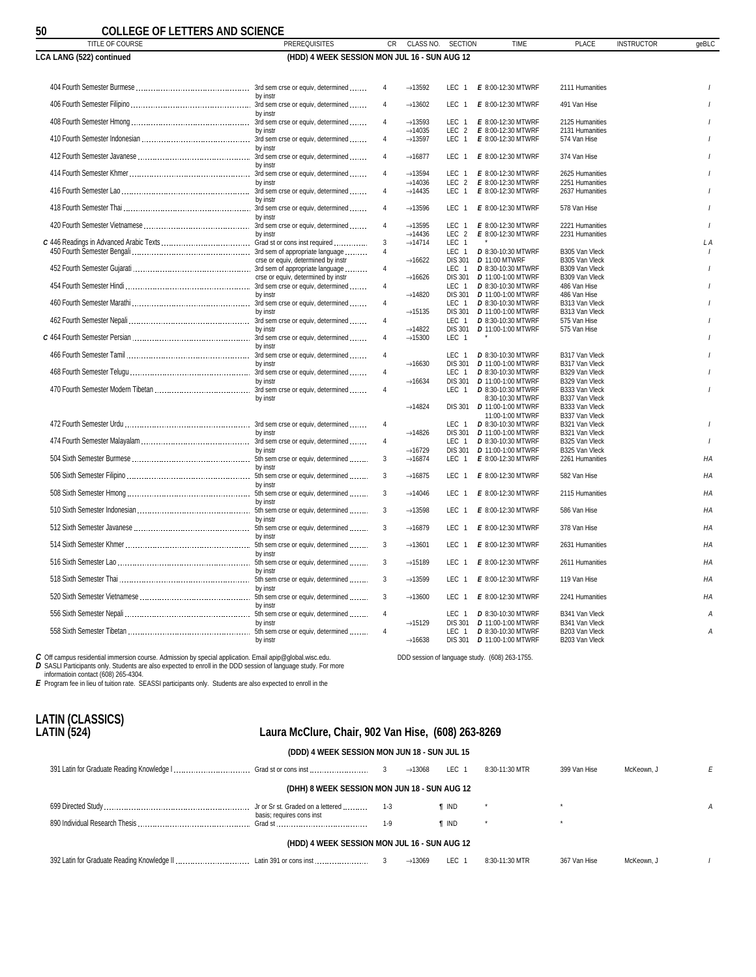<span id="page-49-0"></span>

| 50<br><b>COLLEGE OF LETTERS AND SCIENCE</b> |                                              |                         |                                            |                                           |                                                 |                                  |                   |                |
|---------------------------------------------|----------------------------------------------|-------------------------|--------------------------------------------|-------------------------------------------|-------------------------------------------------|----------------------------------|-------------------|----------------|
| TITLE OF COURSE                             | <b>PREREQUISITES</b>                         | CR                      | CLASS NO.                                  | <b>SECTION</b>                            | <b>TIME</b>                                     | <b>PLACE</b>                     | <b>INSTRUCTOR</b> | geBLC          |
| LCA LANG (522) continued                    | (HDD) 4 WEEK SESSION MON JUL 16 - SUN AUG 12 |                         |                                            |                                           |                                                 |                                  |                   |                |
|                                             |                                              | $\overline{4}$          | $\rightarrow$ 13592                        | LEC <sub>1</sub>                          | E 8:00-12:30 MTWRF                              | 2111 Humanities                  |                   |                |
|                                             | by instr                                     | $\overline{4}$          | $\rightarrow$ 13602                        | LEC <sub>1</sub>                          | E 8:00-12:30 MTWRF                              | 491 Van Hise                     |                   |                |
|                                             | by instr                                     | $\overline{4}$          | $\rightarrow$ 13593                        | LEC <sub>1</sub>                          | E 8:00-12:30 MTWRF                              | 2125 Humanities                  |                   |                |
|                                             | by instr                                     | $\overline{4}$          | $\rightarrow$ 14035<br>$\rightarrow$ 13597 | LEC <sub>1</sub>                          | LEC 2 E 8:00-12:30 MTWRF<br>E 8:00-12:30 MTWRF  | 2131 Humanities<br>574 Van Hise  |                   |                |
|                                             | by instr                                     | 4                       | $\rightarrow$ 16877                        | LEC <sub>1</sub>                          | E 8:00-12:30 MTWRF                              | 374 Van Hise                     |                   |                |
|                                             | by instr                                     | $\overline{4}$          | $\rightarrow$ 13594                        | LEC <sub>1</sub>                          | E 8:00-12:30 MTWRF                              | 2625 Humanities                  |                   |                |
|                                             | by instr                                     |                         | $\rightarrow$ 14036                        | LEC <sub>2</sub>                          | E 8:00-12:30 MTWRF                              | 2251 Humanities                  |                   |                |
|                                             | by instr                                     | $\overline{4}$          | $\rightarrow$ 14435                        | LEC 1                                     | E 8:00-12:30 MTWRF                              | 2637 Humanities                  |                   |                |
|                                             | by instr                                     | $\overline{4}$          | $\rightarrow$ 13596                        | LEC 1                                     | E 8:00-12:30 MTWRF                              | 578 Van Hise                     |                   |                |
|                                             |                                              | $\overline{4}$          | $\rightarrow$ 13595                        | LEC <sub>1</sub>                          | E 8:00-12:30 MTWRF                              | 2221 Humanities                  |                   |                |
|                                             | by instr                                     | 3                       | $\rightarrow$ 14436<br>$\rightarrow$ 14714 | LEC <sub>2</sub><br>LEC<br>$\overline{1}$ | E 8:00-12:30 MTWRF                              | 2231 Humanities                  |                   | L A            |
|                                             |                                              | $\overline{\mathbf{4}}$ |                                            | LEC 1                                     | D 8:30-10:30 MTWRF                              | B305 Van Vleck                   |                   |                |
|                                             | crse or equiv, determined by instr           |                         | $\rightarrow$ 16622                        | <b>DIS 301</b>                            | <b>D</b> 11:00 MTWRF                            | B305 Van Vleck                   |                   |                |
|                                             |                                              | $\overline{4}$          |                                            | LEC <sub>1</sub>                          | <b>D</b> 8:30-10:30 MTWRF                       | B309 Van Vleck                   |                   |                |
|                                             | crse or equiv, determined by instr           |                         | $\rightarrow$ 16626                        | <b>DIS 301</b>                            | D 11:00-1:00 MTWRF                              | B309 Van Vleck                   |                   |                |
|                                             | by instr                                     | 4                       |                                            | LEC 1                                     | D 8:30-10:30 MTWRF                              | 486 Van Hise                     |                   |                |
|                                             |                                              | 4                       | $\rightarrow$ 14820                        | <b>DIS 301</b><br>LEC 1                   | D 11:00-1:00 MTWRF<br>D 8:30-10:30 MTWRF        | 486 Van Hise<br>B313 Van Vleck   |                   |                |
|                                             | by instr                                     |                         | $\rightarrow$ 15135                        | <b>DIS 301</b>                            | <b>D</b> 11:00-1:00 MTWRF                       | B313 Van Vleck                   |                   |                |
|                                             |                                              | $\overline{4}$          |                                            | LEC <sub>1</sub>                          | <b>D</b> 8:30-10:30 MTWRF                       | 575 Van Hise                     |                   |                |
|                                             | by instr                                     |                         | $\rightarrow$ 14822                        | <b>DIS 301</b>                            | <b>D</b> 11:00-1:00 MTWRF                       | 575 Van Hise                     |                   |                |
|                                             |                                              | $\overline{4}$          | $\rightarrow$ 15300                        | LEC <sub>1</sub>                          |                                                 |                                  |                   |                |
|                                             | by instr                                     | $\overline{4}$          |                                            | LEC <sub>1</sub>                          | D 8:30-10:30 MTWRF                              | B317 Van Vleck                   |                   |                |
|                                             | by instr                                     |                         | $\rightarrow$ 16630                        | <b>DIS 301</b>                            | D 11:00-1:00 MTWRF                              | B317 Van Vleck                   |                   |                |
|                                             |                                              | 4                       |                                            | LEC 1                                     | D 8:30-10:30 MTWRF                              | B329 Van Vleck                   |                   |                |
|                                             | by instr                                     |                         | $\rightarrow$ 16634                        | <b>DIS 301</b>                            | D 11:00-1:00 MTWRF                              | B329 Van Vleck                   |                   |                |
|                                             |                                              | $\overline{4}$          |                                            | LEC <sub>1</sub>                          | D 8:30-10:30 MTWRF                              | B333 Van Vleck                   |                   |                |
|                                             | by instr                                     |                         |                                            |                                           | 8:30-10:30 MTWRF                                | B337 Van Vleck                   |                   |                |
|                                             |                                              |                         | $\rightarrow$ 14824                        | <b>DIS 301</b>                            | D 11:00-1:00 MTWRF                              | B333 Van Vleck                   |                   |                |
|                                             |                                              | $\overline{4}$          |                                            | LEC <sub>1</sub>                          | 11:00-1:00 MTWRF<br>D 8:30-10:30 MTWRF          | B337 Van Vleck<br>B321 Van Vleck |                   |                |
|                                             | by instr                                     |                         | $\rightarrow$ 14826                        | <b>DIS 301</b>                            | D 11:00-1:00 MTWRF                              | B321 Van Vleck                   |                   |                |
|                                             |                                              | 4                       |                                            | LEC <sub>1</sub>                          | D 8:30-10:30 MTWRF                              | B325 Van Vleck                   |                   |                |
|                                             | by instr                                     |                         | $\rightarrow$ 16729                        | <b>DIS 301</b>                            | <b>D</b> 11:00-1:00 MTWRF                       | B325 Van Vleck                   |                   |                |
|                                             |                                              | 3                       | $\rightarrow$ 16874                        | LEC <sub>1</sub>                          | E 8:00-12:30 MTWRF                              | 2261 Humanities                  |                   | HA             |
|                                             | by instr                                     | 3                       | $\rightarrow$ 16875                        | LEC <sub>1</sub>                          | E 8:00-12:30 MTWRF                              | 582 Van Hise                     |                   | HA             |
|                                             | by instr                                     | 3                       | $\rightarrow$ 14046                        | LEC <sub>1</sub>                          | E 8:00-12:30 MTWRF                              | 2115 Humanities                  |                   | HA             |
|                                             | by instr                                     | 3                       | $\rightarrow$ 13598                        | LEC <sub>1</sub>                          | E 8:00-12:30 MTWRF                              | 586 Van Hise                     |                   | HA             |
|                                             | by instr                                     | 3                       | $\rightarrow$ 16879                        | LEC <sub>1</sub>                          | E 8:00-12:30 MTWRF                              | 378 Van Hise                     |                   | HA             |
|                                             | by instr                                     | 3                       | $\rightarrow$ 13601                        | LEC 1                                     | E 8:00-12:30 MTWRF                              | 2631 Humanities                  |                   | HA             |
|                                             | by instr                                     |                         |                                            |                                           |                                                 |                                  |                   |                |
|                                             | by instr                                     | 3                       | $\rightarrow$ 15189                        | LEC <sub>1</sub>                          | E 8:00-12:30 MTWRF                              | 2611 Humanities                  |                   | HA             |
|                                             | by instr                                     | 3                       | $\rightarrow$ 13599                        | LEC 1                                     | E 8:00-12:30 MTWRF                              | 119 Van Hise                     |                   | HA             |
|                                             | by instr                                     | 3                       | $\rightarrow$ 13600                        | LEC 1                                     | E 8:00-12:30 MTWRF                              | 2241 Humanities                  |                   | HA             |
|                                             |                                              | $\overline{4}$          |                                            | LEC <sub>1</sub>                          | D 8:30-10:30 MTWRF                              | B341 Van Vleck                   |                   | $\overline{A}$ |
|                                             | by instr                                     |                         | $\rightarrow$ 15129                        | <b>DIS 301</b>                            | <b>D</b> 11:00-1:00 MTWRF                       | B341 Van Vleck                   |                   |                |
|                                             | by instr                                     | $\overline{4}$          | $\rightarrow$ 16638                        | LEC <sub>1</sub><br><b>DIS 301</b>        | D 8:30-10:30 MTWRF<br><b>D</b> 11:00-1:00 MTWRF | B203 Van Vleck<br>B203 Van Vleck |                   | A              |

C Off campus residential immersion course. Admission by special application. Email apip@global.wisc.edu.<br>D SASLI Participants only. Students are also expected to enroll in the DDD session of language study. For more<br>inform

# **LATIN (CLASSICS)**

### **LATIN (524) Laura McClure, Chair, 902 Van Hise, (608) 263-8269**

DDD session of language study. (608) 263-1755.

| (DDD) 4 WEEK SESSION MON JUN 18 - SUN JUL 15 |  |
|----------------------------------------------|--|
|----------------------------------------------|--|

|  |                                              |              | $\rightarrow$ 13068 | LEC 1        | 8:30-11:30 MTR | 399 Van Hise | McKeown, J |  |
|--|----------------------------------------------|--------------|---------------------|--------------|----------------|--------------|------------|--|
|  | (DHH) 8 WEEK SESSION MON JUN 18 - SUN AUG 12 |              |                     |              |                |              |            |  |
|  | basis; requires cons inst                    | $-1-3$       |                     | ¶ IND        |                |              |            |  |
|  |                                              | $1-9$        |                     | <b>T</b> IND |                |              |            |  |
|  | (HDD) 4 WEEK SESSION MON JUL 16 - SUN AUG 12 |              |                     |              |                |              |            |  |
|  |                                              | $\mathbf{3}$ | $\rightarrow$ 13069 | LEC 1        | 8:30-11:30 MTR | 367 Van Hise | McKeown, J |  |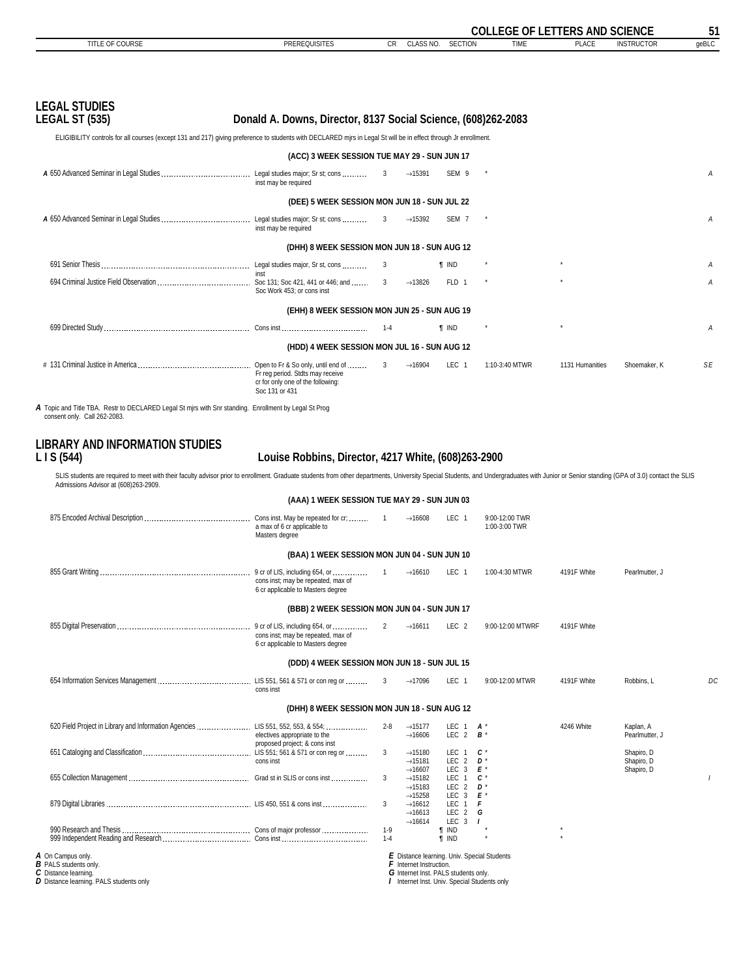<span id="page-50-0"></span>

|                                                                                                                                                                                                                                                                                                                               |                                                                                         |                         |                                                                   |                             | <b>COLLEGE OF LETTERS AND SCIENCE</b>                                                             |                 |                          | 51    |
|-------------------------------------------------------------------------------------------------------------------------------------------------------------------------------------------------------------------------------------------------------------------------------------------------------------------------------|-----------------------------------------------------------------------------------------|-------------------------|-------------------------------------------------------------------|-----------------------------|---------------------------------------------------------------------------------------------------|-----------------|--------------------------|-------|
| TITLE OF COURSE                                                                                                                                                                                                                                                                                                               | <b>PREREQUISITES</b>                                                                    | CR                      | CLASS NO.                                                         | <b>SECTION</b>              | <b>TIME</b>                                                                                       | <b>PLACE</b>    | <b>INSTRUCTOR</b>        | geBLC |
|                                                                                                                                                                                                                                                                                                                               |                                                                                         |                         |                                                                   |                             |                                                                                                   |                 |                          |       |
| <b>LEGAL STUDIES</b><br><b>LEGAL ST (535)</b>                                                                                                                                                                                                                                                                                 | Donald A. Downs, Director, 8137 Social Science, (608)262-2083                           |                         |                                                                   |                             |                                                                                                   |                 |                          |       |
| ELIGIBILITY controls for all courses (except 131 and 217) giving preference to students with DECLARED mjrs in Legal St will be in effect through Jr enrollment.                                                                                                                                                               |                                                                                         |                         |                                                                   |                             |                                                                                                   |                 |                          |       |
|                                                                                                                                                                                                                                                                                                                               | (ACC) 3 WEEK SESSION TUE MAY 29 - SUN JUN 17                                            |                         |                                                                   |                             |                                                                                                   |                 |                          |       |
|                                                                                                                                                                                                                                                                                                                               | inst may be required                                                                    | 3                       | $\rightarrow$ 15391                                               | SEM 9                       |                                                                                                   |                 |                          | Α     |
|                                                                                                                                                                                                                                                                                                                               | (DEE) 5 WEEK SESSION MON JUN 18 - SUN JUL 22                                            |                         |                                                                   |                             |                                                                                                   |                 |                          |       |
|                                                                                                                                                                                                                                                                                                                               | inst may be required                                                                    | 3                       | $\rightarrow$ 15392                                               | SEM <sub>7</sub>            |                                                                                                   |                 |                          | A     |
|                                                                                                                                                                                                                                                                                                                               | (DHH) 8 WEEK SESSION MON JUN 18 - SUN AUG 12                                            |                         |                                                                   |                             |                                                                                                   |                 |                          |       |
|                                                                                                                                                                                                                                                                                                                               |                                                                                         |                         |                                                                   | <b>T</b> IND                |                                                                                                   |                 |                          | Α     |
|                                                                                                                                                                                                                                                                                                                               | inst                                                                                    |                         | $\rightarrow$ 13826                                               | FLD 1                       |                                                                                                   |                 |                          | А     |
|                                                                                                                                                                                                                                                                                                                               | Soc Work 453: or cons inst                                                              |                         |                                                                   |                             |                                                                                                   |                 |                          |       |
|                                                                                                                                                                                                                                                                                                                               | (EHH) 8 WEEK SESSION MON JUN 25 - SUN AUG 19                                            |                         |                                                                   |                             |                                                                                                   |                 |                          |       |
|                                                                                                                                                                                                                                                                                                                               |                                                                                         | $1 - 4$                 |                                                                   | <b>T</b> IND                |                                                                                                   |                 |                          | Α     |
|                                                                                                                                                                                                                                                                                                                               | (HDD) 4 WEEK SESSION MON JUL 16 - SUN AUG 12                                            |                         |                                                                   |                             |                                                                                                   |                 |                          |       |
|                                                                                                                                                                                                                                                                                                                               | Fr reg period. Stdts may receive<br>cr for only one of the following:<br>Soc 131 or 431 | $\overline{\mathbf{3}}$ | $\rightarrow$ 16904                                               | LEC 1                       | 1:10-3:40 MTWR                                                                                    | 1131 Humanities | Shoemaker, K             | SE    |
| A Topic and Title TBA. Restr to DECLARED Legal St mirs with Snr standing. Enrollment by Legal St Prog                                                                                                                                                                                                                         |                                                                                         |                         |                                                                   |                             |                                                                                                   |                 |                          |       |
| consent only. Call 262-2083.                                                                                                                                                                                                                                                                                                  |                                                                                         |                         |                                                                   |                             |                                                                                                   |                 |                          |       |
| <b>LIBRARY AND INFORMATION STUDIES</b><br>LI S(544)<br>SLIS students are required to meet with their faculty advisor prior to enrollment. Graduate students from other departments, University Special Students, and Undergraduates with Junior or Senior standing (GPA of 3.0) conta<br>Admissions Advisor at (608)263-2909. | Louise Robbins, Director, 4217 White, (608)263-2900                                     |                         |                                                                   |                             |                                                                                                   |                 |                          |       |
|                                                                                                                                                                                                                                                                                                                               | (AAA) 1 WEEK SESSION TUE MAY 29 - SUN JUN 03                                            |                         |                                                                   |                             |                                                                                                   |                 |                          |       |
|                                                                                                                                                                                                                                                                                                                               | a max of 6 cr applicable to<br>Masters degree                                           |                         | $\rightarrow$ 16608                                               | LEC 1                       | 9:00-12:00 TWR<br>1:00-3:00 TWR                                                                   |                 |                          |       |
|                                                                                                                                                                                                                                                                                                                               | (BAA) 1 WEEK SESSION MON JUN 04 - SUN JUN 10                                            |                         |                                                                   |                             |                                                                                                   |                 |                          |       |
|                                                                                                                                                                                                                                                                                                                               |                                                                                         |                         | $\rightarrow$ 16610                                               | LEC 1                       | 1:00-4:30 MTWR                                                                                    | 4191F White     | Pearlmutter, J           |       |
|                                                                                                                                                                                                                                                                                                                               | cons inst; may be repeated, max of<br>6 cr applicable to Masters degree                 |                         |                                                                   |                             |                                                                                                   |                 |                          |       |
|                                                                                                                                                                                                                                                                                                                               | (BBB) 2 WEEK SESSION MON JUN 04 - SUN JUN 17                                            |                         |                                                                   |                             |                                                                                                   |                 |                          |       |
|                                                                                                                                                                                                                                                                                                                               | cons inst; may be repeated, max of<br>6 cr applicable to Masters degree                 | 2                       | $\rightarrow$ 16611                                               | LEC <sub>2</sub>            | 9:00-12:00 MTWRF                                                                                  | 4191F White     |                          |       |
|                                                                                                                                                                                                                                                                                                                               | (DDD) 4 WEEK SESSION MON JUN 18 - SUN JUL 15                                            |                         |                                                                   |                             |                                                                                                   |                 |                          |       |
|                                                                                                                                                                                                                                                                                                                               |                                                                                         |                         |                                                                   |                             |                                                                                                   |                 |                          |       |
|                                                                                                                                                                                                                                                                                                                               | cons inst                                                                               | 3                       | $\rightarrow$ 17096                                               | LEC 1                       | 9:00-12:00 MTWR                                                                                   | 4191F White     | Robbins, L               | DC    |
|                                                                                                                                                                                                                                                                                                                               | (DHH) 8 WEEK SESSION MON JUN 18 - SUN AUG 12                                            |                         |                                                                   |                             |                                                                                                   |                 |                          |       |
| 620 Field Project in Library and Information Agencies  LIS 551, 552, 553, & 554;                                                                                                                                                                                                                                              |                                                                                         | $2 - 8$                 | $\rightarrow$ 15177                                               | LEC 1                       | A *                                                                                               | 4246 White      | Kaplan, A                |       |
|                                                                                                                                                                                                                                                                                                                               | electives appropriate to the<br>proposed project; & cons inst                           |                         | $\rightarrow$ 16606                                               | LEC 2                       | $B^*$                                                                                             |                 | Pearlmutter, J           |       |
|                                                                                                                                                                                                                                                                                                                               | cons inst                                                                               | 3                       | $\rightarrow$ 15180<br>$\rightarrow$ 15181                        | LEC 1<br>LEC 2              | c,<br>D *                                                                                         |                 | Shapiro, D<br>Shapiro, D |       |
|                                                                                                                                                                                                                                                                                                                               |                                                                                         | 3                       | $\rightarrow$ 16607<br>$\rightarrow$ 15182                        | LEC 3<br>LEC 1              | E*<br>c*                                                                                          |                 | Shapiro, D               |       |
|                                                                                                                                                                                                                                                                                                                               |                                                                                         |                         | $\rightarrow$ 15183<br>$\rightarrow$ 15258                        | LEC 2<br>LEC 3              | D *<br>E                                                                                          |                 |                          |       |
|                                                                                                                                                                                                                                                                                                                               |                                                                                         | 3                       | $\rightarrow$ 16612<br>$\rightarrow$ 16613                        | LEC 1<br>LEC 2              | F<br>G                                                                                            |                 |                          |       |
|                                                                                                                                                                                                                                                                                                                               |                                                                                         | $1 - 9$                 | $\rightarrow$ 16614                                               | LEC $3$ $1$<br><b>T</b> IND |                                                                                                   |                 |                          |       |
|                                                                                                                                                                                                                                                                                                                               |                                                                                         | $1 - 4$                 |                                                                   | <b>T</b> IND                |                                                                                                   |                 |                          |       |
| A On Campus only.<br><b>B</b> PALS students only.<br>C Distance learning.<br>D Distance learning PALS students only                                                                                                                                                                                                           |                                                                                         |                         | $F$ Internet Instruction.<br>G Internet Inst. PALS students only. |                             | <b>E</b> Distance learning. Univ. Special Students<br>Internet Inst. Liniy, Special Students only |                 |                          |       |

**D** Distance learning. PALS students only

*I* Internet Inst. Univ. Special Students only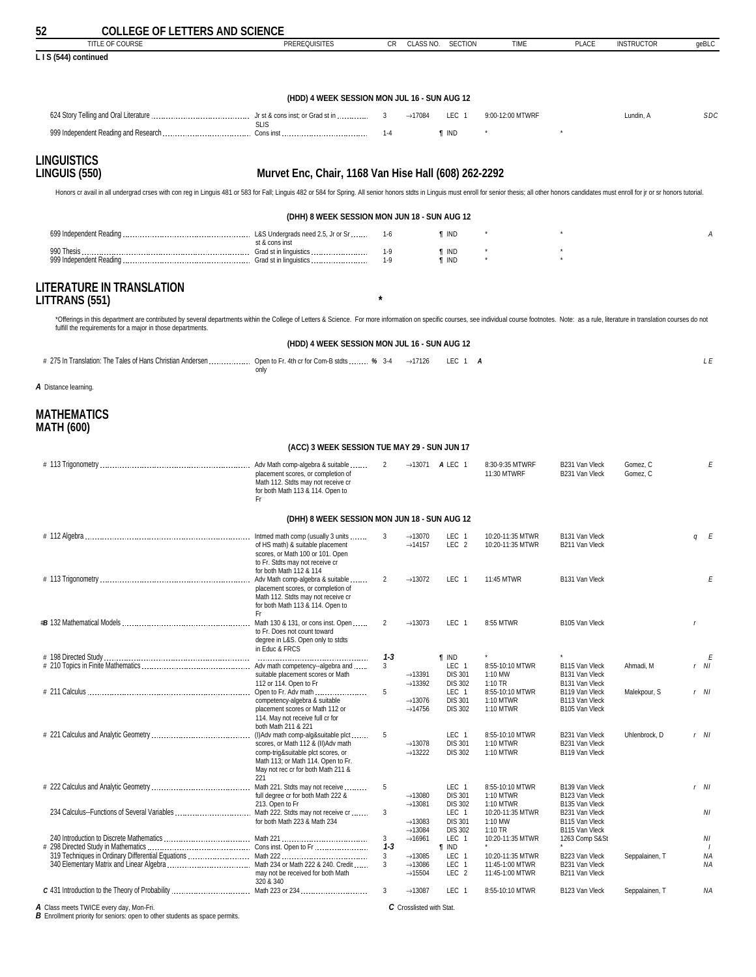<span id="page-51-0"></span>

| 52<br><b>COLLEGE OF LETTERS AND SCIENCE</b>                                                                                                                                                                                    |                                                                                                                                                                         |                |                                            |                                    |                                      |                                  |                   |              |
|--------------------------------------------------------------------------------------------------------------------------------------------------------------------------------------------------------------------------------|-------------------------------------------------------------------------------------------------------------------------------------------------------------------------|----------------|--------------------------------------------|------------------------------------|--------------------------------------|----------------------------------|-------------------|--------------|
| <b>TITLE OF COURSE</b>                                                                                                                                                                                                         | <b>PREREQUISITES</b>                                                                                                                                                    | CR             | CLASS NO.                                  | <b>SECTION</b>                     | <b>TIME</b>                          | <b>PLACE</b>                     | <b>INSTRUCTOR</b> | geBLC        |
| LIS (544) continued                                                                                                                                                                                                            |                                                                                                                                                                         |                |                                            |                                    |                                      |                                  |                   |              |
|                                                                                                                                                                                                                                |                                                                                                                                                                         |                |                                            |                                    |                                      |                                  |                   |              |
|                                                                                                                                                                                                                                | (HDD) 4 WEEK SESSION MON JUL 16 - SUN AUG 12                                                                                                                            |                |                                            |                                    |                                      |                                  |                   |              |
|                                                                                                                                                                                                                                |                                                                                                                                                                         |                |                                            |                                    |                                      |                                  |                   | SDC          |
|                                                                                                                                                                                                                                | <b>SLIS</b>                                                                                                                                                             | 3              | $\rightarrow$ 17084                        | LEC 1                              | 9:00-12:00 MTWRF                     |                                  | Lundin, A         |              |
|                                                                                                                                                                                                                                |                                                                                                                                                                         | $1 - 4$        |                                            | <b>T</b> IND                       |                                      |                                  |                   |              |
| <b>LINGUISTICS</b>                                                                                                                                                                                                             |                                                                                                                                                                         |                |                                            |                                    |                                      |                                  |                   |              |
| <b>LINGUIS (550)</b>                                                                                                                                                                                                           | Murvet Enc, Chair, 1168 Van Hise Hall (608) 262-2292                                                                                                                    |                |                                            |                                    |                                      |                                  |                   |              |
| Honors cr avail in all undergrad crses with con reg in Linguis 481 or 583 for Fall; Linguis 482 or 584 for Spring. All senior honors stdts in Linguis must enroll for senior thesis; all other honors candidates must enroll f |                                                                                                                                                                         |                |                                            |                                    |                                      |                                  |                   |              |
|                                                                                                                                                                                                                                |                                                                                                                                                                         |                |                                            |                                    |                                      |                                  |                   |              |
|                                                                                                                                                                                                                                | (DHH) 8 WEEK SESSION MON JUN 18 - SUN AUG 12                                                                                                                            |                |                                            |                                    |                                      |                                  |                   |              |
|                                                                                                                                                                                                                                |                                                                                                                                                                         | 1-6            |                                            | <b>T</b> IND                       |                                      |                                  |                   | А            |
|                                                                                                                                                                                                                                | st & cons inst                                                                                                                                                          | $1-9$          |                                            | <b>T</b> IND                       |                                      |                                  |                   |              |
|                                                                                                                                                                                                                                |                                                                                                                                                                         | $1-9$          |                                            | $\P$ IND                           |                                      |                                  |                   |              |
| LITERATURE IN TRANSLATION<br>LITTRANS (551)                                                                                                                                                                                    |                                                                                                                                                                         | $\star$        |                                            |                                    |                                      |                                  |                   |              |
| *Offerings in this department are contributed by several departments within the College of Letters & Science. For more information on specific courses, see individual course footnotes. Note: as a rule, literature in transl |                                                                                                                                                                         |                |                                            |                                    |                                      |                                  |                   |              |
| fulfill the requirements for a major in those departments.                                                                                                                                                                     |                                                                                                                                                                         |                |                                            |                                    |                                      |                                  |                   |              |
|                                                                                                                                                                                                                                | (HDD) 4 WEEK SESSION MON JUL 16 - SUN AUG 12                                                                                                                            |                |                                            |                                    |                                      |                                  |                   |              |
| # 275 In Translation: The Tales of Hans Christian Andersen  Open to Fr. 4th or for Com-B stdts  % 3-4                                                                                                                          |                                                                                                                                                                         |                | $\rightarrow$ 17126                        | LEC 1 A                            |                                      |                                  |                   | LE           |
|                                                                                                                                                                                                                                | only                                                                                                                                                                    |                |                                            |                                    |                                      |                                  |                   |              |
| A Distance learning.                                                                                                                                                                                                           |                                                                                                                                                                         |                |                                            |                                    |                                      |                                  |                   |              |
| <b>MATHEMATICS</b><br><b>MATH (600)</b>                                                                                                                                                                                        |                                                                                                                                                                         |                |                                            |                                    |                                      |                                  |                   |              |
|                                                                                                                                                                                                                                | (ACC) 3 WEEK SESSION TUE MAY 29 - SUN JUN 17                                                                                                                            |                |                                            |                                    |                                      |                                  |                   |              |
|                                                                                                                                                                                                                                |                                                                                                                                                                         | 2              |                                            | $\rightarrow$ 13071 <b>A</b> LEC 1 | 8:30-9:35 MTWRF                      | B231 Van Vleck                   | Gomez, C          | Ε            |
|                                                                                                                                                                                                                                | placement scores, or completion of<br>Math 112. Stdts may not receive cr<br>for both Math 113 & 114. Open to<br>Fr                                                      |                |                                            |                                    | 11:30 MTWRF                          | B231 Van Vleck                   | Gomez, C          |              |
|                                                                                                                                                                                                                                | (DHH) 8 WEEK SESSION MON JUN 18 - SUN AUG 12                                                                                                                            |                |                                            |                                    |                                      |                                  |                   |              |
|                                                                                                                                                                                                                                |                                                                                                                                                                         |                |                                            |                                    |                                      |                                  |                   |              |
|                                                                                                                                                                                                                                | Intmed math comp (usually 3 units<br>of HS math) & suitable placement<br>scores, or Math 100 or 101. Open<br>to Fr. Stdts may not receive cr<br>for both Math 112 & 114 | 3              | $\rightarrow$ 13070<br>$\rightarrow$ 14157 | LEC 1<br>LEC <sub>2</sub>          | 10:20-11:35 MTWR<br>10:20-11:35 MTWR | B131 Van Vleck<br>B211 Van Vleck |                   | qE           |
| # 113 Trigonometry                                                                                                                                                                                                             | Adv Math comp-algebra & suitable                                                                                                                                        | $\mathbf{2}$   | $\rightarrow$ 13072                        | LEC 1                              | 11:45 MTWR                           | B131 Van Vleck                   |                   | Ε            |
|                                                                                                                                                                                                                                | placement scores, or completion of<br>Math 112. Stdts may not receive cr<br>for both Math 113 & 114. Open to<br>Fr.                                                     |                |                                            |                                    |                                      |                                  |                   |              |
|                                                                                                                                                                                                                                | Math 130 & 131, or cons inst. Open<br>to Fr. Does not count toward                                                                                                      | $\overline{2}$ | $\rightarrow$ 13073                        | LEC 1                              | 8:55 MTWR                            | B105 Van Vleck                   |                   | $\mathsf{r}$ |
|                                                                                                                                                                                                                                | degree in L&S. Open only to stdts                                                                                                                                       |                |                                            |                                    |                                      |                                  |                   |              |
|                                                                                                                                                                                                                                | in Educ & FRCS                                                                                                                                                          | $1 - 3$        |                                            | <b>T</b> IND                       |                                      |                                  |                   | E            |
|                                                                                                                                                                                                                                | suitable placement scores or Math                                                                                                                                       | 3              | $\rightarrow$ 13391                        | LEC 1<br><b>DIS 301</b>            | 8:55-10:10 MTWR<br>1:10 MW           | B115 Van Vleck<br>B131 Van Vleck | Ahmadi, M         | $r$ NI       |
|                                                                                                                                                                                                                                | 112 or 114. Open to Fr                                                                                                                                                  | 5              | $\rightarrow$ 13392                        | <b>DIS 302</b><br>LEC 1            | $1:10$ TR<br>8:55-10:10 MTWR         | B131 Van Vleck<br>B119 Van Vleck | Malekpour, S      | r NI         |
|                                                                                                                                                                                                                                | competency-algebra & suitable                                                                                                                                           |                | $\rightarrow$ 13076                        | <b>DIS 301</b><br><b>DIS 302</b>   | 1:10 MTWR                            | B113 Van Vleck                   |                   |              |
|                                                                                                                                                                                                                                | placement scores or Math 112 or<br>114. May not receive full cr for                                                                                                     |                | $\rightarrow$ 14756                        |                                    | 1:10 MTWR                            | B105 Van Vleck                   |                   |              |
|                                                                                                                                                                                                                                | both Math 211 & 221                                                                                                                                                     | 5              |                                            | LEC 1                              | 8:55-10:10 MTWR                      | B231 Van Vleck                   | Uhlenbrock, D     | r NI         |
|                                                                                                                                                                                                                                | scores, or Math 112 & (II) Adv math<br>comp-trig&suitable plct scores, or                                                                                               |                | $\rightarrow$ 13078<br>$\rightarrow$ 13222 | <b>DIS 301</b><br><b>DIS 302</b>   | 1:10 MTWR<br>1:10 MTWR               | B231 Van Vleck<br>B119 Van Vleck |                   |              |
|                                                                                                                                                                                                                                | Math 113; or Math 114. Open to Fr.<br>May not rec cr for both Math 211 &                                                                                                |                |                                            |                                    |                                      |                                  |                   |              |
|                                                                                                                                                                                                                                | 221                                                                                                                                                                     |                |                                            |                                    |                                      |                                  |                   |              |
|                                                                                                                                                                                                                                | full degree cr for both Math 222 &                                                                                                                                      | 5              | $\rightarrow$ 13080                        | LEC 1<br><b>DIS 301</b>            | 8:55-10:10 MTWR<br>1:10 MTWR         | B139 Van Vleck<br>B123 Van Vleck |                   | r NI         |
| 234 Calculus--Functions of Several Variables  Math 222. Stdts may not receive cr                                                                                                                                               | 213. Open to Fr                                                                                                                                                         | 3              | $\rightarrow$ 13081                        | <b>DIS 302</b><br>LEC 1            | 1:10 MTWR<br>10:20-11:35 MTWR        | B135 Van Vleck<br>B231 Van Vleck |                   | ΝI           |
|                                                                                                                                                                                                                                | for both Math 223 & Math 234                                                                                                                                            |                | $\rightarrow$ 13083<br>$\rightarrow$ 13084 | <b>DIS 301</b><br><b>DIS 302</b>   | 1:10 MW<br>$1:10$ TR                 | B115 Van Vleck<br>B115 Van Vleck |                   |              |
|                                                                                                                                                                                                                                |                                                                                                                                                                         | 3<br>$1 - 3$   | $\rightarrow$ 16961                        | LEC 1                              | 10:20-11:35 MTWR                     | 1263 Comp S&St                   |                   | ΝI           |
|                                                                                                                                                                                                                                |                                                                                                                                                                         | 3              | $\rightarrow$ 13085                        | <b>T</b> IND<br>LEC 1              | 10:20-11:35 MTWR                     | B223 Van Vleck                   | Seppalainen, T    | NA           |
|                                                                                                                                                                                                                                | may not be received for both Math                                                                                                                                       | 3              | $\rightarrow$ 13086<br>$\rightarrow$ 15504 | LEC 1<br>LEC <sub>2</sub>          | 11:45-1:00 MTWR<br>11:45-1:00 MTWR   | B231 Van Vleck<br>B211 Van Vleck |                   | NA           |
|                                                                                                                                                                                                                                | 320 & 340                                                                                                                                                               | 3              | $\rightarrow$ 13087                        | LEC 1                              | 8:55-10:10 MTWR                      | B123 Van Vleck                   | Seppalainen, T    | ΝA           |
|                                                                                                                                                                                                                                |                                                                                                                                                                         |                |                                            |                                    |                                      |                                  |                   |              |

*A* Class meets TWICE every day, Mon-Fri. *B* Enrollment priority for seniors: open to other students as space permits.

*C* Crosslisted with Stat.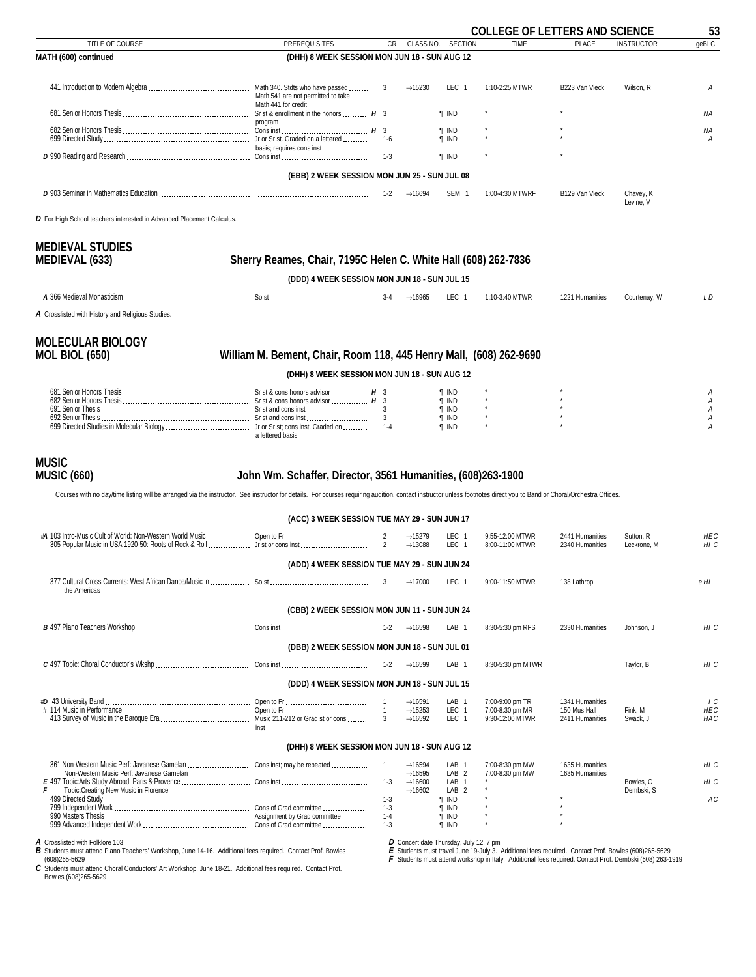<span id="page-52-0"></span>

|                                                                                                                                                                                                                                                             |                                                                    |                                  |                                            |                                      | <b>COLLEGE OF LETTERS AND SCIENCE</b> |                                    |                          | 53                       |
|-------------------------------------------------------------------------------------------------------------------------------------------------------------------------------------------------------------------------------------------------------------|--------------------------------------------------------------------|----------------------------------|--------------------------------------------|--------------------------------------|---------------------------------------|------------------------------------|--------------------------|--------------------------|
| TITLE OF COURSE                                                                                                                                                                                                                                             | <b>PREREQUISITES</b>                                               | CR                               | CLASS NO.                                  | <b>SECTION</b>                       | <b>TIME</b>                           | <b>PLACE</b>                       | <b>INSTRUCTOR</b>        | geBLC                    |
| MATH (600) continued                                                                                                                                                                                                                                        | (DHH) 8 WEEK SESSION MON JUN 18 - SUN AUG 12                       |                                  |                                            |                                      |                                       |                                    |                          |                          |
|                                                                                                                                                                                                                                                             | Math 541 are not permitted to take                                 | 3                                | $\rightarrow$ 15230                        | LEC <sub>1</sub>                     | 1:10-2:25 MTWR                        | B223 Van Vleck                     | Wilson, R                | Α                        |
|                                                                                                                                                                                                                                                             | Math 441 for credit<br>program                                     |                                  |                                            | <b>T</b> IND                         |                                       |                                    |                          | NA                       |
|                                                                                                                                                                                                                                                             |                                                                    |                                  |                                            | <b>T</b> IND<br><b>T</b> IND         |                                       |                                    |                          | ΝA<br>Α                  |
|                                                                                                                                                                                                                                                             | basis; requires cons inst                                          | 1-3                              |                                            | <b>T</b> IND                         |                                       |                                    |                          |                          |
|                                                                                                                                                                                                                                                             | (EBB) 2 WEEK SESSION MON JUN 25 - SUN JUL 08                       |                                  |                                            |                                      |                                       |                                    |                          |                          |
|                                                                                                                                                                                                                                                             |                                                                    | $1 - 2$                          | $\rightarrow$ 16694                        | SEM <sub>1</sub>                     | 1:00-4:30 MTWRF                       | B129 Van Vleck                     | Chavey, K<br>Levine, V   |                          |
| D For High School teachers interested in Advanced Placement Calculus.                                                                                                                                                                                       |                                                                    |                                  |                                            |                                      |                                       |                                    |                          |                          |
| <b>MEDIEVAL STUDIES</b><br><b>MEDIEVAL (633)</b>                                                                                                                                                                                                            | Sherry Reames, Chair, 7195C Helen C. White Hall (608) 262-7836     |                                  |                                            |                                      |                                       |                                    |                          |                          |
|                                                                                                                                                                                                                                                             | (DDD) 4 WEEK SESSION MON JUN 18 - SUN JUL 15                       |                                  |                                            |                                      |                                       |                                    |                          |                          |
|                                                                                                                                                                                                                                                             |                                                                    | 3-4                              | $\rightarrow$ 16965                        | LEC 1                                | 1:10-3:40 MTWR                        | 1221 Humanities                    | Courtenay, W             | L D                      |
| A Crosslisted with History and Religious Studies.                                                                                                                                                                                                           |                                                                    |                                  |                                            |                                      |                                       |                                    |                          |                          |
| <b>MOLECULAR BIOLOGY</b><br><b>MOL BIOL (650)</b>                                                                                                                                                                                                           | William M. Bement, Chair, Room 118, 445 Henry Mall, (608) 262-9690 |                                  |                                            |                                      |                                       |                                    |                          |                          |
|                                                                                                                                                                                                                                                             | (DHH) 8 WEEK SESSION MON JUN 18 - SUN AUG 12                       |                                  |                                            |                                      |                                       |                                    |                          |                          |
|                                                                                                                                                                                                                                                             |                                                                    |                                  |                                            | ¶ IND                                |                                       |                                    |                          | Α                        |
|                                                                                                                                                                                                                                                             |                                                                    |                                  |                                            | $\P$ IND<br>$\P$ IND                 |                                       |                                    |                          | A<br>Α                   |
|                                                                                                                                                                                                                                                             | a lettered basis                                                   | $\mathbf{3}$                     |                                            | <b>T</b> IND<br><b>T</b> IND         |                                       |                                    |                          | A<br>А                   |
| <b>MUSIC</b><br><b>MUSIC (660)</b><br>Courses with no day/time listing will be arranged via the instructor. See instructor for details. For courses requiring audition, contact instructor unless footnotes direct you to Band or Choral/Orchestra Offices. | John Wm. Schaffer, Director, 3561 Humanities, (608)263-1900        |                                  |                                            |                                      |                                       |                                    |                          |                          |
|                                                                                                                                                                                                                                                             | (ACC) 3 WEEK SESSION TUE MAY 29 - SUN JUN 17                       |                                  |                                            |                                      |                                       |                                    |                          |                          |
|                                                                                                                                                                                                                                                             |                                                                    | $\overline{2}$<br>$\overline{2}$ | $\rightarrow$ 15279<br>$\rightarrow$ 13088 | LEC 1<br>LEC 1                       | 9:55-12:00 MTWR<br>8:00-11:00 MTWR    | 2441 Humanities<br>2340 Humanities | Sutton, R<br>Leckrone, M | HEC<br>HI C              |
|                                                                                                                                                                                                                                                             | (ADD) 4 WEEK SESSION TUE MAY 29 - SUN JUN 24                       |                                  |                                            |                                      |                                       |                                    |                          |                          |
| the Americas                                                                                                                                                                                                                                                |                                                                    | 3                                | $\rightarrow$ 17000                        | LEC 1                                | 9:00-11:50 MTWR                       | 138 Lathrop                        |                          | e HI                     |
|                                                                                                                                                                                                                                                             | (CBB) 2 WEEK SESSION MON JUN 11 - SUN JUN 24                       |                                  |                                            |                                      |                                       |                                    |                          |                          |
|                                                                                                                                                                                                                                                             |                                                                    | $1 - 2$                          | $\rightarrow$ 16598                        | LAB <sub>1</sub>                     | 8:30-5:30 pm RFS                      | 2330 Humanities                    | Johnson, J               | HI C                     |
|                                                                                                                                                                                                                                                             | (DBB) 2 WEEK SESSION MON JUN 18 - SUN JUL 01                       |                                  |                                            |                                      |                                       |                                    |                          |                          |
|                                                                                                                                                                                                                                                             |                                                                    | $1 - 2$                          | $\rightarrow$ 16599                        | LAB <sub>1</sub>                     | 8:30-5:30 pm MTWR                     |                                    | Taylor, B                | HI C                     |
|                                                                                                                                                                                                                                                             | (DDD) 4 WEEK SESSION MON JUN 18 - SUN JUL 15                       |                                  |                                            |                                      |                                       |                                    |                          |                          |
|                                                                                                                                                                                                                                                             |                                                                    | $\overline{1}$                   | $\rightarrow$ 16591                        | LAB <sub>1</sub>                     | 7:00-9:00 pm TR                       | 1341 Humanities                    |                          | 1 <sup>C</sup>           |
|                                                                                                                                                                                                                                                             | inst                                                               | $\overline{1}$<br>3              | $\rightarrow$ 15253<br>$\rightarrow$ 16592 | LEC 1<br>LEC 1                       | 7:00-8:30 pm MR<br>9:30-12:00 MTWR    | 150 Mus Hall<br>2411 Humanities    | Fink, M<br>Swack, J      | <b>HEC</b><br><b>HAC</b> |
|                                                                                                                                                                                                                                                             | (DHH) 8 WEEK SESSION MON JUN 18 - SUN AUG 12                       |                                  |                                            |                                      |                                       |                                    |                          |                          |
|                                                                                                                                                                                                                                                             |                                                                    | $\overline{1}$                   | $\rightarrow$ 16594                        | LAB <sub>1</sub>                     | 7:00-8:30 pm MW                       | 1635 Humanities                    |                          | HI C                     |
| Non-Western Music Perf: Javanese Gamelan                                                                                                                                                                                                                    |                                                                    | $1-3$                            | $\rightarrow$ 16595<br>$\rightarrow$ 16600 | LAB <sub>2</sub><br>LAB <sub>1</sub> | 7:00-8:30 pm MW                       | 1635 Humanities                    | Bowles, C                | HI C                     |
| F<br>Topic:Creating New Music in Florence                                                                                                                                                                                                                   |                                                                    | $1-3$                            | $\rightarrow$ 16602                        | LAB <sub>2</sub><br>$\P$ IND         |                                       |                                    | Dembski, S               | AC                       |
|                                                                                                                                                                                                                                                             |                                                                    | 1-3<br>$1 - 4$                   |                                            | <b>f</b> IND<br>$\P$ IND             |                                       |                                    |                          |                          |
|                                                                                                                                                                                                                                                             |                                                                    | $1 - 3$                          |                                            | <b>T</b> IND                         |                                       |                                    |                          |                          |

A Crosslisted with Folklore 103<br>B Students must attend Piano Teachers' Workshop, June 14-16. Additional fees required. Contact Prof. Bowles<br>(608)265-5629<br>C Students must attend Choral Conductors' Art Workshop, June 18-21.

*D* Concert date Thursday, July 12, 7 pm<br>E Students must travel June 19-July 3. Additional fees required. Contact Prof. Bowles (608)265-5629<br>F Students must attend workshop in Italy. Additional fees required. Contact P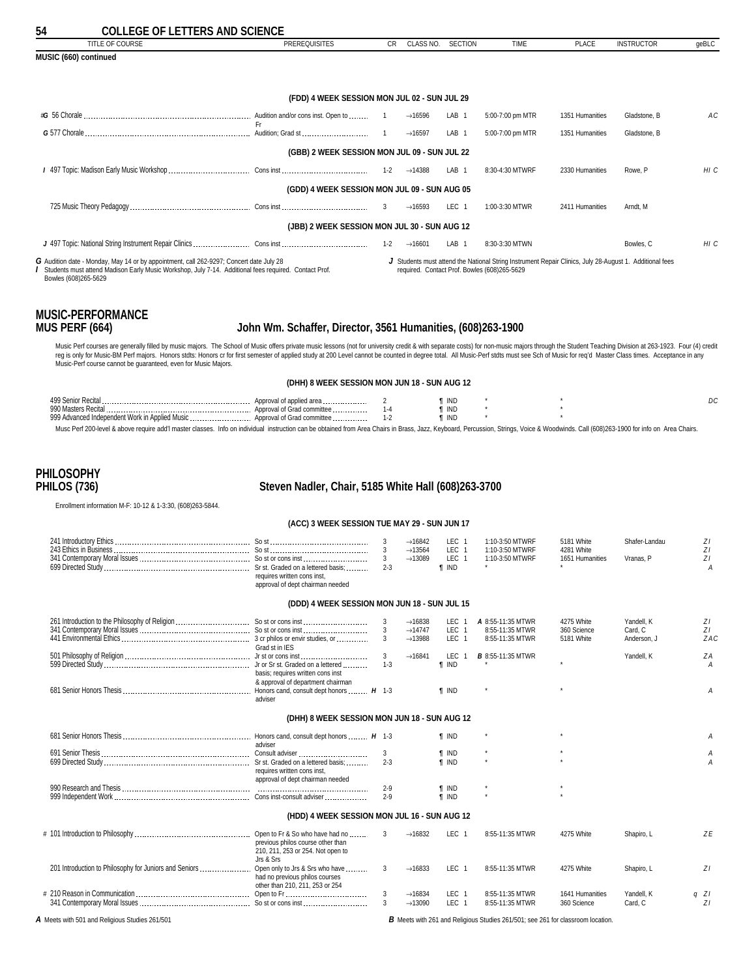<span id="page-53-0"></span>

| 54<br><b>COLLEGE OF LETTERS AND SCIENCE</b>                                                                                                                                                                                                                                                                                                                                                                                                                                                                                        |                                                             |                                      |                     |                                              |                                                                                                                                                         |                 |                   |       |
|------------------------------------------------------------------------------------------------------------------------------------------------------------------------------------------------------------------------------------------------------------------------------------------------------------------------------------------------------------------------------------------------------------------------------------------------------------------------------------------------------------------------------------|-------------------------------------------------------------|--------------------------------------|---------------------|----------------------------------------------|---------------------------------------------------------------------------------------------------------------------------------------------------------|-----------------|-------------------|-------|
| TITLE OF COURSE                                                                                                                                                                                                                                                                                                                                                                                                                                                                                                                    | <b>PREREQUISITES</b>                                        | <b>CR</b>                            | CLASS NO.           | <b>SECTION</b>                               | <b>TIME</b>                                                                                                                                             | PLACE           | <b>INSTRUCTOR</b> | geBLC |
| MUSIC (660) continued                                                                                                                                                                                                                                                                                                                                                                                                                                                                                                              |                                                             |                                      |                     |                                              |                                                                                                                                                         |                 |                   |       |
|                                                                                                                                                                                                                                                                                                                                                                                                                                                                                                                                    |                                                             |                                      |                     |                                              |                                                                                                                                                         |                 |                   |       |
|                                                                                                                                                                                                                                                                                                                                                                                                                                                                                                                                    | (FDD) 4 WEEK SESSION MON JUL 02 - SUN JUL 29                |                                      |                     |                                              |                                                                                                                                                         |                 |                   |       |
|                                                                                                                                                                                                                                                                                                                                                                                                                                                                                                                                    |                                                             |                                      | $\rightarrow$ 16596 | LAB 1                                        | 5:00-7:00 pm MTR                                                                                                                                        | 1351 Humanities | Gladstone, B      | AC    |
|                                                                                                                                                                                                                                                                                                                                                                                                                                                                                                                                    | Fr.                                                         |                                      | $\rightarrow$ 16597 | LAB <sub>1</sub>                             | 5:00-7:00 pm MTR                                                                                                                                        | 1351 Humanities | Gladstone, B      |       |
|                                                                                                                                                                                                                                                                                                                                                                                                                                                                                                                                    | (GBB) 2 WEEK SESSION MON JUL 09 - SUN JUL 22                |                                      |                     |                                              |                                                                                                                                                         |                 |                   |       |
|                                                                                                                                                                                                                                                                                                                                                                                                                                                                                                                                    |                                                             |                                      | $\rightarrow$ 14388 | LAB <sub>1</sub>                             | 8:30-4:30 MTWRF                                                                                                                                         | 2330 Humanities | Rowe, P           | HI C  |
|                                                                                                                                                                                                                                                                                                                                                                                                                                                                                                                                    | (GDD) 4 WEEK SESSION MON JUL 09 - SUN AUG 05                |                                      |                     |                                              |                                                                                                                                                         |                 |                   |       |
|                                                                                                                                                                                                                                                                                                                                                                                                                                                                                                                                    |                                                             | 3                                    | $\rightarrow$ 16593 | LEC <sub>1</sub>                             | 1:00-3:30 MTWR                                                                                                                                          | 2411 Humanities | Arndt. M          |       |
|                                                                                                                                                                                                                                                                                                                                                                                                                                                                                                                                    | (JBB) 2 WEEK SESSION MON JUL 30 - SUN AUG 12                |                                      |                     |                                              |                                                                                                                                                         |                 |                   |       |
|                                                                                                                                                                                                                                                                                                                                                                                                                                                                                                                                    |                                                             | $1 - 2$                              | $\rightarrow$ 16601 | LAB <sub>1</sub>                             | 8:30-3:30 MTWN                                                                                                                                          |                 | Bowles, C         | HI C  |
| G Audition date - Monday, May 14 or by appointment, call 262-9297; Concert date July 28<br>Students must attend Madison Early Music Workshop, July 7-14. Additional fees required. Contact Prof.<br>Bowles (608)265-5629                                                                                                                                                                                                                                                                                                           |                                                             |                                      |                     |                                              | J Students must attend the National String Instrument Repair Clinics, July 28-August 1. Additional fees<br>required. Contact Prof. Bowles (608)265-5629 |                 |                   |       |
| <b>MUSIC-PERFORMANCE</b><br><b>MUS PERF (664)</b>                                                                                                                                                                                                                                                                                                                                                                                                                                                                                  | John Wm. Schaffer, Director, 3561 Humanities, (608)263-1900 |                                      |                     |                                              |                                                                                                                                                         |                 |                   |       |
| Music Perf courses are generally filled by music majors. The School of Music offers private music lessons (not for university credit & with separate costs) for non-music majors through the Student Teaching Division at 263-<br>req is only for Music-BM Perf majors. Honors stdts: Honors cr for first semester of applied study at 200 Level cannot be counted in degree total. All Music-Perf stdts must see Sch of Music for req'd Master Class times. Acc<br>Music-Perf course cannot be quaranteed, even for Music Majors. |                                                             |                                      |                     |                                              |                                                                                                                                                         |                 |                   |       |
|                                                                                                                                                                                                                                                                                                                                                                                                                                                                                                                                    | (DHH) 8 WEEK SESSION MON JUN 18 - SUN AUG 12                |                                      |                     |                                              |                                                                                                                                                         |                 |                   |       |
|                                                                                                                                                                                                                                                                                                                                                                                                                                                                                                                                    |                                                             | $\overline{2}$<br>$1 - 4$<br>$1 - 2$ |                     | <b>T</b> IND<br><b>T</b> IND<br><b>T</b> IND |                                                                                                                                                         |                 |                   | DC    |
| Musc Perf 200-level & above require add'l master classes. Info on individual instruction can be obtained from Area Chairs in Brass, Jazz, Keyboard, Percussion, Strings, Voice & Woodwinds. Call (608)263-1900 for info on Are                                                                                                                                                                                                                                                                                                     |                                                             |                                      |                     |                                              |                                                                                                                                                         |                 |                   |       |

# **PHILOSOPHY**

### **PHILOS (736) Steven Nadler, Chair, 5185 White Hall (608)263-3700**

Enrollment information M-F: 10-12 & 1-3:30, (608)263-5844.

### **(ACC) 3 WEEK SESSION TUE MAY 29 - SUN JUN 17**

|                                                        | requires written cons inst.<br>approval of dept chairman needed                                      | 3<br>$2 - 3$            | $\rightarrow$ 16842<br>$\rightarrow$ 13564<br>$\rightarrow$ 13089 | LEC <sub>1</sub><br>LEC <sub>1</sub><br>LEC <sub>1</sub><br><b>f</b> IND | 1:10-3:50 MTWRF<br>1:10-3:50 MTWRF<br>1:10-3:50 MTWRF   | 5181 White<br>4281 White<br>1651 Humanities | Shafer-Landau<br>Vranas, P           | ZI<br>ZI<br>ZI<br>А |
|--------------------------------------------------------|------------------------------------------------------------------------------------------------------|-------------------------|-------------------------------------------------------------------|--------------------------------------------------------------------------|---------------------------------------------------------|---------------------------------------------|--------------------------------------|---------------------|
|                                                        | (DDD) 4 WEEK SESSION MON JUN 18 - SUN JUL 15                                                         |                         |                                                                   |                                                                          |                                                         |                                             |                                      |                     |
|                                                        | Grad st in IES                                                                                       | 3<br>3                  | $\rightarrow$ 16838<br>$\rightarrow$ 14747<br>$\rightarrow$ 13988 | LEC <sub>1</sub><br>LEC <sub>1</sub><br>LEC <sub>1</sub>                 | A 8:55-11:35 MTWR<br>8:55-11:35 MTWR<br>8:55-11:35 MTWR | 4275 White<br>360 Science<br>5181 White     | Yandell, K<br>Card, C<br>Anderson, J | ΖI<br>ZI<br>ZAC     |
|                                                        | basis; requires written cons inst<br>& approval of department chairman                               | $\mathbf{3}$<br>$1 - 3$ | $\rightarrow$ 16841                                               | LEC <sub>1</sub><br><b>f</b> IND                                         | <b>B</b> 8:55-11:35 MTWR                                |                                             | Yandell, K                           | ZA<br>А             |
|                                                        | adviser                                                                                              |                         |                                                                   | <b>f</b> IND                                                             |                                                         |                                             |                                      | Α                   |
|                                                        | (DHH) 8 WEEK SESSION MON JUN 18 - SUN AUG 12                                                         |                         |                                                                   |                                                                          |                                                         |                                             |                                      |                     |
|                                                        | adviser                                                                                              |                         |                                                                   | <b>f</b> IND                                                             |                                                         |                                             |                                      | А                   |
|                                                        | requires written cons inst,                                                                          | $2 - 3$                 |                                                                   | <b>T</b> IND<br><b>f</b> IND                                             |                                                         |                                             |                                      | А<br>Α              |
|                                                        | approval of dept chairman needed                                                                     | $2 - 9$<br>$2 - 9$      |                                                                   | <b>f</b> IND<br><b>f</b> IND                                             |                                                         |                                             |                                      |                     |
|                                                        | (HDD) 4 WEEK SESSION MON JUL 16 - SUN AUG 12                                                         |                         |                                                                   |                                                                          |                                                         |                                             |                                      |                     |
|                                                        | previous philos course other than<br>210, 211, 253 or 254. Not open to<br>Jrs & Srs                  | 3                       | $\rightarrow$ 16832                                               | LEC <sub>1</sub>                                                         | 8:55-11:35 MTWR                                         | 4275 White                                  | Shapiro, L                           | ZE                  |
| 201 Introduction to Philosophy for Juniors and Seniors | Open only to Jrs & Srs who have<br>had no previous philos courses<br>other than 210, 211, 253 or 254 | 3                       | $\rightarrow$ 16833                                               | LEC <sub>1</sub>                                                         | 8:55-11:35 MTWR                                         | 4275 White                                  | Shapiro, L                           | ZI                  |
|                                                        |                                                                                                      | 3                       | $\rightarrow$ 16834<br>$\rightarrow$ 13090                        | LEC <sub>1</sub><br>LEC <sub>1</sub>                                     | 8:55-11:35 MTWR<br>8:55-11:35 MTWR                      | 1641 Humanities<br>360 Science              | Yandell, K<br>Card, C                | $q$ $ZI$<br>ZI      |

*A* Meets with 501 and Religious Studies 261/501 *B* Meets with 261 and Religious Studies 261/501; see 261 for classroom location.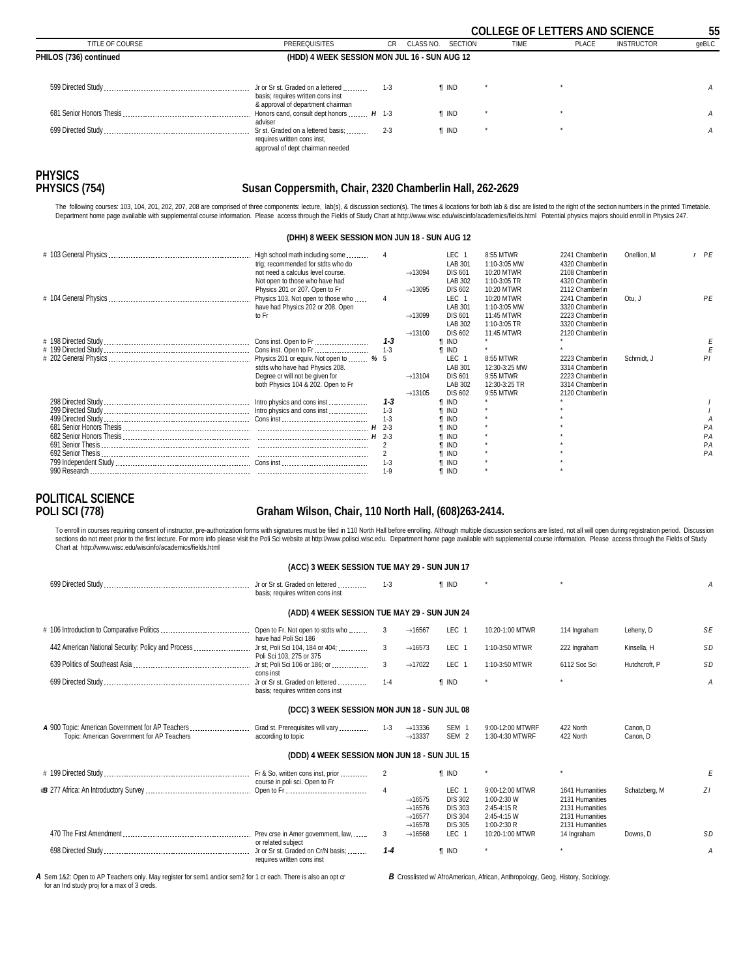<span id="page-54-0"></span>

|                        |                                                                                                             |         |                   |              |             | <b>COLLEGE OF LETTERS AND SCIENCE</b> |                   | 55    |
|------------------------|-------------------------------------------------------------------------------------------------------------|---------|-------------------|--------------|-------------|---------------------------------------|-------------------|-------|
| TITLE OF COURSE        | <b>PREREQUISITES</b>                                                                                        | CR.     | CLASS NO. SECTION |              | <b>TIME</b> | PLACE                                 | <b>INSTRUCTOR</b> | qeBLC |
| PHILOS (736) continued | (HDD) 4 WEEK SESSION MON JUL 16 - SUN AUG 12                                                                |         |                   |              |             |                                       |                   |       |
|                        | Jr or Sr st. Graded on a lettered<br>basis; requires written cons inst<br>& approval of department chairman | $1-3$   |                   | ¶ IND        |             |                                       |                   | A     |
|                        | Honors cand, consult dept honors  H 1-3<br>adviser                                                          |         |                   | ¶ IND        |             |                                       |                   | A     |
|                        | Sr st. Graded on a lettered basis;<br>requires written cons inst,<br>approval of dept chairman needed       | $2 - 3$ |                   | <b>T</b> IND |             |                                       |                   | A     |

# **PHYSICS**

#### **PHYSICS (754) Susan Coppersmith, Chair, 2320 Chamberlin Hall, 262-2629**

The following courses: 103, 104, 201, 202, 207, 208 are comprised of three components: lecture, lab(s), & discussion section(s). The times & locations for both lab & disc are listed to the right of the section numbers in t

#### **(DHH) 8 WEEK SESSION MON JUN 18 - SUN AUG 12**

| High school math including some        |         |                     | LEC <sub>1</sub> | 8:55 MTWR     | 2241 Chamberlin | Onellion, M | $r$ $PE$ |
|----------------------------------------|---------|---------------------|------------------|---------------|-----------------|-------------|----------|
| trig; recommended for stdts who do     |         |                     | LAB 301          | 1:10-3:05 MW  | 4320 Chamberlin |             |          |
| not need a calculus level course.      |         | $\rightarrow$ 13094 | <b>DIS 601</b>   | 10:20 MTWR    | 2108 Chamberlin |             |          |
| Not open to those who have had         |         |                     | LAB 302          | 1:10-3:05 TR  | 4320 Chamberlin |             |          |
| Physics 201 or 207. Open to Fr         |         | $\rightarrow$ 13095 | <b>DIS 602</b>   | 10:20 MTWR    | 2112 Chamberlin |             |          |
| Physics 103. Not open to those who     |         |                     | LEC <sub>1</sub> | 10:20 MTWR    | 2241 Chamberlin | Otu, J      | PE       |
| have had Physics 202 or 208. Open      |         |                     | LAB 301          | 1:10-3:05 MW  | 3320 Chamberlin |             |          |
| to Fr                                  |         | $\rightarrow$ 13099 | <b>DIS 601</b>   | 11:45 MTWR    | 2223 Chamberlin |             |          |
|                                        |         |                     | LAB 302          | 1:10-3:05 TR  | 3320 Chamberlin |             |          |
|                                        |         | $\rightarrow$ 13100 | <b>DIS 602</b>   | 11:45 MTWR    | 2120 Chamberlin |             |          |
|                                        | $1 - 3$ |                     | <b>T</b> IND     |               |                 |             |          |
|                                        |         |                     | ¶ IND            |               |                 |             |          |
| Physics 201 or equiv. Not open to  % 5 |         |                     | LEC <sub>1</sub> | 8:55 MTWR     | 2223 Chamberlin | Schmidt. J  | ΡI       |
| stdts who have had Physics 208.        |         |                     | LAB 301          | 12:30-3:25 MW | 3314 Chamberlin |             |          |
| Degree cr will not be given for        |         | $\rightarrow$ 13104 | <b>DIS 601</b>   | 9:55 MTWR     | 2223 Chamberlin |             |          |
| both Physics 104 & 202. Open to Fr     |         |                     | LAB 302          | 12:30-3:25 TR | 3314 Chamberlin |             |          |
|                                        |         | $\rightarrow$ 13105 | <b>DIS 602</b>   | 9:55 MTWR     | 2120 Chamberlin |             |          |
|                                        | $1 - 3$ |                     | ¶ IND            |               |                 |             |          |
|                                        | $1 - 3$ |                     | ¶ IND            |               |                 |             |          |
|                                        |         |                     | <b>T</b> IND     |               |                 |             |          |
|                                        |         |                     | ¶ IND            |               |                 |             | PА       |
|                                        |         |                     | <b>IND</b>       |               |                 |             | PA       |
|                                        |         |                     | I IND            |               |                 |             | PA       |
|                                        |         |                     | T IND            |               |                 |             | PA       |
|                                        | $1 - 3$ |                     | II IND           |               |                 |             |          |
|                                        | $1 - 9$ |                     | <b>T IND</b>     |               |                 |             |          |
|                                        |         |                     |                  |               |                 |             |          |

# **POLITICAL SCIENCE**

### **POLI SCI (778) Graham Wilson, Chair, 110 North Hall, (608)263-2414.**

To enroll in courses requiring consent of instructor, pre-authorization forms with signatures must be filed in 110 North Hall before enrolling. Although multiple discussion sections are listed, not all will open during reg Chart at http://www.wisc.edu/wiscinfo/academics/fields.html

| (ACC) 3 WEEK SESSION TUE MAY 29 - SUN JUN 17 |  |
|----------------------------------------------|--|
|----------------------------------------------|--|

|                                                                                                                                  | basis; requires written cons inst                                | $1 - 3$        |                                                                                          | <b>f</b> IND                                                                             |                                                                             |                                                                                             |                      | A         |
|----------------------------------------------------------------------------------------------------------------------------------|------------------------------------------------------------------|----------------|------------------------------------------------------------------------------------------|------------------------------------------------------------------------------------------|-----------------------------------------------------------------------------|---------------------------------------------------------------------------------------------|----------------------|-----------|
|                                                                                                                                  | (ADD) 4 WEEK SESSION TUE MAY 29 - SUN JUN 24                     |                |                                                                                          |                                                                                          |                                                                             |                                                                                             |                      |           |
|                                                                                                                                  | have had Poli Sci 186                                            | 3              | $\rightarrow$ 16567                                                                      | LEC <sub>1</sub>                                                                         | 10:20-1:00 MTWR                                                             | 114 Ingraham                                                                                | Leheny, D            | <b>SE</b> |
| 442 American National Security: Policy and Process                                                                               | Jr st, Poli Sci 104, 184 or 404;<br>Poli Sci 103, 275 or 375     | 3              | $\rightarrow$ 16573                                                                      | LEC 1                                                                                    | 1:10-3:50 MTWR                                                              | 222 Ingraham                                                                                | Kinsella, H          | <b>SD</b> |
|                                                                                                                                  | cons inst                                                        | 3              | $\rightarrow$ 17022                                                                      | LEC <sub>1</sub>                                                                         | 1:10-3:50 MTWR                                                              | 6112 Soc Sci                                                                                | Hutchcroft, P        | <b>SD</b> |
|                                                                                                                                  | basis: requires written cons inst                                | $1 - 4$        |                                                                                          | <b>f</b> IND                                                                             | $\star$                                                                     |                                                                                             |                      | Α         |
|                                                                                                                                  | (DCC) 3 WEEK SESSION MON JUN 18 - SUN JUL 08                     |                |                                                                                          |                                                                                          |                                                                             |                                                                                             |                      |           |
| A 900 Topic: American Government for AP Teachers  Grad st. Prerequisites will vary<br>Topic: American Government for AP Teachers | according to topic                                               | $1 - 3$        | $\rightarrow$ 13336<br>$\rightarrow$ 13337                                               | SEM <sub>1</sub><br>SEM <sub>2</sub>                                                     | 9:00-12:00 MTWRF<br>1:30-4:30 MTWRF                                         | 422 North<br>422 North                                                                      | Canon. D<br>Canon, D |           |
|                                                                                                                                  | (DDD) 4 WEEK SESSION MON JUN 18 - SUN JUL 15                     |                |                                                                                          |                                                                                          |                                                                             |                                                                                             |                      |           |
|                                                                                                                                  | course in poli sci. Open to Fr                                   | 2              |                                                                                          | <b>f</b> IND                                                                             |                                                                             |                                                                                             |                      |           |
|                                                                                                                                  |                                                                  | $\overline{4}$ | $\rightarrow$ 16575<br>$\rightarrow$ 16576<br>$\rightarrow$ 16577<br>$\rightarrow$ 16578 | LEC <sub>1</sub><br><b>DIS 302</b><br><b>DIS 303</b><br><b>DIS 304</b><br><b>DIS 305</b> | 9:00-12:00 MTWR<br>1:00-2:30 W<br>2:45-4:15 R<br>2:45-4:15 W<br>1:00-2:30 R | 1641 Humanities<br>2131 Humanities<br>2131 Humanities<br>2131 Humanities<br>2131 Humanities | Schatzberg, M        | ZI        |
|                                                                                                                                  | or related subject                                               | 3              | $\rightarrow$ 16568                                                                      | LEC <sub>1</sub>                                                                         | 10:20-1:00 MTWR                                                             | 14 Ingraham                                                                                 | Downs. D             | <b>SD</b> |
|                                                                                                                                  | Jr or Sr st. Graded on Cr/N basis;<br>requires written cons inst | $1 - 4$        |                                                                                          | <b>f</b> IND                                                                             | $\star$                                                                     |                                                                                             |                      | А         |

A Sem 1&2: Open to AP Teachers only. May register for sem1 and/or sem2 for 1 cr each. There is also an opt cr for an Ind study proj for a max of 3 creds.

*B* Crosslisted w/ AfroAmerican, African, Anthropology, Geog, History, Sociology.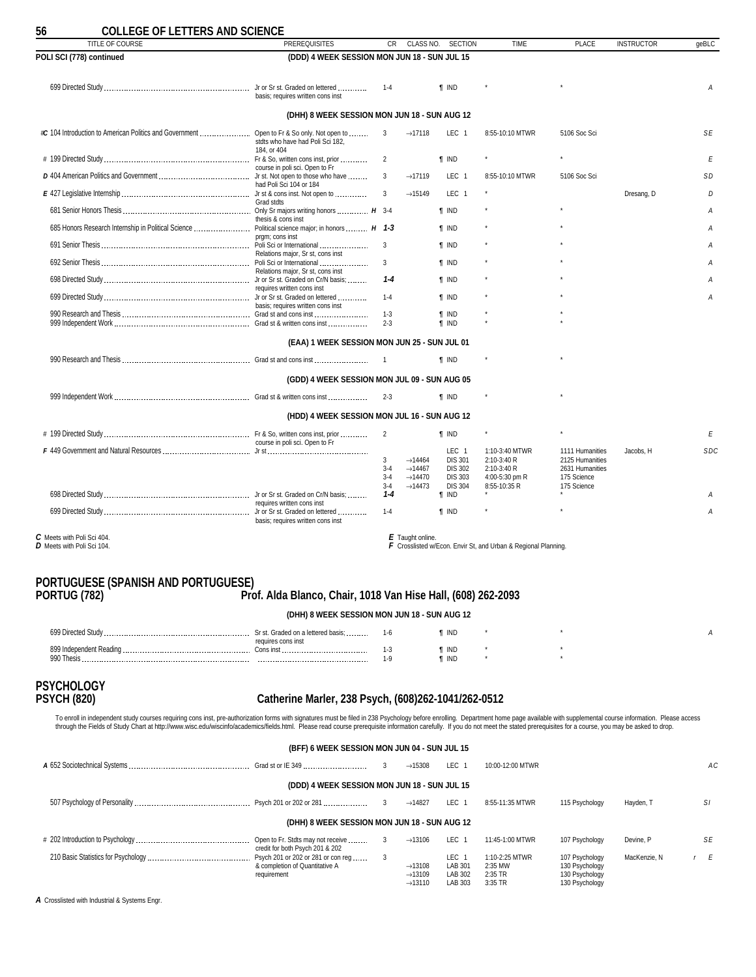<span id="page-55-0"></span>

| <b>COLLEGE OF LETTERS AND SCIENCE</b><br>TITLE OF COURSE | <b>PREREQUISITES</b>                                            | <b>CR</b>                          |                                                                                          | CLASS NO. SECTION                                                                        | <b>TIME</b>                                                                    | <b>PLACE</b>                                                                        | <b>INSTRUCTOR</b> | qeBLC      |
|----------------------------------------------------------|-----------------------------------------------------------------|------------------------------------|------------------------------------------------------------------------------------------|------------------------------------------------------------------------------------------|--------------------------------------------------------------------------------|-------------------------------------------------------------------------------------|-------------------|------------|
| POLI SCI (778) continued                                 | (DDD) 4 WEEK SESSION MON JUN 18 - SUN JUL 15                    |                                    |                                                                                          |                                                                                          |                                                                                |                                                                                     |                   |            |
|                                                          | basis: requires written cons inst                               | $1 - 4$                            |                                                                                          | <b>T</b> IND                                                                             |                                                                                |                                                                                     |                   | A          |
|                                                          | (DHH) 8 WEEK SESSION MON JUN 18 - SUN AUG 12                    |                                    |                                                                                          |                                                                                          |                                                                                |                                                                                     |                   |            |
|                                                          | stdts who have had Poli Sci 182.                                | 3                                  | $\rightarrow$ 17118                                                                      | LEC <sub>1</sub>                                                                         | 8:55-10:10 MTWR                                                                | 5106 Soc Sci                                                                        |                   | SE         |
|                                                          | 184. or 404<br>course in poli sci. Open to Fr                   | $\overline{2}$                     |                                                                                          | <b>f</b> IND                                                                             |                                                                                |                                                                                     |                   | Е          |
|                                                          | had Poli Sci 104 or 184                                         | 3                                  | $\rightarrow$ 17119                                                                      | LEC <sub>1</sub>                                                                         | 8:55-10:10 MTWR                                                                | 5106 Soc Sci                                                                        |                   | <b>SD</b>  |
|                                                          | Grad stdts                                                      | 3                                  | $\rightarrow$ 15149                                                                      | LEC <sub>1</sub>                                                                         |                                                                                |                                                                                     | Dresang, D        | D          |
|                                                          | thesis & cons inst                                              |                                    |                                                                                          | <b>T</b> IND                                                                             |                                                                                |                                                                                     |                   | Α          |
|                                                          | prgm; cons inst                                                 | 3                                  |                                                                                          | <b>f</b> IND<br><b>f</b> IND                                                             |                                                                                |                                                                                     |                   | Α<br>A     |
|                                                          | Relations major. Sr st. cons inst                               | 3                                  |                                                                                          | <b>f</b> IND                                                                             |                                                                                |                                                                                     |                   | A          |
|                                                          | Relations major, Sr st, cons inst                               | $1 - 4$                            |                                                                                          | <b>f</b> IND                                                                             |                                                                                |                                                                                     |                   | A          |
|                                                          | requires written cons inst<br>basis; requires written cons inst | $1 - 4$                            |                                                                                          | <b>f</b> IND                                                                             |                                                                                |                                                                                     |                   | A          |
|                                                          |                                                                 | $1 - 3$<br>$2 - 3$                 |                                                                                          | <b>f</b> IND<br><b>f</b> IND                                                             |                                                                                |                                                                                     |                   |            |
|                                                          | (EAA) 1 WEEK SESSION MON JUN 25 - SUN JUL 01                    |                                    |                                                                                          |                                                                                          |                                                                                |                                                                                     |                   |            |
|                                                          |                                                                 |                                    |                                                                                          | <b>f</b> IND                                                                             |                                                                                |                                                                                     |                   |            |
|                                                          | (GDD) 4 WEEK SESSION MON JUL 09 - SUN AUG 05                    |                                    |                                                                                          |                                                                                          |                                                                                |                                                                                     |                   |            |
|                                                          |                                                                 | $2 - 3$                            |                                                                                          | $\P$ IND                                                                                 |                                                                                |                                                                                     |                   |            |
|                                                          | (HDD) 4 WEEK SESSION MON JUL 16 - SUN AUG 12                    |                                    |                                                                                          |                                                                                          |                                                                                |                                                                                     |                   |            |
|                                                          | course in poli sci. Open to Fr                                  | $\overline{2}$                     |                                                                                          | <b>f</b> IND                                                                             |                                                                                |                                                                                     |                   | E          |
|                                                          |                                                                 | 3<br>$3 - 4$<br>$3 - 4$<br>$3 - 4$ | $\rightarrow$ 14464<br>$\rightarrow$ 14467<br>$\rightarrow$ 14470<br>$\rightarrow$ 14473 | LEC <sub>1</sub><br><b>DIS 301</b><br><b>DIS 302</b><br><b>DIS 303</b><br><b>DIS 304</b> | 1:10-3:40 MTWR<br>2:10-3:40 R<br>2:10-3:40 R<br>4:00-5:30 pm R<br>8:55-10:35 R | 1111 Humanities<br>2125 Humanities<br>2631 Humanities<br>175 Science<br>175 Science | Jacobs. H         | <b>SDC</b> |
|                                                          | requires written cons inst                                      | $1 - 4$                            |                                                                                          | <b>T</b> IND                                                                             |                                                                                |                                                                                     |                   | Α          |
|                                                          | basis; requires written cons inst                               | $1 - 4$                            |                                                                                          | <b>f</b> IND                                                                             |                                                                                |                                                                                     |                   | Α          |
| C Meets with Poli Sci 404.<br>D Meets with Poli Sci 104. |                                                                 |                                    | E Taught online.                                                                         |                                                                                          | F Crosslisted w/Econ. Envir St, and Urban & Regional Planning.                 |                                                                                     |                   |            |

### **PORTUGUESE (SPANISH AND PORTUGUESE)**

**PORTUG (782) Prof. Alda Blanco, Chair, 1018 Van Hise Hall, (608) 262-2093**

| (DHH) 8 WEEK SESSION MON JUN 18 - SUN AUG 12 |                                                          |                |                |  |  |  |  |  |  |
|----------------------------------------------|----------------------------------------------------------|----------------|----------------|--|--|--|--|--|--|
| 699 Directed Study                           | Sr st. Graded on a lettered basis;<br>requires cons inst | 1-6            | ¶ IND          |  |  |  |  |  |  |
| 899 Independent Reading.<br>990 Thesis       | Cons inst                                                | 1-3<br>$1 - C$ | ¶ IND<br>¶ IND |  |  |  |  |  |  |

# **PSYCHOLOGY**

### **PSYCH (820) Catherine Marler, 238 Psych, (608)262-1041/262-0512**

To enroll in independent study courses requiring cons inst, pre-authorization forms with signatures must be filed in 238 Psychology before enrolling. Department home page available with supplemental course information. Ple

| (BFF) 6 WEEK SESSION MON JUN 04 - SUN JUL 15                                        |   |                                            |                                        |                                      |                                                    |              |     |  |
|-------------------------------------------------------------------------------------|---|--------------------------------------------|----------------------------------------|--------------------------------------|----------------------------------------------------|--------------|-----|--|
|                                                                                     |   | $\rightarrow$ 15308                        | LEC 1                                  | 10:00-12:00 MTWR                     |                                                    |              | AC. |  |
| (DDD) 4 WEEK SESSION MON JUN 18 - SUN JUL 15                                        |   |                                            |                                        |                                      |                                                    |              |     |  |
|                                                                                     |   | $\rightarrow$ 14827                        | LEC <sub>1</sub>                       | 8:55-11:35 MTWR                      | 115 Psychology                                     | Havden, T    | SI  |  |
| (DHH) 8 WEEK SESSION MON JUN 18 - SUN AUG 12                                        |   |                                            |                                        |                                      |                                                    |              |     |  |
| Open to Fr. Stdts may not receive<br>credit for both Psych 201 & 202                | 3 | $\rightarrow$ 13106                        | LEC 1                                  | 11:45-1:00 MTWR                      | 107 Psychology                                     | Devine, P    | SE  |  |
| Psych 201 or 202 or 281 or con req<br>& completion of Quantitative A<br>requirement |   | $\rightarrow$ 13108<br>$\rightarrow$ 13109 | LEC <sub>1</sub><br>LAB 301<br>LAB 302 | 1:10-2:25 MTWR<br>2:35 MW<br>2:35 TR | 107 Psychology<br>130 Psychology<br>130 Psychology | MacKenzie, N | r E |  |
|                                                                                     |   | $\rightarrow$ 13110                        | LAB 303                                | 3:35 TR                              | 130 Psychology                                     |              |     |  |

*A* Crosslisted with Industrial & Systems Engr.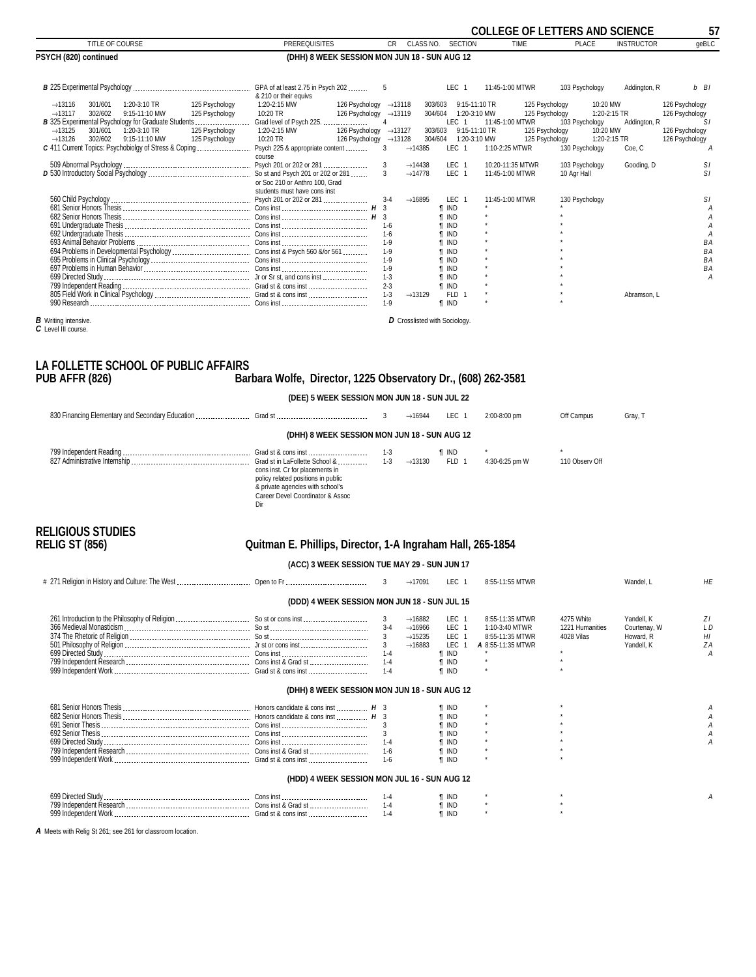<span id="page-56-0"></span>

|                                                                                                                                                                                                                                                                                                                                         |                                                                                                                                                                                                      |                                                                                                                                                                   |                                                                                                                                                                                                     | <b>COLLEGE OF LETTERS AND SCIENCE</b>                                                                     |                                                                                          | 57                                                                                                         |
|-----------------------------------------------------------------------------------------------------------------------------------------------------------------------------------------------------------------------------------------------------------------------------------------------------------------------------------------|------------------------------------------------------------------------------------------------------------------------------------------------------------------------------------------------------|-------------------------------------------------------------------------------------------------------------------------------------------------------------------|-----------------------------------------------------------------------------------------------------------------------------------------------------------------------------------------------------|-----------------------------------------------------------------------------------------------------------|------------------------------------------------------------------------------------------|------------------------------------------------------------------------------------------------------------|
| <b>TITLE OF COURSE</b>                                                                                                                                                                                                                                                                                                                  | <b>PREREQUISITES</b>                                                                                                                                                                                 | <b>CR</b><br>CLASS NO.                                                                                                                                            | <b>SECTION</b>                                                                                                                                                                                      | <b>TIME</b>                                                                                               | <b>PLACE</b>                                                                             | qeBLC<br><b>INSTRUCTOR</b>                                                                                 |
| PSYCH (820) continued                                                                                                                                                                                                                                                                                                                   | (DHH) 8 WEEK SESSION MON JUN 18 - SUN AUG 12                                                                                                                                                         |                                                                                                                                                                   |                                                                                                                                                                                                     |                                                                                                           |                                                                                          |                                                                                                            |
|                                                                                                                                                                                                                                                                                                                                         | & 210 or their equivs                                                                                                                                                                                | 5                                                                                                                                                                 | LEC <sub>1</sub>                                                                                                                                                                                    | 11:45-1:00 MTWR                                                                                           | 103 Psychology                                                                           | Addington, R<br>b BI                                                                                       |
| 1:20-3:10 TR<br>125 Psychology<br>$\rightarrow$ 13116<br>301/601<br>125 Psychology<br>302/602<br>9:15-11:10 MW<br>$\rightarrow$ 13117<br>$\rightarrow$ 13125<br>301/601<br>1:20-3:10 TR<br>125 Psychology<br>302/602<br>9:15-11:10 MW<br>$\rightarrow$ 13126<br>125 Psychology<br>C 411 Current Topics: Psychobiolgy of Stress & Coping | 1:20-2:15 MW<br>126 Psychology<br>10:20 TR<br>126 Psychology<br>Grad level of Psych 225.<br>1:20-2:15 MW<br>126 Psychology<br>$10:20$ TR<br>126 Psychology →13128<br>Psych 225 & appropriate content | $\rightarrow$ 13118<br>$\rightarrow$ 13119<br>4<br>$\rightarrow$ 13127<br>3<br>$\rightarrow$ 14385                                                                | 9:15-11:10 TR<br>303/603<br>1:20-3:10 MW<br>304/604<br><b>LEC</b><br>9:15-11:10 TR<br>303/603<br>1:20-3:10 MW<br>304/604<br>LEC <sub>1</sub>                                                        | 125 Psychology<br>125 Psychology<br>11:45-1:00 MTWR<br>125 Psychology<br>125 Psychology<br>1:10-2:25 MTWR | 10:20 MW<br>1:20-2:15 TR<br>103 Psychology<br>10:20 MW<br>1:20-2:15 TR<br>130 Psychology | 126 Psychology<br>126 Psychology<br>SI.<br>Addington, R<br>126 Psychology<br>126 Psychology<br>Coe, C<br>A |
|                                                                                                                                                                                                                                                                                                                                         | course<br>or Soc 210 or Anthro 100, Grad                                                                                                                                                             | 3<br>$\rightarrow$ 14438<br>3<br>$\rightarrow$ 14778                                                                                                              | LEC <sub>1</sub><br>LEC <sub>1</sub>                                                                                                                                                                | 10:20-11:35 MTWR<br>11:45-1:00 MTWR                                                                       | 103 Psychology<br>10 Agr Hall                                                            | SI.<br>Gooding, D<br>SI                                                                                    |
|                                                                                                                                                                                                                                                                                                                                         | students must have cons inst<br>Psych 201 or 202 or 281                                                                                                                                              | $3 - 4$<br>$\rightarrow$ 16895<br>$1 - 6$<br>$1-6$<br>$1 - 9$<br>$1 - 9$<br>$1 - 9$<br>$1 - 9$<br>$1 - 3$<br>$2 - 3$<br>$1 - 3$<br>$\rightarrow$ 13129<br>$1 - 9$ | LEC 1<br><b>T IND</b><br><b>T IND</b><br><b>T</b> IND<br><b>T</b> IND<br><b>T IND</b><br><b>T</b> IND<br><b>T</b> IND<br><b>T</b> IND<br><b>T</b> IND<br><b>T IND</b><br><b>FLD</b><br><b>T</b> IND | 11:45-1:00 MTWR                                                                                           | 130 Psychology                                                                           | SI<br>BA<br><b>BA</b><br><b>BA</b><br><b>BA</b><br>A<br>Abramson. L                                        |
| <b>B</b> Writing intensive.                                                                                                                                                                                                                                                                                                             |                                                                                                                                                                                                      | D Crosslisted with Sociology.                                                                                                                                     |                                                                                                                                                                                                     |                                                                                                           |                                                                                          |                                                                                                            |

*B* Writing intensive. *C* Level III course.

### **LA FOLLETTE SCHOOL OF PUBLIC AFFAIRS** Barbara Wolfe, Director, 1225 Observatory Dr., (608) 262-3581

| (DEE) 5 WEEK SESSION MON JUN 18 - SUN JUL 22                                                                                                  |                     |       |                |                |         |
|-----------------------------------------------------------------------------------------------------------------------------------------------|---------------------|-------|----------------|----------------|---------|
|                                                                                                                                               | $\rightarrow$ 16944 | LEC 1 | 2:00-8:00 pm   | Off Campus     | Gray, T |
| (DHH) 8 WEEK SESSION MON JUN 18 - SUN AUG 12                                                                                                  |                     |       |                |                |         |
|                                                                                                                                               |                     | ¶ IND |                |                |         |
| cons inst. Cr for placements in<br>policy related positions in public<br>& private agencies with school's<br>Career Devel Coordinator & Assoc |                     | FLD 1 | 4:30-6:25 pm W | 110 Observ Off |         |

**RELIGIOUS STUDIES**

direction of the contract of the contract of the contract of the contract of the contract of the contract of t

### **RELIG ST (856) Quitman E. Phillips, Director, 1-A Ingraham Hall, 265-1854**

**(ACC) 3 WEEK SESSION TUE MAY 29 - SUN JUN 17**

|                                              |         | $\rightarrow$ 17091                                                                      | LEC <sub>1</sub>                                                                                               | 8:55-11:55 MTWR                                                           |                                             | Wandel, L                                             | HE                                           |
|----------------------------------------------|---------|------------------------------------------------------------------------------------------|----------------------------------------------------------------------------------------------------------------|---------------------------------------------------------------------------|---------------------------------------------|-------------------------------------------------------|----------------------------------------------|
| (DDD) 4 WEEK SESSION MON JUN 18 - SUN JUL 15 |         |                                                                                          |                                                                                                                |                                                                           |                                             |                                                       |                                              |
|                                              | 3       | $\rightarrow$ 16882<br>$\rightarrow$ 16966<br>$\rightarrow$ 15235<br>$\rightarrow$ 16883 | LEC <sub>1</sub><br>LEC <sub>1</sub><br>LEC <sub>1</sub><br>LEC<br><b>T</b> IND<br><b>TIND</b><br><b>T</b> IND | 8:55-11:35 MTWR<br>1:10-3:40 MTWR<br>8:55-11:35 MTWR<br>A 8:55-11:35 MTWR | 4275 White<br>1221 Humanities<br>4028 Vilas | Yandell, K<br>Courtenay, W<br>Howard, R<br>Yandell, K | ZΙ<br>L <sub>D</sub><br>H <sub>l</sub><br>ZA |
| (DHH) 8 WEEK SESSION MON JUN 18 - SUN AUG 12 |         |                                                                                          |                                                                                                                |                                                                           |                                             |                                                       |                                              |
|                                              |         |                                                                                          | ¶ IND<br>¶ IND<br><b>TIND</b><br>I IND<br><b>T IND</b>                                                         |                                                                           |                                             |                                                       |                                              |
| (HDD) 4 WEEK SESSION MON JUL 16 - SUN AUG 12 |         |                                                                                          |                                                                                                                |                                                                           |                                             |                                                       |                                              |
|                                              | $1 - 4$ |                                                                                          | ' IND<br><b>T</b> IND                                                                                          |                                                                           |                                             |                                                       |                                              |

*A* Meets with Relig St 261; see 261 for classroom location.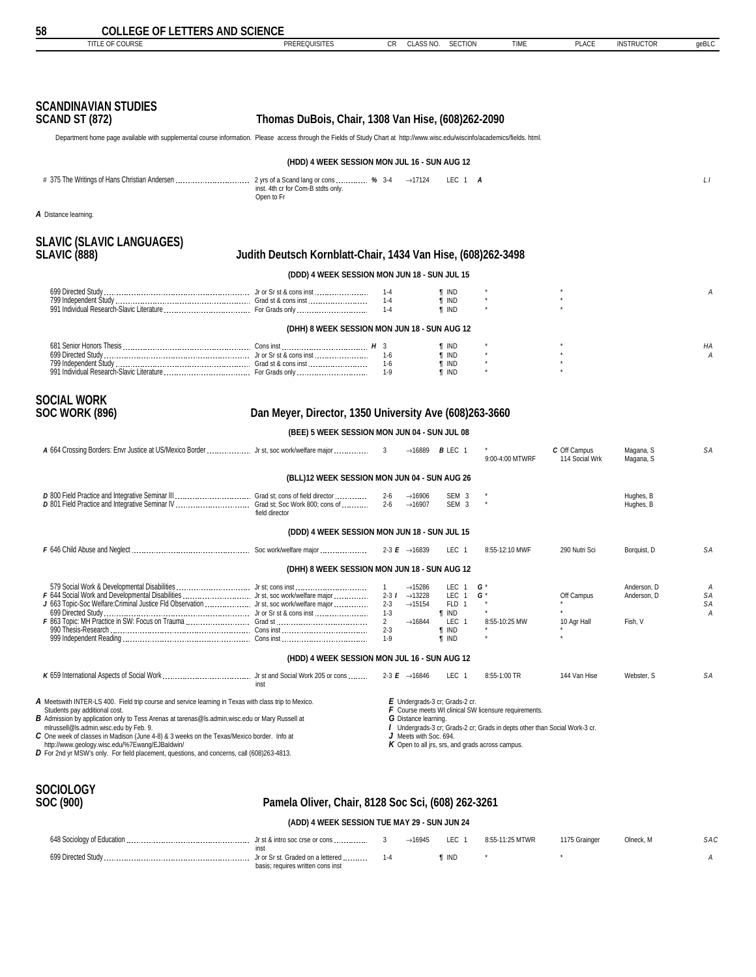<span id="page-57-0"></span>

| <b>COLLEGE OF LETTERS AND SCIENCE</b><br>Ⴢჾ                                                                                                                                                                                                                                                                                                                                                                                                                                                                                      |                                                                                                        |                                                                                           |                                                                                                                                                                |                                                                                                                                     |                                |                                       |                    |
|----------------------------------------------------------------------------------------------------------------------------------------------------------------------------------------------------------------------------------------------------------------------------------------------------------------------------------------------------------------------------------------------------------------------------------------------------------------------------------------------------------------------------------|--------------------------------------------------------------------------------------------------------|-------------------------------------------------------------------------------------------|----------------------------------------------------------------------------------------------------------------------------------------------------------------|-------------------------------------------------------------------------------------------------------------------------------------|--------------------------------|---------------------------------------|--------------------|
| TITLE OF COURSE                                                                                                                                                                                                                                                                                                                                                                                                                                                                                                                  | <b>PREREQUISITES</b>                                                                                   | CR.                                                                                       | CLASS NO.<br><b>SECTION</b>                                                                                                                                    | <b>TIME</b>                                                                                                                         | <b>PLACE</b>                   | <b>INSTRUCTOR</b>                     | geBLC              |
|                                                                                                                                                                                                                                                                                                                                                                                                                                                                                                                                  |                                                                                                        |                                                                                           |                                                                                                                                                                |                                                                                                                                     |                                |                                       |                    |
| <b>SCANDINAVIAN STUDIES</b><br><b>SCAND ST (872)</b>                                                                                                                                                                                                                                                                                                                                                                                                                                                                             | Thomas DuBois, Chair, 1308 Van Hise, (608)262-2090                                                     |                                                                                           |                                                                                                                                                                |                                                                                                                                     |                                |                                       |                    |
| Department home page available with supplemental course information. Please access through the Fields of Study Chart at http://www.wisc.edu/wiscinfo/academics/fields. html.                                                                                                                                                                                                                                                                                                                                                     |                                                                                                        |                                                                                           |                                                                                                                                                                |                                                                                                                                     |                                |                                       |                    |
|                                                                                                                                                                                                                                                                                                                                                                                                                                                                                                                                  | (HDD) 4 WEEK SESSION MON JUL 16 - SUN AUG 12                                                           |                                                                                           |                                                                                                                                                                |                                                                                                                                     |                                |                                       |                    |
|                                                                                                                                                                                                                                                                                                                                                                                                                                                                                                                                  | inst. 4th cr for Com-B stdts only.<br>Open to Fr                                                       |                                                                                           | $\rightarrow$ 17124<br>LEC 1 A                                                                                                                                 |                                                                                                                                     |                                |                                       | LI                 |
| A Distance learning.                                                                                                                                                                                                                                                                                                                                                                                                                                                                                                             |                                                                                                        |                                                                                           |                                                                                                                                                                |                                                                                                                                     |                                |                                       |                    |
| <b>SLAVIC (SLAVIC LANGUAGES)</b><br><b>SLAVIC (888)</b>                                                                                                                                                                                                                                                                                                                                                                                                                                                                          | Judith Deutsch Kornblatt-Chair, 1434 Van Hise, (608)262-3498                                           |                                                                                           |                                                                                                                                                                |                                                                                                                                     |                                |                                       |                    |
|                                                                                                                                                                                                                                                                                                                                                                                                                                                                                                                                  | (DDD) 4 WEEK SESSION MON JUN 18 - SUN JUL 15                                                           |                                                                                           |                                                                                                                                                                |                                                                                                                                     |                                |                                       |                    |
|                                                                                                                                                                                                                                                                                                                                                                                                                                                                                                                                  |                                                                                                        | 1-4<br>$1 - 4$<br>$1 - 4$                                                                 | ¶ IND<br><b>T</b> IND<br>$\P$ IND                                                                                                                              |                                                                                                                                     |                                |                                       | А                  |
|                                                                                                                                                                                                                                                                                                                                                                                                                                                                                                                                  | (DHH) 8 WEEK SESSION MON JUN 18 - SUN AUG 12                                                           |                                                                                           |                                                                                                                                                                |                                                                                                                                     |                                |                                       |                    |
|                                                                                                                                                                                                                                                                                                                                                                                                                                                                                                                                  |                                                                                                        | $1 - 6$<br>1-6                                                                            | <b>T</b> IND<br><b>T</b> IND<br><b>T</b> IND<br><b>T</b> IND                                                                                                   |                                                                                                                                     |                                |                                       | НA<br>А            |
| <b>SOCIAL WORK</b><br><b>SOC WORK (896)</b>                                                                                                                                                                                                                                                                                                                                                                                                                                                                                      | Dan Meyer, Director, 1350 University Ave (608)263-3660<br>(BEE) 5 WEEK SESSION MON JUN 04 - SUN JUL 08 |                                                                                           |                                                                                                                                                                |                                                                                                                                     |                                |                                       |                    |
| A 664 Crossing Borders: Envr Justice at US/Mexico Border  Jr st, soc work/welfare major                                                                                                                                                                                                                                                                                                                                                                                                                                          |                                                                                                        | 3                                                                                         | $\rightarrow$ 16889 <b>B</b> LEC 1                                                                                                                             | 9:00-4:00 MTWRF                                                                                                                     | C Off Campus<br>114 Social Wrk | Magana, S<br>Magana, S                | SА                 |
|                                                                                                                                                                                                                                                                                                                                                                                                                                                                                                                                  | (BLL)12 WEEK SESSION MON JUN 04 - SUN AUG 26                                                           |                                                                                           |                                                                                                                                                                |                                                                                                                                     |                                |                                       |                    |
| D 801 Field Practice and Integrative Seminar IV  Grad st; Soc Work 800; cons of                                                                                                                                                                                                                                                                                                                                                                                                                                                  | field director                                                                                         | $2 - 6$<br>$2 - 6$<br>$\rightarrow$ 16907                                                 | $\rightarrow$ 16906<br>SEM <sub>3</sub><br>SEM <sub>3</sub>                                                                                                    |                                                                                                                                     |                                | Hughes, B<br>Hughes, B                |                    |
|                                                                                                                                                                                                                                                                                                                                                                                                                                                                                                                                  | (DDD) 4 WEEK SESSION MON JUN 18 - SUN JUL 15                                                           |                                                                                           |                                                                                                                                                                |                                                                                                                                     |                                |                                       |                    |
|                                                                                                                                                                                                                                                                                                                                                                                                                                                                                                                                  |                                                                                                        | 2-3 <b>E</b> $\rightarrow$ 16839                                                          | LEC 1                                                                                                                                                          | 8:55-12:10 MWF                                                                                                                      | 290 Nutri Sci                  | Borquist, D                           | SΑ                 |
|                                                                                                                                                                                                                                                                                                                                                                                                                                                                                                                                  | (DHH) 8 WEEK SESSION MON JUN 18 - SUN AUG 12                                                           |                                                                                           |                                                                                                                                                                |                                                                                                                                     |                                |                                       |                    |
| 579 Social Work & Developmental Disabilities  Jr st; cons inst<br>J 663 Topic-Soc Welfare:Criminal Justice Fld Observation  Jr st, soc work/welfare major                                                                                                                                                                                                                                                                                                                                                                        |                                                                                                        | $\overline{1}$<br>$2 - 3$ $1$<br>$2 - 3$<br>$1 - 3$<br>$\overline{2}$<br>$2 - 3$<br>$1-9$ | $\rightarrow$ 15286<br>LEC 1<br>$\rightarrow$ 13228<br>LEC 1<br>$\rightarrow$ 15154<br>FLD 1<br>¶ IND<br>LEC 1<br>$\rightarrow$ 16844<br>¶ IND<br><b>f</b> IND | G<br>G '<br>8:55-10:25 MW                                                                                                           | Off Campus<br>10 Agr Hall      | Anderson, D<br>Anderson, D<br>Fish, V | A<br>SA<br>SA<br>Α |
|                                                                                                                                                                                                                                                                                                                                                                                                                                                                                                                                  | (HDD) 4 WEEK SESSION MON JUL 16 - SUN AUG 12                                                           |                                                                                           |                                                                                                                                                                |                                                                                                                                     |                                |                                       |                    |
|                                                                                                                                                                                                                                                                                                                                                                                                                                                                                                                                  | inst                                                                                                   | 2-3 $E \rightarrow 16846$                                                                 | LEC 1                                                                                                                                                          | 8:55-1:00 TR                                                                                                                        | 144 Van Hise                   | Webster, S                            | SА                 |
| A Meetswith INTER-LS 400. Field trip course and service learning in Texas with class trip to Mexico.<br>Students pay additional cost.<br>B Admission by application only to Tess Arenas at tarenas@ls.admin.wisc.edu or Mary Russell at<br>mlrussell@ls.admin.wisc.edu by Feb. 9.<br>C One week of classes in Madison (June 4-8) & 3 weeks on the Texas/Mexico border. Info at<br>http://www.geology.wisc.edu/%7Ewang/EJBaldwin/<br>$D$ For 2nd yr MSW's only. For field placement, questions, and concerns, call (608)263-4813. |                                                                                                        |                                                                                           | $E$ Undergrads-3 cr; Grads-2 cr.<br>G Distance learning.<br>J Meets with Soc. 694.<br>$K$ Open to all jrs, srs, and grads across campus.                       | F Course meets WI clinical SW licensure requirements.<br>/ Undergrads-3 cr; Grads-2 cr; Grads in depts other than Social Work-3 cr. |                                |                                       |                    |

# **SOCIOLOGY**

### **SOC (900) Pamela Oliver, Chair, 8128 Soc Sci, (608) 262-3261**

### **(ADD) 4 WEEK SESSION TUE MAY 29 - SUN JUN 24**

| 648 Sociology of Education | Jr st $\&$ intro soc crse or cons $\ldots$                             |  | .EC   | 8:55-11:25 MTWR | 1175 Grainger | Olneck. M | SAC |
|----------------------------|------------------------------------------------------------------------|--|-------|-----------------|---------------|-----------|-----|
| 699 Directed Study         | Jr or Sr st. Graded on a lettered<br>basis: requires written cons inst |  | ' INL |                 |               |           |     |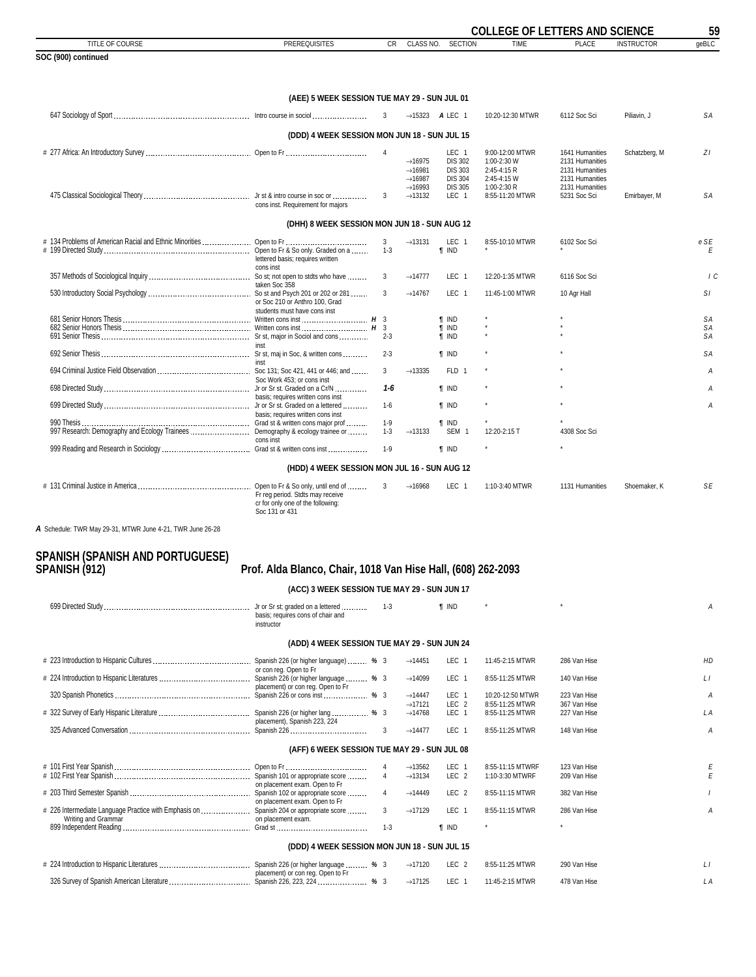<span id="page-58-0"></span>

|                                                                                |                                                                                                             |                     |                                            |                                    | <b>COLLEGE OF LETTERS AND SCIENCE</b> |                                    |                   | 59        |
|--------------------------------------------------------------------------------|-------------------------------------------------------------------------------------------------------------|---------------------|--------------------------------------------|------------------------------------|---------------------------------------|------------------------------------|-------------------|-----------|
| TITLE OF COURSE                                                                | <b>PREREQUISITES</b>                                                                                        | CR                  | CLASS NO.                                  | <b>SECTION</b>                     | <b>TIME</b>                           | <b>PLACE</b>                       | <b>INSTRUCTOR</b> | geBLC     |
| SOC (900) continued                                                            |                                                                                                             |                     |                                            |                                    |                                       |                                    |                   |           |
|                                                                                |                                                                                                             |                     |                                            |                                    |                                       |                                    |                   |           |
|                                                                                | (AEE) 5 WEEK SESSION TUE MAY 29 - SUN JUL 01                                                                |                     |                                            |                                    |                                       |                                    |                   |           |
|                                                                                |                                                                                                             | 3                   |                                            | $\rightarrow$ 15323 <b>A</b> LEC 1 | 10:20-12:30 MTWR                      | 6112 Soc Sci                       | Piliavin, J       | SA        |
|                                                                                | (DDD) 4 WEEK SESSION MON JUN 18 - SUN JUL 15                                                                |                     |                                            |                                    |                                       |                                    |                   |           |
|                                                                                |                                                                                                             | 4                   |                                            | LEC 1                              | 9:00-12:00 MTWR                       | 1641 Humanities                    | Schatzberg, M     | ZI        |
|                                                                                |                                                                                                             |                     | $\rightarrow$ 16975                        | <b>DIS 302</b>                     | 1:00-2:30 W                           | 2131 Humanities                    |                   |           |
|                                                                                |                                                                                                             |                     | $\rightarrow$ 16981<br>$\rightarrow$ 16987 | <b>DIS 303</b><br><b>DIS 304</b>   | 2:45-4:15 R<br>2:45-4:15 W            | 2131 Humanities<br>2131 Humanities |                   |           |
|                                                                                |                                                                                                             | 3                   | $\rightarrow$ 16993<br>$\rightarrow$ 13132 | <b>DIS 305</b><br>LEC 1            | 1:00-2:30 R<br>8:55-11:20 MTWR        | 2131 Humanities<br>5231 Soc Sci    | Emirbayer, M      | SΑ        |
|                                                                                | cons inst. Requirement for majors                                                                           |                     |                                            |                                    |                                       |                                    |                   |           |
|                                                                                | (DHH) 8 WEEK SESSION MON JUN 18 - SUN AUG 12                                                                |                     |                                            |                                    |                                       |                                    |                   |           |
|                                                                                |                                                                                                             | 3                   | $\rightarrow$ 13131                        | LEC 1                              | 8:55-10:10 MTWR                       | 6102 Soc Sci                       |                   | e SE      |
|                                                                                | lettered basis; requires written                                                                            | $1 - 3$             |                                            | <b>T</b> IND                       |                                       |                                    |                   | Е         |
|                                                                                | cons inst                                                                                                   | 3                   | $\rightarrow$ 14777                        | LEC <sub>1</sub>                   | 12:20-1:35 MTWR                       | 6116 Soc Sci                       |                   | 1C        |
|                                                                                | taken Soc 358                                                                                               | 3                   | $\rightarrow$ 14767                        | LEC <sub>1</sub>                   | 11:45-1:00 MTWR                       | 10 Agr Hall                        |                   | SI.       |
|                                                                                | or Soc 210 or Anthro 100, Grad                                                                              |                     |                                            |                                    |                                       |                                    |                   |           |
|                                                                                | students must have cons inst                                                                                |                     |                                            | ¶ IND                              |                                       |                                    |                   | SA        |
|                                                                                |                                                                                                             | $2 - 3$             |                                            | <b>T IND</b><br><b>T</b> IND       |                                       |                                    |                   | SΑ<br>SA  |
|                                                                                | inst                                                                                                        | $2 - 3$             |                                            | <b>T</b> IND                       |                                       |                                    |                   | <b>SA</b> |
|                                                                                | inst                                                                                                        | 3                   |                                            |                                    |                                       |                                    |                   |           |
|                                                                                | Soc Work 453: or cons inst                                                                                  |                     | $\rightarrow$ 13335                        | FLD 1                              |                                       |                                    |                   | А         |
|                                                                                | basis; requires written cons inst                                                                           | 1-6                 |                                            | <b>T IND</b>                       |                                       |                                    |                   | Α         |
|                                                                                | basis; requires written cons inst                                                                           | $1-6$               |                                            | <b>T</b> IND                       |                                       |                                    |                   | А         |
| 997 Research: Demography and Ecology Trainees  Demography & ecology trainee or |                                                                                                             | $1-9$<br>$1 - 3$    | $\rightarrow$ 13133                        | <b>T</b> IND<br>SEM <sub>1</sub>   | 12:20-2:15 T                          | 4308 Soc Sci                       |                   |           |
|                                                                                | cons inst                                                                                                   |                     |                                            |                                    |                                       |                                    |                   |           |
|                                                                                |                                                                                                             | $1 - 9$             |                                            | <b>T</b> IND                       |                                       |                                    |                   |           |
|                                                                                | (HDD) 4 WEEK SESSION MON JUL 16 - SUN AUG 12                                                                |                     |                                            |                                    |                                       |                                    |                   |           |
|                                                                                | Open to Fr & So only, until end of<br>Fr reg period. Stdts may receive<br>cr for only one of the following: | 3                   | $\rightarrow$ 16968                        | LEC <sub>1</sub>                   | 1:10-3:40 MTWR                        | 1131 Humanities                    | Shoemaker, K      | SE        |
|                                                                                | Soc 131 or 431                                                                                              |                     |                                            |                                    |                                       |                                    |                   |           |
| A Schedule: TWR May 29-31, MTWR June 4-21, TWR June 26-28                      |                                                                                                             |                     |                                            |                                    |                                       |                                    |                   |           |
| <b>SPANISH (SPANISH AND PORTUGUESE)</b>                                        |                                                                                                             |                     |                                            |                                    |                                       |                                    |                   |           |
| SPANISH (912)                                                                  | Prof. Alda Blanco, Chair, 1018 Van Hise Hall, (608) 262-2093                                                |                     |                                            |                                    |                                       |                                    |                   |           |
|                                                                                | (ACC) 3 WEEK SESSION TUE MAY 29 - SUN JUN 17                                                                |                     |                                            |                                    |                                       |                                    |                   |           |
|                                                                                |                                                                                                             | $1 - 3$             |                                            | <b>T IND</b>                       |                                       |                                    |                   | А         |
|                                                                                | basis; requires cons of chair and                                                                           |                     |                                            |                                    |                                       |                                    |                   |           |
|                                                                                | instructor                                                                                                  |                     |                                            |                                    |                                       |                                    |                   |           |
|                                                                                | (ADD) 4 WEEK SESSION TUE MAY 29 - SUN JUN 24                                                                |                     |                                            |                                    |                                       |                                    |                   |           |
|                                                                                | or con reg. Open to Fr                                                                                      |                     | $\rightarrow$ 14451                        | LEC 1                              | 11:45-2:15 MTWR                       | 286 Van Hise                       |                   | HD        |
|                                                                                |                                                                                                             |                     | $\rightarrow$ 14099                        | LEC 1                              | 8:55-11:25 MTWR                       | 140 Van Hise                       |                   | LI        |
|                                                                                | placement) or con reg. Open to Fr                                                                           |                     | $\rightarrow$ 14447                        | LEC 1                              | 10:20-12:50 MTWR                      | 223 Van Hise                       |                   | A         |
|                                                                                |                                                                                                             |                     | $\rightarrow$ 17121<br>$\rightarrow$ 14768 | LEC <sub>2</sub><br>LEC 1          | 8:55-11:25 MTWR<br>8:55-11:25 MTWR    | 367 Van Hise<br>227 Van Hise       |                   | L A       |
|                                                                                | placement), Spanish 223, 224                                                                                | 3                   | $\rightarrow$ 14477                        | LEC 1                              | 8:55-11:25 MTWR                       | 148 Van Hise                       |                   | А         |
|                                                                                |                                                                                                             |                     |                                            |                                    |                                       |                                    |                   |           |
|                                                                                | (AFF) 6 WEEK SESSION TUE MAY 29 - SUN JUL 08                                                                |                     |                                            |                                    |                                       |                                    |                   |           |
|                                                                                |                                                                                                             | 4<br>$\overline{4}$ | $\rightarrow$ 13562<br>$\rightarrow$ 13134 | LEC 1<br>LEC <sub>2</sub>          | 8:55-11:15 MTWRF<br>1:10-3:30 MTWRF   | 123 Van Hise<br>209 Van Hise       |                   | Ε<br>E    |
|                                                                                | on placement exam. Open to Fr                                                                               | 4                   | $\rightarrow$ 14449                        | LEC <sub>2</sub>                   | 8:55-11:15 MTWR                       | 382 Van Hise                       |                   |           |
|                                                                                | on placement exam. Open to Fr                                                                               | 3                   | $\rightarrow$ 17129                        | LEC 1                              | 8:55-11:15 MTWR                       | 286 Van Hise                       |                   | А         |
| Writing and Grammar                                                            | on placement exam.                                                                                          |                     |                                            |                                    |                                       |                                    |                   |           |
|                                                                                |                                                                                                             | $1 - 3$             |                                            | <b>T</b> IND                       |                                       |                                    |                   |           |

#### **(DDD) 4 WEEK SESSION MON JUN 18 - SUN JUL 15**

| # 224 Introduction to Hispanic Literatures | Spanish 226 (or higher language  % 3                       | $\rightarrow$ 17120 | LEC <sub>2</sub> | 8:55-11:25 MTWR | 290 Van Hise |  |
|--------------------------------------------|------------------------------------------------------------|---------------------|------------------|-----------------|--------------|--|
| 326 Survey of Spanish American Literature  | placement) or con reg. Open to Fr<br>Spanish 226, 223, 224 | $\rightarrow$ 17125 | LEC              | 11:45-2:15 MTWR | 478 Van Hise |  |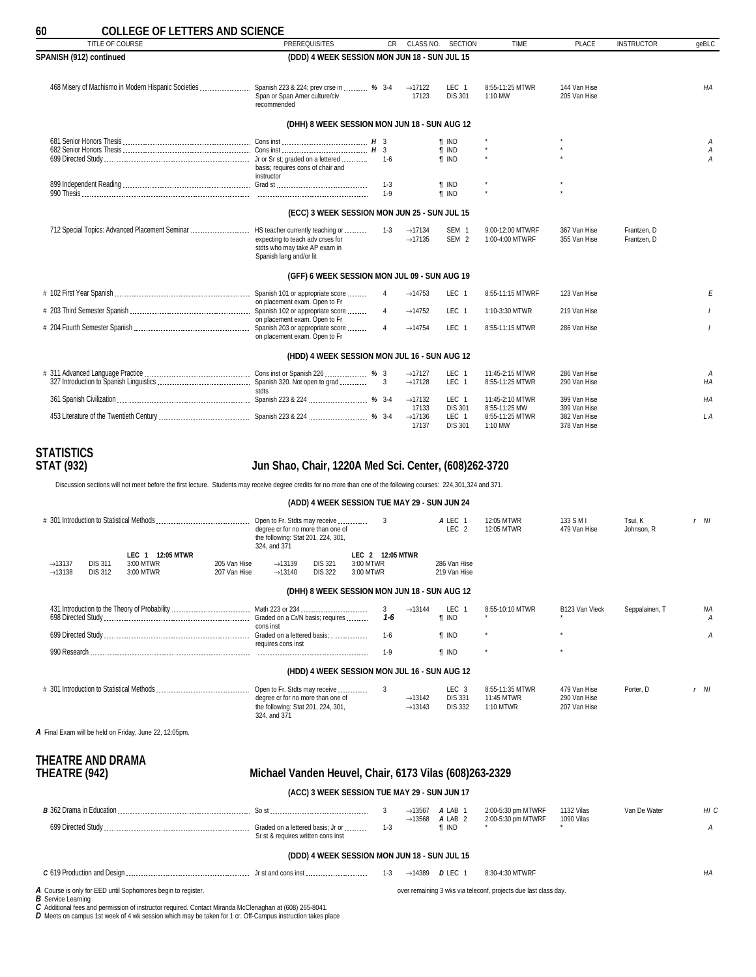<span id="page-59-0"></span>

| TITLE OF COURSE                                                                             | <b>PREREQUISITES</b>                                                                                                             |                    | CR.<br>CLASS NO.                           | <b>SECTION</b>                               | <b>TIME</b>                         | PLACE                        | <b>INSTRUCTOR</b>          | qeBLC                    |
|---------------------------------------------------------------------------------------------|----------------------------------------------------------------------------------------------------------------------------------|--------------------|--------------------------------------------|----------------------------------------------|-------------------------------------|------------------------------|----------------------------|--------------------------|
| SPANISH (912) continued                                                                     | (DDD) 4 WEEK SESSION MON JUN 18 - SUN JUL 15                                                                                     |                    |                                            |                                              |                                     |                              |                            |                          |
| 468 Misery of Machismo in Modern Hispanic Societies  Spanish 223 & 224; prev crse in  % 3-4 | Span or Span Amer culture/civ<br>recommended                                                                                     |                    | $\rightarrow$ 17122<br>17123               | LEC <sub>1</sub><br><b>DIS 301</b>           | 8:55-11:25 MTWR<br>1:10 MW          | 144 Van Hise<br>205 Van Hise |                            | HA                       |
|                                                                                             | (DHH) 8 WEEK SESSION MON JUN 18 - SUN AUG 12                                                                                     |                    |                                            |                                              |                                     |                              |                            |                          |
|                                                                                             | basis; requires cons of chair and<br>instructor                                                                                  | $1-6$              |                                            | <b>T</b> IND<br><b>f</b> IND<br><b>T</b> IND |                                     |                              |                            | А<br>A<br>$\overline{A}$ |
|                                                                                             |                                                                                                                                  | $1 - 3$<br>$1 - 9$ |                                            | <b>f</b> IND<br><b>f</b> IND                 | $\star$                             |                              |                            |                          |
|                                                                                             | (ECC) 3 WEEK SESSION MON JUN 25 - SUN JUL 15                                                                                     |                    |                                            |                                              |                                     |                              |                            |                          |
| 712 Special Topics: Advanced Placement Seminar                                              | HS teacher currently teaching or<br>expecting to teach adv crses for<br>stdts who may take AP exam in<br>Spanish lang and/or lit | $1 - 3$            | $\rightarrow$ 17134<br>$\rightarrow$ 17135 | SEM <sub>1</sub><br>SEM <sub>2</sub>         | 9:00-12:00 MTWRF<br>1:00-4:00 MTWRF | 367 Van Hise<br>355 Van Hise | Frantzen. D<br>Frantzen. D |                          |
|                                                                                             | (GFF) 6 WEEK SESSION MON JUL 09 - SUN AUG 19                                                                                     |                    |                                            |                                              |                                     |                              |                            |                          |
|                                                                                             | Spanish 101 or appropriate score<br>on placement exam. Open to Fr                                                                | 4                  | $\rightarrow$ 14753                        | LEC 1                                        | 8:55-11:15 MTWRF                    | 123 Van Hise                 |                            | E                        |
|                                                                                             | on placement exam. Open to Fr                                                                                                    | $\overline{4}$     | $\rightarrow$ 14752                        | LEC <sub>1</sub>                             | 1:10-3:30 MTWR                      | 219 Van Hise                 |                            |                          |
|                                                                                             | on placement exam. Open to Fr                                                                                                    | $\overline{4}$     | $\rightarrow$ 14754                        | LEC <sub>1</sub>                             | 8:55-11:15 MTWR                     | 286 Van Hise                 |                            |                          |
|                                                                                             | (HDD) 4 WEEK SESSION MON JUL 16 - SUN AUG 12                                                                                     |                    |                                            |                                              |                                     |                              |                            |                          |
|                                                                                             |                                                                                                                                  |                    | $\rightarrow$ 17127<br>$\rightarrow$ 17128 | LEC 1<br>LEC <sub>1</sub>                    | 11:45-2:15 MTWR<br>8:55-11:25 MTWR  | 286 Van Hise<br>290 Van Hise |                            | А<br>HA                  |
|                                                                                             |                                                                                                                                  |                    | $\rightarrow$ 17132<br>17133               | LEC <sub>1</sub><br><b>DIS 301</b>           | 11:45-2:10 MTWR<br>8:55-11:25 MW    | 399 Van Hise<br>399 Van Hise |                            | HA                       |
|                                                                                             |                                                                                                                                  |                    | $\rightarrow$ 17136<br>17137               | LEC 1<br><b>DIS 301</b>                      | 8:55-11:25 MTWR<br>1:10 MW          | 382 Van Hise<br>378 Van Hise |                            | L A                      |

# **STATISTICS**

### **STAT (932) Jun Shao, Chair, 1220A Med Sci. Center, (608)262-3720**

Discussion sections will not meet before the first lecture. Students may receive degree credits for no more than one of the following courses: 224,301,324 and 371.

#### **(ADD) 4 WEEK SESSION TUE MAY 29 - SUN JUN 24**

|                     |                | # 301 Introduction to Statistical Methods.                    |              | Open to Fr. Stdts may receive<br>degree cr for no more than one of<br>the following: Stat 201, 224, 301,<br>324, and 371 |                |                  | 3            |                                            | A LEC 1<br>LEC <sub>2</sub>                          | 12:05 MTWR<br>12:05 MTWR                   | 133 S M I<br>479 Van Hise                    | Tsui, K<br>Johnson, R | r NI   |         |
|---------------------|----------------|---------------------------------------------------------------|--------------|--------------------------------------------------------------------------------------------------------------------------|----------------|------------------|--------------|--------------------------------------------|------------------------------------------------------|--------------------------------------------|----------------------------------------------|-----------------------|--------|---------|
|                     |                | <b>12:05 MTWR</b><br>LEC 1                                    |              |                                                                                                                          |                | LEC 2 12:05 MTWR |              |                                            |                                                      |                                            |                                              |                       |        |         |
| $\rightarrow$ 13137 | <b>DIS 311</b> | 3:00 MTWR                                                     | 205 Van Hise | $\rightarrow$ 13139                                                                                                      | <b>DIS 321</b> | 3:00 MTWR        |              |                                            | 286 Van Hise                                         |                                            |                                              |                       |        |         |
| $\rightarrow$ 13138 | <b>DIS 312</b> | 3:00 MTWR                                                     | 207 Van Hise | $\rightarrow$ 13140                                                                                                      | <b>DIS 322</b> | 3:00 MTWR        |              |                                            | 219 Van Hise                                         |                                            |                                              |                       |        |         |
|                     |                |                                                               |              |                                                                                                                          |                |                  |              |                                            | (DHH) 8 WEEK SESSION MON JUN 18 - SUN AUG 12         |                                            |                                              |                       |        |         |
|                     |                |                                                               |              | cons inst                                                                                                                |                |                  | 3<br>$1 - 6$ | $\rightarrow$ 13144                        | LEC <sub>1</sub><br><b>T</b> IND                     | 8:55-10:10 MTWR                            | B123 Van Vleck                               | Seppalainen, T        |        | ΝA<br>А |
|                     |                |                                                               |              | Graded on a lettered basis;<br>requires cons inst                                                                        |                |                  | $1-6$        |                                            | <b>f</b> IND                                         |                                            |                                              |                       |        | А       |
| 990 Research        |                |                                                               |              |                                                                                                                          |                |                  | $1-9$        |                                            | <b>T</b> IND                                         |                                            |                                              |                       |        |         |
|                     |                |                                                               |              |                                                                                                                          |                |                  |              |                                            | (HDD) 4 WEEK SESSION MON JUL 16 - SUN AUG 12         |                                            |                                              |                       |        |         |
|                     |                |                                                               |              | Open to Fr. Stdts may receive<br>degree cr for no more than one of<br>the following: Stat 201, 224, 301,<br>324, and 371 |                |                  | 3            | $\rightarrow$ 13142<br>$\rightarrow$ 13143 | LEC <sub>3</sub><br><b>DIS 331</b><br><b>DIS 332</b> | 8:55-11:35 MTWR<br>11:45 MTWR<br>1:10 MTWR | 479 Van Hise<br>290 Van Hise<br>207 Van Hise | Porter, D             | $r$ NI |         |
|                     |                | $\bm{A}$ Final Exam will be held on Friday, June 22, 12:05pm. |              |                                                                                                                          |                |                  |              |                                            |                                                      |                                            |                                              |                       |        |         |
|                     |                |                                                               |              |                                                                                                                          |                |                  |              |                                            |                                                      |                                            |                                              |                       |        |         |

# **THEATRE AND DRAMA**

### **THEATRE (942) Michael Vanden Heuvel, Chair, 6173 Vilas (608)263-2329**

#### **(ACC) 3 WEEK SESSION TUE MAY 29 - SUN JUN 17**

| <b>B</b> 362 Drama in Education |                                                                         | $\rightarrow$ 13567<br>13568 | A LAB '<br>A LAB 2 | 2:00-5:30 pm MTWRF<br>2:00-5:30 pm MTWRF | <sup>1</sup> 132 Vilas<br>1090 Vilas | Van De Water | பட |
|---------------------------------|-------------------------------------------------------------------------|------------------------------|--------------------|------------------------------------------|--------------------------------------|--------------|----|
| 699 Directed Study              | Graded on a lettered basis; Jr or<br>Sr st & requires written cons inst |                              | ' IND              |                                          |                                      |              |    |

### **(DDD) 4 WEEK SESSION MON JUN 18 - SUN JUL 15**

over remaining 3 wks via teleconf, projects due last class day.

#### *C* 619 Production and Design Jr st and cons inst 1-3 →14389 *D* LEC 1 8:30-4:30 MTWRF *HA*

*A* Course is only for EED until Sophomores begin to register.

*B* Service Learning

C Additional fees and permission of instructor required. Contact Miranda McClenaghan at (608) 265-8041.<br>D Meets on campus 1st week of 4 wk session which may be taken for 1 cr. Off-Campus instruction takes place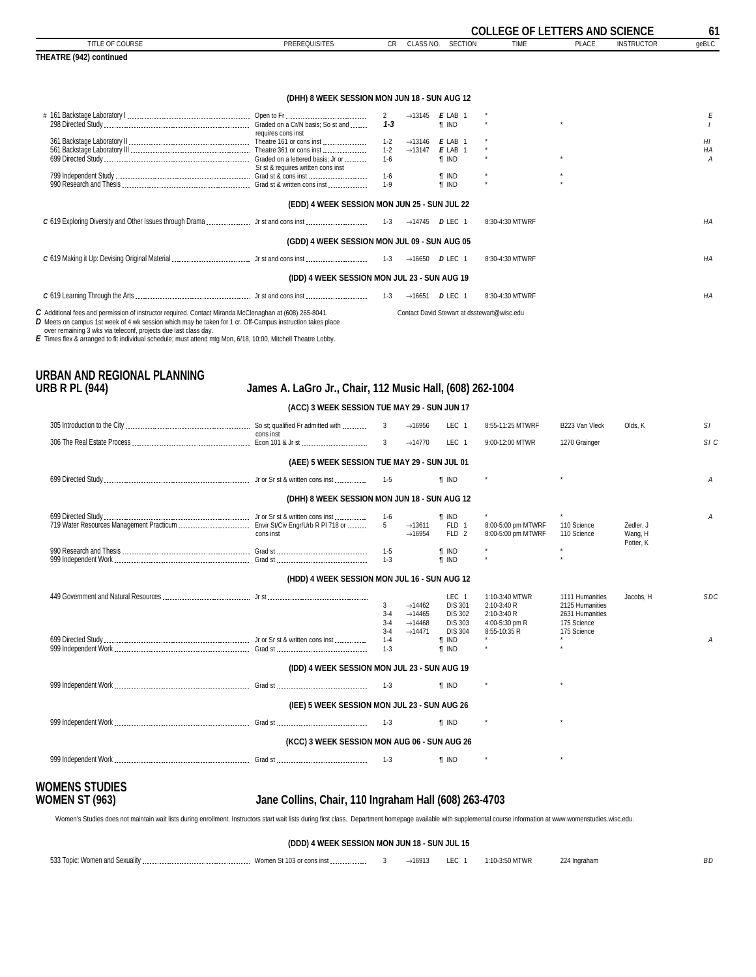<span id="page-60-0"></span>

|                                                                                                                                                                                                                                                                                               |                                              |              |                                    |                                    | <b>COLLEGE OF LETTERS AND SCIENCE</b>       |                      |                   | 61    |
|-----------------------------------------------------------------------------------------------------------------------------------------------------------------------------------------------------------------------------------------------------------------------------------------------|----------------------------------------------|--------------|------------------------------------|------------------------------------|---------------------------------------------|----------------------|-------------------|-------|
| TITLE OF COURSE                                                                                                                                                                                                                                                                               | <b>PREREQUISITES</b>                         | <b>CR</b>    |                                    | CLASS NO. SECTION                  | <b>TIME</b>                                 | <b>PLACE</b>         | <b>INSTRUCTOR</b> | qeBLC |
| THEATRE (942) continued                                                                                                                                                                                                                                                                       |                                              |              |                                    |                                    |                                             |                      |                   |       |
|                                                                                                                                                                                                                                                                                               |                                              |              |                                    |                                    |                                             |                      |                   |       |
|                                                                                                                                                                                                                                                                                               | (DHH) 8 WEEK SESSION MON JUN 18 - SUN AUG 12 |              |                                    |                                    |                                             |                      |                   |       |
|                                                                                                                                                                                                                                                                                               |                                              | $\mathbf{2}$ |                                    | $\rightarrow$ 13145 <b>E</b> LAB 1 | $^\star$                                    |                      |                   | Е     |
|                                                                                                                                                                                                                                                                                               | requires cons inst                           | $1 - 3$      |                                    | <b>T</b> IND                       |                                             |                      |                   |       |
|                                                                                                                                                                                                                                                                                               |                                              | $1 - 2$      | $\rightarrow$ 13146 <b>E</b> LAB 1 |                                    |                                             |                      |                   | HI    |
|                                                                                                                                                                                                                                                                                               |                                              | $1 - 2$      | $\rightarrow$ 13147                | $E$ LAB 1                          |                                             |                      |                   | HA    |
|                                                                                                                                                                                                                                                                                               |                                              | $1 - 6$      |                                    | <b>T</b> IND                       |                                             | $\ddot{\phantom{1}}$ |                   | A     |
|                                                                                                                                                                                                                                                                                               | Sr st & requires written cons inst           |              |                                    |                                    |                                             |                      |                   |       |
|                                                                                                                                                                                                                                                                                               |                                              | $1-6$        |                                    | <b>T</b> IND                       | $\star$                                     |                      |                   |       |
|                                                                                                                                                                                                                                                                                               |                                              | $1 - 9$      |                                    | <b>f</b> IND                       |                                             |                      |                   |       |
|                                                                                                                                                                                                                                                                                               | (EDD) 4 WEEK SESSION MON JUN 25 - SUN JUL 22 |              |                                    |                                    |                                             |                      |                   |       |
|                                                                                                                                                                                                                                                                                               |                                              |              |                                    |                                    | 8:30-4:30 MTWRF                             |                      |                   | HA    |
|                                                                                                                                                                                                                                                                                               | (GDD) 4 WEEK SESSION MON JUL 09 - SUN AUG 05 |              |                                    |                                    |                                             |                      |                   |       |
|                                                                                                                                                                                                                                                                                               |                                              |              |                                    | $\rightarrow$ 16650 DLEC 1         | 8:30-4:30 MTWRF                             |                      |                   | HA    |
|                                                                                                                                                                                                                                                                                               | (IDD) 4 WEEK SESSION MON JUL 23 - SUN AUG 19 |              |                                    |                                    |                                             |                      |                   |       |
|                                                                                                                                                                                                                                                                                               |                                              | $1 - 3$      |                                    | $\rightarrow$ 16651 <b>D</b> LEC 1 | 8:30-4:30 MTWRF                             |                      |                   | HA    |
| C Additional fees and permission of instructor required. Contact Miranda McClenaghan at (608) 265-8041.<br><b>D</b> Meets on campus 1st week of 4 wk session which may be taken for 1 cr. Off-Campus instruction takes place<br>over remaining 3 wks via teleconf projects due last class day |                                              |              |                                    |                                    | Contact David Stewart at dsstewart@wisc.edu |                      |                   |       |

over remaining 3 wks via teleconf, projects due last class day. *E* Times flex & arranged to fit individual schedule; must attend mtg Mon, 6/18, 10:00, Mitchell Theatre Lobby.

# **URBAN AND REGIONAL PLANNING**

### **URB R PL (944) James A. LaGro Jr., Chair, 112 Music Hall, (608) 262-1004**

### **(ACC) 3 WEEK SESSION TUE MAY 29 - SUN JUN 17**

|                                                                             | cons inst                                    | 3                                 | $\rightarrow$ 16956                                                                      | LEC <sub>1</sub>                                                              | 8:55-11:25 MTWRF                                                               | B223 Van Vleck                                                                      | Olds, K                           | S1         |
|-----------------------------------------------------------------------------|----------------------------------------------|-----------------------------------|------------------------------------------------------------------------------------------|-------------------------------------------------------------------------------|--------------------------------------------------------------------------------|-------------------------------------------------------------------------------------|-----------------------------------|------------|
|                                                                             |                                              | 3                                 | $\rightarrow$ 14770                                                                      | LEC <sub>1</sub>                                                              | 9:00-12:00 MTWR                                                                | 1270 Grainger                                                                       |                                   | SIC        |
|                                                                             | (AEE) 5 WEEK SESSION TUE MAY 29 - SUN JUL 01 |                                   |                                                                                          |                                                                               |                                                                                |                                                                                     |                                   |            |
|                                                                             |                                              | $1 - 5$                           |                                                                                          | <b>T</b> IND                                                                  |                                                                                |                                                                                     |                                   | A          |
|                                                                             | (DHH) 8 WEEK SESSION MON JUN 18 - SUN AUG 12 |                                   |                                                                                          |                                                                               |                                                                                |                                                                                     |                                   |            |
| 719 Water Resources Management Practicum  Envir St/Civ Engr/Urb R PI 718 or | cons inst                                    | $1 - 6$<br>$5^{\circ}$<br>$1 - 5$ | $\rightarrow$ 13611<br>$\rightarrow$ 16954                                               | <b>T</b> IND<br>FLD 1<br>FLD <sub>2</sub><br><b>T</b> IND                     | 8:00-5:00 pm MTWRF<br>8:00-5:00 pm MTWRF                                       | $\star$<br>110 Science<br>110 Science<br>$\star$                                    | Zedler, J<br>Wang, H<br>Potter, K | A          |
|                                                                             |                                              | $1 - 3$                           |                                                                                          | <b>T</b> IND                                                                  |                                                                                |                                                                                     |                                   |            |
|                                                                             | (HDD) 4 WEEK SESSION MON JUL 16 - SUN AUG 12 |                                   |                                                                                          |                                                                               |                                                                                |                                                                                     |                                   |            |
|                                                                             |                                              | 3<br>$3 - 4$<br>$3-4$<br>$3 - 4$  | $\rightarrow$ 14462<br>$\rightarrow$ 14465<br>$\rightarrow$ 14468<br>$\rightarrow$ 14471 | LEC 1<br><b>DIS 301</b><br><b>DIS 302</b><br><b>DIS 303</b><br><b>DIS 304</b> | 1:10-3:40 MTWR<br>2:10-3:40 R<br>2:10-3:40 R<br>4:00-5:30 pm R<br>8:55-10:35 R | 1111 Humanities<br>2125 Humanities<br>2631 Humanities<br>175 Science<br>175 Science | Jacobs, H                         | <b>SDC</b> |
|                                                                             |                                              | $1 - 4$<br>$1 - 3$                |                                                                                          | <b>T</b> IND<br><b>T</b> IND                                                  |                                                                                |                                                                                     |                                   | Α          |
|                                                                             | (IDD) 4 WEEK SESSION MON JUL 23 - SUN AUG 19 |                                   |                                                                                          |                                                                               |                                                                                |                                                                                     |                                   |            |
|                                                                             |                                              | $1 - 3$                           |                                                                                          | <b>T</b> IND                                                                  |                                                                                |                                                                                     |                                   |            |
|                                                                             | (IEE) 5 WEEK SESSION MON JUL 23 - SUN AUG 26 |                                   |                                                                                          |                                                                               |                                                                                |                                                                                     |                                   |            |
|                                                                             |                                              | $1 - 3$                           |                                                                                          | <b>f</b> IND                                                                  |                                                                                |                                                                                     |                                   |            |
|                                                                             | (KCC) 3 WEEK SESSION MON AUG 06 - SUN AUG 26 |                                   |                                                                                          |                                                                               |                                                                                |                                                                                     |                                   |            |
|                                                                             |                                              | $1-3$                             |                                                                                          | <b>T</b> IND                                                                  |                                                                                |                                                                                     |                                   |            |
| AMENIC CTHRIEC                                                              |                                              |                                   |                                                                                          |                                                                               |                                                                                |                                                                                     |                                   |            |

# **WOMENS STUDIES**

### **WOMEN ST (963) Jane Collins, Chair, 110 Ingraham Hall (608) 263-4703**

Women's Studies does not maintain wait lists during enrollment. Instructors start wait lists during first class. Department homepage available with supplemental course information at www.womenstudies.wisc.edu.

**(DDD) 4 WEEK SESSION MON JUN 18 - SUN JUL 15**

| Women and Sexuality<br>533 Topic: \ | women St 103 of cons inst | $\rightarrow$ 16913 | LEC. | 0 MTWR<br>$-10-$ | 224 Ingraham | D.C<br>DL. |
|-------------------------------------|---------------------------|---------------------|------|------------------|--------------|------------|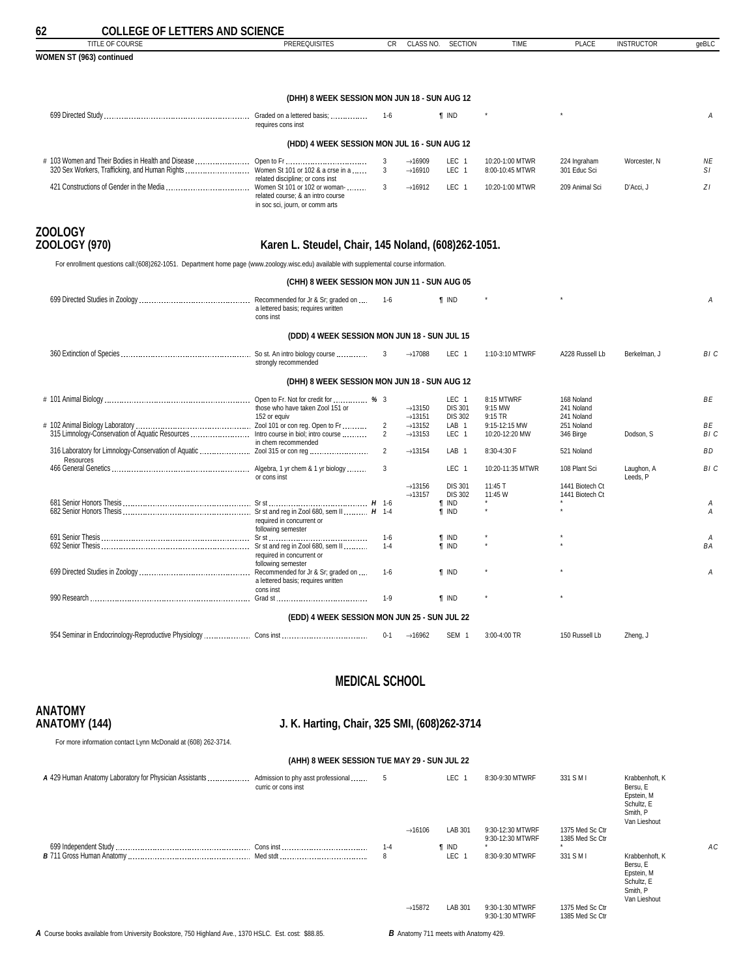<span id="page-61-0"></span>

| 62<br><b>COLLEGE OF LETTERS AND SCIENCE</b>                                                                                               |                                                                      |                |                                            |                                      |                                    |                              |                        |           |
|-------------------------------------------------------------------------------------------------------------------------------------------|----------------------------------------------------------------------|----------------|--------------------------------------------|--------------------------------------|------------------------------------|------------------------------|------------------------|-----------|
| TITLE OF COURSE                                                                                                                           | <b>PREREQUISITES</b>                                                 | CR             | CLASS NO.                                  | <b>SECTION</b>                       | <b>TIME</b>                        | <b>PLACE</b>                 | <b>INSTRUCTOR</b>      | geBLC     |
| WOMEN ST (963) continued                                                                                                                  |                                                                      |                |                                            |                                      |                                    |                              |                        |           |
|                                                                                                                                           |                                                                      |                |                                            |                                      |                                    |                              |                        |           |
|                                                                                                                                           | (DHH) 8 WEEK SESSION MON JUN 18 - SUN AUG 12                         |                |                                            |                                      |                                    |                              |                        |           |
|                                                                                                                                           | requires cons inst                                                   | 1-6            |                                            | <b>T</b> IND                         |                                    |                              |                        | Α         |
|                                                                                                                                           | (HDD) 4 WEEK SESSION MON JUL 16 - SUN AUG 12                         |                |                                            |                                      |                                    |                              |                        |           |
| 320 Sex Workers, Trafficking, and Human Rights  Women St 101 or 102 & a crse in a                                                         | related discipline; or cons inst                                     | 3<br>3         | $\rightarrow$ 16909<br>$\rightarrow$ 16910 | LEC <sub>1</sub><br>LEC <sub>1</sub> | 10:20-1:00 MTWR<br>8:00-10:45 MTWR | 224 Ingraham<br>301 Educ Sci | Worcester, N           | NE<br>S1  |
|                                                                                                                                           | related course; & an intro course<br>in soc sci, journ, or comm arts | $\mathbf{3}$   | $\rightarrow$ 16912                        | LEC <sub>1</sub>                     | 10:20-1:00 MTWR                    | 209 Animal Sci               | D'Acci. J              | ZI        |
| <b>ZOOLOGY</b>                                                                                                                            |                                                                      |                |                                            |                                      |                                    |                              |                        |           |
| ZOOLOGY (970)                                                                                                                             | Karen L. Steudel, Chair, 145 Noland, (608)262-1051.                  |                |                                            |                                      |                                    |                              |                        |           |
| For enrollment questions call: (608)262-1051. Department home page (www.zoology.wisc.edu) available with supplemental course information. |                                                                      |                |                                            |                                      |                                    |                              |                        |           |
|                                                                                                                                           | (CHH) 8 WEEK SESSION MON JUN 11 - SUN AUG 05                         |                |                                            |                                      |                                    |                              |                        |           |
|                                                                                                                                           | a lettered basis; requires written<br>cons inst                      | $1 - 6$        |                                            | <b>f</b> IND                         |                                    |                              |                        | Α         |
|                                                                                                                                           | (DDD) 4 WEEK SESSION MON JUN 18 - SUN JUL 15                         |                |                                            |                                      |                                    |                              |                        |           |
|                                                                                                                                           | strongly recommended                                                 | 3              | $\rightarrow$ 17088                        | LEC <sub>1</sub>                     | 1:10-3:10 MTWRF                    | A228 Russell Lb              | Berkelman, J           | BI C      |
|                                                                                                                                           | (DHH) 8 WEEK SESSION MON JUN 18 - SUN AUG 12                         |                |                                            |                                      |                                    |                              |                        |           |
|                                                                                                                                           |                                                                      |                |                                            | LEC 1                                | 8:15 MTWRF                         | 168 Noland                   |                        | <b>BE</b> |
|                                                                                                                                           | those who have taken Zool 151 or<br>152 or equiv                     |                | $\rightarrow$ 13150<br>$\rightarrow$ 13151 | <b>DIS 301</b><br><b>DIS 302</b>     | 9:15 MW<br>9:15 TR                 | 241 Noland<br>241 Noland     |                        |           |
|                                                                                                                                           |                                                                      | $\overline{2}$ | $\rightarrow$ 13152                        | LAB <sub>1</sub>                     | 9:15-12:15 MW                      | 251 Noland                   |                        | <b>BE</b> |
|                                                                                                                                           | in chem recommended                                                  | $\overline{2}$ | $\rightarrow$ 13153                        | LEC <sub>1</sub>                     | 10:20-12:20 MW                     | 346 Birge                    | Dodson, S              | BI C      |
| Resources                                                                                                                                 |                                                                      | $\overline{2}$ | $\rightarrow$ 13154                        | LAB <sub>1</sub>                     | 8:30-4:30 F                        | 521 Noland                   |                        | <b>BD</b> |
|                                                                                                                                           | or cons inst                                                         | 3              |                                            | LEC <sub>1</sub>                     | 10:20-11:35 MTWR                   | 108 Plant Sci                | Laughon, A<br>Leeds, P | BI C      |
|                                                                                                                                           |                                                                      |                | $\rightarrow$ 13156                        | <b>DIS 301</b>                       | 11:45 T                            | 1441 Biotech Ct              |                        |           |
|                                                                                                                                           |                                                                      |                | $\rightarrow$ 13157                        | <b>DIS 302</b>                       | 11:45 W                            | 1441 Biotech Ct              |                        |           |
|                                                                                                                                           |                                                                      |                |                                            | <b>T IND</b>                         |                                    |                              |                        | Α         |
|                                                                                                                                           | required in concurrent or<br>following semester                      |                |                                            | <b>T IND</b>                         |                                    |                              |                        | A         |
|                                                                                                                                           |                                                                      | $1-6$          |                                            | $\P$ IND                             |                                    |                              |                        | Α         |
|                                                                                                                                           | required in concurrent or<br>following semester                      | $1 - 4$        |                                            | $\P$ IND                             |                                    |                              |                        | <b>BA</b> |
|                                                                                                                                           | a lettered basis; requires written                                   | $1 - 6$        |                                            | <b>T IND</b>                         |                                    |                              |                        | Α         |
|                                                                                                                                           | cons inst                                                            | $1-9$          |                                            | <b>T IND</b>                         |                                    |                              |                        |           |
|                                                                                                                                           | (EDD) 4 WEEK SESSION MON JUN 25 - SUN JUL 22                         |                |                                            |                                      |                                    |                              |                        |           |
|                                                                                                                                           |                                                                      | $0 - 1$        | $\rightarrow$ 16962                        | SEM <sub>1</sub>                     | 3:00-4:00 TR                       | 150 Russell Lb               | Zheng, J               |           |
|                                                                                                                                           |                                                                      |                |                                            |                                      |                                    |                              |                        |           |

### **MEDICAL SCHOOL**

# **ANATOMY**

### **ANATOMY (144) J. K. Harting, Chair, 325 SMI, (608)262-3714**

**(AHH) 8 WEEK SESSION TUE MAY 29 - SUN JUL 22**

For more information contact Lynn McDonald at (608) 262-3714.

| A 429 Human Anatomy Laboratory for Physician Assistants  Admission to phy asst professional           | curric or cons inst | 5       |                     | <b>LEC</b>                                   | 8:30-9:30 MTWRF                      | 331 S M I                          | Krabbenhoft, K<br>Bersu, E<br>Epstein, M<br>Schultz, E<br>Smith, P<br>Van Lieshout |    |
|-------------------------------------------------------------------------------------------------------|---------------------|---------|---------------------|----------------------------------------------|--------------------------------------|------------------------------------|------------------------------------------------------------------------------------|----|
|                                                                                                       |                     |         | $\rightarrow$ 16106 | LAB 301                                      | 9:30-12:30 MTWRF<br>9:30-12:30 MTWRF | 1375 Med Sc Ctr<br>1385 Med Sc Ctr |                                                                                    |    |
|                                                                                                       |                     | $1 - 4$ |                     | <b>T</b> IND                                 |                                      |                                    |                                                                                    | AC |
|                                                                                                       |                     | 8       |                     | <b>LEC</b>                                   | 8:30-9:30 MTWRF                      | 331 S M I                          | Krabbenhoft, K<br>Bersu. E<br>Epstein, M<br>Schultz, E<br>Smith, P<br>Van Lieshout |    |
|                                                                                                       |                     |         | $\rightarrow$ 15872 | LAB 301                                      | 9:30-1:30 MTWRF<br>9:30-1:30 MTWRF   | 1375 Med Sc Ctr<br>1385 Med Sc Ctr |                                                                                    |    |
| A Course books available from University Bookstore, 750 Highland Ave., 1370 HSLC. Est. cost: \$88.85. |                     |         |                     | <b>B</b> Anatomy 711 meets with Anatomy 429. |                                      |                                    |                                                                                    |    |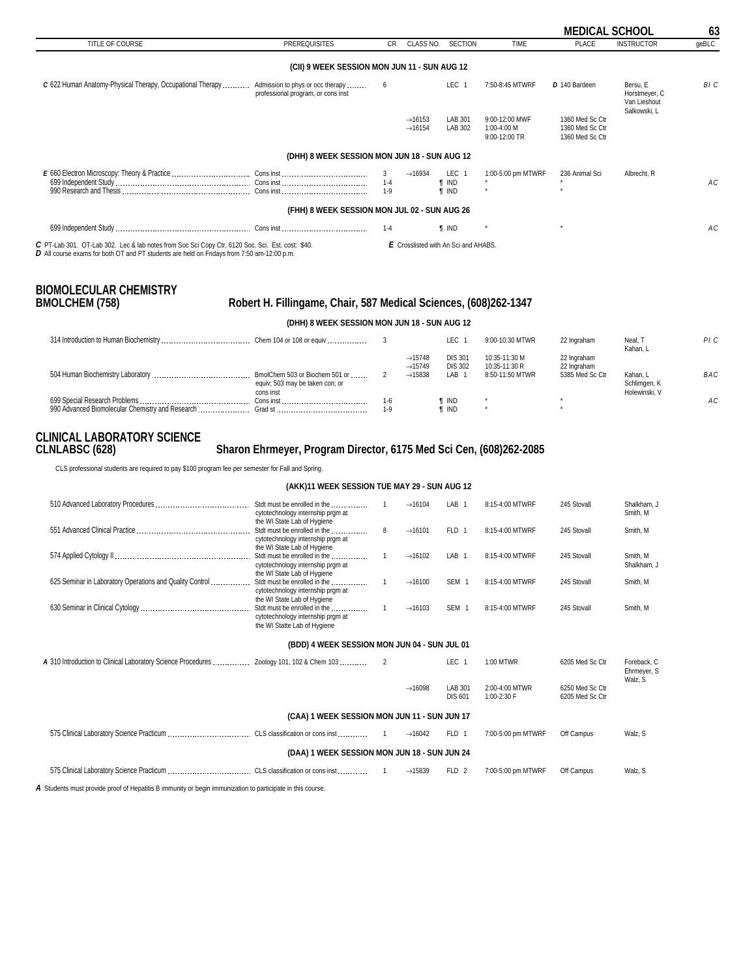<span id="page-62-0"></span>

|                                                                                                                                                                                                       |                                              |                         |                                             |                                       |                                                | <b>MEDICAL SCHOOL</b>                                 |                                                           | 63    |
|-------------------------------------------------------------------------------------------------------------------------------------------------------------------------------------------------------|----------------------------------------------|-------------------------|---------------------------------------------|---------------------------------------|------------------------------------------------|-------------------------------------------------------|-----------------------------------------------------------|-------|
| TITLE OF COURSE                                                                                                                                                                                       | <b>PREREQUISITES</b>                         | CR                      | CLASS NO.                                   | <b>SECTION</b>                        | <b>TIME</b>                                    | <b>PLACE</b>                                          | <b>INSTRUCTOR</b>                                         | geBLC |
|                                                                                                                                                                                                       | (CII) 9 WEEK SESSION MON JUN 11 - SUN AUG 12 |                         |                                             |                                       |                                                |                                                       |                                                           |       |
| C 622 Human Anatomy-Physical Therapy, Occupational Therapy  Admission to phys or occ therapy                                                                                                          | professional program, or cons inst           | 6                       |                                             | LEC 1                                 | 7:50-8:45 MTWRF                                | D 140 Bardeen                                         | Bersu, E<br>Horstmeyer, C<br>Van Lieshout<br>Salkowski, L | BI C  |
|                                                                                                                                                                                                       |                                              |                         | $\rightarrow$ 16153<br>$\rightarrow$ 16154  | LAB 301<br>LAB 302                    | 9:00-12:00 MWF<br>1:00-4:00 M<br>9:00-12:00 TR | 1360 Med Sc Ctr<br>1360 Med Sc Ctr<br>1360 Med Sc Ctr |                                                           |       |
|                                                                                                                                                                                                       | (DHH) 8 WEEK SESSION MON JUN 18 - SUN AUG 12 |                         |                                             |                                       |                                                |                                                       |                                                           |       |
|                                                                                                                                                                                                       |                                              | 3<br>$1 - 4$<br>$1 - 9$ | $\rightarrow$ 16934                         | LEC 1<br><b>T</b> IND<br><b>T IND</b> | 1:00-5:00 pm MTWRF                             | 236 Animal Sci                                        | Albrecht, R                                               | AC    |
|                                                                                                                                                                                                       | (FHH) 8 WEEK SESSION MON JUL 02 - SUN AUG 26 |                         |                                             |                                       |                                                |                                                       |                                                           |       |
|                                                                                                                                                                                                       |                                              | $1 - 4$                 |                                             | <b>f</b> IND                          |                                                |                                                       |                                                           | AC    |
| C PT-Lab 301. OT-Lab 302. Lec & lab notes from Soc Sci Copy Ctr, 6120 Soc. Sci. Est. cost: \$40.<br><b>D</b> All course exams for both OT and PT students are held on Fridays from 7:50 am-12:00 p.m. |                                              |                         | <b>E</b> Crosslisted with An Sci and AHABS. |                                       |                                                |                                                       |                                                           |       |

# **BIOMOLECULAR CHEMISTRY**

### **BMOLCHEM (758) Robert H. Fillingame, Chair, 587 Medical Sciences, (608)262-1347**

#### **(DHH) 8 WEEK SESSION MON JUN 18 - SUN AUG 12**

|                                                  |                                                                                |         |                                            | LEC                              | 9:00-10:30 MTWR                | 22 Ingraham                | Neal, T<br>Kahan. L                       | PI C       |
|--------------------------------------------------|--------------------------------------------------------------------------------|---------|--------------------------------------------|----------------------------------|--------------------------------|----------------------------|-------------------------------------------|------------|
|                                                  |                                                                                |         | $\rightarrow$ 15748<br>$\rightarrow$ 15749 | <b>DIS 301</b><br><b>DIS 302</b> | 10:35-11:30 M<br>10:35-11:30 R | 22 Ingraham<br>22 Ingraham |                                           |            |
|                                                  | BmolChem 503 or Biochem 501 or<br>equiv; 503 may be taken con; or<br>cons inst |         | $\rightarrow$ 15838                        | LAB 1                            | 8:50-11:50 MTWR                | 5385 Med Sc Ctr            | Kahan. L<br>Schlimgen, K<br>Holewinski, V | <b>BAC</b> |
|                                                  | Cons inst                                                                      |         |                                            | <b>1 IND</b>                     |                                |                            |                                           |            |
| 990 Advanced Biomolecular Chemistry and Research |                                                                                | $1 - 9$ |                                            | <b>T</b> IND                     |                                |                            |                                           |            |

# **CLINICAL LABORATORY SCIENCE**

### **CLNLABSC (628) Sharon Ehrmeyer, Program Director, 6175 Med Sci Cen, (608)262-2085**

CLS professional students are required to pay \$100 program fee per semester for Fall and Spring.

#### **(AKK)11 WEEK SESSION TUE MAY 29 - SUN AUG 12**

|                                                          | Stdt must be enrolled in the<br>cytotechnology internship prgm at<br>the WI State Lab of Hygiene  |   | $\rightarrow$ 16104 | LAB              | 8:15-4:00 MTWRF | 245 Stovall | Shalkham, J<br>Smith, M |
|----------------------------------------------------------|---------------------------------------------------------------------------------------------------|---|---------------------|------------------|-----------------|-------------|-------------------------|
|                                                          | Stdt must be enrolled in the<br>cytotechnology internship prgm at<br>the WI State Lab of Hygiene  | 8 | $\rightarrow$ 16101 | <b>FLD</b>       | 8:15-4:00 MTWRF | 245 Stovall | Smith, M                |
|                                                          | Stdt must be enrolled in the<br>cytotechnology internship prgm at<br>the WI State Lab of Hygiene  |   | $\rightarrow$ 16102 | LAB              | 8:15-4:00 MTWRF | 245 Stovall | Smith, M<br>Shalkham, J |
| 625 Seminar in Laboratory Operations and Quality Control | Stdt must be enrolled in the<br>cytotechnology internship prgm at<br>the WI State Lab of Hygiene  |   | $\rightarrow$ 16100 | <b>SEM</b>       | 8:15-4:00 MTWRF | 245 Stovall | Smith, M                |
|                                                          | Stdt must be enrolled in the<br>cytotechnology internship prgm at<br>the WI Statte Lab of Hygiene |   | $\rightarrow$ 16103 | <b>SEM</b><br>-1 | 8:15-4:00 MTWRF | 245 Stovall | Smith, M                |

#### **(BDD) 4 WEEK SESSION MON JUN 04 - SUN JUL 01**

|                                                                                                                 |                                              | 2 | $\rightarrow$ 16098 | LEC <sub>1</sub><br>LAB 301<br><b>DIS 601</b> | 1:00 MTWR<br>2:00-4:00 MTWR<br>$1:00-2:30 F$ | 6205 Med Sc Ctr<br>6250 Med Sc Ctr<br>6205 Med Sc Ctr | Foreback, C<br>Ehrmeyer, S<br>Walz, S |
|-----------------------------------------------------------------------------------------------------------------|----------------------------------------------|---|---------------------|-----------------------------------------------|----------------------------------------------|-------------------------------------------------------|---------------------------------------|
|                                                                                                                 | (CAA) 1 WEEK SESSION MON JUN 11 - SUN JUN 17 |   |                     |                                               |                                              |                                                       |                                       |
|                                                                                                                 |                                              |   | $\rightarrow$ 16042 | FLD 1                                         | 7:00-5:00 pm MTWRF                           | Off Campus                                            | Walz, S                               |
|                                                                                                                 | (DAA) 1 WEEK SESSION MON JUN 18 - SUN JUN 24 |   |                     |                                               |                                              |                                                       |                                       |
|                                                                                                                 |                                              |   | $\rightarrow$ 15839 | FLD 2                                         | 7:00-5:00 pm MTWRF                           | Off Campus                                            | Walz, S                               |
| An ideas and can till and full begint. A teacher of the state of the context of the context of the full concert |                                              |   |                     |                                               |                                              |                                                       |                                       |

*A* Students must provide proof of Hepatitis B immunity or begin immunization to participate in this course.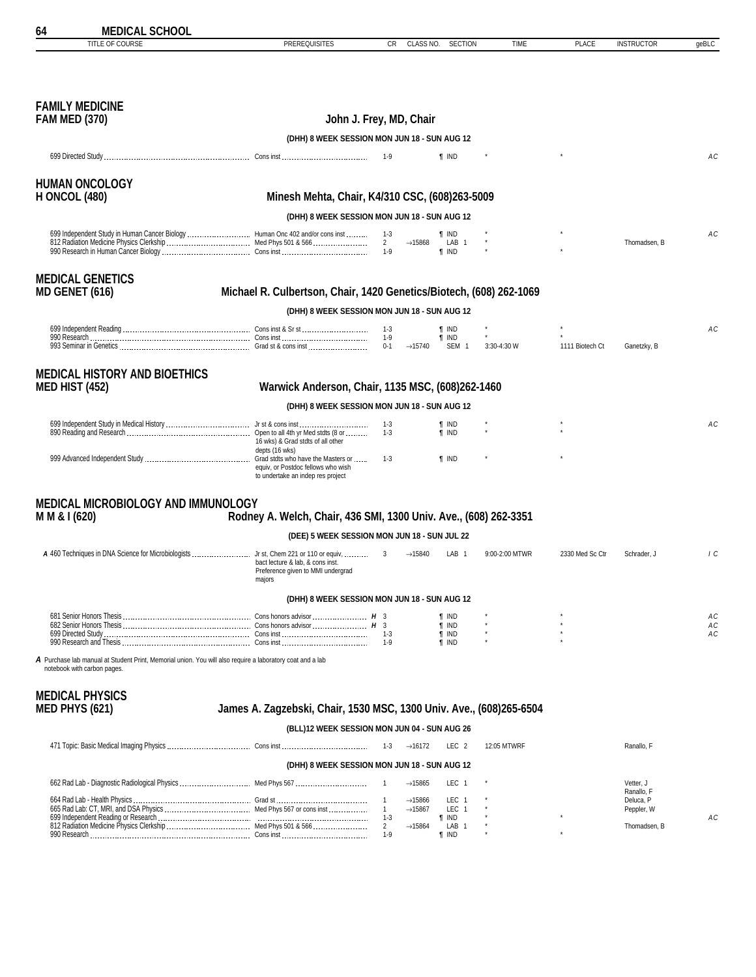| TITLE OF COURSE                                                                                                                          | <b>PREREQUISITES</b>                                                                                                | CR<br>CLASS NO.                                | <b>SECTION</b>                   | TIME           | <b>PLACE</b>    | <b>INSTRUCTOR</b>       | geBLC      |
|------------------------------------------------------------------------------------------------------------------------------------------|---------------------------------------------------------------------------------------------------------------------|------------------------------------------------|----------------------------------|----------------|-----------------|-------------------------|------------|
|                                                                                                                                          |                                                                                                                     |                                                |                                  |                |                 |                         |            |
| <b>FAMILY MEDICINE</b><br><b>FAM MED (370)</b>                                                                                           |                                                                                                                     | John J. Frey, MD, Chair                        |                                  |                |                 |                         |            |
|                                                                                                                                          | (DHH) 8 WEEK SESSION MON JUN 18 - SUN AUG 12                                                                        |                                                |                                  |                |                 |                         |            |
|                                                                                                                                          |                                                                                                                     | 1-9                                            | <b>T</b> IND                     |                |                 |                         | АC         |
| <b>HUMAN ONCOLOGY</b><br><b>H ONCOL (480)</b>                                                                                            | Minesh Mehta, Chair, K4/310 CSC, (608)263-5009                                                                      |                                                |                                  |                |                 |                         |            |
|                                                                                                                                          | (DHH) 8 WEEK SESSION MON JUN 18 - SUN AUG 12                                                                        |                                                |                                  |                |                 |                         |            |
| 699 Independent Study in Human Cancer Biology  Human Onc 402 and/or cons inst                                                            |                                                                                                                     | 1-3                                            | <b>T</b> IND                     |                |                 |                         | АC         |
|                                                                                                                                          |                                                                                                                     | $2^{\circ}$<br>$\rightarrow$ 15868             | LAB <sub>1</sub><br><b>T</b> IND |                |                 | Thomadsen, B            |            |
| <b>MEDICAL GENETICS</b><br><b>MD GENET (616)</b>                                                                                         | Michael R. Culbertson, Chair, 1420 Genetics/Biotech, (608) 262-1069                                                 |                                                |                                  |                |                 |                         |            |
|                                                                                                                                          | (DHH) 8 WEEK SESSION MON JUN 18 - SUN AUG 12                                                                        |                                                |                                  |                |                 |                         |            |
|                                                                                                                                          |                                                                                                                     | $1-3$                                          | <b>T</b> IND                     |                |                 |                         | АC         |
|                                                                                                                                          |                                                                                                                     | $0 - 1$<br>$\rightarrow$ 15740                 | <b>T</b> IND<br>SEM <sub>1</sub> | 3:30-4:30 W    | 1111 Biotech Ct | Ganetzky, B             |            |
| <b>MEDICAL HISTORY AND BIOETHICS</b><br><b>MED HIST (452)</b>                                                                            | Warwick Anderson, Chair, 1135 MSC, (608)262-1460                                                                    |                                                |                                  |                |                 |                         |            |
|                                                                                                                                          | (DHH) 8 WEEK SESSION MON JUN 18 - SUN AUG 12                                                                        |                                                |                                  |                |                 |                         |            |
|                                                                                                                                          | 16 wks) & Grad stdts of all other                                                                                   | $1 - 3$<br>$1 - 3$                             | ¶ IND<br><b>T</b> IND            |                |                 |                         | АC         |
|                                                                                                                                          | depts (16 wks)<br>equiv, or Postdoc fellows who wish<br>to undertake an indep res project                           | $1-3$                                          | <b>T</b> IND                     |                |                 |                         |            |
| MEDICAL MICROBIOLOGY AND IMMUNOLOGY<br>M M & I (620)                                                                                     | Rodney A. Welch, Chair, 436 SMI, 1300 Univ. Ave., (608) 262-3351                                                    |                                                |                                  |                |                 |                         |            |
|                                                                                                                                          | (DEE) 5 WEEK SESSION MON JUN 18 - SUN JUL 22                                                                        |                                                |                                  |                |                 |                         |            |
| A 460 Techniques in DNA Science for Microbiologists  Jr st, Chem 221 or 110 or equiv,                                                    | bact lecture & lab. & cons inst.<br>Preference given to MMI undergrad<br>majors                                     | 3<br>$\rightarrow$ 15840                       | LAB 1                            | 9:00-2:00 MTWR | 2330 Med Sc Ctr | Schrader, J             | $\sqrt{c}$ |
|                                                                                                                                          | (DHH) 8 WEEK SESSION MON JUN 18 - SUN AUG 12                                                                        |                                                |                                  |                |                 |                         |            |
|                                                                                                                                          |                                                                                                                     |                                                | <b>T</b> IND                     |                |                 |                         | АC         |
|                                                                                                                                          |                                                                                                                     |                                                | <b>T</b> IND<br><b>T</b> IND     |                |                 |                         | АC<br>АC   |
|                                                                                                                                          |                                                                                                                     | $1-9$                                          | <b>T</b> IND                     |                |                 |                         |            |
| A Purchase lab manual at Student Print. Memorial union. You will also require a laboratory coat and a lab<br>notebook with carbon pages. |                                                                                                                     |                                                |                                  |                |                 |                         |            |
| <b>MEDICAL PHYSICS</b>                                                                                                                   |                                                                                                                     |                                                |                                  |                |                 |                         |            |
| <b>MED PHYS (621)</b>                                                                                                                    | James A. Zagzebski, Chair, 1530 MSC, 1300 Univ. Ave., (608)265-6504<br>(BLL)12 WEEK SESSION MON JUN 04 - SUN AUG 26 |                                                |                                  |                |                 |                         |            |
|                                                                                                                                          |                                                                                                                     | $\rightarrow$ 16172<br>1-3                     | LEC <sub>2</sub>                 | 12:05 MTWRF    |                 | Ranallo, F              |            |
|                                                                                                                                          | (DHH) 8 WEEK SESSION MON JUN 18 - SUN AUG 12                                                                        |                                                |                                  |                |                 |                         |            |
| 662 Rad Lab - Diagnostic Radiological Physics  Med Phys 567                                                                              |                                                                                                                     | $\rightarrow$ 15865                            | LEC 1                            |                |                 | Vetter, J               |            |
|                                                                                                                                          |                                                                                                                     | $\rightarrow$ 15866                            | LEC 1                            |                |                 | Ranallo, F<br>Deluca, P |            |
|                                                                                                                                          |                                                                                                                     | $\mathbf{1}$<br>$\rightarrow$ 15867<br>$1 - 3$ | LEC 1<br><b>T</b> IND            |                |                 | Peppler, W              | АC         |
|                                                                                                                                          |                                                                                                                     | $\overline{2}$<br>$\rightarrow$ 15864          | LAB 1                            |                |                 | Thomadsen, B            |            |
|                                                                                                                                          |                                                                                                                     | $1-9$                                          | <b>T</b> IND                     |                |                 |                         |            |

<span id="page-63-0"></span>**64 MEDICAL SCHOOL**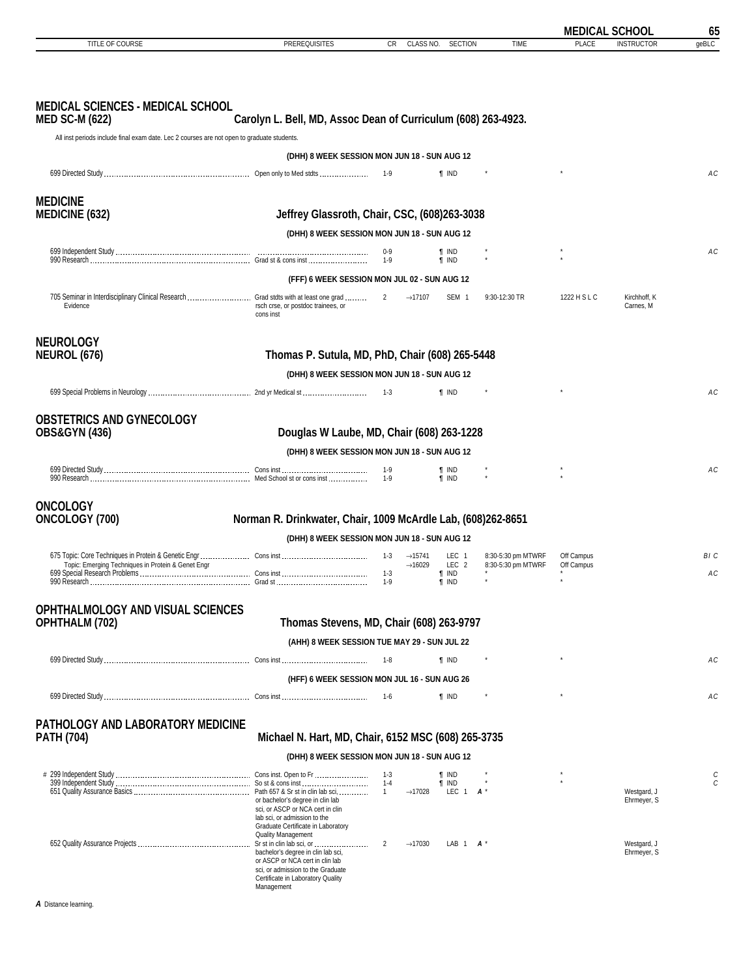<span id="page-64-0"></span>

|                                                                                                      |                                                                                                                                                               |                                                   |                              |                                          | <b>MEDICAL SCHOOL</b>    |                            | 65     |
|------------------------------------------------------------------------------------------------------|---------------------------------------------------------------------------------------------------------------------------------------------------------------|---------------------------------------------------|------------------------------|------------------------------------------|--------------------------|----------------------------|--------|
| TITLE OF COURSE                                                                                      | <b>PREREQUISITES</b>                                                                                                                                          | CR<br>CLASS NO.                                   | <b>SECTION</b>               | <b>TIME</b>                              | <b>PLACE</b>             | <b>INSTRUCTOR</b>          | geBLC  |
|                                                                                                      |                                                                                                                                                               |                                                   |                              |                                          |                          |                            |        |
| <b>MEDICAL SCIENCES - MEDICAL SCHOOL</b><br><b>MED SC-M (622)</b>                                    | Carolyn L. Bell, MD, Assoc Dean of Curriculum (608) 263-4923.                                                                                                 |                                                   |                              |                                          |                          |                            |        |
| All inst periods include final exam date. Lec 2 courses are not open to graduate students.           |                                                                                                                                                               |                                                   |                              |                                          |                          |                            |        |
|                                                                                                      | (DHH) 8 WEEK SESSION MON JUN 18 - SUN AUG 12                                                                                                                  |                                                   |                              |                                          |                          |                            |        |
|                                                                                                      |                                                                                                                                                               | 1-9                                               | <b>T</b> IND                 |                                          |                          |                            | АC     |
| <b>MEDICINE</b>                                                                                      |                                                                                                                                                               |                                                   |                              |                                          |                          |                            |        |
| <b>MEDICINE (632)</b>                                                                                | Jeffrey Glassroth, Chair, CSC, (608)263-3038                                                                                                                  |                                                   |                              |                                          |                          |                            |        |
|                                                                                                      | (DHH) 8 WEEK SESSION MON JUN 18 - SUN AUG 12                                                                                                                  |                                                   |                              |                                          |                          |                            |        |
|                                                                                                      |                                                                                                                                                               | $0-9$<br>1-9                                      | ¶ IND<br><b>T</b> IND        |                                          |                          |                            | АC     |
|                                                                                                      | (FFF) 6 WEEK SESSION MON JUL 02 - SUN AUG 12                                                                                                                  |                                                   |                              |                                          |                          |                            |        |
| 705 Seminar in Interdisciplinary Clinical Research  Grad stdts with at least one grad  2<br>Evidence | rsch crse, or postdoc trainees, or<br>cons inst                                                                                                               | $\rightarrow$ 17107                               | SEM <sub>1</sub>             | 9:30-12:30 TR                            | 1222 H S L C             | Kirchhoff, K<br>Carnes, M  |        |
| <b>NEUROLOGY</b>                                                                                     |                                                                                                                                                               |                                                   |                              |                                          |                          |                            |        |
| <b>NEUROL (676)</b>                                                                                  | Thomas P. Sutula, MD, PhD, Chair (608) 265-5448                                                                                                               |                                                   |                              |                                          |                          |                            |        |
|                                                                                                      | (DHH) 8 WEEK SESSION MON JUN 18 - SUN AUG 12                                                                                                                  |                                                   |                              |                                          |                          |                            |        |
|                                                                                                      |                                                                                                                                                               | $1 - 3$                                           | <b>T</b> IND                 |                                          |                          |                            | АC     |
| <b>OBSTETRICS AND GYNECOLOGY</b>                                                                     |                                                                                                                                                               |                                                   |                              |                                          |                          |                            |        |
| <b>OBS&amp;GYN (436)</b>                                                                             | Douglas W Laube, MD, Chair (608) 263-1228                                                                                                                     |                                                   |                              |                                          |                          |                            |        |
|                                                                                                      | (DHH) 8 WEEK SESSION MON JUN 18 - SUN AUG 12                                                                                                                  |                                                   |                              |                                          |                          |                            |        |
|                                                                                                      |                                                                                                                                                               | $1-9$                                             | <b>T</b> IND                 |                                          |                          |                            | АC     |
|                                                                                                      |                                                                                                                                                               |                                                   | <b>T</b> IND                 |                                          |                          |                            |        |
| <b>ONCOLOGY</b>                                                                                      |                                                                                                                                                               |                                                   |                              |                                          |                          |                            |        |
| ONCOLOGY (700)                                                                                       | Norman R. Drinkwater, Chair, 1009 McArdle Lab, (608)262-8651                                                                                                  |                                                   |                              |                                          |                          |                            |        |
|                                                                                                      | (DHH) 8 WEEK SESSION MON JUN 18 - SUN AUG 12                                                                                                                  |                                                   |                              |                                          |                          |                            |        |
| Topic: Emerging Techniques in Protein & Genet Engr                                                   |                                                                                                                                                               | 1-3<br>$\rightarrow$ 15741<br>$\rightarrow$ 16029 | LEC 1<br>LEC <sub>2</sub>    | 8:30-5:30 pm MTWRF<br>8:30-5:30 pm MTWRF | Off Campus<br>Off Campus |                            | BI C   |
|                                                                                                      |                                                                                                                                                               | $1-3$                                             | <b>T</b> IND<br>¶ IND        |                                          |                          |                            | AC     |
|                                                                                                      |                                                                                                                                                               |                                                   |                              |                                          |                          |                            |        |
| OPHTHALMOLOGY AND VISUAL SCIENCES<br><b>OPHTHALM (702)</b>                                           | Thomas Stevens, MD, Chair (608) 263-9797                                                                                                                      |                                                   |                              |                                          |                          |                            |        |
|                                                                                                      | (AHH) 8 WEEK SESSION TUE MAY 29 - SUN JUL 22                                                                                                                  |                                                   |                              |                                          |                          |                            |        |
|                                                                                                      |                                                                                                                                                               | 1-8                                               | <b>T</b> IND                 | $^\star$                                 | $^\star$                 |                            | АC     |
|                                                                                                      | (HFF) 6 WEEK SESSION MON JUL 16 - SUN AUG 26                                                                                                                  |                                                   |                              |                                          |                          |                            |        |
|                                                                                                      |                                                                                                                                                               |                                                   | <b>T</b> IND                 |                                          |                          |                            | АC     |
|                                                                                                      |                                                                                                                                                               |                                                   |                              |                                          |                          |                            |        |
| PATHOLOGY AND LABORATORY MEDICINE<br><b>PATH (704)</b>                                               | Michael N. Hart, MD, Chair, 6152 MSC (608) 265-3735                                                                                                           |                                                   |                              |                                          |                          |                            |        |
|                                                                                                      | (DHH) 8 WEEK SESSION MON JUN 18 - SUN AUG 12                                                                                                                  |                                                   |                              |                                          |                          |                            |        |
|                                                                                                      |                                                                                                                                                               | $1 - 3$<br>$1 - 4$                                | <b>T</b> IND<br><b>T</b> IND |                                          |                          |                            | C<br>C |
|                                                                                                      | or bachelor's degree in clin lab<br>sci, or ASCP or NCA cert in clin<br>lab sci, or admission to the                                                          | $\rightarrow$ 17028<br>$\overline{1}$             | LEC 1 $A^*$                  |                                          |                          | Westgard, J<br>Ehrmeyer, S |        |
|                                                                                                      | Graduate Certificate in Laboratory<br>Quality Management                                                                                                      | $\overline{2}$<br>$\rightarrow$ 17030             | LAB 1 $A^*$                  |                                          |                          | Westgard, J                |        |
|                                                                                                      | bachelor's degree in clin lab sci,<br>or ASCP or NCA cert in clin lab<br>sci, or admission to the Graduate<br>Certificate in Laboratory Quality<br>Management |                                                   |                              |                                          |                          | Ehrmeyer, S                |        |
| A Distance learning.                                                                                 |                                                                                                                                                               |                                                   |                              |                                          |                          |                            |        |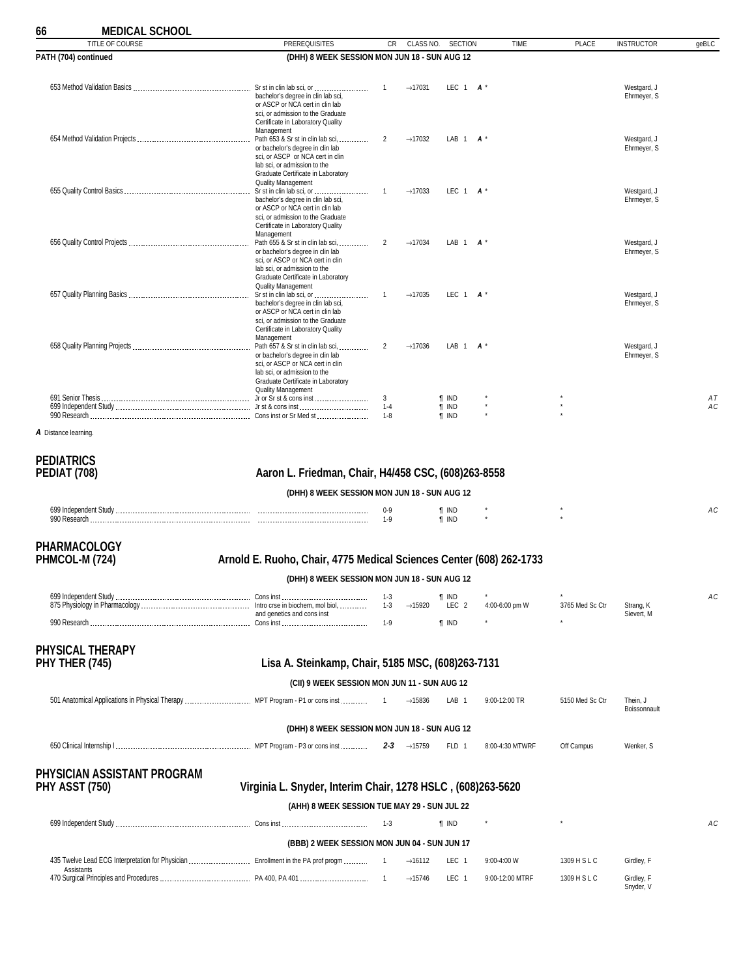### **66 MEDICAL SCHOOL**

| ויוטט ווער וויינ<br>TITLE OF COURSE |                                                                       |                |                     |                  | <b>TIME</b>     |                 |                            |       |
|-------------------------------------|-----------------------------------------------------------------------|----------------|---------------------|------------------|-----------------|-----------------|----------------------------|-------|
|                                     | <b>PREREQUISITES</b>                                                  | CR             | CLASS NO.           | <b>SECTION</b>   |                 | <b>PLACE</b>    | <b>INSTRUCTOR</b>          | geBLC |
| PATH (704) continued                | (DHH) 8 WEEK SESSION MON JUN 18 - SUN AUG 12                          |                |                     |                  |                 |                 |                            |       |
|                                     |                                                                       |                |                     |                  |                 |                 |                            |       |
|                                     | bachelor's degree in clin lab sci,                                    | 1              | $\rightarrow$ 17031 | LEC 1            | $A^{\prime}$    |                 | Westgard, J<br>Ehrmeyer, S |       |
|                                     | or ASCP or NCA cert in clin lab                                       |                |                     |                  |                 |                 |                            |       |
|                                     | sci, or admission to the Graduate                                     |                |                     |                  |                 |                 |                            |       |
|                                     | Certificate in Laboratory Quality<br>Management                       |                |                     |                  |                 |                 |                            |       |
|                                     |                                                                       | 2              | $\rightarrow$ 17032 | LAB 1            | $\mathbf{A}$    |                 | Westgard, J                |       |
|                                     | or bachelor's degree in clin lab<br>sci, or ASCP or NCA cert in clin  |                |                     |                  |                 |                 | Ehrmeyer, S                |       |
|                                     | lab sci, or admission to the                                          |                |                     |                  |                 |                 |                            |       |
|                                     | Graduate Certificate in Laboratory<br><b>Quality Management</b>       |                |                     |                  |                 |                 |                            |       |
|                                     |                                                                       | 1              | $\rightarrow$ 17033 | LEC $1$ $A^*$    |                 |                 | Westgard, J                |       |
|                                     | bachelor's degree in clin lab sci,<br>or ASCP or NCA cert in clin lab |                |                     |                  |                 |                 | Ehrmeyer, S                |       |
|                                     | sci, or admission to the Graduate                                     |                |                     |                  |                 |                 |                            |       |
|                                     | Certificate in Laboratory Quality<br>Management                       |                |                     |                  |                 |                 |                            |       |
|                                     |                                                                       | 2              | $\rightarrow$ 17034 | LAB 1            | $\mathbf{A}$    |                 | Westgard, J                |       |
|                                     | or bachelor's degree in clin lab                                      |                |                     |                  |                 |                 | Ehrmeyer, S                |       |
|                                     | sci, or ASCP or NCA cert in clin<br>lab sci, or admission to the      |                |                     |                  |                 |                 |                            |       |
|                                     | Graduate Certificate in Laboratory                                    |                |                     |                  |                 |                 |                            |       |
|                                     | <b>Quality Management</b>                                             | 1              | $\rightarrow$ 17035 | LEC $1$ $A^*$    |                 |                 | Westgard, J                |       |
|                                     | bachelor's degree in clin lab sci,                                    |                |                     |                  |                 |                 | Ehrmeyer, S                |       |
|                                     | or ASCP or NCA cert in clin lab<br>sci, or admission to the Graduate  |                |                     |                  |                 |                 |                            |       |
|                                     | Certificate in Laboratory Quality                                     |                |                     |                  |                 |                 |                            |       |
|                                     | Management                                                            | $\overline{2}$ | $\rightarrow$ 17036 | LAB 1            | $\mathbf{A}$    |                 | Westgard, J                |       |
|                                     | or bachelor's degree in clin lab                                      |                |                     |                  |                 |                 | Ehrmeyer, S                |       |
|                                     | sci, or ASCP or NCA cert in clin<br>lab sci, or admission to the      |                |                     |                  |                 |                 |                            |       |
|                                     | Graduate Certificate in Laboratory                                    |                |                     |                  |                 |                 |                            |       |
|                                     | <b>Quality Management</b>                                             | 3              |                     | <b>T</b> IND     |                 |                 |                            | AT    |
|                                     |                                                                       | $1 - 4$        |                     | $\P$ IND         |                 |                 |                            | АC    |
|                                     |                                                                       | $1 - 8$        |                     | <b>f</b> IND     |                 |                 |                            |       |
| A Distance learning.                |                                                                       |                |                     |                  |                 |                 |                            |       |
|                                     |                                                                       |                |                     |                  |                 |                 |                            |       |
| <b>PEDIATRICS</b>                   |                                                                       |                |                     |                  |                 |                 |                            |       |
| PEDIAT (708)                        | Aaron L. Friedman, Chair, H4/458 CSC, (608)263-8558                   |                |                     |                  |                 |                 |                            |       |
|                                     |                                                                       |                |                     |                  |                 |                 |                            |       |
|                                     | (DHH) 8 WEEK SESSION MON JUN 18 - SUN AUG 12                          |                |                     |                  |                 |                 |                            |       |
|                                     |                                                                       | $0-9$          |                     | <b>T</b> IND     |                 |                 |                            | АC    |
|                                     |                                                                       | $1-9$          |                     | <b>T</b> IND     |                 |                 |                            |       |
|                                     |                                                                       |                |                     |                  |                 |                 |                            |       |
| <b>PHARMACOLOGY</b>                 |                                                                       |                |                     |                  |                 |                 |                            |       |
| PHMCOL-M (724)                      | Arnold E. Ruoho, Chair, 4775 Medical Sciences Center (608) 262-1733   |                |                     |                  |                 |                 |                            |       |
|                                     |                                                                       |                |                     |                  |                 |                 |                            |       |
|                                     | (DHH) 8 WEEK SESSION MON JUN 18 - SUN AUG 12                          |                |                     |                  |                 |                 |                            |       |
|                                     |                                                                       | $1 - 3$        |                     | <b>T</b> IND     |                 |                 |                            | АC    |
|                                     | and genetics and cons inst                                            | $1 - 3$        | $\rightarrow$ 15920 | LEC <sub>2</sub> | 4:00-6:00 pm W  | 3765 Med Sc Ctr | Strang, K<br>Sievert, M    |       |
|                                     |                                                                       | $1-9$          |                     | <b>T</b> IND     |                 |                 |                            |       |
|                                     |                                                                       |                |                     |                  |                 |                 |                            |       |
| <b>PHYSICAL THERAPY</b>             |                                                                       |                |                     |                  |                 |                 |                            |       |
| PHY THER (745)                      | Lisa A. Steinkamp, Chair, 5185 MSC, (608)263-7131                     |                |                     |                  |                 |                 |                            |       |
|                                     |                                                                       |                |                     |                  |                 |                 |                            |       |
|                                     | (CII) 9 WEEK SESSION MON JUN 11 - SUN AUG 12                          |                |                     |                  |                 |                 |                            |       |
|                                     |                                                                       |                | $\rightarrow$ 15836 | LAB <sub>1</sub> | 9:00-12:00 TR   | 5150 Med Sc Ctr | Thein, J                   |       |
|                                     |                                                                       |                |                     |                  |                 |                 | Boissonnault               |       |
|                                     | (DHH) 8 WEEK SESSION MON JUN 18 - SUN AUG 12                          |                |                     |                  |                 |                 |                            |       |
|                                     |                                                                       |                |                     |                  |                 |                 |                            |       |
|                                     |                                                                       |                | <b>2-3</b> →15759   | FLD 1            | 8:00-4:30 MTWRF | Off Campus      | Wenker, S                  |       |
|                                     |                                                                       |                |                     |                  |                 |                 |                            |       |
| PHYSICIAN ASSISTANT PROGRAM         |                                                                       |                |                     |                  |                 |                 |                            |       |
| <b>PHY ASST (750)</b>               | Virginia L. Snyder, Interim Chair, 1278 HSLC, (608)263-5620           |                |                     |                  |                 |                 |                            |       |
|                                     | (AHH) 8 WEEK SESSION TUE MAY 29 - SUN JUL 22                          |                |                     |                  |                 |                 |                            |       |
|                                     |                                                                       |                |                     |                  |                 |                 |                            |       |
|                                     |                                                                       | $1 - 3$        |                     | <b>f</b> IND     |                 |                 |                            | АC    |
|                                     | (BBB) 2 WEEK SESSION MON JUN 04 - SUN JUN 17                          |                |                     |                  |                 |                 |                            |       |
|                                     |                                                                       |                |                     |                  |                 |                 |                            |       |
| Assistants                          |                                                                       |                | $\rightarrow$ 16112 | LEC 1            | 9:00-4:00 W     | 1309 H S L C    | Girdley, F                 |       |
|                                     |                                                                       |                | $\rightarrow$ 15746 | LEC 1            | 9:00-12:00 MTRF | 1309 H S L C    | Girdley, F<br>Snyder, V    |       |

<span id="page-65-0"></span>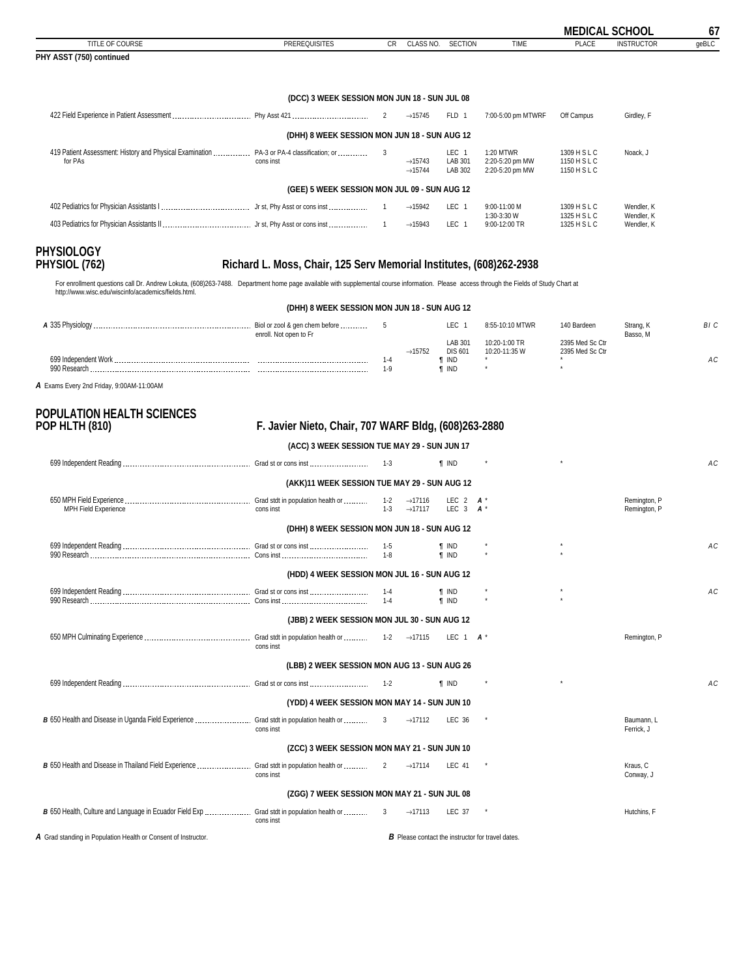<span id="page-66-0"></span>

| 67    | <b>MEDICAL SCHOOL</b> |                                              |                                                 |                                        |                                            |                |                                                                                                                   |
|-------|-----------------------|----------------------------------------------|-------------------------------------------------|----------------------------------------|--------------------------------------------|----------------|-------------------------------------------------------------------------------------------------------------------|
| geBLC | <b>INSTRUCTOR</b>     | <b>PLACE</b>                                 | TIME                                            | <b>SECTION</b>                         | CLASS NO.                                  | CR             | TITLE OF COURSE<br><b>PREREQUISITES</b>                                                                           |
|       |                       |                                              |                                                 |                                        |                                            |                | PHY ASST (750) continued                                                                                          |
|       |                       |                                              |                                                 |                                        |                                            |                | (DCC) 3 WEEK SESSION MON JUN 18 - SUN JUL 08                                                                      |
|       | Girdley, F            | Off Campus                                   | 7:00-5:00 pm MTWRF                              | FLD 1                                  | $\rightarrow$ 15745                        | 2              |                                                                                                                   |
|       |                       |                                              |                                                 |                                        |                                            |                | (DHH) 8 WEEK SESSION MON JUN 18 - SUN AUG 12                                                                      |
|       | Noack, J              | 1309 H S L C<br>1150 H S L C<br>1150 H S L C | 1:20 MTWR<br>2:20-5:20 pm MW<br>2:20-5:20 pm MW | LEC <sub>1</sub><br>LAB 301<br>LAB 302 | $\rightarrow$ 15743<br>$\rightarrow$ 15744 | $\overline{3}$ | 419 Patient Assessment: History and Physical Examination  PA-3 or PA-4 classification; or<br>for PAs<br>cons inst |
|       |                       |                                              |                                                 |                                        |                                            |                | (GEE) 5 WEEK SESSION MON JUL 09 - SUN AUG 12                                                                      |
|       | Wendler, K            | 1309 H S L C                                 | 9:00-11:00 M                                    | LEC <sub>1</sub>                       | $\rightarrow$ 15942                        |                |                                                                                                                   |
|       | Wendler, K            | 1325 H S L C                                 | 9:00-12:00 TR                                   | LEC <sub>1</sub>                       | $\rightarrow$ 15943                        |                |                                                                                                                   |
|       | Wendler, K            | 1325 H S L C                                 | 1:30-3:30 W                                     |                                        |                                            |                |                                                                                                                   |

```
PHYSIOLOGY
```
### Richard L. Moss, Chair, 125 Serv Memorial Institutes, (608)262-2938

For enrollment questions call Dr. Andrew Lokuta, (608)263-7488. Department home page available with supplemental course information. Please access through the Fields of Study Chart at http://www.wisc.edu/wiscinfo/academics/fields.html.

| (DHH) 8 WEEK SESSION MON JUN 18 - SUN AUG 12 |                        |              |                     |                              |                                |                                    |                       |      |  |
|----------------------------------------------|------------------------|--------------|---------------------|------------------------------|--------------------------------|------------------------------------|-----------------------|------|--|
|                                              | enroll. Not open to Fr |              |                     | LEC                          | 8:55-10:10 MTWR                | 140 Bardeen                        | Strang, K<br>Basso, M | BI C |  |
|                                              |                        |              | $\rightarrow$ 15752 | LAB 301<br><b>DIS 601</b>    | 10:20-1:00 TR<br>10:20-11:35 W | 2395 Med Sc Ctr<br>2395 Med Sc Ctr |                       |      |  |
| 990 Research                                 |                        | 1-4<br>$1-9$ |                     | <b>T</b> IND<br><b>T</b> IND |                                |                                    |                       | AC   |  |

*A* Exams Every 2nd Friday, 9:00AM-11:00AM

# **POPULATION HEALTH SCIENCES**

### **POP HLTH (810) F. Javier Nieto, Chair, 707 WARF Bldg, (608)263-2880**

**(ACC) 3 WEEK SESSION TUE MAY 29 - SUN JUN 17**

|                                                                |                                              | - 1-3              |                                                          | <b>f</b> IND                 |         |         |                              | AC |
|----------------------------------------------------------------|----------------------------------------------|--------------------|----------------------------------------------------------|------------------------------|---------|---------|------------------------------|----|
|                                                                | (AKK)11 WEEK SESSION TUE MAY 29 - SUN AUG 12 |                    |                                                          |                              |         |         |                              |    |
| MPH Field Experience                                           | cons inst                                    | $1 - 2$<br>$1 - 3$ | $\rightarrow$ 17116<br>$\rightarrow$ 17117               | LEC 2 $A^*$<br>LEC 3         | $A^*$   |         | Remington, P<br>Remington, P |    |
|                                                                | (DHH) 8 WEEK SESSION MON JUN 18 - SUN AUG 12 |                    |                                                          |                              |         |         |                              |    |
|                                                                |                                              | $1-5$<br>$1 - 8$   |                                                          | <b>T</b> IND<br><b>f</b> IND |         |         |                              | AC |
|                                                                | (HDD) 4 WEEK SESSION MON JUL 16 - SUN AUG 12 |                    |                                                          |                              |         |         |                              |    |
|                                                                |                                              | 1-4                |                                                          | <b>f</b> IND<br><b>f</b> IND |         |         |                              | AC |
|                                                                | (JBB) 2 WEEK SESSION MON JUL 30 - SUN AUG 12 |                    |                                                          |                              |         |         |                              |    |
|                                                                | cons inst                                    |                    |                                                          | LEC 1 $A^*$                  |         |         | Remington, P                 |    |
|                                                                | (LBB) 2 WEEK SESSION MON AUG 13 - SUN AUG 26 |                    |                                                          |                              |         |         |                              |    |
|                                                                |                                              |                    |                                                          | <b>f</b> IND                 |         | $\star$ |                              | AC |
|                                                                | (YDD) 4 WEEK SESSION MON MAY 14 - SUN JUN 10 |                    |                                                          |                              |         |         |                              |    |
|                                                                | cons inst                                    |                    | $\rightarrow$ 17112                                      | LEC 36                       |         |         | Baumann, L<br>Ferrick. J     |    |
|                                                                | (ZCC) 3 WEEK SESSION MON MAY 21 - SUN JUN 10 |                    |                                                          |                              |         |         |                              |    |
|                                                                | cons inst                                    |                    | $\rightarrow$ 17114                                      | LEC 41                       |         |         | Kraus, C<br>Conway, J        |    |
|                                                                | (ZGG) 7 WEEK SESSION MON MAY 21 - SUN JUL 08 |                    |                                                          |                              |         |         |                              |    |
|                                                                | cons inst                                    |                    | $\rightarrow$ 17113                                      | LEC 37                       | $\star$ |         | Hutchins, F                  |    |
| A Grad standing in Population Health or Consent of Instructor. |                                              |                    | <b>B</b> Please contact the instructor for travel dates. |                              |         |         |                              |    |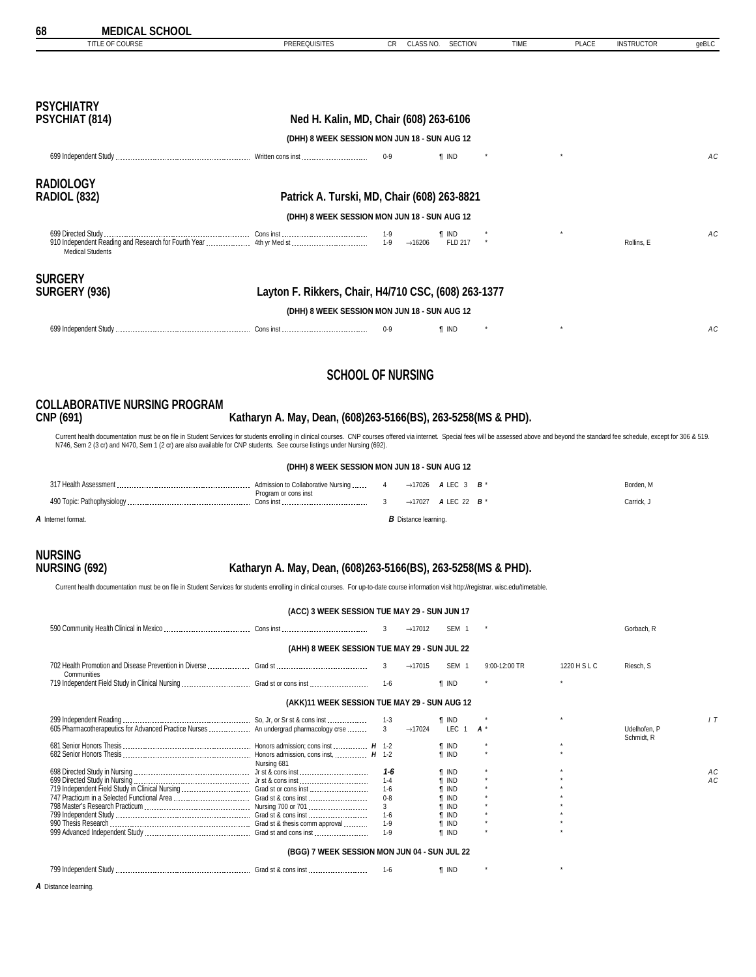<span id="page-67-0"></span>

| 68<br><b>MEDICAL SCHOOL</b>             |                                                      |                                     |                            |             |              |                   |       |
|-----------------------------------------|------------------------------------------------------|-------------------------------------|----------------------------|-------------|--------------|-------------------|-------|
| TITLE OF COURSE                         | <b>PREREQUISITES</b>                                 | CLASS NO.<br><b>CR</b>              | <b>SECTION</b>             | <b>TIME</b> | <b>PLACE</b> | <b>INSTRUCTOR</b> | geBLC |
| <b>PSYCHIATRY</b><br>PSYCHIAT (814)     | Ned H. Kalin, MD, Chair (608) 263-6106               |                                     |                            |             |              |                   |       |
|                                         |                                                      |                                     |                            |             |              |                   |       |
|                                         | (DHH) 8 WEEK SESSION MON JUN 18 - SUN AUG 12         |                                     |                            |             |              |                   |       |
|                                         |                                                      | $0-9$                               | <b>f</b> IND               |             |              |                   | AC    |
| <b>RADIOLOGY</b><br><b>RADIOL (832)</b> | Patrick A. Turski, MD, Chair (608) 263-8821          |                                     |                            |             |              |                   |       |
|                                         | (DHH) 8 WEEK SESSION MON JUN 18 - SUN AUG 12         |                                     |                            |             |              |                   |       |
| <b>Medical Students</b>                 |                                                      | 1-9<br>$1-9$<br>$\rightarrow$ 16206 | $\P$ IND<br><b>FLD 217</b> |             |              | Rollins. E        | AC    |
| <b>SURGERY</b><br>SURGERY (936)         | Layton F. Rikkers, Chair, H4/710 CSC, (608) 263-1377 |                                     |                            |             |              |                   |       |
|                                         | (DHH) 8 WEEK SESSION MON JUN 18 - SUN AUG 12         |                                     |                            |             |              |                   |       |
|                                         |                                                      | $0 - 9$                             | <b>T</b> IND               |             | $\star$      |                   | AC    |
|                                         |                                                      |                                     |                            |             |              |                   |       |
|                                         |                                                      |                                     |                            |             |              |                   |       |

### **SCHOOL OF NURSING**

# **COLLABORATIVE NURSING PROGRAM**

**CNP (691) Katharyn A. May, Dean, (608)263-5166(BS), 263-5258(MS & PHD).**

Current health documentation must be on file in Student Services for students enrolling in clinical courses. CNP courses offered via internet. Special fees will be assessed above and beyond the standard fee schedule, excep

|                    | (DHH) 8 WEEK SESSION MON JUN 18 - SUN AUG 12                  |                             |                                                          |            |
|--------------------|---------------------------------------------------------------|-----------------------------|----------------------------------------------------------|------------|
|                    | Admission to Collaborative Nursing  4<br>Program or cons inst |                             | $\rightarrow$ 17026 ALEC 3 B <sup>*</sup>                | Borden, M  |
|                    |                                                               |                             | $\rightarrow$ 17027 <b>ALEC</b> 22 <b>B</b> <sup>*</sup> | Carrick. J |
| A Internet format. |                                                               | <b>B</b> Distance learning. |                                                          |            |

# **NURSING**

### **NURSING (692) Katharyn A. May, Dean, (608)263-5166(BS), 263-5258(MS & PHD).**

Current health documentation must be on file in Student Services for students enrolling in clinical courses. For up-to-date course information visit http://registrar. wisc.edu/timetable.

|                                              | (ACC) 3 WEEK SESSION TUE MAY 29 - SUN JUN 17 |         |                     |                        |                 |              |                            |  |  |  |  |  |  |
|----------------------------------------------|----------------------------------------------|---------|---------------------|------------------------|-----------------|--------------|----------------------------|--|--|--|--|--|--|
|                                              |                                              |         | $\rightarrow$ 17012 | SEM 1                  |                 |              | Gorbach, R                 |  |  |  |  |  |  |
| (AHH) 8 WEEK SESSION TUE MAY 29 - SUN JUL 22 |                                              |         |                     |                        |                 |              |                            |  |  |  |  |  |  |
| Communities                                  |                                              |         | $\rightarrow$ 17015 | SEM 1                  | $9:00-12:00$ TR | 1220 H S L C | Riesch, S                  |  |  |  |  |  |  |
|                                              |                                              | $1 - 6$ |                     | <b>T</b> IND           |                 |              |                            |  |  |  |  |  |  |
|                                              | (AKK)11 WEEK SESSION TUE MAY 29 - SUN AUG 12 |         |                     |                        |                 |              |                            |  |  |  |  |  |  |
|                                              |                                              |         | $\rightarrow$ 17024 | ¶ IND<br>LEC $1$ $A^*$ |                 |              | Udelhofen, P<br>Schmidt, R |  |  |  |  |  |  |

| 605 Pharmacotherapeutics for Advanced Practice Nurses  An undergrad pharmacology crse |                     |         | $\rightarrow$ 17024 | LEC 1        |  |  |  | Udelhofen, P<br>Schmidt, R |    |  |
|---------------------------------------------------------------------------------------|---------------------|---------|---------------------|--------------|--|--|--|----------------------------|----|--|
|                                                                                       |                     |         |                     | ¶ IND        |  |  |  |                            |    |  |
|                                                                                       |                     |         |                     | <b>T</b> IND |  |  |  |                            |    |  |
|                                                                                       | Nursing 681         |         |                     |              |  |  |  |                            |    |  |
|                                                                                       |                     | 1-6     |                     | ¶ IND        |  |  |  |                            | АC |  |
|                                                                                       |                     |         |                     | <b>T</b> IND |  |  |  |                            | АC |  |
|                                                                                       |                     | $1-6$   |                     | <b>T</b> IND |  |  |  |                            |    |  |
|                                                                                       | Grad st & cons inst | $0 - 8$ |                     | <b>T</b> IND |  |  |  |                            |    |  |
|                                                                                       |                     |         |                     | <b>T</b> IND |  |  |  |                            |    |  |
|                                                                                       | Grad st & cons inst | 1-6     |                     | <b>T</b> IND |  |  |  |                            |    |  |
|                                                                                       |                     | $1-9$   |                     | ¶ IND        |  |  |  |                            |    |  |
|                                                                                       |                     | $1-9$   |                     | <b>T</b> IND |  |  |  |                            |    |  |
| (BGG) 7 WEEK SESSION MON JUN 04 - SUN JUL 22                                          |                     |         |                     |              |  |  |  |                            |    |  |

799 Independent Study Grad st & cons inst 1-6 *¶* IND \* \*

*A* Distance learning.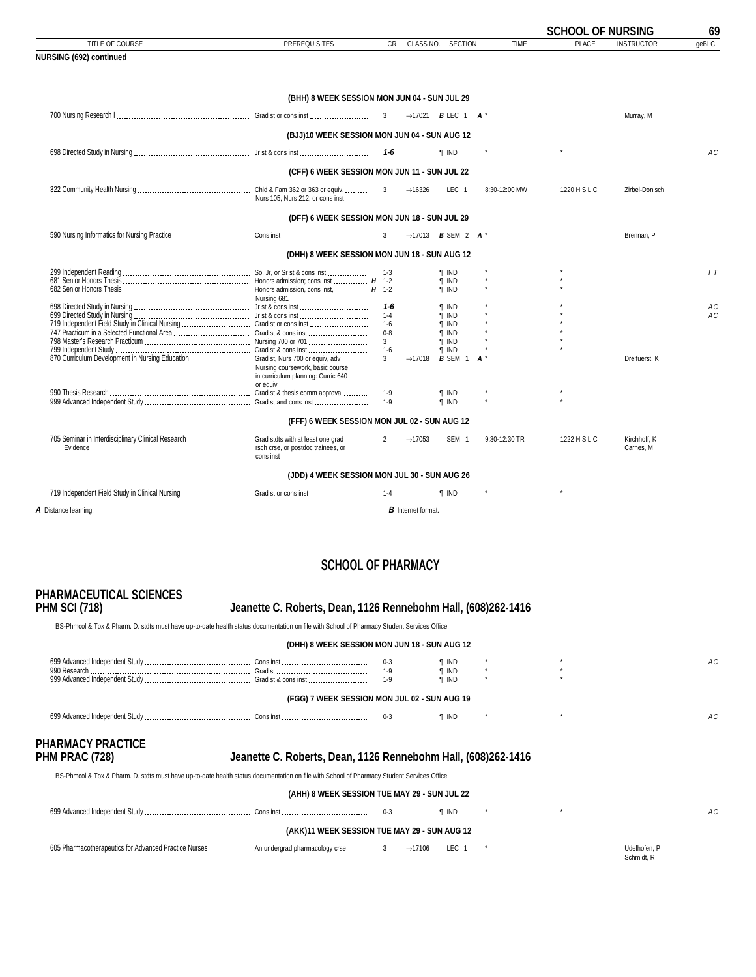<span id="page-68-0"></span>

|                                                                                                   |                                                                                    |                    |                           |                                                          |               | <b>SCHOOL OF NURSING</b> |                           | 69             |
|---------------------------------------------------------------------------------------------------|------------------------------------------------------------------------------------|--------------------|---------------------------|----------------------------------------------------------|---------------|--------------------------|---------------------------|----------------|
| TITLE OF COURSE                                                                                   | <b>PREREQUISITES</b>                                                               | CR.                | CLASS NO.                 | <b>SECTION</b>                                           | <b>TIME</b>   | <b>PLACE</b>             | <b>INSTRUCTOR</b>         | qeBLC          |
| NURSING (692) continued                                                                           |                                                                                    |                    |                           |                                                          |               |                          |                           |                |
|                                                                                                   |                                                                                    |                    |                           |                                                          |               |                          |                           |                |
|                                                                                                   | (BHH) 8 WEEK SESSION MON JUN 04 - SUN JUL 29                                       |                    |                           |                                                          |               |                          |                           |                |
|                                                                                                   |                                                                                    | $\overline{3}$     |                           | $\rightarrow$ 17021 <b>B</b> LEC 1 <b>A</b> <sup>*</sup> |               |                          | Murray, M                 |                |
|                                                                                                   | (BJJ)10 WEEK SESSION MON JUN 04 - SUN AUG 12                                       |                    |                           |                                                          |               |                          |                           |                |
|                                                                                                   |                                                                                    | $1-6$              |                           | $\P$ IND                                                 |               |                          |                           | A <sub>C</sub> |
|                                                                                                   | (CFF) 6 WEEK SESSION MON JUN 11 - SUN JUL 22                                       |                    |                           |                                                          |               |                          |                           |                |
|                                                                                                   | Nurs 105. Nurs 212, or cons inst                                                   | 3                  | $\rightarrow$ 16326       | LEC <sub>1</sub>                                         | 8:30-12:00 MW | 1220 H S L C             | Zirbel-Donisch            |                |
|                                                                                                   | (DFF) 6 WEEK SESSION MON JUN 18 - SUN JUL 29                                       |                    |                           |                                                          |               |                          |                           |                |
|                                                                                                   |                                                                                    | $\overline{3}$     |                           | $\rightarrow$ 17013 <b>B</b> SEM 2 <b>A</b> *            |               |                          | Brennan, P                |                |
|                                                                                                   | (DHH) 8 WEEK SESSION MON JUN 18 - SUN AUG 12                                       |                    |                           |                                                          |               |                          |                           |                |
|                                                                                                   |                                                                                    | $1-3$              |                           | ¶ IND<br><b>T</b> IND                                    |               |                          |                           | 1T             |
|                                                                                                   | Nursing 681                                                                        |                    |                           | <b>T</b> IND                                             |               |                          |                           |                |
|                                                                                                   |                                                                                    | 1-6                |                           | <b>T</b> IND                                             |               |                          |                           | AC             |
|                                                                                                   |                                                                                    | $1 - 4$            |                           | <b>T</b> IND                                             |               |                          |                           | AC             |
| 719 Independent Field Study in Clinical Nursing  Grad st or cons inst                             |                                                                                    | $1 - 6$<br>$0 - 8$ |                           | <b>T</b> IND<br><b>T</b> IND                             |               |                          |                           |                |
|                                                                                                   |                                                                                    | 3 <sup>1</sup>     |                           | <b>f</b> IND                                             |               |                          |                           |                |
|                                                                                                   |                                                                                    | $1-6$              |                           | <b>f</b> IND                                             |               |                          |                           |                |
| 870 Curriculum Development in Nursing Education  Grad st, Nurs 700 or equiv, adv                  |                                                                                    | 3                  | $\rightarrow$ 17018       | <b>B</b> SEM 1                                           | $A^*$         |                          | Dreifuerst, K             |                |
|                                                                                                   | Nursing coursework, basic course<br>in curriculum planning: Curric 640<br>or equiv |                    |                           |                                                          |               |                          |                           |                |
|                                                                                                   |                                                                                    | $1-9$              |                           | <b>T</b> IND                                             |               |                          |                           |                |
|                                                                                                   |                                                                                    | $1 - 9$            |                           | <b>T</b> IND                                             |               |                          |                           |                |
|                                                                                                   | (FFF) 6 WEEK SESSION MON JUL 02 - SUN AUG 12                                       |                    |                           |                                                          |               |                          |                           |                |
| 705 Seminar in Interdisciplinary Clinical Research  Grad stdts with at least one grad<br>Evidence | rsch crse, or postdoc trainees, or<br>cons inst                                    | $\overline{2}$     | $\rightarrow$ 17053       | SEM 1                                                    | 9:30-12:30 TR | 1222 H S L C             | Kirchhoff, K<br>Carnes, M |                |
|                                                                                                   | (JDD) 4 WEEK SESSION MON JUL 30 - SUN AUG 26                                       |                    |                           |                                                          |               |                          |                           |                |
|                                                                                                   |                                                                                    | $1 - 4$            |                           | <b>T</b> IND                                             |               | $\star$                  |                           |                |
| A Distance learning.                                                                              |                                                                                    |                    | <b>B</b> Internet format. |                                                          |               |                          |                           |                |

### **SCHOOL OF PHARMACY**

# **PHARMACEUTICAL SCIENCES**

#### **PHM SCI (718) Jeanette C. Roberts, Dean, 1126 Rennebohm Hall, (608)262-1416**

BS-Phmcol & Tox & Pharm. D. stdts must have up-to-date health status documentation on file with School of Pharmacy Student Services Office.

**(DHH) 8 WEEK SESSION MON JUN 18 - SUN AUG 12** 699 Advanced Independent Study Cons inst 0-3 *¶* IND \* \* *AC* 990 Research Grad st 1-9 *¶* IND \* \* 999 Advanced Independent Study Grad st & cons inst 1-9 *¶* IND \* \*

**(FGG) 7 WEEK SESSION MON JUL 02 - SUN AUG 19**

 699 Advanced Independent Study Cons inst 0-3 *¶* IND \* \* *AC* **PHARMACY PRACTICE**

#### Jeanette C. Roberts, Dean, 1126 Rennebohm Hall, (608)262-1416

BS-Phmcol & Tox & Pharm. D. stdts must have up-to-date health status documentation on file with School of Pharmacy Student Services Office.

**(AHH) 8 WEEK SESSION TUE MAY 29 - SUN JUL 22**

|                                                      |                                                       |  |       | <b>T</b> IND |  |  |                       |  |  |  |
|------------------------------------------------------|-------------------------------------------------------|--|-------|--------------|--|--|-----------------------|--|--|--|
| (AKK)11 WEEK SESSION TUE MAY 29 - SUN AUG 12         |                                                       |  |       |              |  |  |                       |  |  |  |
| COF Dharmaaskaraaaytiga far Advanced Drastiae Nursea | A contract concerned to be a concerned a series and a |  | 17100 | $\mathbf{r}$ |  |  | $11.4 \times 10^{-1}$ |  |  |  |

 605 Pharmacotherapeutics for Advanced Practice Nurses An undergrad pharmacology crse 3 →17106 LEC 1 \* Udelhofen, P Schmidt, R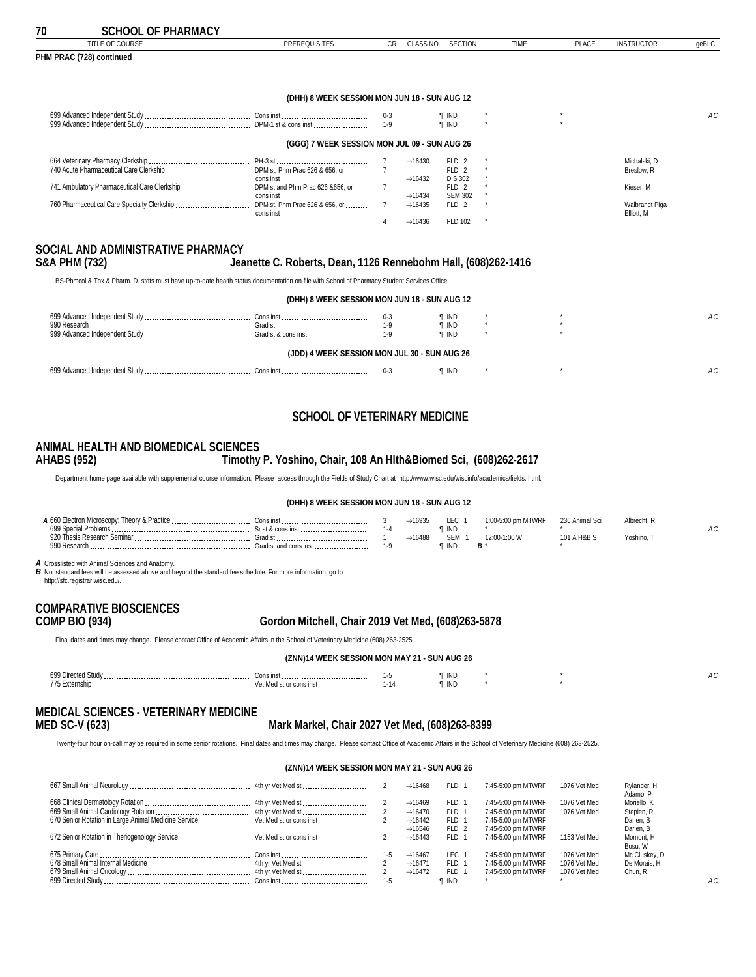<span id="page-69-0"></span>

| TITLE OF COURSE                             | <b>PREREQUISITES</b>                         | CR.     | CLASS NO.           | SECTION          | <b>TIME</b> | <b>PLACE</b>  | <b>INSTRUCTOR</b>            | geBLC |
|---------------------------------------------|----------------------------------------------|---------|---------------------|------------------|-------------|---------------|------------------------------|-------|
| PHM PRAC (728) continued                    |                                              |         |                     |                  |             |               |                              |       |
|                                             |                                              |         |                     |                  |             |               |                              |       |
|                                             | (DHH) 8 WEEK SESSION MON JUN 18 - SUN AUG 12 |         |                     |                  |             |               |                              |       |
|                                             |                                              | $0 - 3$ |                     | ¶ IND            |             |               |                              | AC    |
|                                             |                                              | $1 - 9$ |                     | <b>T</b> IND     |             | $\rightarrow$ |                              |       |
|                                             | (GGG) 7 WEEK SESSION MON JUL 09 - SUN AUG 26 |         |                     |                  |             |               |                              |       |
|                                             |                                              |         | $\rightarrow$ 16430 | FLD 2            |             |               | Michalski, D                 |       |
|                                             |                                              |         |                     | FLD 2            |             |               | Breslow, R                   |       |
|                                             | cons inst                                    |         | $\rightarrow$ 16432 | <b>DIS 302</b>   |             |               |                              |       |
|                                             |                                              |         |                     | FLD <sub>2</sub> |             |               | Kieser, M                    |       |
|                                             | cons inst                                    |         | $\rightarrow$ 16434 | <b>SEM 302</b>   |             |               |                              |       |
| 760 Pharmaceutical Care Specialty Clerkship | DPM st, Phm Prac 626 & 656, or               |         | $\rightarrow$ 16435 | FLD 2            |             |               | Walbrandt Piga<br>Elliott, M |       |
|                                             | cons inst                                    |         | $\rightarrow$ 16436 | FLD 102          |             |               |                              |       |
|                                             |                                              |         |                     |                  |             |               |                              |       |

## **SOCIAL AND ADMINISTRATIVE PHARMACY**

**S&A PHM (732) Jeanette C. Roberts, Dean, 1126 Rennebohm Hall, (608)262-1416**

BS-Phmcol & Tox & Pharm. D. stdts must have up-to-date health status documentation on file with School of Pharmacy Student Services Office.

| (DHH) 8 WEEK SESSION MON JUN 18 - SUN AUG 12 |  |       |              |  |  |    |  |  |  |  |  |
|----------------------------------------------|--|-------|--------------|--|--|----|--|--|--|--|--|
|                                              |  |       | ¶ IND        |  |  | АC |  |  |  |  |  |
| 990 Research                                 |  | $1-9$ | <b>T</b> IND |  |  |    |  |  |  |  |  |
|                                              |  |       | <b>T</b> IND |  |  |    |  |  |  |  |  |
| (JDD) 4 WEEK SESSION MON JUL 30 - SUN AUG 26 |  |       |              |  |  |    |  |  |  |  |  |
|                                              |  |       | <b>T</b> IND |  |  |    |  |  |  |  |  |

### **SCHOOL OF VETERINARY MEDICINE**

#### **ANIMAL HEALTH AND BIOMEDICAL SCIENCES AHABS (952) Timothy P. Yoshino, Chair, 108 An Hlth&Biomed Sci, (608)262-2617**

Department home page available with supplemental course information. Please access through the Fields of Study Chart at http://www.wisc.edu/wiscinfo/academics/fields. html.

#### **(DHH) 8 WEEK SESSION MON JUN 18 - SUN AUG 12**

| A 660<br>-------<br>Inor<br>CIOSCO | ີ່<br>.<br>------- |           | $+1693r$ | $\Gamma$<br>Eν. | <b>N/RF</b> |     |          |  |
|------------------------------------|--------------------|-----------|----------|-----------------|-------------|-----|----------|--|
| 699 C                              |                    |           |          | <b>TIND</b>     |             |     |          |  |
| 920<br>Semina<br>""S Resean        |                    |           | $+1648$  | OCHA<br>__      |             | H&B | Yoshino. |  |
| aan l<br>.ممدا                     | ---------------    | L.Q<br>۰. |          | ' INL           | <u>n</u>    |     |          |  |

*A* Crosslisted with Animal Sciences and Anatomy.

*B* Nonstandard fees will be assessed above and beyond the standard fee schedule. For more information, go to

http://sfc.registrar.wisc.edu/.

### **COMPARATIVE BIOSCIENCES**

#### **COMP BIO (934) Gordon Mitchell, Chair 2019 Vet Med, (608)263-5878**

Final dates and times may change. Please contact Office of Academic Affairs in the School of Veterinary Medicine (608) 263-2525.

**(ZNN)14 WEEK SESSION MON MAY 21 - SUN AUG 26**

| 699 Dir       | <b>1.11.11</b> |   | ind |  |  |
|---------------|----------------|---|-----|--|--|
| <b>775 F.</b> | .              |   |     |  |  |
|               |                | . | IND |  |  |
|               |                |   |     |  |  |

# **MEDICAL SCIENCES - VETERINARY MEDICINE**

#### **MED SC-V (623) Mark Markel, Chair 2027 Vet Med, (608)263-8399**

Twenty-four hour on-call may be required in some senior rotations. Final dates and times may change. Please contact Office of Academic Affairs in the School of Veterinary Medicine (608) 263-2525.

#### **(ZNN)14 WEEK SESSION MON MAY 21 - SUN AUG 26**

|                                                                        |         | $\rightarrow$ 16468 | FLD -            | 7:45-5:00 pm MTWRF | 1076 Vet Med | Rylander, H<br>Adamo, P |     |
|------------------------------------------------------------------------|---------|---------------------|------------------|--------------------|--------------|-------------------------|-----|
|                                                                        |         | $\rightarrow$ 16469 | <b>FLD</b>       | 7:45-5:00 pm MTWRF | 1076 Vet Med | Moriello, K             |     |
|                                                                        |         | $\rightarrow$ 16470 | FLD 1            | 7:45-5:00 pm MTWRF | 1076 Vet Med | Stepien, R              |     |
|                                                                        |         | $\rightarrow$ 16442 | FLD 1            | 7:45-5:00 pm MTWRF |              | Darien, B               |     |
|                                                                        |         | $\rightarrow$ 16546 | FLD <sub>2</sub> | 7:45-5:00 pm MTWRF |              | Darien, B               |     |
| 672 Senior Rotation in Theriogenology Service  Vet Med st or cons inst |         | $\rightarrow$ 16443 | FLD 1            | 7:45-5:00 pm MTWRF | 1153 Vet Med | Momont. H               |     |
|                                                                        |         |                     |                  |                    |              | Bosu, W                 |     |
|                                                                        |         | $\rightarrow$ 16467 | LEC              | 7:45-5:00 pm MTWRF | 1076 Vet Med | Mc Cluskey, D           |     |
|                                                                        |         | $\rightarrow$ 16471 | FLD <sub>1</sub> | 7:45-5:00 pm MTWRF | 1076 Vet Med | De Morais, H            |     |
|                                                                        |         | $\rightarrow$ 16472 | FLD 1            | 7:45-5:00 pm MTWRF | 1076 Vet Med | Chun, R                 |     |
|                                                                        | $1 - 5$ |                     | <b>T</b> IND     |                    |              |                         | AC. |